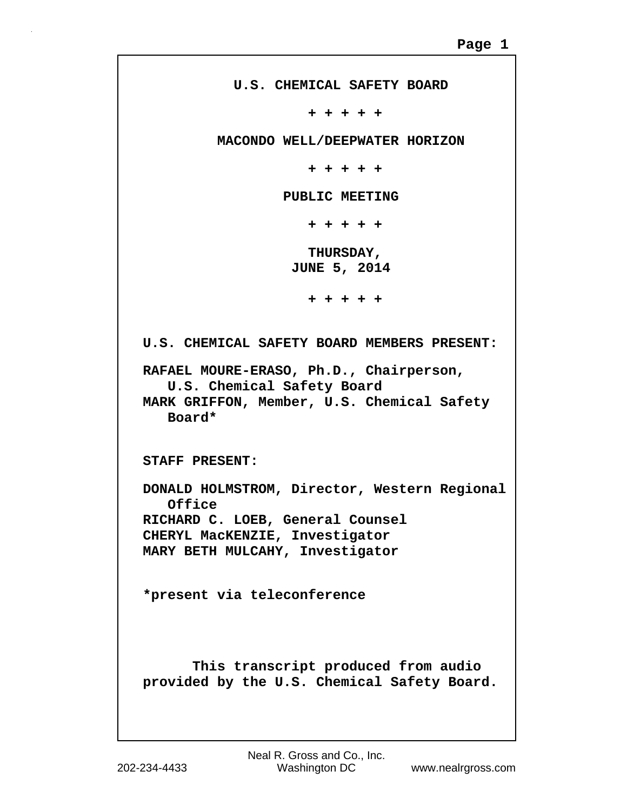```
 U.S. CHEMICAL SAFETY BOARD
                      + + + + +
          MACONDO WELL/DEEPWATER HORIZON
                      + + + + +
                  PUBLIC MEETING
                      + + + + +
                      THURSDAY,
                   JUNE 5, 2014
                      + + + + +
U.S. CHEMICAL SAFETY BOARD MEMBERS PRESENT:
RAFAEL MOURE-ERASO, Ph.D., Chairperson, 
    U.S. Chemical Safety Board
MARK GRIFFON, Member, U.S. Chemical Safety
    Board*
STAFF PRESENT:
DONALD HOLMSTROM, Director, Western Regional
    Office
RICHARD C. LOEB, General Counsel
CHERYL MacKENZIE, Investigator
MARY BETH MULCAHY, Investigator
*present via teleconference
       This transcript produced from audio
provided by the U.S. Chemical Safety Board.
```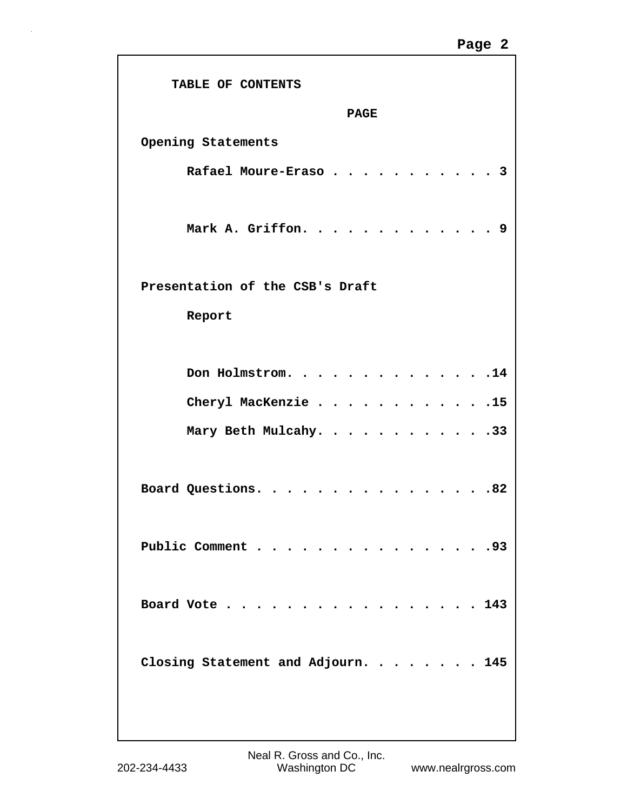## **Page 2**

| TABLE OF CONTENTS                  |
|------------------------------------|
| <b>PAGE</b>                        |
| Opening Statements                 |
| Rafael Moure-Eraso                 |
| Mark A. Griffon.<br>9              |
| Presentation of the CSB's Draft    |
| Report                             |
| Don Holmstrom.                     |
| Cheryl MacKenzie 15                |
| Mary Beth Mulcahy. 33              |
| Board Questions.<br>.82            |
| Public Comment<br>.93              |
| Board Vote $\ldots$ 143            |
| Closing Statement and Adjourn. 145 |
|                                    |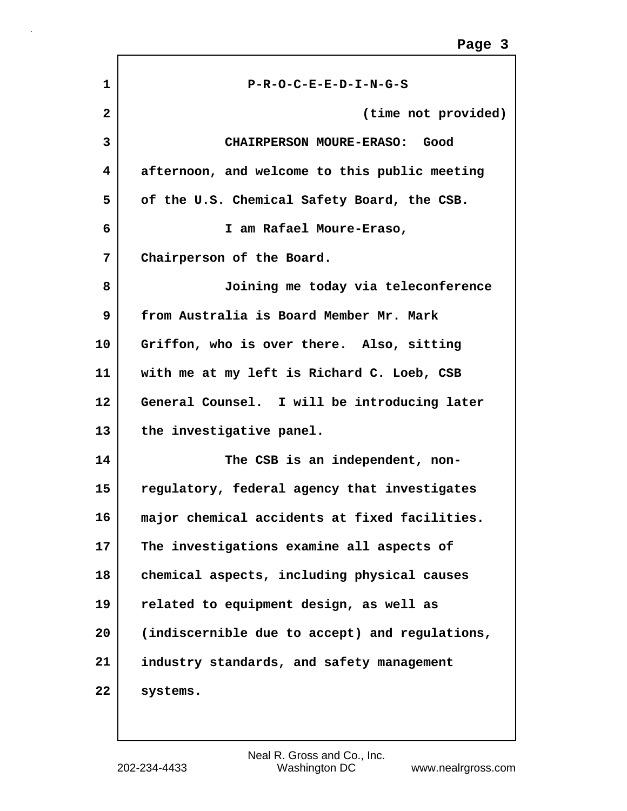| 1  | P-R-O-C-E-E-D-I-N-G-S                          |
|----|------------------------------------------------|
| 2  | (time not provided)                            |
| 3  | <b>CHAIRPERSON MOURE-ERASO:</b><br>Good        |
| 4  | afternoon, and welcome to this public meeting  |
| 5  | of the U.S. Chemical Safety Board, the CSB.    |
| 6  | I am Rafael Moure-Eraso,                       |
| 7  | Chairperson of the Board.                      |
| 8  | Joining me today via teleconference            |
| 9  | from Australia is Board Member Mr. Mark        |
| 10 | Griffon, who is over there. Also, sitting      |
| 11 | with me at my left is Richard C. Loeb, CSB     |
| 12 | General Counsel. I will be introducing later   |
| 13 | the investigative panel.                       |
| 14 | The CSB is an independent, non-                |
| 15 | regulatory, federal agency that investigates   |
| 16 | major chemical accidents at fixed facilities.  |
| 17 | The investigations examine all aspects of      |
| 18 | chemical aspects, including physical causes    |
| 19 | related to equipment design, as well as        |
| 20 | (indiscernible due to accept) and regulations, |
| 21 | industry standards, and safety management      |
| 22 | systems.                                       |
|    |                                                |

ľ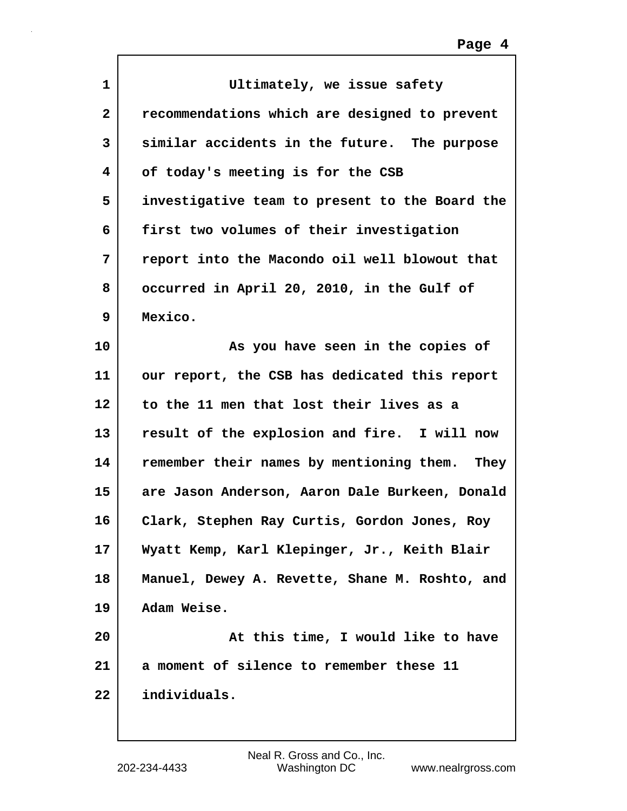| $\mathbf{1}$ | Ultimately, we issue safety                    |
|--------------|------------------------------------------------|
| $\mathbf{2}$ | recommendations which are designed to prevent  |
| 3            | similar accidents in the future. The purpose   |
| 4            | of today's meeting is for the CSB              |
| 5            | investigative team to present to the Board the |
| 6            | first two volumes of their investigation       |
| 7            | report into the Macondo oil well blowout that  |
| 8            | occurred in April 20, 2010, in the Gulf of     |
| 9            | Mexico.                                        |
| 10           | As you have seen in the copies of              |
| 11           | our report, the CSB has dedicated this report  |
| 12           | to the 11 men that lost their lives as a       |
| 13           | result of the explosion and fire. I will now   |
| 14           | remember their names by mentioning them. They  |
| 15           | are Jason Anderson, Aaron Dale Burkeen, Donald |
| 16           | Clark, Stephen Ray Curtis, Gordon Jones, Roy   |
| 17           | Wyatt Kemp, Karl Klepinger, Jr., Keith Blair   |
| 18           | Manuel, Dewey A. Revette, Shane M. Roshto, and |
| 19           | Adam Weise.                                    |
| 20           | At this time, I would like to have             |
| 21           | a moment of silence to remember these 11       |
| 22           | individuals.                                   |
|              |                                                |

 $\Gamma$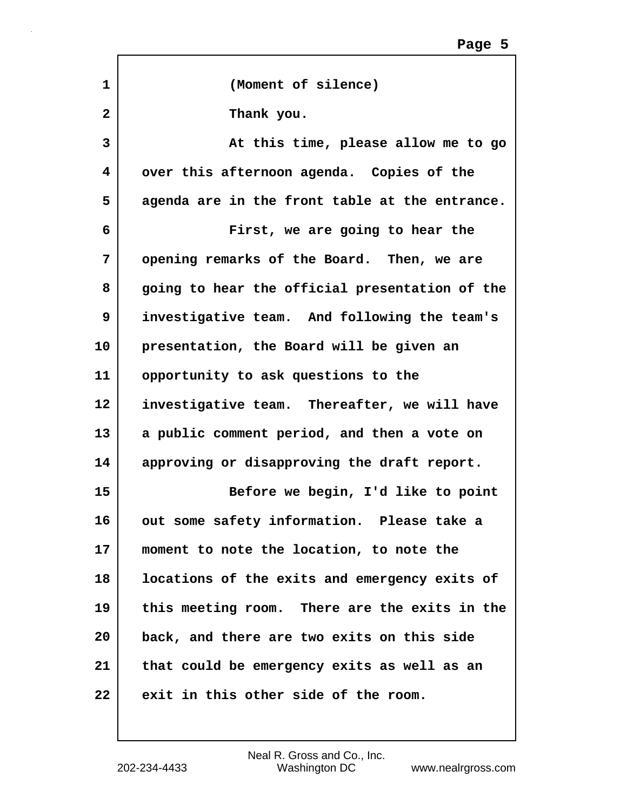| 1            | (Moment of silence)                            |
|--------------|------------------------------------------------|
|              |                                                |
| $\mathbf{2}$ | Thank you.                                     |
| 3            | At this time, please allow me to go            |
| 4            | over this afternoon agenda. Copies of the      |
| 5            | agenda are in the front table at the entrance. |
| 6            | First, we are going to hear the                |
| 7            | opening remarks of the Board. Then, we are     |
| 8            | going to hear the official presentation of the |
| 9            | investigative team. And following the team's   |
| 10           | presentation, the Board will be given an       |
| 11           | opportunity to ask questions to the            |
| $12 \,$      | investigative team. Thereafter, we will have   |
| 13           | a public comment period, and then a vote on    |
| 14           | approving or disapproving the draft report.    |
| 15           | Before we begin, I'd like to point             |
| 16           | out some safety information. Please take a     |
| $17 \,$      | moment to note the location, to note the       |
| 18           | locations of the exits and emergency exits of  |
| 19           | this meeting room. There are the exits in the  |
| 20           | back, and there are two exits on this side     |
| 21           | that could be emergency exits as well as an    |
| 22           | exit in this other side of the room.           |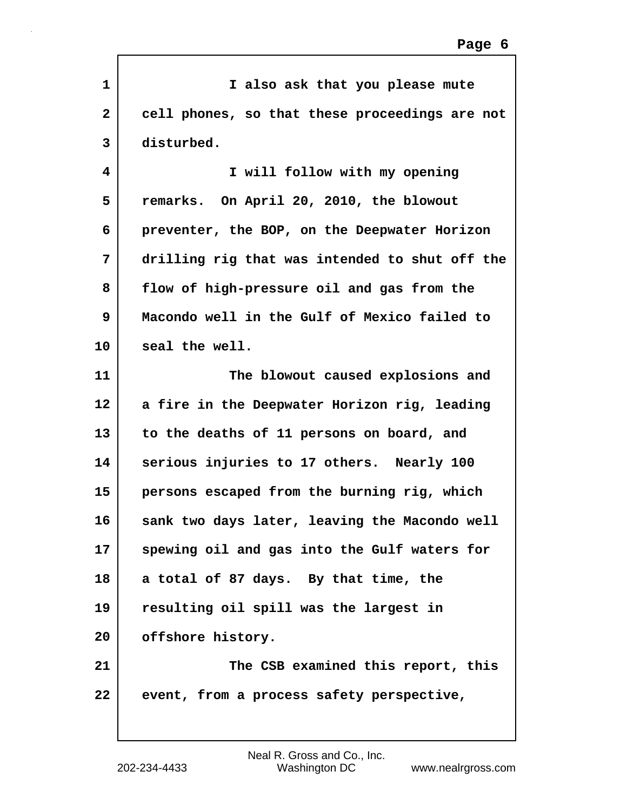| 1            | I also ask that you please mute                |
|--------------|------------------------------------------------|
| $\mathbf{2}$ | cell phones, so that these proceedings are not |
| 3            | disturbed.                                     |
| 4            | I will follow with my opening                  |
| 5            | remarks. On April 20, 2010, the blowout        |
| 6            | preventer, the BOP, on the Deepwater Horizon   |
| 7            | drilling rig that was intended to shut off the |
| 8            | flow of high-pressure oil and gas from the     |
| 9            | Macondo well in the Gulf of Mexico failed to   |
| 10           | seal the well.                                 |
| 11           | The blowout caused explosions and              |
| 12           | a fire in the Deepwater Horizon rig, leading   |
| 13           | to the deaths of 11 persons on board, and      |
| 14           | serious injuries to 17 others. Nearly 100      |
| 15           | persons escaped from the burning rig, which    |
| 16           | sank two days later, leaving the Macondo well  |
| 17           | spewing oil and gas into the Gulf waters for   |
| 18           | a total of 87 days. By that time, the          |
| 19           | resulting oil spill was the largest in         |
| 20           | offshore history.                              |
| 21           | The CSB examined this report, this             |
| 22           | event, from a process safety perspective,      |

Г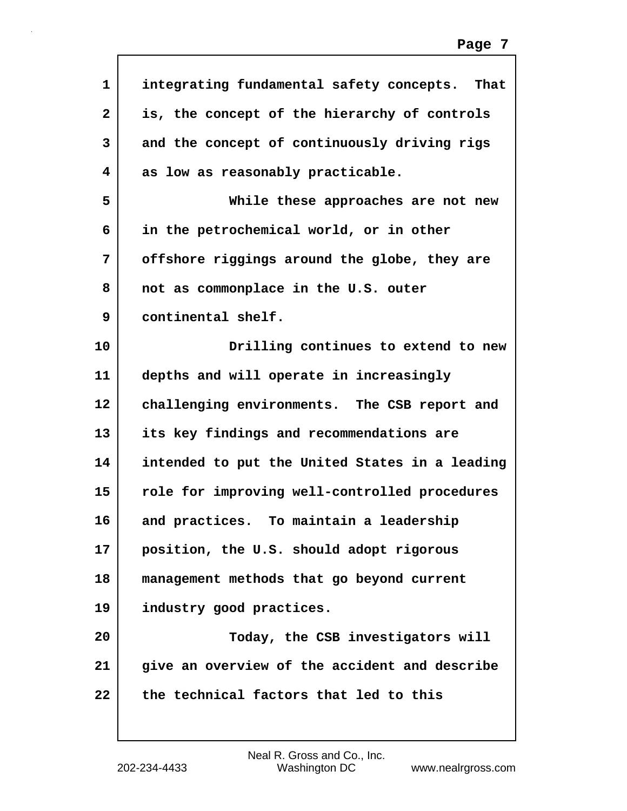| $\mathbf{1}$ | integrating fundamental safety concepts. That  |
|--------------|------------------------------------------------|
| $\mathbf{2}$ | is, the concept of the hierarchy of controls   |
| 3            | and the concept of continuously driving rigs   |
| 4            | as low as reasonably practicable.              |
| 5            | While these approaches are not new             |
| 6            | in the petrochemical world, or in other        |
| 7            | offshore riggings around the globe, they are   |
| 8            | not as commonplace in the U.S. outer           |
| 9            | continental shelf.                             |
| 10           | Drilling continues to extend to new            |
| 11           | depths and will operate in increasingly        |
| 12           | challenging environments. The CSB report and   |
| 13           | its key findings and recommendations are       |
| 14           | intended to put the United States in a leading |
| 15           | role for improving well-controlled procedures  |
| 16           | and practices. To maintain a leadership        |
| 17           | position, the U.S. should adopt rigorous       |
| 18           | management methods that go beyond current      |
| 19           | industry good practices.                       |
| 20           | Today, the CSB investigators will              |
| 21           | give an overview of the accident and describe  |
| 22           | the technical factors that led to this         |
|              |                                                |

 $\Gamma$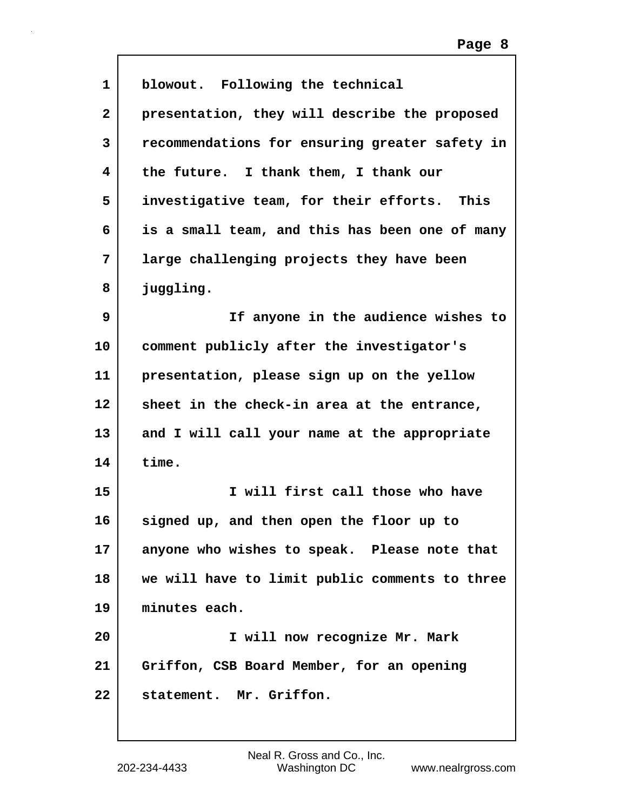| 1            | blowout. Following the technical               |
|--------------|------------------------------------------------|
| $\mathbf{2}$ | presentation, they will describe the proposed  |
| 3            | recommendations for ensuring greater safety in |
| 4            | the future. I thank them, I thank our          |
| 5            | investigative team, for their efforts. This    |
| 6            | is a small team, and this has been one of many |
| 7            | large challenging projects they have been      |
| 8            | juggling.                                      |
| 9            | If anyone in the audience wishes to            |
| 10           | comment publicly after the investigator's      |
| 11           | presentation, please sign up on the yellow     |
| 12           | sheet in the check-in area at the entrance,    |
| 13           | and I will call your name at the appropriate   |
| 14           | time.                                          |
| 15           | I will first call those who have               |
| 16           | signed up, and then open the floor up to       |
| 17           | anyone who wishes to speak. Please note that   |
| 18           | we will have to limit public comments to three |
| 19           | minutes each.                                  |
| 20           | I will now recognize Mr. Mark                  |
| 21           | Griffon, CSB Board Member, for an opening      |
| 22           | statement. Mr. Griffon.                        |
|              |                                                |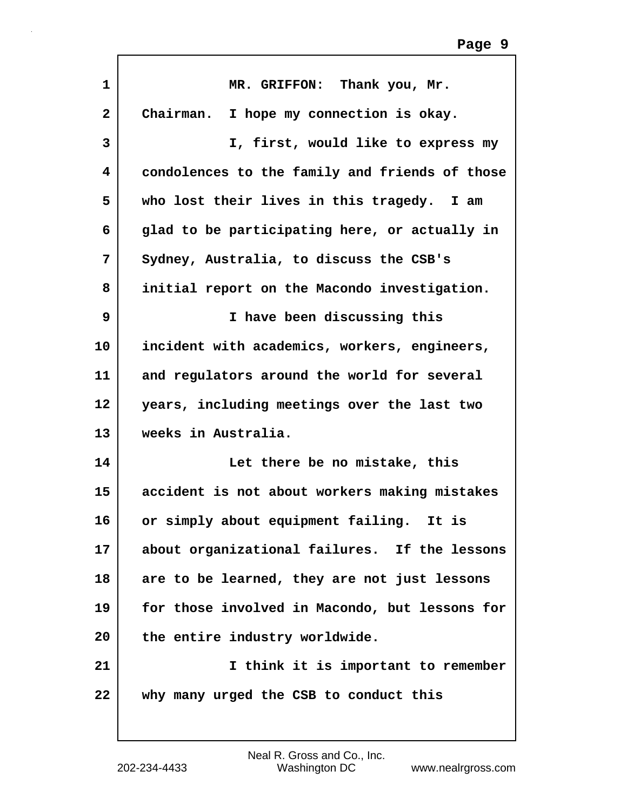| $\mathbf{1}$ | MR. GRIFFON: Thank you, Mr.                    |
|--------------|------------------------------------------------|
| $\mathbf{2}$ | Chairman.<br>I hope my connection is okay.     |
| 3            | I, first, would like to express my             |
| 4            | condolences to the family and friends of those |
| 5            | who lost their lives in this tragedy. I am     |
| 6            | glad to be participating here, or actually in  |
| 7            | Sydney, Australia, to discuss the CSB's        |
| 8            | initial report on the Macondo investigation.   |
| 9            | I have been discussing this                    |
| 10           | incident with academics, workers, engineers,   |
| 11           | and regulators around the world for several    |
| 12           | years, including meetings over the last two    |
| 13           | weeks in Australia.                            |
| 14           | Let there be no mistake, this                  |
| 15           | accident is not about workers making mistakes  |
| 16           | or simply about equipment failing. It is       |
| 17           | about organizational failures. If the lessons  |
| 18           | are to be learned, they are not just lessons   |
| 19           | for those involved in Macondo, but lessons for |
| 20           | the entire industry worldwide.                 |
| 21           | I think it is important to remember            |
| 22           | why many urged the CSB to conduct this         |
|              |                                                |

ľ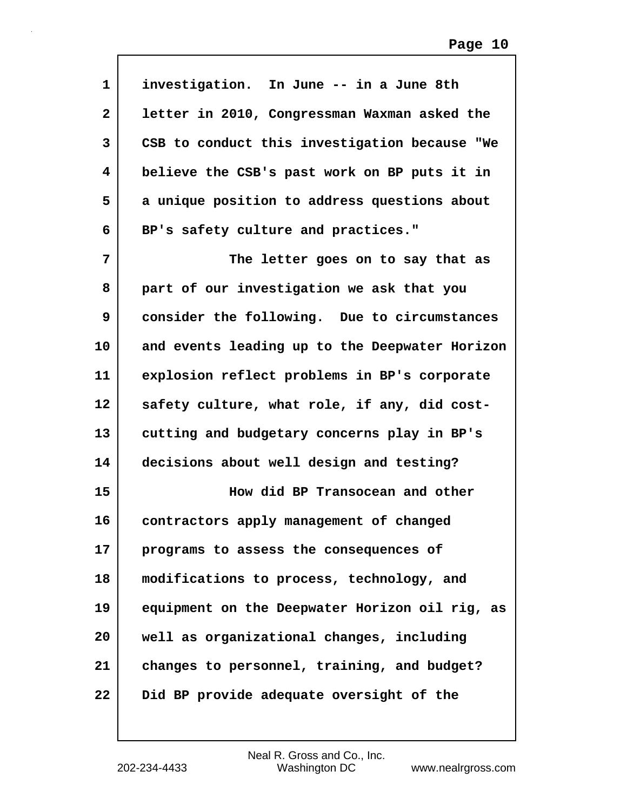| $\mathbf 1$  | investigation. In June -- in a June 8th        |
|--------------|------------------------------------------------|
| $\mathbf{2}$ | letter in 2010, Congressman Waxman asked the   |
| 3            | CSB to conduct this investigation because "We  |
| 4            | believe the CSB's past work on BP puts it in   |
| 5            | a unique position to address questions about   |
| 6            | BP's safety culture and practices."            |
| 7            | The letter goes on to say that as              |
| 8            | part of our investigation we ask that you      |
| 9            | consider the following. Due to circumstances   |
| 10           | and events leading up to the Deepwater Horizon |
| 11           | explosion reflect problems in BP's corporate   |
| 12           | safety culture, what role, if any, did cost-   |
| 13           | cutting and budgetary concerns play in BP's    |
| 14           | decisions about well design and testing?       |
| 15           | How did BP Transocean and other                |
| 16           | contractors apply management of changed        |
| 17           | programs to assess the consequences of         |
| 18           | modifications to process, technology, and      |
| 19           | equipment on the Deepwater Horizon oil rig, as |
| 20           | well as organizational changes, including      |
| 21           | changes to personnel, training, and budget?    |
| 22           | Did BP provide adequate oversight of the       |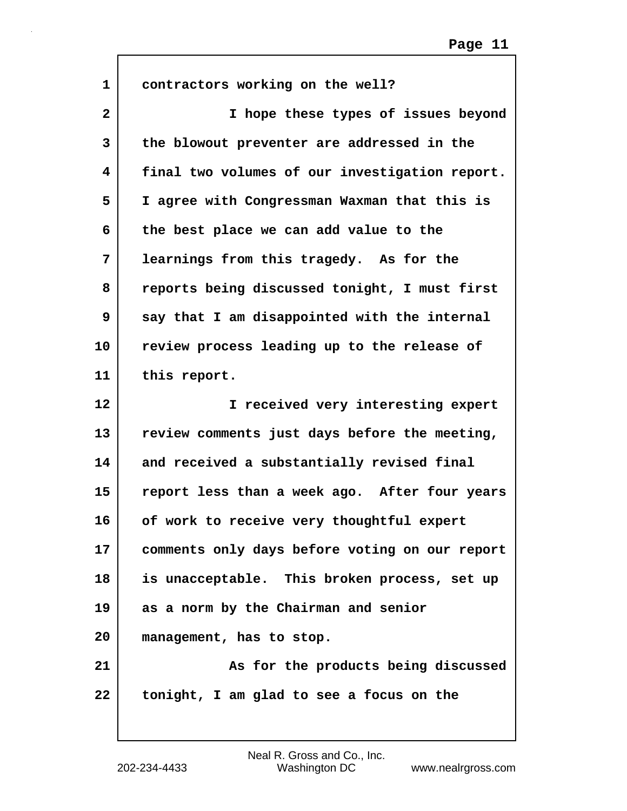| $\mathbf{1}$ | contractors working on the well?               |
|--------------|------------------------------------------------|
| $\mathbf{2}$ | I hope these types of issues beyond            |
| 3            | the blowout preventer are addressed in the     |
| 4            | final two volumes of our investigation report. |
| 5            | I agree with Congressman Waxman that this is   |
| 6            | the best place we can add value to the         |
| 7            | learnings from this tragedy. As for the        |
| 8            | reports being discussed tonight, I must first  |
| 9            | say that I am disappointed with the internal   |
| 10           | review process leading up to the release of    |
| 11           | this report.                                   |
|              |                                                |
| 12           | I received very interesting expert             |
| 13           | review comments just days before the meeting,  |
| 14           | and received a substantially revised final     |
| 15           | report less than a week ago. After four years  |
| 16           | of work to receive very thoughtful expert      |
| 17           | comments only days before voting on our report |
| 18           | is unacceptable. This broken process, set up   |
| 19           | as a norm by the Chairman and senior           |
| 20           | management, has to stop.                       |
| 21           | As for the products being discussed            |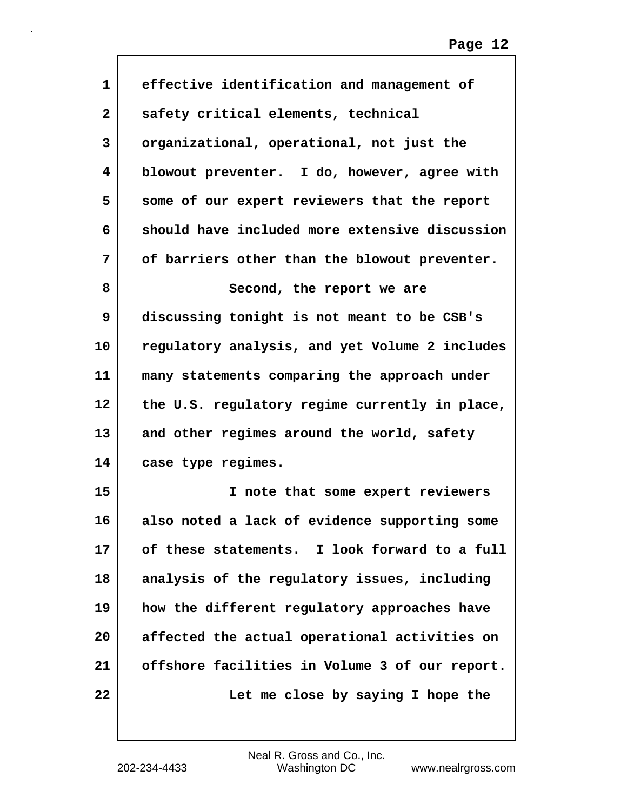| 1              | effective identification and management of     |
|----------------|------------------------------------------------|
| $\overline{2}$ | safety critical elements, technical            |
| 3              | organizational, operational, not just the      |
| 4              | blowout preventer. I do, however, agree with   |
| 5              | some of our expert reviewers that the report   |
| 6              | should have included more extensive discussion |
| 7              | of barriers other than the blowout preventer.  |
| 8              | Second, the report we are                      |
| 9              | discussing tonight is not meant to be CSB's    |
| 10             | regulatory analysis, and yet Volume 2 includes |
| 11             | many statements comparing the approach under   |
| 12             | the U.S. regulatory regime currently in place, |
| 13             | and other regimes around the world, safety     |
| 14             | case type regimes.                             |
| 15             | I note that some expert reviewers              |
| 16             | also noted a lack of evidence supporting some  |
| 17             | of these statements. I look forward to a full  |
| 18             | analysis of the regulatory issues, including   |
| 19             | how the different regulatory approaches have   |
| 20             | affected the actual operational activities on  |
| 21             | offshore facilities in Volume 3 of our report. |
| 22             | Let me close by saying I hope the              |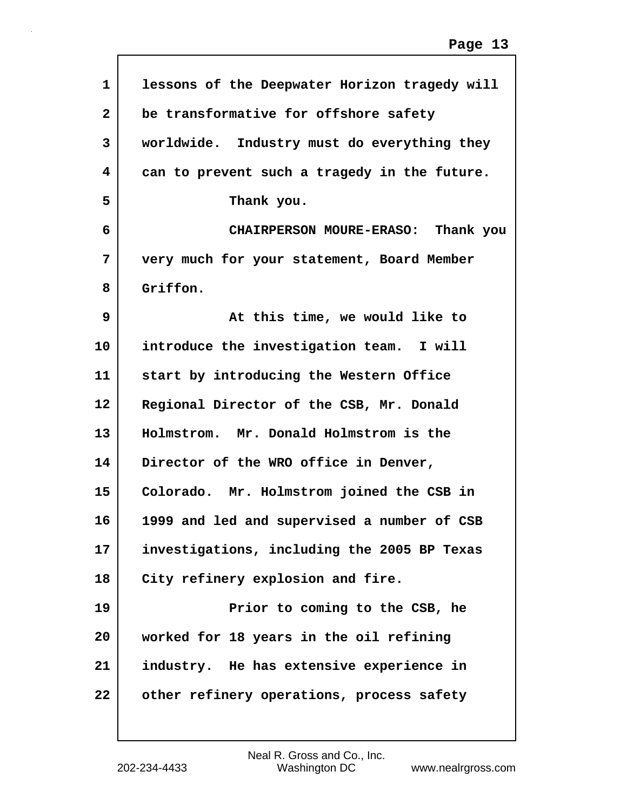| $\mathbf 1$  | lessons of the Deepwater Horizon tragedy will |
|--------------|-----------------------------------------------|
| $\mathbf{2}$ | be transformative for offshore safety         |
| 3            | worldwide. Industry must do everything they   |
| 4            | can to prevent such a tragedy in the future.  |
| 5            | Thank you.                                    |
| 6            | CHAIRPERSON MOURE-ERASO: Thank you            |
| 7            | very much for your statement, Board Member    |
| 8            | Griffon.                                      |
| 9            | At this time, we would like to                |
| 10           | introduce the investigation team. I will      |
| 11           | start by introducing the Western Office       |
| $12 \,$      | Regional Director of the CSB, Mr. Donald      |
| 13           | Holmstrom. Mr. Donald Holmstrom is the        |
| 14           | Director of the WRO office in Denver,         |
| 15           | Colorado. Mr. Holmstrom joined the CSB in     |
| 16           | 1999 and led and supervised a number of CSB   |
| 17           | investigations, including the 2005 BP Texas   |
| 18           | City refinery explosion and fire.             |
| 19           | Prior to coming to the CSB, he                |
| 20           | worked for 18 years in the oil refining       |
| 21           | industry. He has extensive experience in      |
| 22           | other refinery operations, process safety     |
|              |                                               |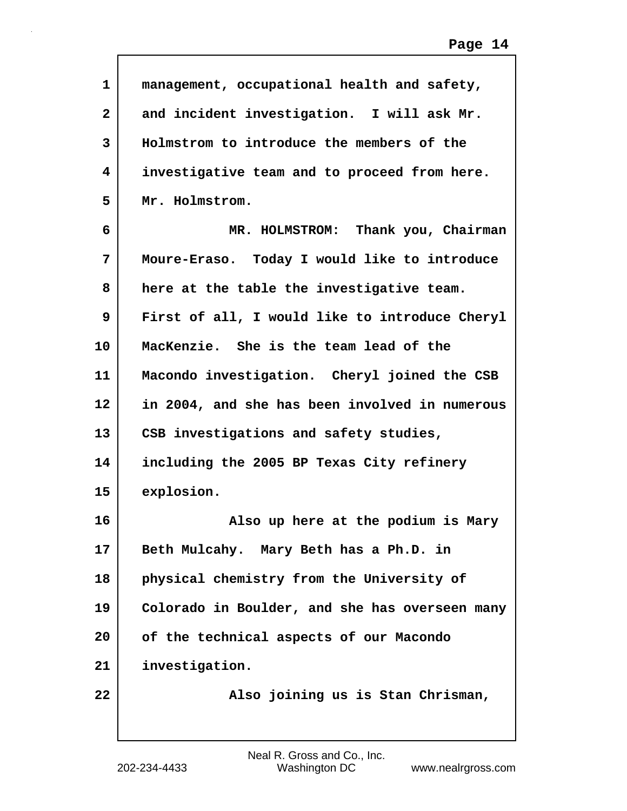| $\mathbf{1}$ | management, occupational health and safety,    |
|--------------|------------------------------------------------|
| $\mathbf{2}$ | and incident investigation. I will ask Mr.     |
| 3            | Holmstrom to introduce the members of the      |
| 4            | investigative team and to proceed from here.   |
| 5            | Mr. Holmstrom.                                 |
| 6            | MR. HOLMSTROM: Thank you, Chairman             |
| 7            | Moure-Eraso. Today I would like to introduce   |
| 8            | here at the table the investigative team.      |
| 9            | First of all, I would like to introduce Cheryl |
| 10           | MacKenzie. She is the team lead of the         |
| 11           | Macondo investigation. Cheryl joined the CSB   |
| 12           | in 2004, and she has been involved in numerous |
| 13           | CSB investigations and safety studies,         |
| 14           | including the 2005 BP Texas City refinery      |
| 15           | explosion.                                     |
| 16           | Also up here at the podium is Mary             |
| 17           | Beth Mulcahy. Mary Beth has a Ph.D. in         |
| 18           | physical chemistry from the University of      |
| 19           | Colorado in Boulder, and she has overseen many |
| 20           | of the technical aspects of our Macondo        |
| 21           | investigation.                                 |
| 22           | Also joining us is Stan Chrisman,              |

 $\mathsf{I}$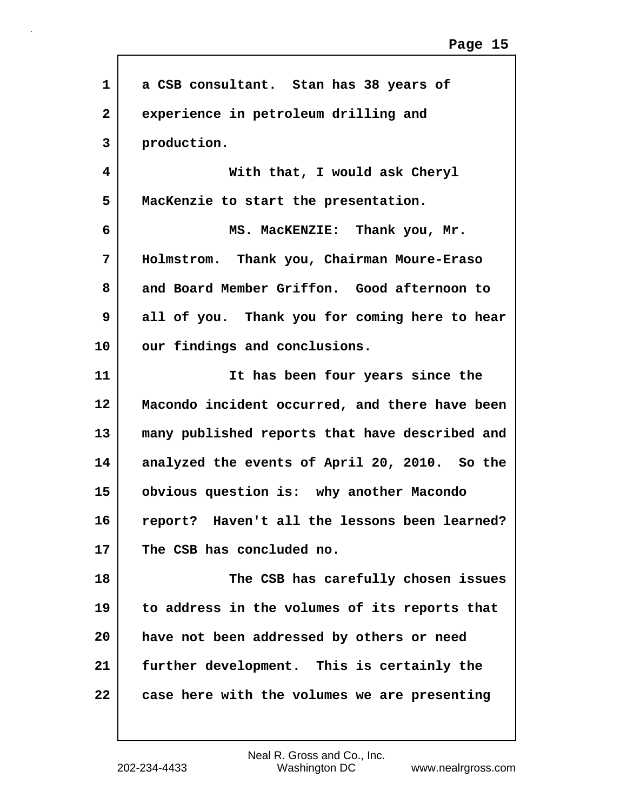| 1              | a CSB consultant. Stan has 38 years of           |
|----------------|--------------------------------------------------|
| $\overline{2}$ | experience in petroleum drilling and             |
| 3              | production.                                      |
| 4              | With that, I would ask Cheryl                    |
| 5              | MacKenzie to start the presentation.             |
| 6              | MS. MacKENZIE: Thank you, Mr.                    |
| 7              | Holmstrom. Thank you, Chairman Moure-Eraso       |
| 8              | and Board Member Griffon. Good afternoon to      |
| 9              | all of you. Thank you for coming here to hear    |
| 10             | our findings and conclusions.                    |
| 11             | It has been four years since the                 |
| 12             | Macondo incident occurred, and there have been   |
| 13             | many published reports that have described and   |
| 14             | analyzed the events of April 20, 2010. So the    |
| 15             | obvious question is: why another Macondo         |
| 16             | Haven't all the lessons been learned?<br>report? |
| 17             | The CSB has concluded no.                        |
| 18             | The CSB has carefully chosen issues              |
| 19             | to address in the volumes of its reports that    |
| 20             | have not been addressed by others or need        |
| 21             | further development. This is certainly the       |
| 22             | case here with the volumes we are presenting     |
|                |                                                  |

Г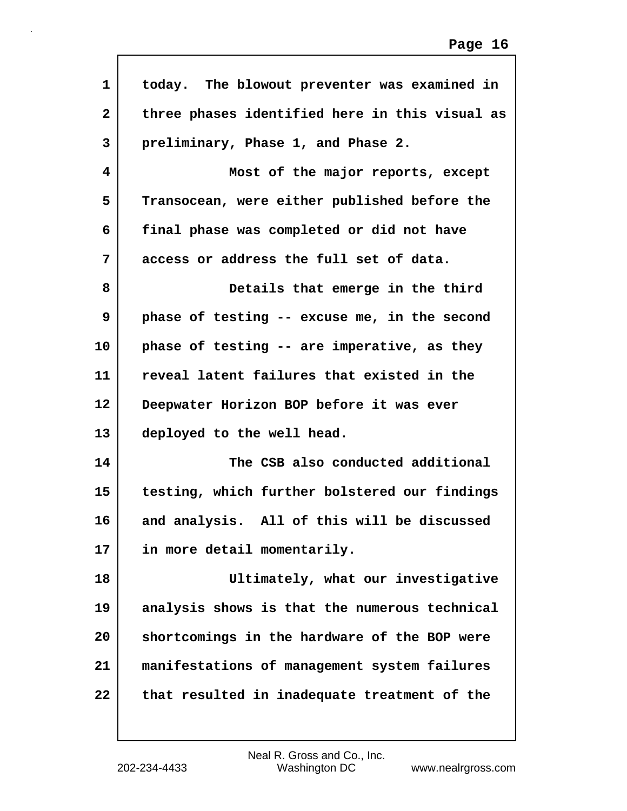| 1  | today. The blowout preventer was examined in   |
|----|------------------------------------------------|
| 2  | three phases identified here in this visual as |
| 3  | preliminary, Phase 1, and Phase 2.             |
| 4  | Most of the major reports, except              |
| 5  | Transocean, were either published before the   |
| 6  | final phase was completed or did not have      |
| 7  | access or address the full set of data.        |
| 8  | Details that emerge in the third               |
| 9  | phase of testing -- excuse me, in the second   |
| 10 | phase of testing -- are imperative, as they    |
| 11 | reveal latent failures that existed in the     |
| 12 | Deepwater Horizon BOP before it was ever       |
| 13 | deployed to the well head.                     |
| 14 | The CSB also conducted additional              |
| 15 | testing, which further bolstered our findings  |
| 16 | and analysis. All of this will be discussed    |
| 17 | in more detail momentarily.                    |
| 18 | Ultimately, what our investigative             |
| 19 | analysis shows is that the numerous technical  |
| 20 | shortcomings in the hardware of the BOP were   |
| 21 | manifestations of management system failures   |
| 22 | that resulted in inadequate treatment of the   |
|    |                                                |

 $\mathsf{l}$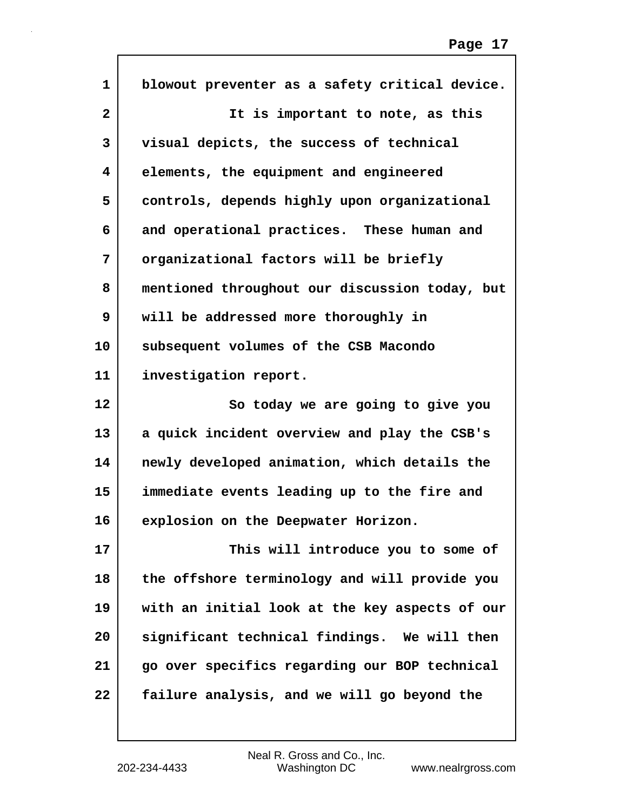| 1            | blowout preventer as a safety critical device. |
|--------------|------------------------------------------------|
| $\mathbf{2}$ | It is important to note, as this               |
| 3            | visual depicts, the success of technical       |
| 4            | elements, the equipment and engineered         |
| 5            | controls, depends highly upon organizational   |
| 6            | and operational practices. These human and     |
| 7            | organizational factors will be briefly         |
| 8            | mentioned throughout our discussion today, but |
| 9            | will be addressed more thoroughly in           |
| 10           | subsequent volumes of the CSB Macondo          |
| 11           | investigation report.                          |
|              |                                                |
| 12           | So today we are going to give you              |
| 13           | a quick incident overview and play the CSB's   |
| 14           | newly developed animation, which details the   |
| 15           | immediate events leading up to the fire and    |
| 16           | explosion on the Deepwater Horizon.            |
| 17           | This will introduce you to some of             |
| 18           | the offshore terminology and will provide you  |
| 19           | with an initial look at the key aspects of our |
| 20           | significant technical findings. We will then   |
| 21           | go over specifics regarding our BOP technical  |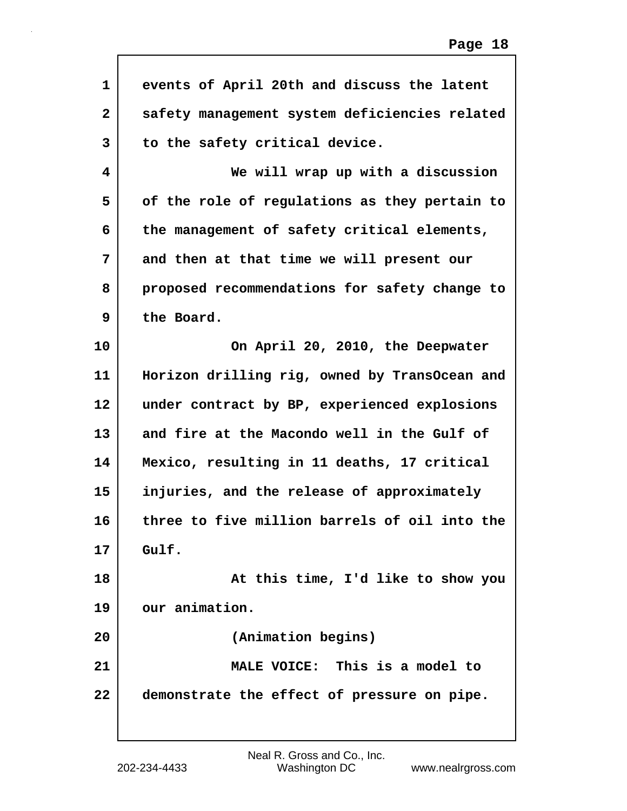| 1              | events of April 20th and discuss the latent   |
|----------------|-----------------------------------------------|
| $\overline{2}$ | safety management system deficiencies related |
| 3              | to the safety critical device.                |
| 4              | We will wrap up with a discussion             |
| 5              | of the role of regulations as they pertain to |
| 6              | the management of safety critical elements,   |
| 7              | and then at that time we will present our     |
| 8              | proposed recommendations for safety change to |
| 9              | the Board.                                    |
| 10             | On April 20, 2010, the Deepwater              |
| 11             | Horizon drilling rig, owned by TransOcean and |
| 12             | under contract by BP, experienced explosions  |
| 13             | and fire at the Macondo well in the Gulf of   |
| 14             | Mexico, resulting in 11 deaths, 17 critical   |
| 15             | injuries, and the release of approximately    |
| 16             | three to five million barrels of oil into the |
| 17             | Gulf.                                         |
| 18             | At this time, I'd like to show you            |
| 19             | our animation.                                |
| 20             | (Animation begins)                            |
| 21             | MALE VOICE: This is a model to                |
| 22             | demonstrate the effect of pressure on pipe.   |
|                |                                               |

Г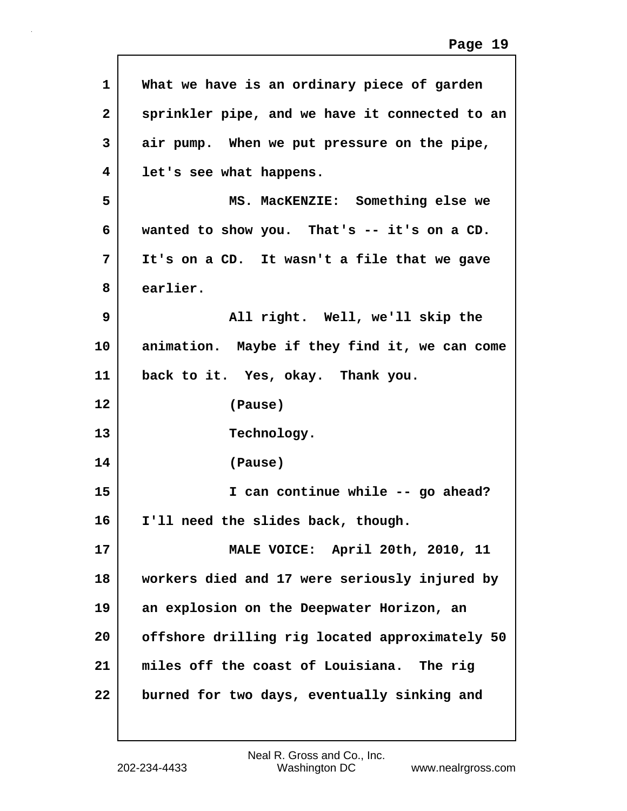| 1            | What we have is an ordinary piece of garden    |
|--------------|------------------------------------------------|
| $\mathbf{2}$ | sprinkler pipe, and we have it connected to an |
| 3            | air pump. When we put pressure on the pipe,    |
| 4            | let's see what happens.                        |
| 5            | MS. MacKENZIE: Something else we               |
| 6            | wanted to show you. That's -- it's on a CD.    |
| 7            | It's on a CD. It wasn't a file that we gave    |
| 8            | earlier.                                       |
| 9            | All right. Well, we'll skip the                |
| 10           | animation. Maybe if they find it, we can come  |
| 11           | back to it. Yes, okay. Thank you.              |
|              |                                                |
| 12           | (Pause)                                        |
| 13           | Technology.                                    |
| 14           | (Pause)                                        |
| 15           | I can continue while -- go ahead?              |
| 16           | I'll need the slides back, though.             |
| 17           | MALE VOICE: April 20th, 2010, 11               |
| 18           | workers died and 17 were seriously injured by  |
| 19           | an explosion on the Deepwater Horizon, an      |
| 20           | offshore drilling rig located approximately 50 |
| 21           | miles off the coast of Louisiana. The rig      |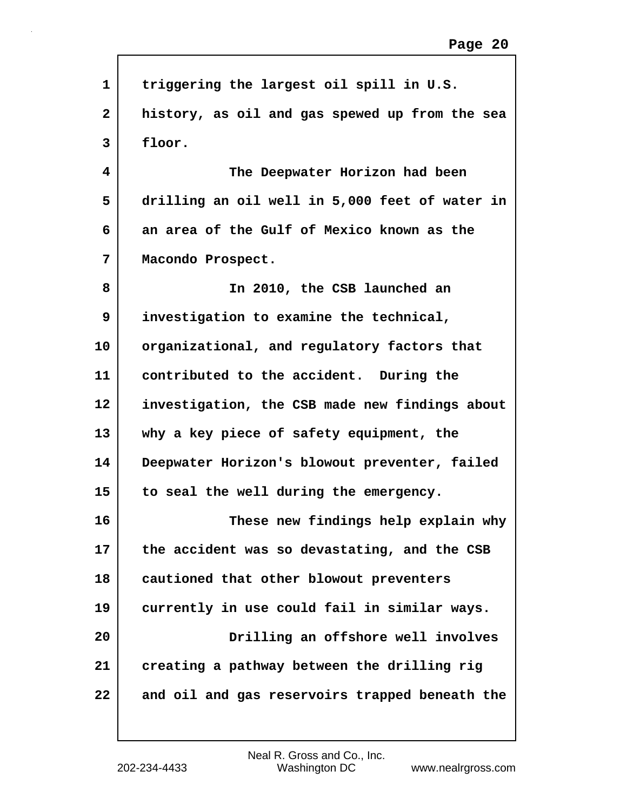| 1            | triggering the largest oil spill in U.S.       |
|--------------|------------------------------------------------|
| $\mathbf{2}$ | history, as oil and gas spewed up from the sea |
| 3            | floor.                                         |
| 4            | The Deepwater Horizon had been                 |
| 5            | drilling an oil well in 5,000 feet of water in |
| 6            | an area of the Gulf of Mexico known as the     |
| 7            | Macondo Prospect.                              |
| 8            | In 2010, the CSB launched an                   |
| 9            | investigation to examine the technical,        |
| 10           | organizational, and regulatory factors that    |
| 11           | contributed to the accident. During the        |
| 12           | investigation, the CSB made new findings about |
| 13           | why a key piece of safety equipment, the       |
| 14           | Deepwater Horizon's blowout preventer, failed  |
| 15           | to seal the well during the emergency.         |
| 16           | These new findings help explain why            |
| 17           | the accident was so devastating, and the CSB   |
| 18           | cautioned that other blowout preventers        |
| 19           | currently in use could fail in similar ways.   |
| 20           | Drilling an offshore well involves             |
| 21           | creating a pathway between the drilling rig    |
| 22           | and oil and gas reservoirs trapped beneath the |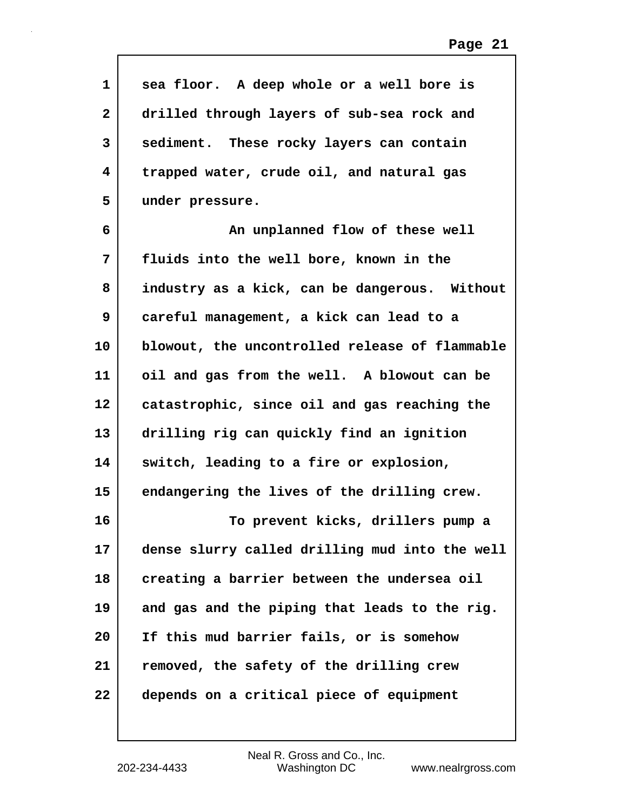| $\mathbf{1}$ | sea floor. A deep whole or a well bore is      |
|--------------|------------------------------------------------|
| 2            | drilled through layers of sub-sea rock and     |
| 3            | sediment. These rocky layers can contain       |
| 4            | trapped water, crude oil, and natural gas      |
| 5            | under pressure.                                |
| 6            | An unplanned flow of these well                |
| 7            | fluids into the well bore, known in the        |
| 8            | industry as a kick, can be dangerous. Without  |
| 9            | careful management, a kick can lead to a       |
| 10           | blowout, the uncontrolled release of flammable |
| 11           | oil and gas from the well. A blowout can be    |
| 12           | catastrophic, since oil and gas reaching the   |
| 13           | drilling rig can quickly find an ignition      |
| 14           | switch, leading to a fire or explosion,        |
| 15           | endangering the lives of the drilling crew.    |
| 16           | To prevent kicks, drillers pump a              |
| 17           | dense slurry called drilling mud into the well |
| 18           | creating a barrier between the undersea oil    |
| 19           | and gas and the piping that leads to the rig.  |
| 20           | If this mud barrier fails, or is somehow       |
| 21           | removed, the safety of the drilling crew       |
| 22           | depends on a critical piece of equipment       |

 $\mathsf{l}$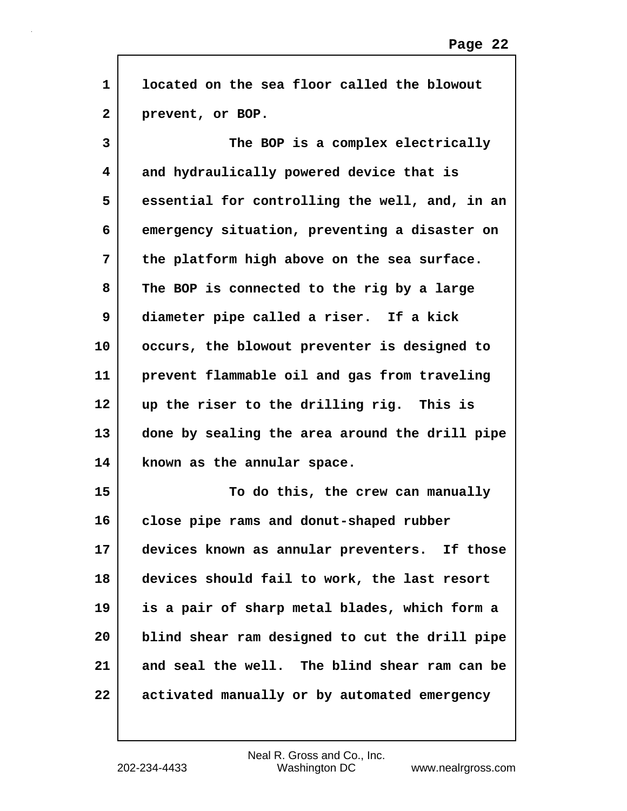| $\mathbf{1}$ | located on the sea floor called the blowout    |
|--------------|------------------------------------------------|
| $\mathbf{2}$ | prevent, or BOP.                               |
| 3            | The BOP is a complex electrically              |
| 4            | and hydraulically powered device that is       |
| 5            | essential for controlling the well, and, in an |
| 6            | emergency situation, preventing a disaster on  |
| 7            | the platform high above on the sea surface.    |
| 8            | The BOP is connected to the rig by a large     |
| 9            | diameter pipe called a riser. If a kick        |
| 10           | occurs, the blowout preventer is designed to   |
| 11           | prevent flammable oil and gas from traveling   |
| 12           | up the riser to the drilling rig. This is      |
| 13           | done by sealing the area around the drill pipe |
| 14           | known as the annular space.                    |
| 15           | To do this, the crew can manually              |
| 16           | close pipe rams and donut-shaped rubber        |
| 17           | devices known as annular preventers. If those  |
| 18           | devices should fail to work, the last resort   |
| 19           | is a pair of sharp metal blades, which form a  |
| 20           | blind shear ram designed to cut the drill pipe |
| 21           | and seal the well. The blind shear ram can be  |
| 22           | activated manually or by automated emergency   |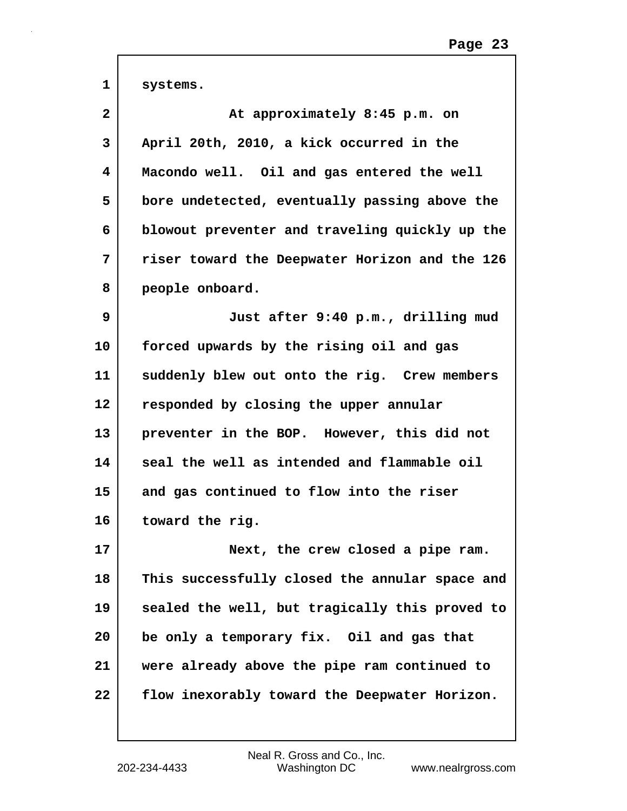| $\mathbf{1}$ | systems.                                       |
|--------------|------------------------------------------------|
| 2            | At approximately 8:45 p.m. on                  |
| 3            | April 20th, 2010, a kick occurred in the       |
| 4            | Macondo well. Oil and gas entered the well     |
| 5            | bore undetected, eventually passing above the  |
| 6            | blowout preventer and traveling quickly up the |
| 7            | riser toward the Deepwater Horizon and the 126 |
| 8            | people onboard.                                |
| 9            | Just after 9:40 p.m., drilling mud             |
| 10           | forced upwards by the rising oil and gas       |
| 11           | suddenly blew out onto the rig. Crew members   |
| 12           | responded by closing the upper annular         |
| 13           | preventer in the BOP. However, this did not    |
| 14           | seal the well as intended and flammable oil    |
| 15           | and gas continued to flow into the riser       |
| 16           | toward the rig.                                |
| 17           | Next, the crew closed a pipe ram.              |
| 18           | This successfully closed the annular space and |
| 19           | sealed the well, but tragically this proved to |
| 20           | be only a temporary fix. Oil and gas that      |
| 21           | were already above the pipe ram continued to   |
| 22           | flow inexorably toward the Deepwater Horizon.  |
|              |                                                |

 $\Gamma$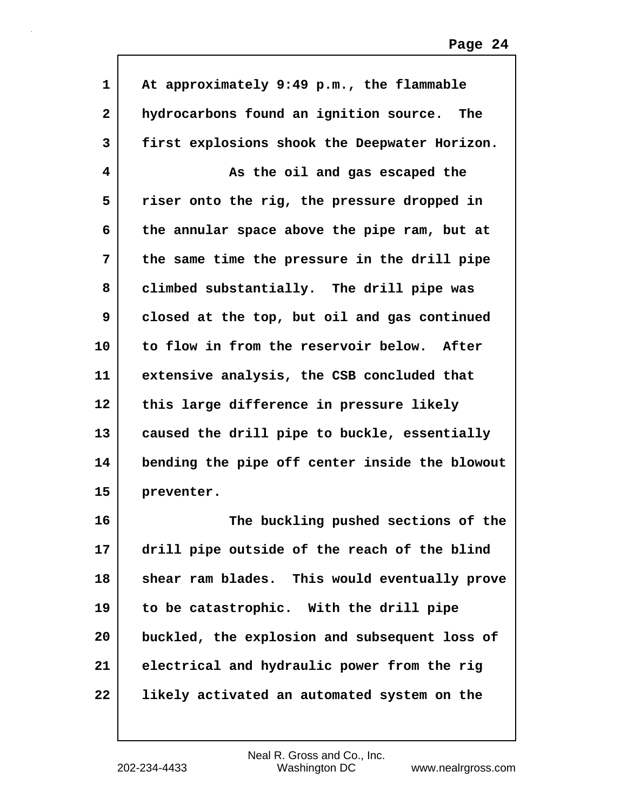| $\mathbf{1}$ | At approximately 9:49 p.m., the flammable      |
|--------------|------------------------------------------------|
| $\mathbf{2}$ | hydrocarbons found an ignition source. The     |
| 3            | first explosions shook the Deepwater Horizon.  |
| 4            | As the oil and gas escaped the                 |
| 5            | riser onto the rig, the pressure dropped in    |
| 6            | the annular space above the pipe ram, but at   |
| 7            | the same time the pressure in the drill pipe   |
| 8            | climbed substantially. The drill pipe was      |
| 9            | closed at the top, but oil and gas continued   |
| 10           | to flow in from the reservoir below. After     |
| 11           | extensive analysis, the CSB concluded that     |
| 12           | this large difference in pressure likely       |
| 13           | caused the drill pipe to buckle, essentially   |
| 14           | bending the pipe off center inside the blowout |
| 15           | preventer.                                     |
| 16           | The buckling pushed sections of the            |
| 17           | drill pipe outside of the reach of the blind   |
| 18           | shear ram blades. This would eventually prove  |
| 19           | to be catastrophic. With the drill pipe        |
| 20           | buckled, the explosion and subsequent loss of  |
| 21           | electrical and hydraulic power from the rig    |
| 22           | likely activated an automated system on the    |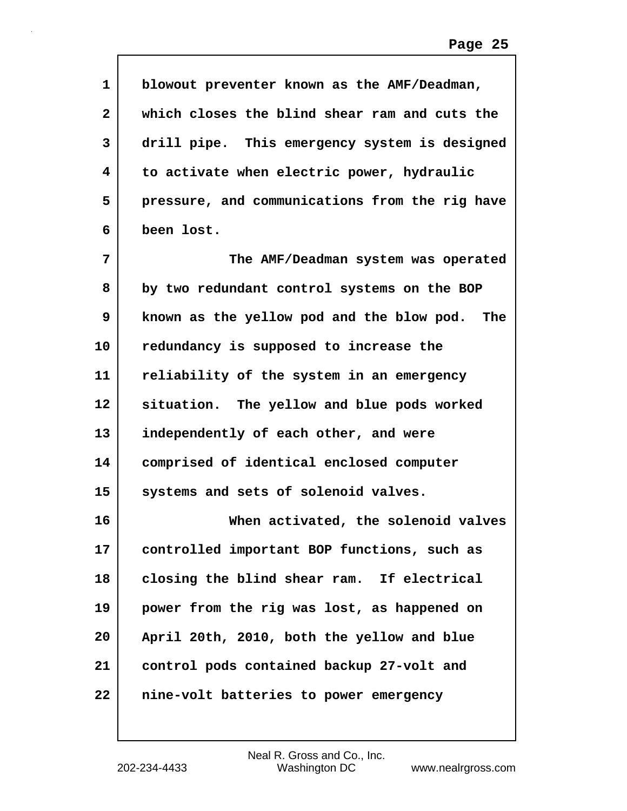| 1            | blowout preventer known as the AMF/Deadman,    |
|--------------|------------------------------------------------|
| $\mathbf{2}$ | which closes the blind shear ram and cuts the  |
| 3            | drill pipe. This emergency system is designed  |
| 4            | to activate when electric power, hydraulic     |
| 5            | pressure, and communications from the rig have |
| 6            | been lost.                                     |
| 7            | The AMF/Deadman system was operated            |
| 8            | by two redundant control systems on the BOP    |
| 9            | known as the yellow pod and the blow pod. The  |
| 10           | redundancy is supposed to increase the         |
| 11           | reliability of the system in an emergency      |
| 12           | situation. The yellow and blue pods worked     |
| 13           | independently of each other, and were          |
| 14           | comprised of identical enclosed computer       |
| 15           | systems and sets of solenoid valves.           |
| 16           | When activated, the solenoid valves            |
| 17           | controlled important BOP functions, such as    |
| 18           | closing the blind shear ram. If electrical     |
| 19           | power from the rig was lost, as happened on    |
| 20           | April 20th, 2010, both the yellow and blue     |
| 21           | control pods contained backup 27-volt and      |
| 22           | nine-volt batteries to power emergency         |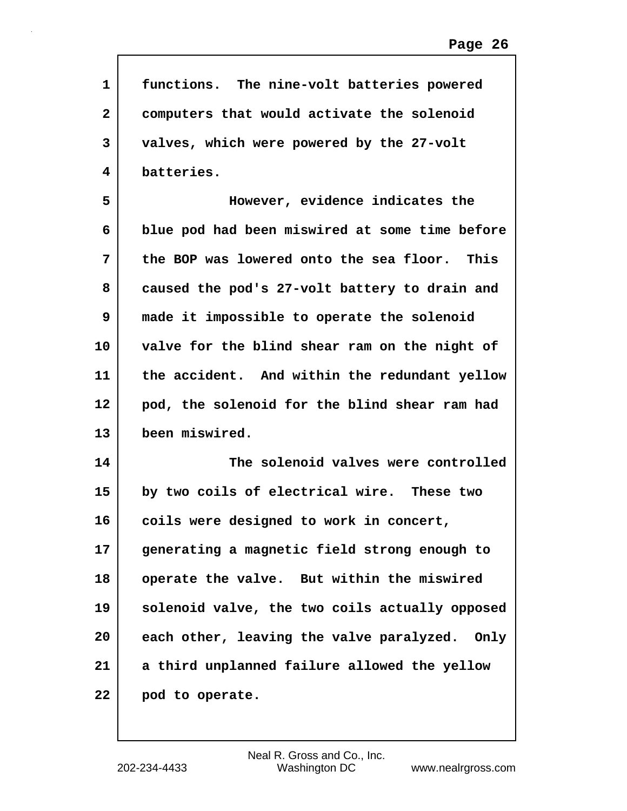| 1            | functions. The nine-volt batteries powered     |
|--------------|------------------------------------------------|
| $\mathbf{2}$ | computers that would activate the solenoid     |
| 3            | valves, which were powered by the 27-volt      |
| 4            | batteries.                                     |
| 5            | However, evidence indicates the                |
| 6            | blue pod had been miswired at some time before |
| 7            | the BOP was lowered onto the sea floor. This   |
| 8            | caused the pod's 27-volt battery to drain and  |
| 9            | made it impossible to operate the solenoid     |
| 10           | valve for the blind shear ram on the night of  |
| 11           | the accident. And within the redundant yellow  |
| 12           | pod, the solenoid for the blind shear ram had  |
| 13           | been miswired.                                 |
| 14           | The solenoid valves were controlled            |
| 15           | by two coils of electrical wire. These two     |
| 16           | coils were designed to work in concert,        |
| 17           | generating a magnetic field strong enough to   |
| 18           | operate the valve. But within the miswired     |
| 19           | solenoid valve, the two coils actually opposed |
| 20           | each other, leaving the valve paralyzed. Only  |
| 21           | a third unplanned failure allowed the yellow   |
| 22           | pod to operate.                                |

 $\mathsf{I}$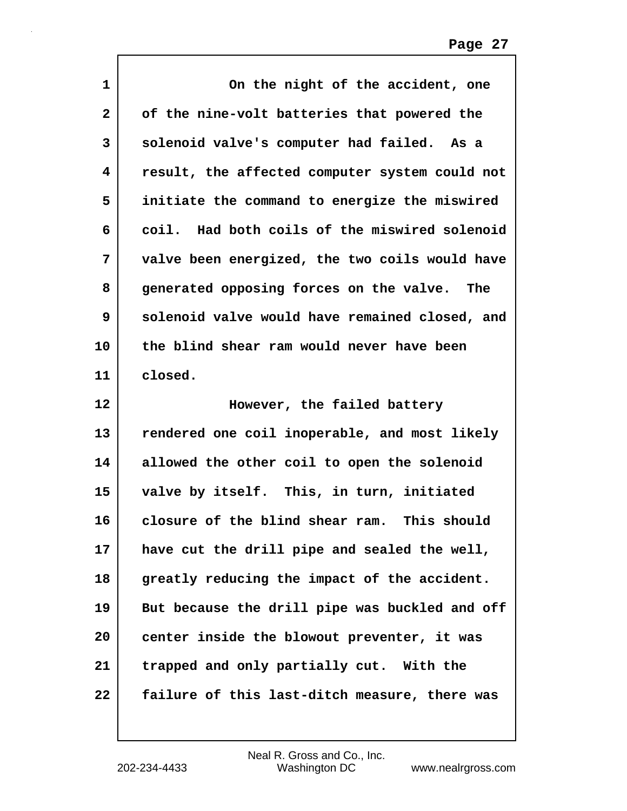| $\mathbf{1}$ | On the night of the accident, one              |
|--------------|------------------------------------------------|
| $\mathbf{2}$ | of the nine-volt batteries that powered the    |
| 3            | solenoid valve's computer had failed. As a     |
| 4            | result, the affected computer system could not |
| 5            | initiate the command to energize the miswired  |
| 6            | coil. Had both coils of the miswired solenoid  |
| 7            | valve been energized, the two coils would have |
| 8            | generated opposing forces on the valve. The    |
| 9            | solenoid valve would have remained closed, and |
| 10           | the blind shear ram would never have been      |
| 11           | closed.                                        |
|              |                                                |
| 12           | However, the failed battery                    |
| 13           | rendered one coil inoperable, and most likely  |
| 14           | allowed the other coil to open the solenoid    |
| 15           | valve by itself. This, in turn, initiated      |
| 16           | closure of the blind shear ram.<br>This should |
| 17           | have cut the drill pipe and sealed the well,   |
| 18           | greatly reducing the impact of the accident.   |
| 19           | But because the drill pipe was buckled and off |
| 20           | center inside the blowout preventer, it was    |
| 21           | trapped and only partially cut. With the       |

 $\mathsf{l}$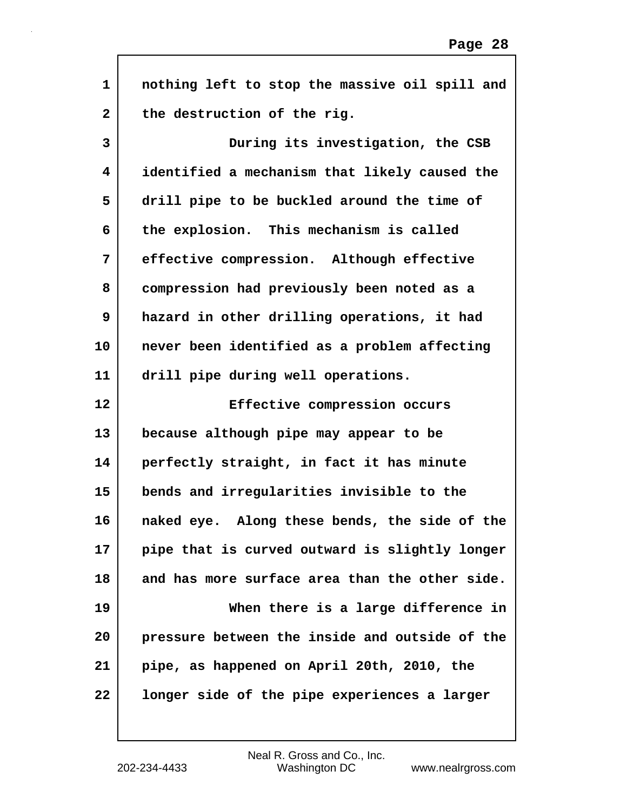| $\mathbf 1$  | nothing left to stop the massive oil spill and |
|--------------|------------------------------------------------|
| $\mathbf{2}$ | the destruction of the rig.                    |
| 3            | During its investigation, the CSB              |
| 4            | identified a mechanism that likely caused the  |
| 5            | drill pipe to be buckled around the time of    |
| 6            | the explosion. This mechanism is called        |
| 7            | effective compression. Although effective      |
| 8            | compression had previously been noted as a     |
| 9            | hazard in other drilling operations, it had    |
| 10           | never been identified as a problem affecting   |
| 11           | drill pipe during well operations.             |
|              |                                                |
| 12           | Effective compression occurs                   |
| 13           | because although pipe may appear to be         |
| 14           | perfectly straight, in fact it has minute      |
| 15           | bends and irregularities invisible to the      |
| 16           | naked eye. Along these bends, the side of the  |
| 17           | pipe that is curved outward is slightly longer |
| 18           | and has more surface area than the other side. |
| 19           | When there is a large difference in            |
| 20           | pressure between the inside and outside of the |
| 21           | pipe, as happened on April 20th, 2010, the     |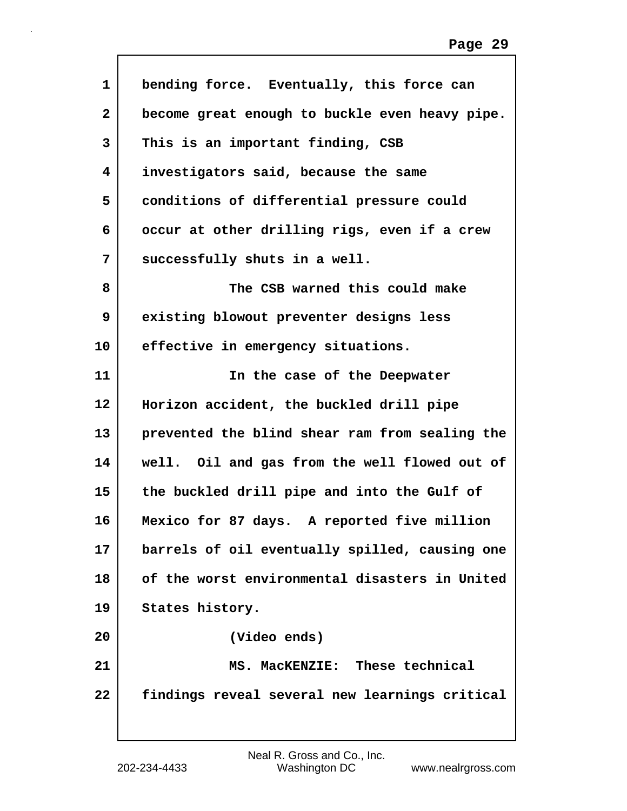| $\mathbf{1}$      | bending force. Eventually, this force can      |
|-------------------|------------------------------------------------|
| $\mathbf{2}$      | become great enough to buckle even heavy pipe. |
| 3                 | This is an important finding, CSB              |
| 4                 | investigators said, because the same           |
| 5                 | conditions of differential pressure could      |
| 6                 | occur at other drilling rigs, even if a crew   |
| 7                 | successfully shuts in a well.                  |
| 8                 | The CSB warned this could make                 |
| 9                 | existing blowout preventer designs less        |
| 10                | effective in emergency situations.             |
| 11                | In the case of the Deepwater                   |
| $12 \overline{ }$ | Horizon accident, the buckled drill pipe       |
| 13                | prevented the blind shear ram from sealing the |
| 14                | well. Oil and gas from the well flowed out of  |
| 15                | the buckled drill pipe and into the Gulf of    |
| 16                | Mexico for 87 days. A reported five million    |
| 17                | barrels of oil eventually spilled, causing one |
| 18                | of the worst environmental disasters in United |
| 19                | States history.                                |
| 20                | (Video ends)                                   |
| 21                | MS. MacKENZIE: These technical                 |
| 22                | findings reveal several new learnings critical |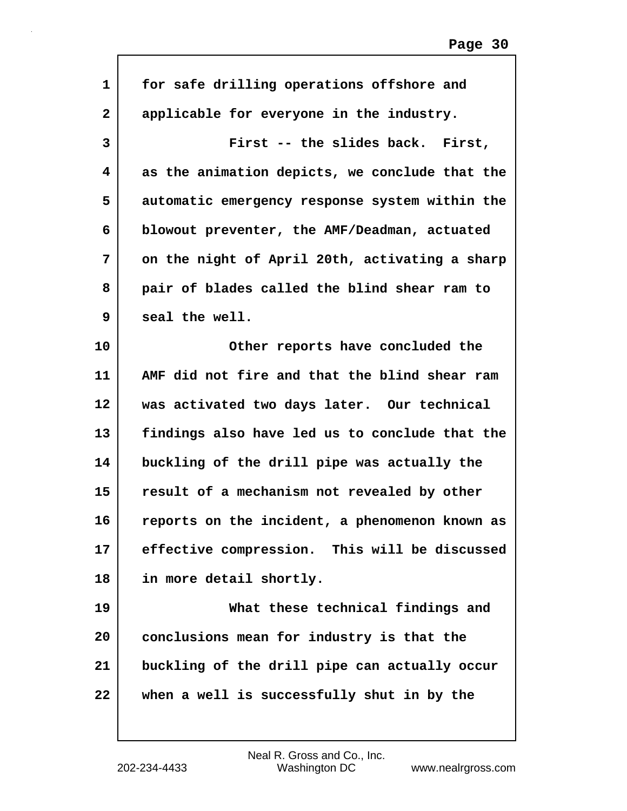| $\mathbf{1}$ | for safe drilling operations offshore and      |
|--------------|------------------------------------------------|
| $\mathbf{2}$ | applicable for everyone in the industry.       |
| 3            | First -- the slides back. First,               |
| 4            | as the animation depicts, we conclude that the |
| 5            | automatic emergency response system within the |
| 6            | blowout preventer, the AMF/Deadman, actuated   |
| 7            | on the night of April 20th, activating a sharp |
| 8            | pair of blades called the blind shear ram to   |
| 9            | seal the well.                                 |
| 10           | Other reports have concluded the               |
| 11           | AMF did not fire and that the blind shear ram  |
| 12           | was activated two days later. Our technical    |
| 13           | findings also have led us to conclude that the |
| 14           | buckling of the drill pipe was actually the    |
| 15           | result of a mechanism not revealed by other    |
| 16           | reports on the incident, a phenomenon known as |
| 17           | effective compression. This will be discussed  |
| 18           | in more detail shortly.                        |
| 19           | What these technical findings and              |
| 20           | conclusions mean for industry is that the      |
| 21           | buckling of the drill pipe can actually occur  |
| 22           | when a well is successfully shut in by the     |
|              |                                                |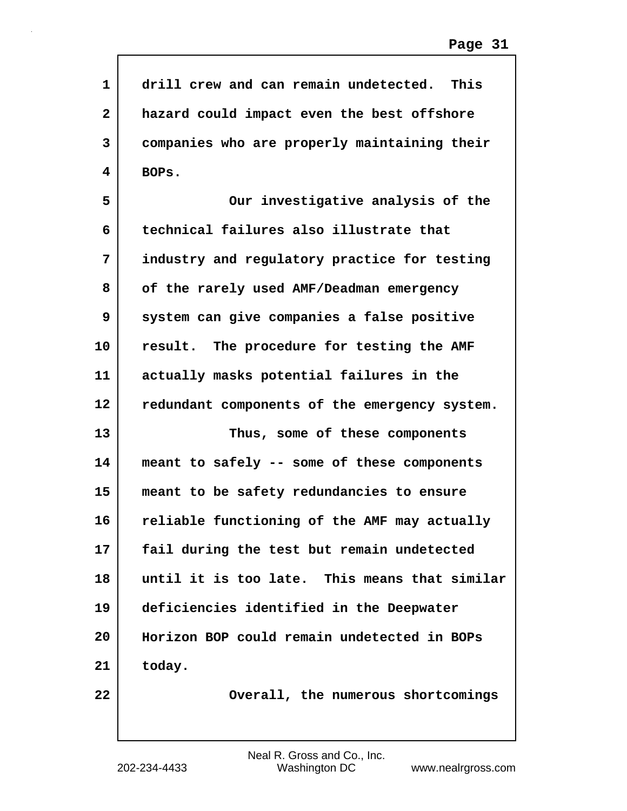| $\mathbf{1}$ | drill crew and can remain undetected. This    |
|--------------|-----------------------------------------------|
| 2            | hazard could impact even the best offshore    |
| 3            | companies who are properly maintaining their  |
| 4            | BOPs.                                         |
| 5            | Our investigative analysis of the             |
| 6            | technical failures also illustrate that       |
| 7            | industry and regulatory practice for testing  |
| 8            | of the rarely used AMF/Deadman emergency      |
| 9            | system can give companies a false positive    |
| 10           | result. The procedure for testing the AMF     |
| 11           | actually masks potential failures in the      |
| 12           | redundant components of the emergency system. |
| 13           | Thus, some of these components                |
| 14           | meant to safely -- some of these components   |
| 15           | meant to be safety redundancies to ensure     |
| 16           | reliable functioning of the AMF may actually  |
| 17           | fail during the test but remain undetected    |
| 18           | until it is too late. This means that similar |
| 19           | deficiencies identified in the Deepwater      |
| 20           | Horizon BOP could remain undetected in BOPs   |
| 21           | today.                                        |
| 22           | Overall, the numerous shortcomings            |

 $\Gamma$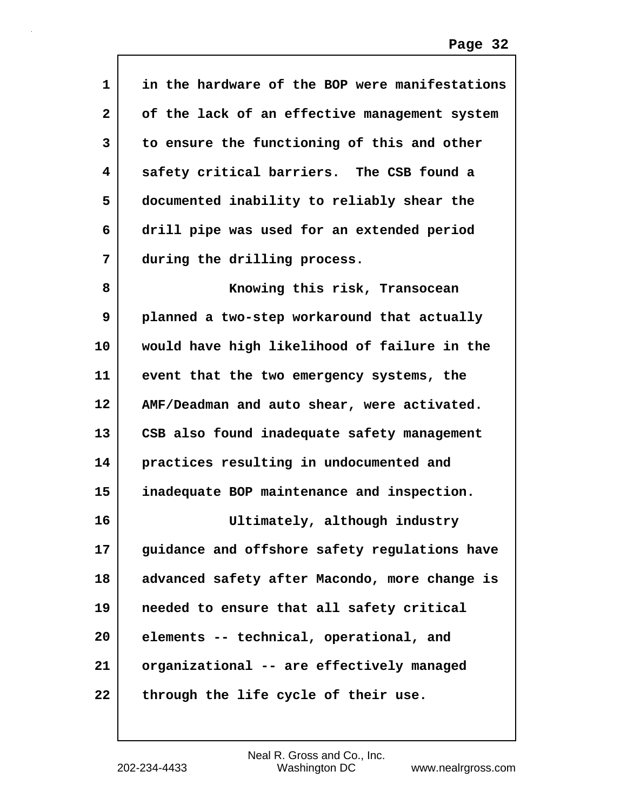| 1            | in the hardware of the BOP were manifestations |
|--------------|------------------------------------------------|
| $\mathbf{2}$ | of the lack of an effective management system  |
| 3            | to ensure the functioning of this and other    |
| 4            | safety critical barriers. The CSB found a      |
| 5            | documented inability to reliably shear the     |
| 6            | drill pipe was used for an extended period     |
| 7            | during the drilling process.                   |
| 8            | Knowing this risk, Transocean                  |
| 9            | planned a two-step workaround that actually    |
| 10           | would have high likelihood of failure in the   |
| 11           | event that the two emergency systems, the      |
| 12           | AMF/Deadman and auto shear, were activated.    |
| 13           | CSB also found inadequate safety management    |
| 14           | practices resulting in undocumented and        |
| 15           | inadequate BOP maintenance and inspection.     |
| 16           | Ultimately, although industry                  |
| 17           | guidance and offshore safety regulations have  |
| 18           | advanced safety after Macondo, more change is  |
| 19           | needed to ensure that all safety critical      |
| 20           | elements -- technical, operational, and        |
| 21           | organizational -- are effectively managed      |
| 22           | through the life cycle of their use.           |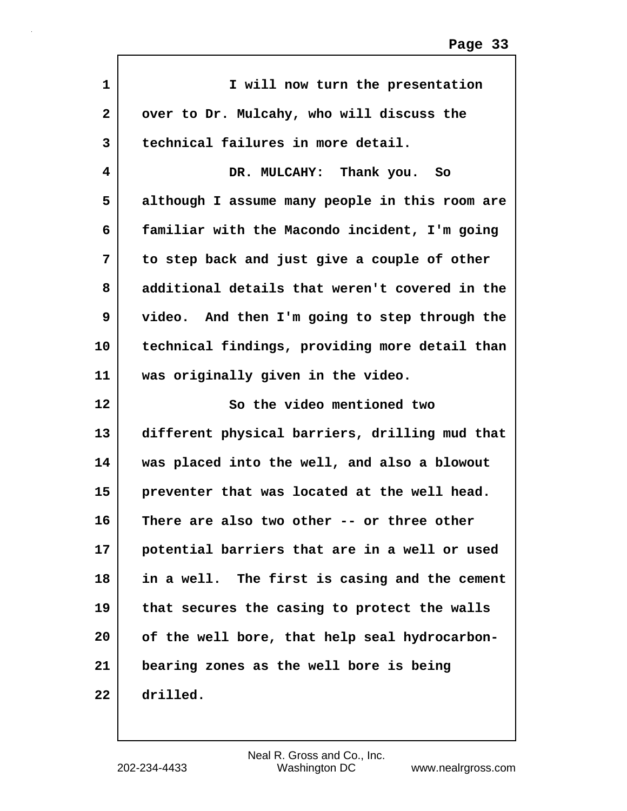| $\mathbf{1}$ | I will now turn the presentation               |
|--------------|------------------------------------------------|
| $\mathbf{2}$ | over to Dr. Mulcahy, who will discuss the      |
| 3            | technical failures in more detail.             |
| 4            | DR. MULCAHY: Thank you. So                     |
| 5            | although I assume many people in this room are |
| 6            | familiar with the Macondo incident, I'm going  |
| 7            | to step back and just give a couple of other   |
| 8            | additional details that weren't covered in the |
| 9            | video. And then I'm going to step through the  |
| 10           | technical findings, providing more detail than |
| 11           | was originally given in the video.             |
|              |                                                |
| 12           | So the video mentioned two                     |
| 13           | different physical barriers, drilling mud that |
| 14           | was placed into the well, and also a blowout   |
| 15           | preventer that was located at the well head.   |
| 16           | There are also two other -- or three other     |
| 17           | potential barriers that are in a well or used  |
| 18           | in a well. The first is casing and the cement  |
| 19           | that secures the casing to protect the walls   |
| 20           | of the well bore, that help seal hydrocarbon-  |
| 21           | bearing zones as the well bore is being        |

 $\Gamma$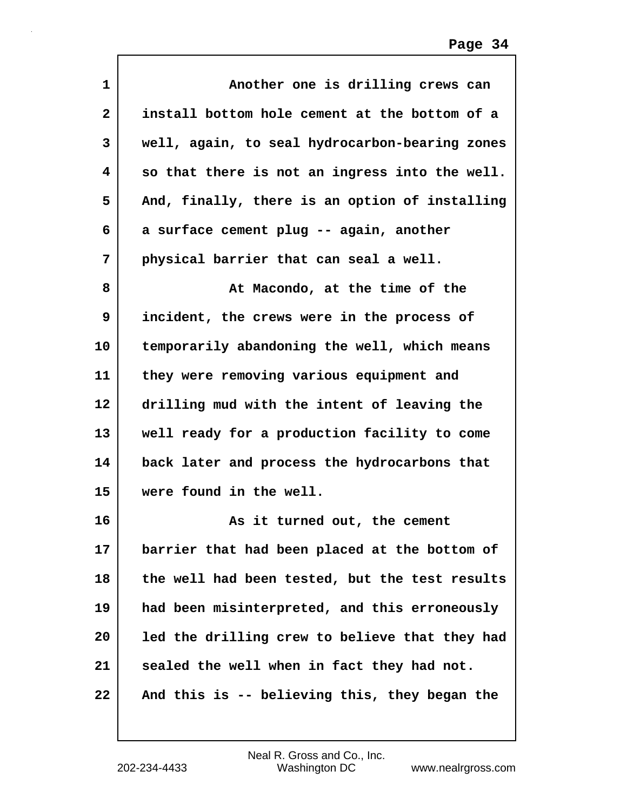| 1            | Another one is drilling crews can              |
|--------------|------------------------------------------------|
| $\mathbf{2}$ | install bottom hole cement at the bottom of a  |
| 3            | well, again, to seal hydrocarbon-bearing zones |
| 4            | so that there is not an ingress into the well. |
| 5            | And, finally, there is an option of installing |
| 6            | a surface cement plug -- again, another        |
| 7            | physical barrier that can seal a well.         |
| 8            | At Macondo, at the time of the                 |
| 9            | incident, the crews were in the process of     |
| 10           | temporarily abandoning the well, which means   |
| 11           | they were removing various equipment and       |
| 12           | drilling mud with the intent of leaving the    |
| 13           | well ready for a production facility to come   |
| 14           | back later and process the hydrocarbons that   |
| 15           | were found in the well.                        |
| 16           | As it turned out, the cement                   |
| 17           | barrier that had been placed at the bottom of  |
| 18           | the well had been tested, but the test results |
| 19           | had been misinterpreted, and this erroneously  |
| 20           | led the drilling crew to believe that they had |
| 21           | sealed the well when in fact they had not.     |
| 22           | And this is -- believing this, they began the  |

 $\mathsf{I}$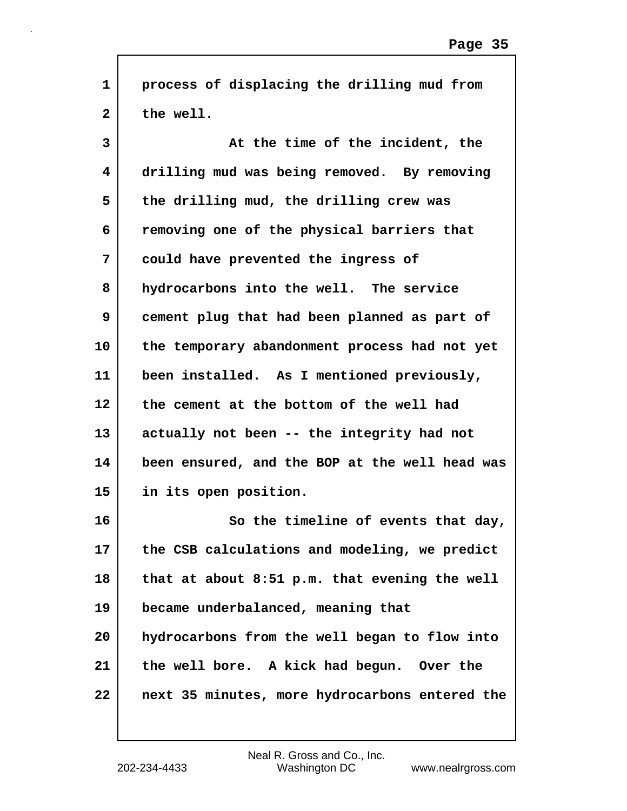| $\mathbf{1}$ | process of displacing the drilling mud from    |
|--------------|------------------------------------------------|
| $\mathbf{2}$ | the well.                                      |
| 3            | At the time of the incident, the               |
| 4            | drilling mud was being removed. By removing    |
| 5            | the drilling mud, the drilling crew was        |
| 6            | removing one of the physical barriers that     |
| 7            | could have prevented the ingress of            |
| 8            | hydrocarbons into the well. The service        |
| 9            | cement plug that had been planned as part of   |
| 10           | the temporary abandonment process had not yet  |
| 11           | been installed. As I mentioned previously,     |
| 12           | the cement at the bottom of the well had       |
| 13           | actually not been -- the integrity had not     |
| 14           | been ensured, and the BOP at the well head was |
| 15           | in its open position.                          |
| 16           | So the timeline of events that day,            |
| 17           | the CSB calculations and modeling, we predict  |
| 18           | that at about 8:51 p.m. that evening the well  |
| 19           | became underbalanced, meaning that             |
| 20           | hydrocarbons from the well began to flow into  |
| 21           | the well bore. A kick had begun. Over the      |
| 22           | next 35 minutes, more hydrocarbons entered the |
|              |                                                |

 $\mathsf{I}$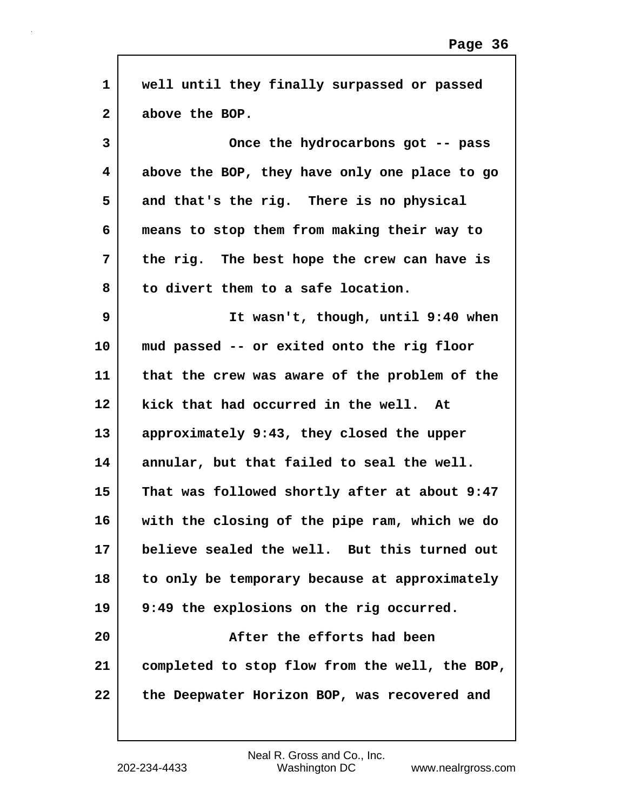| $\mathbf{1}$ | well until they finally surpassed or passed    |
|--------------|------------------------------------------------|
| $\mathbf{2}$ | above the BOP.                                 |
| 3            | Once the hydrocarbons got -- pass              |
| 4            | above the BOP, they have only one place to go  |
| 5            | and that's the rig. There is no physical       |
| 6            | means to stop them from making their way to    |
| 7            | the rig. The best hope the crew can have is    |
| 8            | to divert them to a safe location.             |
| 9            | It wasn't, though, until 9:40 when             |
| 10           | mud passed -- or exited onto the rig floor     |
| 11           | that the crew was aware of the problem of the  |
| 12           | kick that had occurred in the well. At         |
| 13           | approximately 9:43, they closed the upper      |
| 14           | annular, but that failed to seal the well.     |
| 15           | That was followed shortly after at about 9:47  |
| 16           | with the closing of the pipe ram, which we do  |
| 17           | believe sealed the well. But this turned out   |
| 18           | to only be temporary because at approximately  |
| 19           | 9:49 the explosions on the rig occurred.       |
| 20           | After the efforts had been                     |
| 21           | completed to stop flow from the well, the BOP, |
| 22           | the Deepwater Horizon BOP, was recovered and   |
|              |                                                |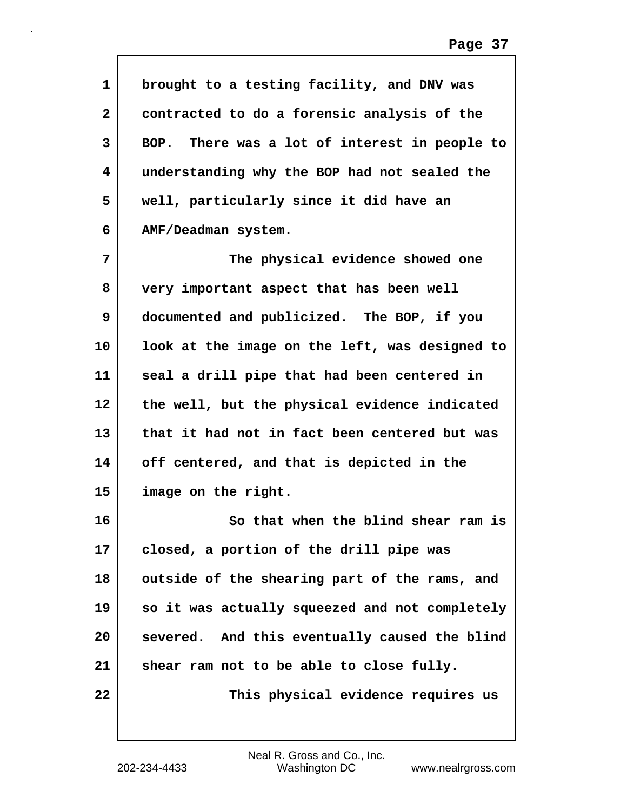| $\mathbf{1}$ | brought to a testing facility, and DNV was     |
|--------------|------------------------------------------------|
| $\mathbf{2}$ | contracted to do a forensic analysis of the    |
| 3            | BOP. There was a lot of interest in people to  |
| 4            | understanding why the BOP had not sealed the   |
| 5            | well, particularly since it did have an        |
| 6            | AMF/Deadman system.                            |
| 7            | The physical evidence showed one               |
| 8            | very important aspect that has been well       |
| 9            | documented and publicized. The BOP, if you     |
| 10           | look at the image on the left, was designed to |
| 11           | seal a drill pipe that had been centered in    |
| 12           | the well, but the physical evidence indicated  |
| 13           | that it had not in fact been centered but was  |
| 14           | off centered, and that is depicted in the      |
| 15           | image on the right.                            |
| 16           | So that when the blind shear ram is            |
| 17           | closed, a portion of the drill pipe was        |
| 18           | outside of the shearing part of the rams, and  |
| 19           | so it was actually squeezed and not completely |
| 20           | severed. And this eventually caused the blind  |
| 21           | shear ram not to be able to close fully.       |
| 22           | This physical evidence requires us             |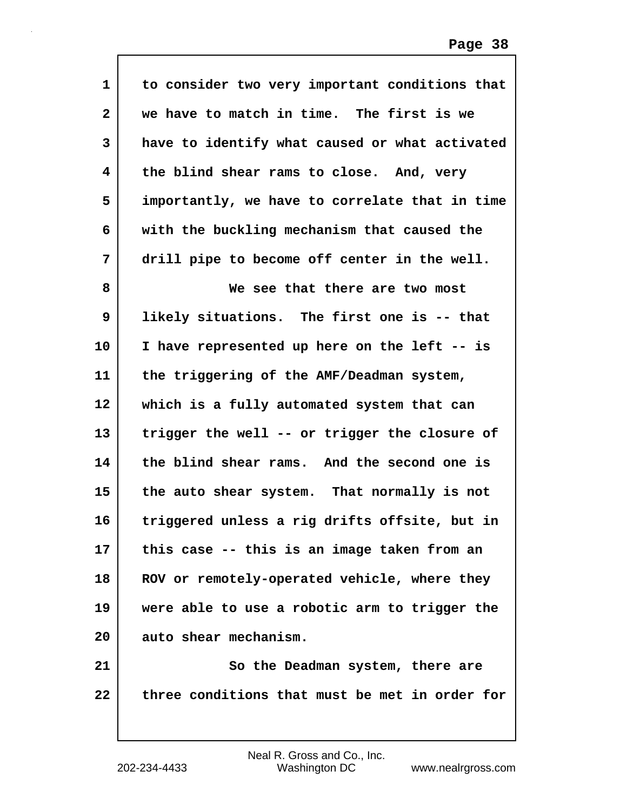| $\mathbf{1}$ | to consider two very important conditions that |
|--------------|------------------------------------------------|
| $\mathbf{2}$ | we have to match in time. The first is we      |
| 3            | have to identify what caused or what activated |
| 4            | the blind shear rams to close. And, very       |
| 5            | importantly, we have to correlate that in time |
| 6            | with the buckling mechanism that caused the    |
| 7            | drill pipe to become off center in the well.   |
| 8            | We see that there are two most                 |
| 9            | likely situations. The first one is -- that    |
| 10           | I have represented up here on the left -- is   |
| 11           | the triggering of the AMF/Deadman system,      |
| 12           | which is a fully automated system that can     |
| 13           | trigger the well -- or trigger the closure of  |
| 14           | the blind shear rams. And the second one is    |
| 15           | the auto shear system. That normally is not    |
| 16           | triggered unless a rig drifts offsite, but in  |
| 17           | this case -- this is an image taken from an    |
| 18           | ROV or remotely-operated vehicle, where they   |
| 19           | were able to use a robotic arm to trigger the  |
| 20           | auto shear mechanism.                          |
| 21           | So the Deadman system, there are               |
| 22           | three conditions that must be met in order for |
|              |                                                |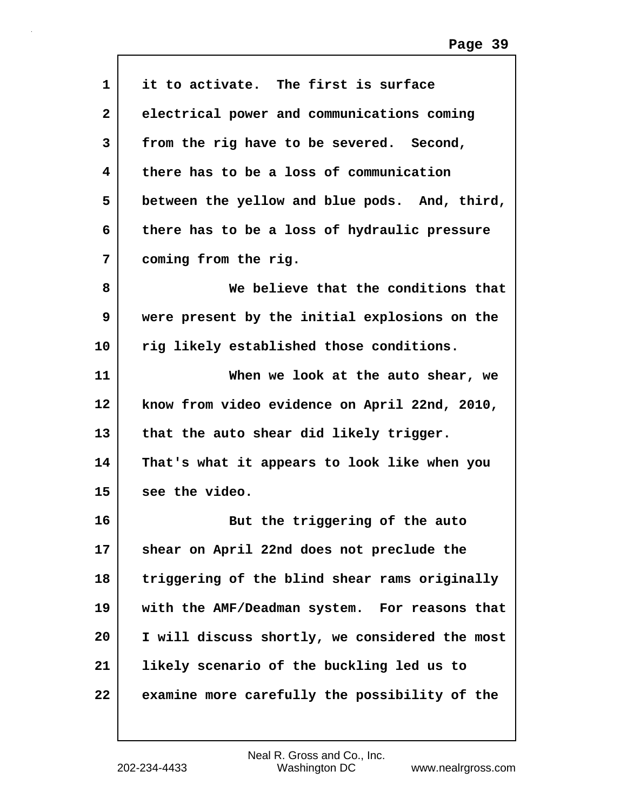| $\mathbf{1}$ | it to activate. The first is surface           |
|--------------|------------------------------------------------|
| $\mathbf{2}$ | electrical power and communications coming     |
| 3            | from the rig have to be severed. Second,       |
| 4            | there has to be a loss of communication        |
| 5            | between the yellow and blue pods. And, third,  |
| 6            | there has to be a loss of hydraulic pressure   |
| 7            | coming from the rig.                           |
| 8            | We believe that the conditions that            |
| 9            | were present by the initial explosions on the  |
| 10           | rig likely established those conditions.       |
| 11           | When we look at the auto shear, we             |
| 12           | know from video evidence on April 22nd, 2010,  |
| 13           | that the auto shear did likely trigger.        |
| 14           | That's what it appears to look like when you   |
| 15           | see the video.                                 |
| 16           | But the triggering of the auto                 |
| 17           | shear on April 22nd does not preclude the      |
| 18           | triggering of the blind shear rams originally  |
| 19           | with the AMF/Deadman system. For reasons that  |
| 20           | I will discuss shortly, we considered the most |
| 21           | likely scenario of the buckling led us to      |
| 22           | examine more carefully the possibility of the  |
|              |                                                |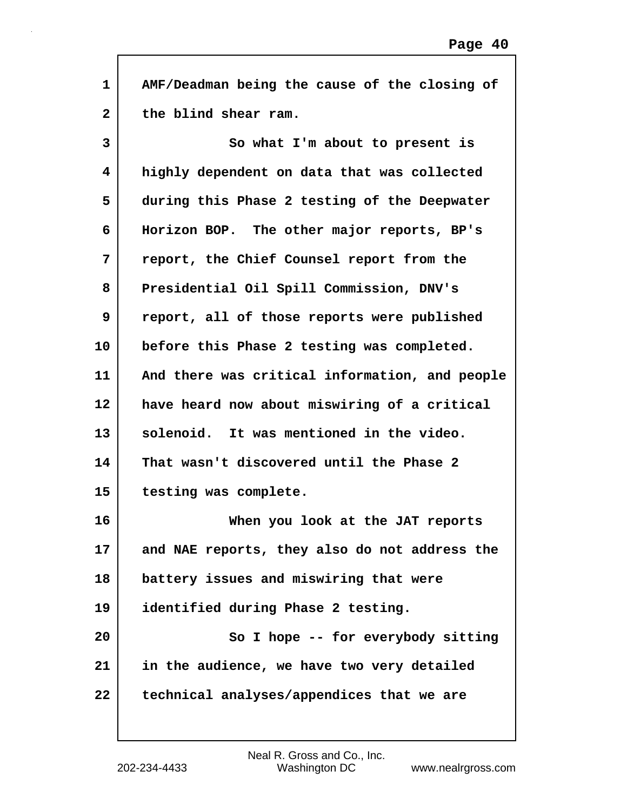| $\mathbf{1}$ | AMF/Deadman being the cause of the closing of  |
|--------------|------------------------------------------------|
| $\mathbf{2}$ | the blind shear ram.                           |
| 3            | So what I'm about to present is                |
| 4            | highly dependent on data that was collected    |
| 5            | during this Phase 2 testing of the Deepwater   |
| 6            | Horizon BOP. The other major reports, BP's     |
| 7            | report, the Chief Counsel report from the      |
| 8            | Presidential Oil Spill Commission, DNV's       |
| 9            | report, all of those reports were published    |
| 10           | before this Phase 2 testing was completed.     |
| 11           | And there was critical information, and people |
| 12           | have heard now about miswiring of a critical   |
| 13           | solenoid. It was mentioned in the video.       |
| 14           | That wasn't discovered until the Phase 2       |
| 15           | testing was complete.                          |
| 16           | When you look at the JAT reports               |
| 17           | and NAE reports, they also do not address the  |
| 18           | battery issues and miswiring that were         |
| 19           | identified during Phase 2 testing.             |
| 20           | So I hope -- for everybody sitting             |
| 21           | in the audience, we have two very detailed     |
| 22           | technical analyses/appendices that we are      |

 $\Gamma$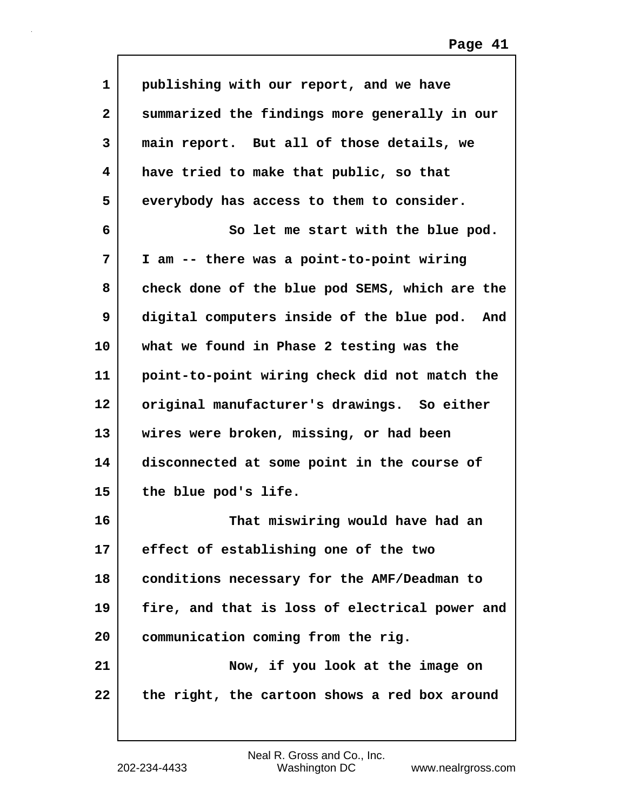| 1            | publishing with our report, and we have        |
|--------------|------------------------------------------------|
| $\mathbf{2}$ | summarized the findings more generally in our  |
| 3            | main report. But all of those details, we      |
| 4            | have tried to make that public, so that        |
| 5            | everybody has access to them to consider.      |
| 6            | So let me start with the blue pod.             |
| 7            | I am -- there was a point-to-point wiring      |
| 8            | check done of the blue pod SEMS, which are the |
| 9            | digital computers inside of the blue pod. And  |
| 10           | what we found in Phase 2 testing was the       |
| 11           | point-to-point wiring check did not match the  |
| 12           | original manufacturer's drawings. So either    |
| 13           | wires were broken, missing, or had been        |
| 14           | disconnected at some point in the course of    |
| 15           | the blue pod's life.                           |
| 16           | That miswiring would have had an               |
| 17           | effect of establishing one of the two          |
| 18           | conditions necessary for the AMF/Deadman to    |
| 19           | fire, and that is loss of electrical power and |
| 20           | communication coming from the rig.             |
| 21           | Now, if you look at the image on               |
| 22           | the right, the cartoon shows a red box around  |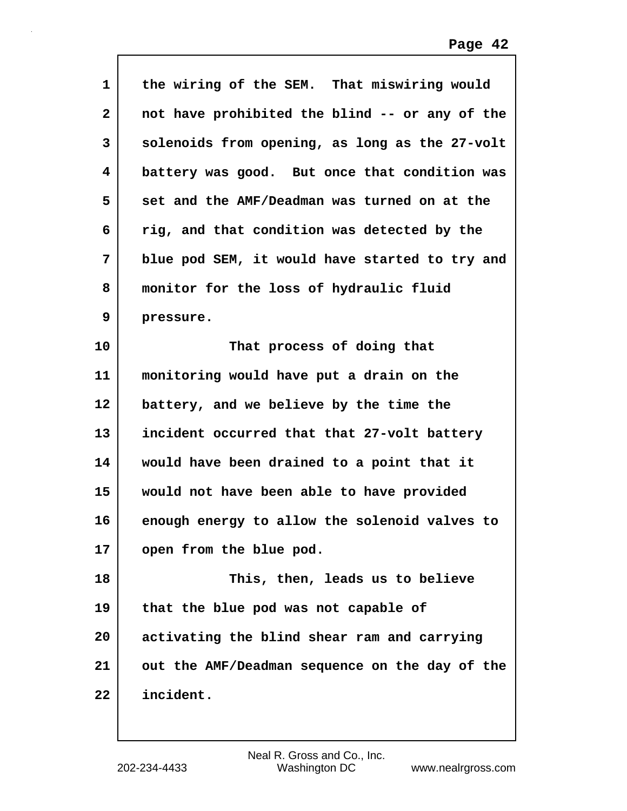| 1            | the wiring of the SEM. That miswiring would    |
|--------------|------------------------------------------------|
| $\mathbf{2}$ | not have prohibited the blind -- or any of the |
| 3            | solenoids from opening, as long as the 27-volt |
| 4            | battery was good. But once that condition was  |
| 5            | set and the AMF/Deadman was turned on at the   |
| 6            | rig, and that condition was detected by the    |
| 7            | blue pod SEM, it would have started to try and |
| 8            | monitor for the loss of hydraulic fluid        |
| 9            | pressure.                                      |
| 10           | That process of doing that                     |
| 11           | monitoring would have put a drain on the       |
| 12           | battery, and we believe by the time the        |
| 13           | incident occurred that that 27-volt battery    |
| 14           | would have been drained to a point that it     |
| 15           | would not have been able to have provided      |
| 16           | enough energy to allow the solenoid valves to  |
| 17           | open from the blue pod.                        |
| 18           | This, then, leads us to believe                |
| 19           | that the blue pod was not capable of           |
| 20           | activating the blind shear ram and carrying    |
| 21           | out the AMF/Deadman sequence on the day of the |
| 22           | incident.                                      |

 $\mathbf l$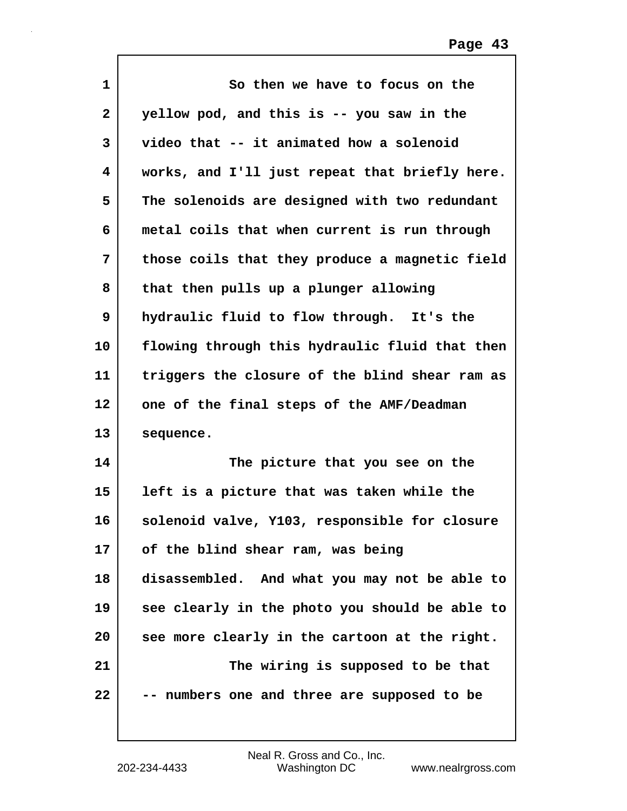| $\mathbf 1$  | So then we have to focus on the                |
|--------------|------------------------------------------------|
| $\mathbf{2}$ | yellow pod, and this is -- you saw in the      |
| 3            | video that -- it animated how a solenoid       |
| 4            | works, and I'll just repeat that briefly here. |
| 5            | The solenoids are designed with two redundant  |
| 6            | metal coils that when current is run through   |
| 7            | those coils that they produce a magnetic field |
| 8            | that then pulls up a plunger allowing          |
| 9            | hydraulic fluid to flow through. It's the      |
| 10           | flowing through this hydraulic fluid that then |
| 11           | triggers the closure of the blind shear ram as |
| 12           | one of the final steps of the AMF/Deadman      |
| 13           | sequence.                                      |
| 14           | The picture that you see on the                |
| 15           | left is a picture that was taken while the     |
| 16           | solenoid valve, Y103, responsible for closure  |
| 17           | of the blind shear ram, was being              |
| 18           | disassembled. And what you may not be able to  |
| 19           | see clearly in the photo you should be able to |
| 20           | see more clearly in the cartoon at the right.  |
| 21           | The wiring is supposed to be that              |
| 22           | -- numbers one and three are supposed to be    |

 $\mathbf l$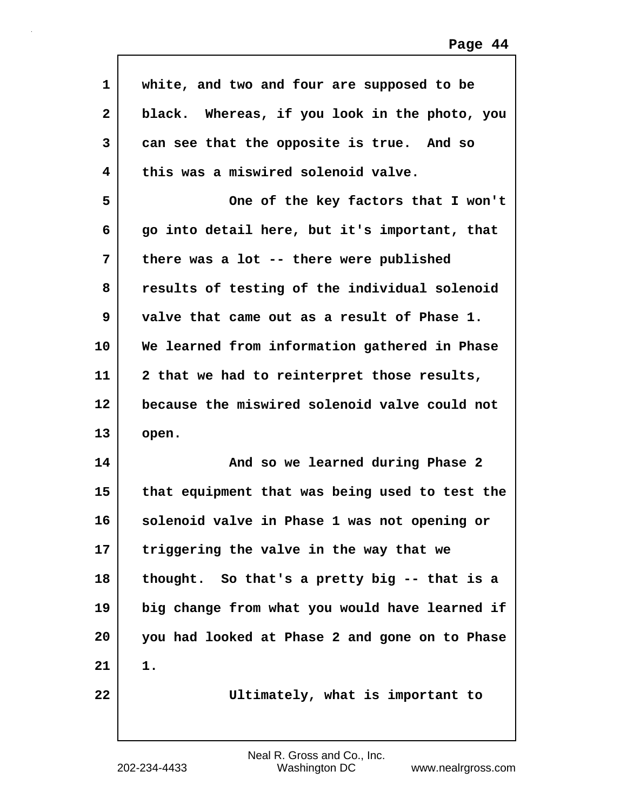| 1            | white, and two and four are supposed to be     |
|--------------|------------------------------------------------|
| $\mathbf{2}$ | black. Whereas, if you look in the photo, you  |
| 3            | can see that the opposite is true. And so      |
| 4            | this was a miswired solenoid valve.            |
| 5            | One of the key factors that I won't            |
| 6            | go into detail here, but it's important, that  |
| 7            | there was a lot -- there were published        |
| 8            | results of testing of the individual solenoid  |
| 9            | valve that came out as a result of Phase 1.    |
| 10           | We learned from information gathered in Phase  |
| 11           | 2 that we had to reinterpret those results,    |
| 12           | because the miswired solenoid valve could not  |
| 13           | open.                                          |
| 14           | And so we learned during Phase 2               |
| 15           | that equipment that was being used to test the |
| 16           | solenoid valve in Phase 1 was not opening or   |
| 17           | triggering the valve in the way that we        |
| 18           | thought. So that's a pretty big -- that is a   |
| 19           | big change from what you would have learned if |
| 20           | you had looked at Phase 2 and gone on to Phase |
| 21           | 1.                                             |
| 22           | Ultimately, what is important to               |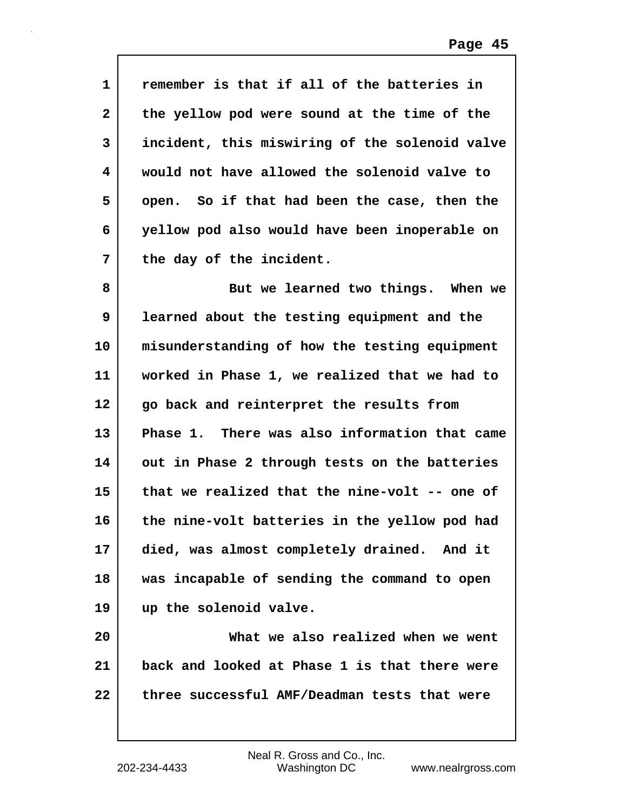| 1            | remember is that if all of the batteries in    |
|--------------|------------------------------------------------|
| $\mathbf{2}$ | the yellow pod were sound at the time of the   |
| 3            | incident, this miswiring of the solenoid valve |
| 4            | would not have allowed the solenoid valve to   |
| 5            | open. So if that had been the case, then the   |
| 6            | yellow pod also would have been inoperable on  |
| 7            | the day of the incident.                       |
| 8            | But we learned two things. When we             |
| 9            | learned about the testing equipment and the    |
| 10           | misunderstanding of how the testing equipment  |
| 11           | worked in Phase 1, we realized that we had to  |
| 12           | go back and reinterpret the results from       |
| 13           | Phase 1. There was also information that came  |
| 14           | out in Phase 2 through tests on the batteries  |
| 15           | that we realized that the nine-volt -- one of  |
| 16           | the nine-volt batteries in the yellow pod had  |
| 17           | died, was almost completely drained. And it    |
| 18           | was incapable of sending the command to open   |
| 19           | up the solenoid valve.                         |
| 20           | What we also realized when we went             |
| 21           | back and looked at Phase 1 is that there were  |
| 22           | three successful AMF/Deadman tests that were   |
|              |                                                |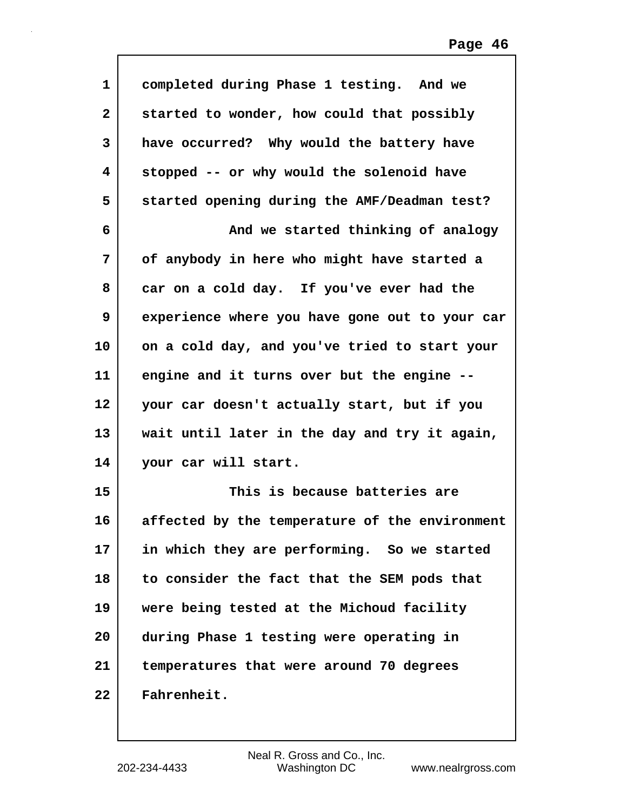| 1            | completed during Phase 1 testing. And we       |
|--------------|------------------------------------------------|
| $\mathbf{2}$ | started to wonder, how could that possibly     |
| 3            | have occurred? Why would the battery have      |
| 4            | stopped -- or why would the solenoid have      |
| 5            | started opening during the AMF/Deadman test?   |
| 6            | And we started thinking of analogy             |
| 7            | of anybody in here who might have started a    |
| 8            | car on a cold day. If you've ever had the      |
| 9            | experience where you have gone out to your car |
| 10           | on a cold day, and you've tried to start your  |
| 11           | engine and it turns over but the engine --     |
| 12           | your car doesn't actually start, but if you    |
| 13           | wait until later in the day and try it again,  |
| 14           | your car will start.                           |
| 15           | This is because batteries are                  |
| 16           | affected by the temperature of the environment |
| 17           | in which they are performing. So we started    |
| 18           | to consider the fact that the SEM pods that    |
| 19           | were being tested at the Michoud facility      |
| 20           | during Phase 1 testing were operating in       |
| 21           | temperatures that were around 70 degrees       |
| 22           | Fahrenheit.                                    |

 $\mathsf{I}$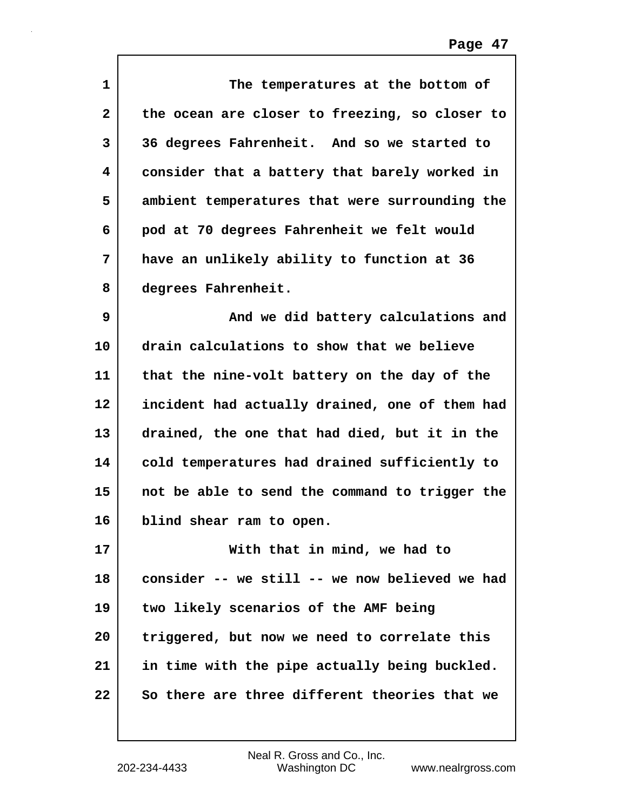| $\mathbf 1$  | The temperatures at the bottom of              |
|--------------|------------------------------------------------|
| $\mathbf{2}$ | the ocean are closer to freezing, so closer to |
| 3            | 36 degrees Fahrenheit. And so we started to    |
| 4            | consider that a battery that barely worked in  |
| 5            | ambient temperatures that were surrounding the |
| 6            | pod at 70 degrees Fahrenheit we felt would     |
| 7            | have an unlikely ability to function at 36     |
| 8            | degrees Fahrenheit.                            |
| 9            | And we did battery calculations and            |
| 10           | drain calculations to show that we believe     |
| 11           | that the nine-volt battery on the day of the   |
| 12           | incident had actually drained, one of them had |
| 13           | drained, the one that had died, but it in the  |
| 14           | cold temperatures had drained sufficiently to  |
| 15           | not be able to send the command to trigger the |
| 16           | blind shear ram to open.                       |
| 17           | With that in mind, we had to                   |
| 18           | consider -- we still -- we now believed we had |
| 19           | two likely scenarios of the AMF being          |
| 20           | triggered, but now we need to correlate this   |
| 21           | in time with the pipe actually being buckled.  |
| 22           | So there are three different theories that we  |

 $\mathsf{I}$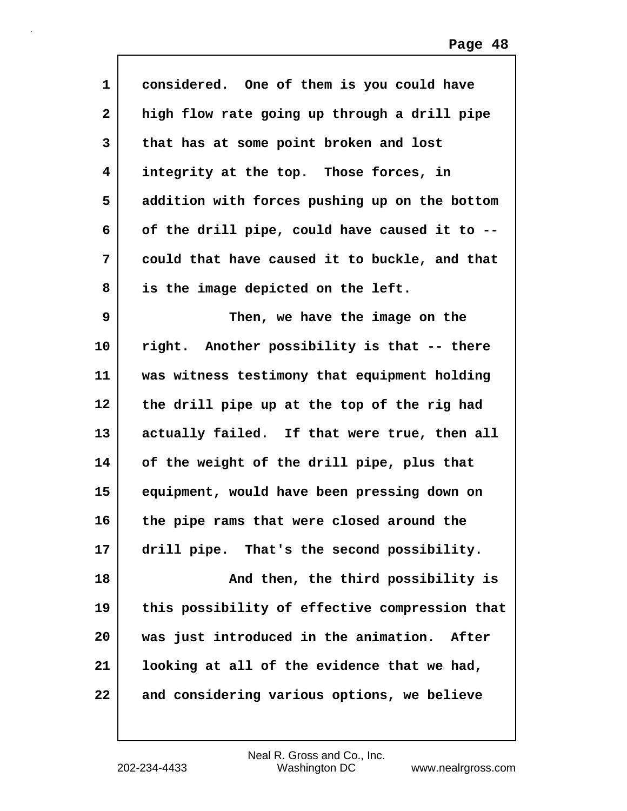| $\mathbf 1$  | considered. One of them is you could have      |
|--------------|------------------------------------------------|
| $\mathbf{2}$ | high flow rate going up through a drill pipe   |
| 3            | that has at some point broken and lost         |
| 4            | integrity at the top. Those forces, in         |
| 5            | addition with forces pushing up on the bottom  |
| 6            | of the drill pipe, could have caused it to --  |
| 7            | could that have caused it to buckle, and that  |
| 8            | is the image depicted on the left.             |
| 9            | Then, we have the image on the                 |
| 10           | right. Another possibility is that -- there    |
| 11           | was witness testimony that equipment holding   |
| 12           | the drill pipe up at the top of the rig had    |
| 13           | actually failed. If that were true, then all   |
| 14           | of the weight of the drill pipe, plus that     |
| 15           | equipment, would have been pressing down on    |
| 16           | the pipe rams that were closed around the      |
| 17           | drill pipe. That's the second possibility.     |
| 18           | And then, the third possibility is             |
| 19           | this possibility of effective compression that |
| 20           | was just introduced in the animation. After    |
| 21           | looking at all of the evidence that we had,    |
| 22           | and considering various options, we believe    |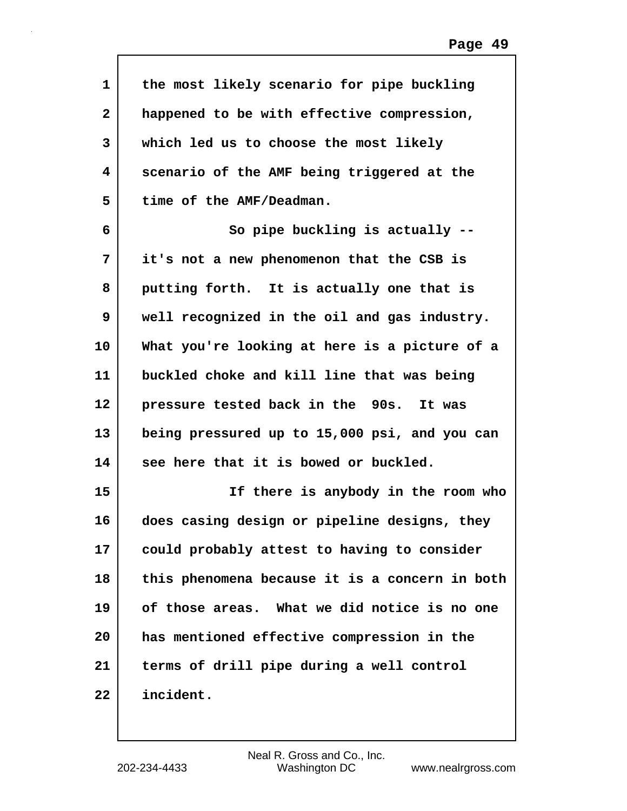| 1            | the most likely scenario for pipe buckling     |
|--------------|------------------------------------------------|
| $\mathbf{2}$ | happened to be with effective compression,     |
| 3            | which led us to choose the most likely         |
| 4            | scenario of the AMF being triggered at the     |
| 5            | time of the AMF/Deadman.                       |
| 6            | So pipe buckling is actually --                |
| 7            | it's not a new phenomenon that the CSB is      |
| 8            | putting forth. It is actually one that is      |
| 9            | well recognized in the oil and gas industry.   |
| 10           | What you're looking at here is a picture of a  |
| 11           | buckled choke and kill line that was being     |
| 12           | pressure tested back in the 90s. It was        |
| 13           | being pressured up to 15,000 psi, and you can  |
| 14           | see here that it is bowed or buckled.          |
| 15           | If there is anybody in the room who            |
| 16           | does casing design or pipeline designs, they   |
| 17           | could probably attest to having to consider    |
| 18           | this phenomena because it is a concern in both |
| 19           | of those areas. What we did notice is no one   |
| 20           | has mentioned effective compression in the     |
| 21           | terms of drill pipe during a well control      |
| 22           | incident.                                      |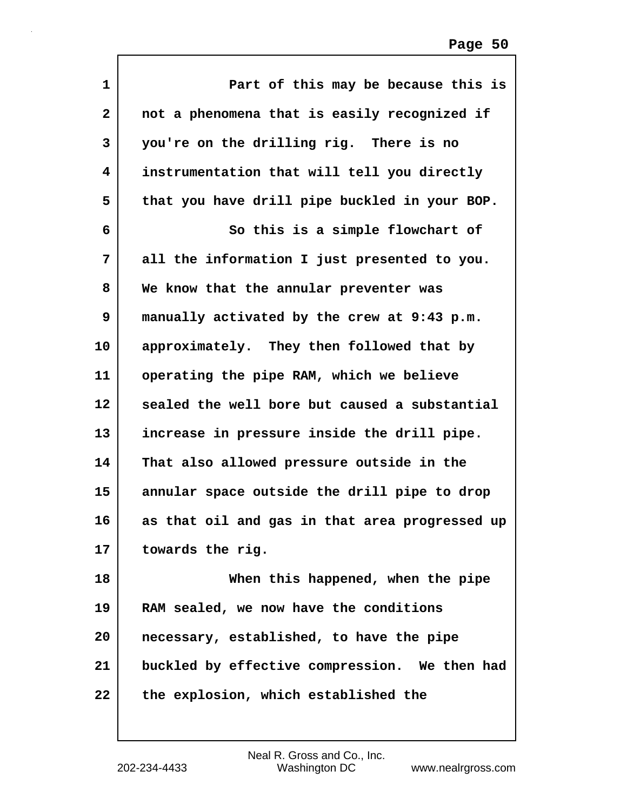| 1            | Part of this may be because this is            |
|--------------|------------------------------------------------|
| $\mathbf{2}$ | not a phenomena that is easily recognized if   |
| 3            | you're on the drilling rig. There is no        |
| 4            | instrumentation that will tell you directly    |
| 5            | that you have drill pipe buckled in your BOP.  |
| 6            | So this is a simple flowchart of               |
| 7            | all the information I just presented to you.   |
| 8            | We know that the annular preventer was         |
| 9            | manually activated by the crew at 9:43 p.m.    |
| 10           | approximately. They then followed that by      |
| 11           | operating the pipe RAM, which we believe       |
| 12           | sealed the well bore but caused a substantial  |
| 13           | increase in pressure inside the drill pipe.    |
| 14           | That also allowed pressure outside in the      |
| 15           | annular space outside the drill pipe to drop   |
| 16           | as that oil and gas in that area progressed up |
| 17           | towards the rig.                               |
| 18           | When this happened, when the pipe              |
| 19           | RAM sealed, we now have the conditions         |
| 20           | necessary, established, to have the pipe       |
| 21           | buckled by effective compression. We then had  |
| 22           | the explosion, which established the           |

 $\mathsf{I}$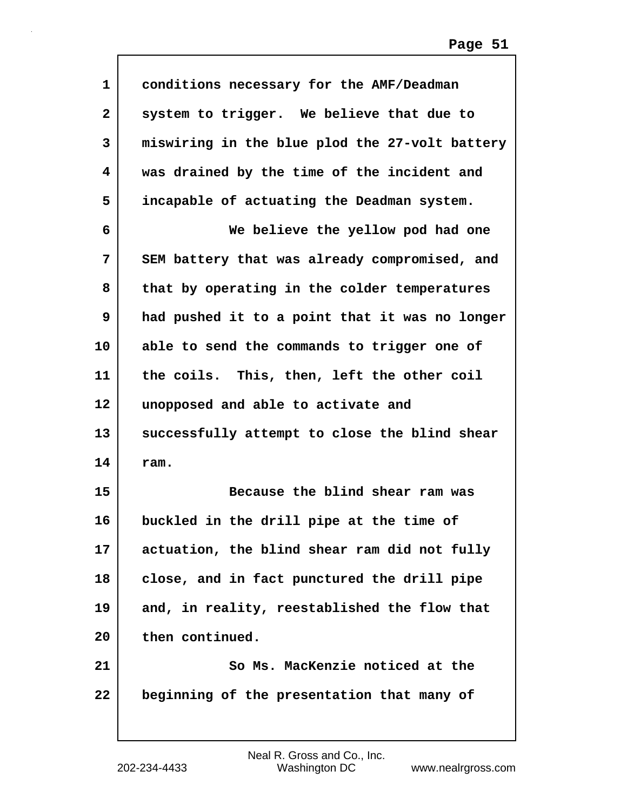| $\mathbf 1$  | conditions necessary for the AMF/Deadman       |
|--------------|------------------------------------------------|
| $\mathbf{2}$ | system to trigger. We believe that due to      |
| 3            | miswiring in the blue plod the 27-volt battery |
| 4            | was drained by the time of the incident and    |
| 5            | incapable of actuating the Deadman system.     |
| 6            | We believe the yellow pod had one              |
| 7            | SEM battery that was already compromised, and  |
| 8            | that by operating in the colder temperatures   |
| 9            | had pushed it to a point that it was no longer |
| 10           | able to send the commands to trigger one of    |
| 11           | the coils. This, then, left the other coil     |
| $12 \,$      | unopposed and able to activate and             |
| 13           | successfully attempt to close the blind shear  |
| 14           | ram.                                           |
| 15           | Because the blind shear ram was                |
| 16           | buckled in the drill pipe at the time of       |
| 17           | actuation, the blind shear ram did not fully   |
| 18           | close, and in fact punctured the drill pipe    |
| 19           | and, in reality, reestablished the flow that   |
| 20           | then continued.                                |
| 21           | So Ms. MacKenzie noticed at the                |
| 22           | beginning of the presentation that many of     |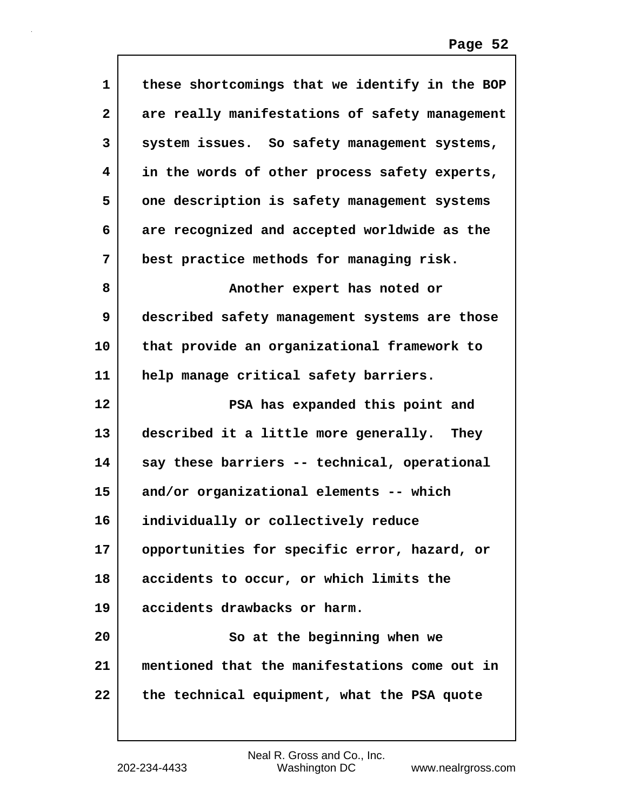| 1            | these shortcomings that we identify in the BOP |
|--------------|------------------------------------------------|
| $\mathbf{2}$ | are really manifestations of safety management |
| 3            | system issues. So safety management systems,   |
| 4            | in the words of other process safety experts,  |
| 5            | one description is safety management systems   |
| 6            | are recognized and accepted worldwide as the   |
| 7            | best practice methods for managing risk.       |
| 8            | Another expert has noted or                    |
| 9            | described safety management systems are those  |
| 10           | that provide an organizational framework to    |
| 11           | help manage critical safety barriers.          |
| 12           | PSA has expanded this point and                |
| 13           | described it a little more generally. They     |
| 14           | say these barriers -- technical, operational   |
| 15           | and/or organizational elements -- which        |
| 16           | individually or collectively reduce            |
| 17           | opportunities for specific error, hazard, or   |
| 18           | accidents to occur, or which limits the        |
| 19           | accidents drawbacks or harm.                   |
| 20           | So at the beginning when we                    |
| 21           | mentioned that the manifestations come out in  |
| 22           | the technical equipment, what the PSA quote    |
|              |                                                |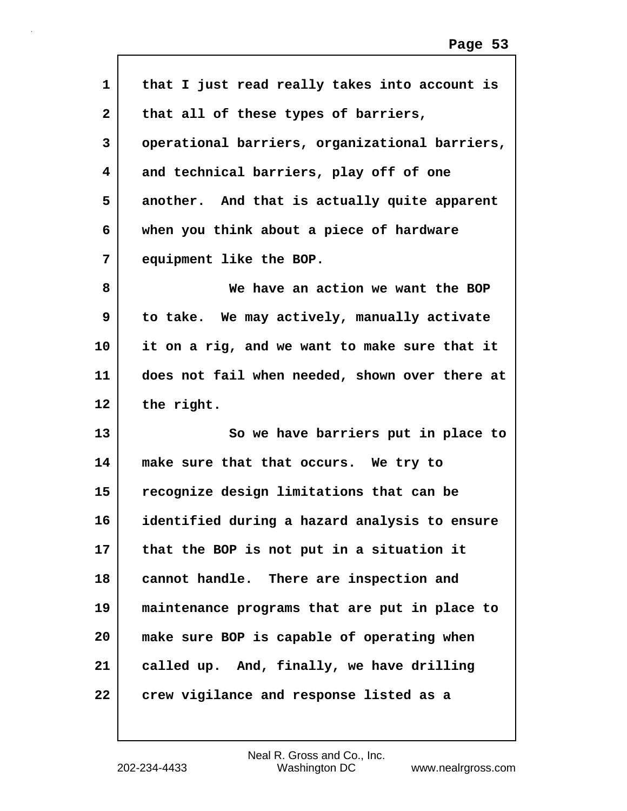| 1  | that I just read really takes into account is  |
|----|------------------------------------------------|
| 2  | that all of these types of barriers,           |
| 3  | operational barriers, organizational barriers, |
| 4  | and technical barriers, play off of one        |
| 5  | another. And that is actually quite apparent   |
| 6  | when you think about a piece of hardware       |
| 7  | equipment like the BOP.                        |
| 8  | We have an action we want the BOP              |
| 9  | to take. We may actively, manually activate    |
| 10 | it on a rig, and we want to make sure that it  |
| 11 | does not fail when needed, shown over there at |
| 12 | the right.                                     |
| 13 | So we have barriers put in place to            |
| 14 | make sure that that occurs. We try to          |
| 15 | recognize design limitations that can be       |
| 16 | identified during a hazard analysis to ensure  |
| 17 | that the BOP is not put in a situation it      |
| 18 | cannot handle. There are inspection and        |
| 19 |                                                |
|    | maintenance programs that are put in place to  |
| 20 | make sure BOP is capable of operating when     |
| 21 | called up. And, finally, we have drilling      |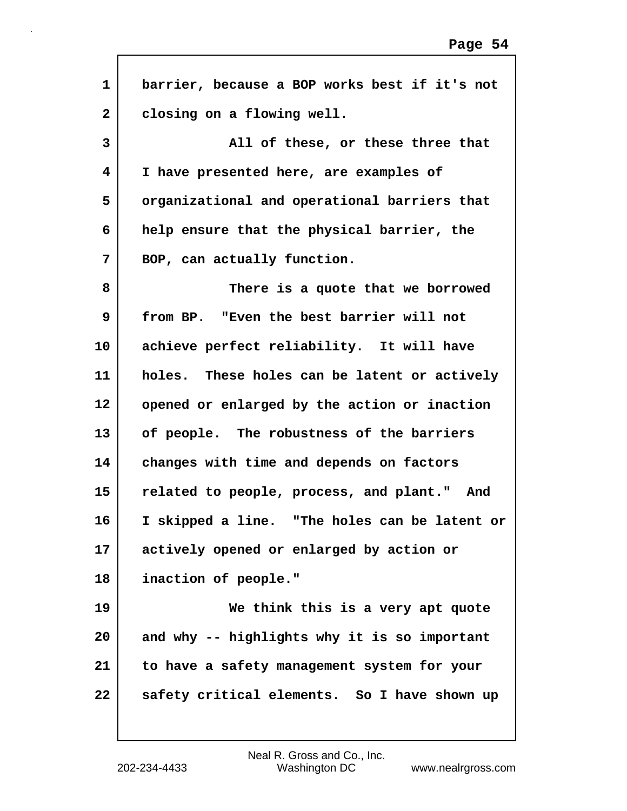| $\mathbf{1}$ | barrier, because a BOP works best if it's not |
|--------------|-----------------------------------------------|
| $\mathbf{2}$ | closing on a flowing well.                    |
| 3            | All of these, or these three that             |
| 4            | I have presented here, are examples of        |
| 5            | organizational and operational barriers that  |
| 6            | help ensure that the physical barrier, the    |
| 7            | BOP, can actually function.                   |
| 8            | There is a quote that we borrowed             |
| 9            | from BP. "Even the best barrier will not      |
| 10           | achieve perfect reliability. It will have     |
| 11           | holes. These holes can be latent or actively  |
| 12           | opened or enlarged by the action or inaction  |
| 13           | of people. The robustness of the barriers     |
| 14           | changes with time and depends on factors      |
| 15           | related to people, process, and plant." And   |
| 16           | I skipped a line. "The holes can be latent or |
| 17           | actively opened or enlarged by action or      |
| 18           | inaction of people."                          |
| 19           | We think this is a very apt quote             |
| 20           | and why -- highlights why it is so important  |
| 21           | to have a safety management system for your   |
| 22           | safety critical elements. So I have shown up  |
|              |                                               |

 $\Gamma$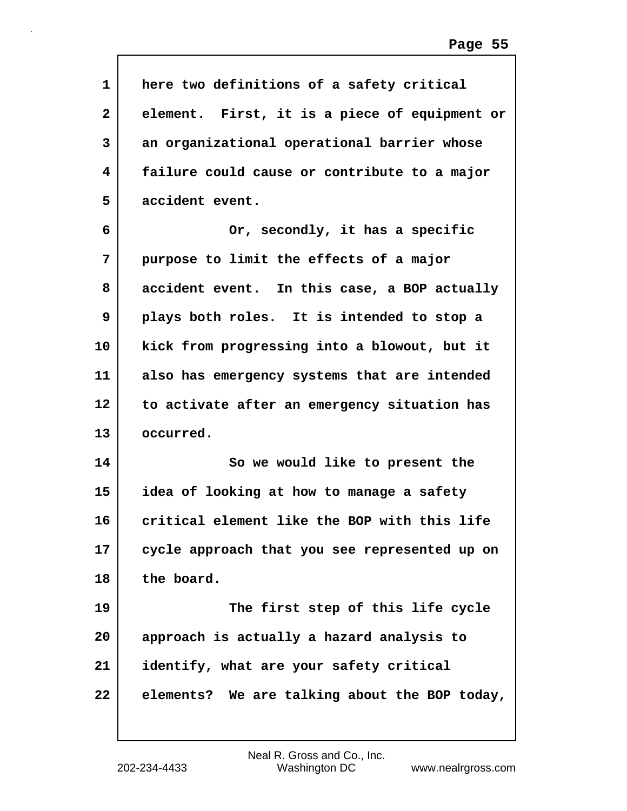| 1            | here two definitions of a safety critical     |
|--------------|-----------------------------------------------|
| $\mathbf{2}$ | element. First, it is a piece of equipment or |
| 3            | an organizational operational barrier whose   |
| 4            | failure could cause or contribute to a major  |
| 5            | accident event.                               |
| 6            | Or, secondly, it has a specific               |
| 7            | purpose to limit the effects of a major       |
| 8            | accident event. In this case, a BOP actually  |
| 9            | plays both roles. It is intended to stop a    |
| 10           | kick from progressing into a blowout, but it  |
| 11           | also has emergency systems that are intended  |
| 12           | to activate after an emergency situation has  |
| 13           | occurred.                                     |
| 14           | So we would like to present the               |
| 15           | idea of looking at how to manage a safety     |
| 16           | critical element like the BOP with this life  |
| 17           | cycle approach that you see represented up on |
| 18           | the board.                                    |
| 19           | The first step of this life cycle             |
| 20           | approach is actually a hazard analysis to     |
| 21           | identify, what are your safety critical       |
| 22           | elements? We are talking about the BOP today, |

 $\mathsf{I}$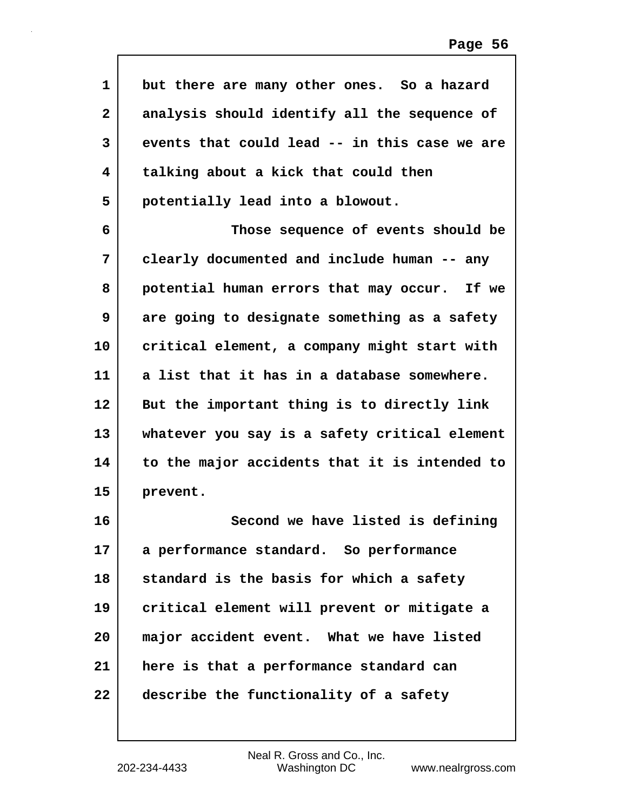| 1            | but there are many other ones. So a hazard    |
|--------------|-----------------------------------------------|
| $\mathbf{2}$ | analysis should identify all the sequence of  |
| 3            | events that could lead -- in this case we are |
| 4            | talking about a kick that could then          |
| 5            | potentially lead into a blowout.              |
| 6            | Those sequence of events should be            |
| 7            | clearly documented and include human -- any   |
| 8            | potential human errors that may occur. If we  |
| 9            | are going to designate something as a safety  |
| 10           | critical element, a company might start with  |
| 11           | a list that it has in a database somewhere.   |
| 12           | But the important thing is to directly link   |
| 13           | whatever you say is a safety critical element |
| 14           | to the major accidents that it is intended to |
| 15           | prevent.                                      |
| 16           | Second we have listed is defining             |
| 17           | a performance standard. So performance        |
| 18           | standard is the basis for which a safety      |
| 19           | critical element will prevent or mitigate a   |
| 20           | major accident event. What we have listed     |
| 21           | here is that a performance standard can       |
| 22           | describe the functionality of a safety        |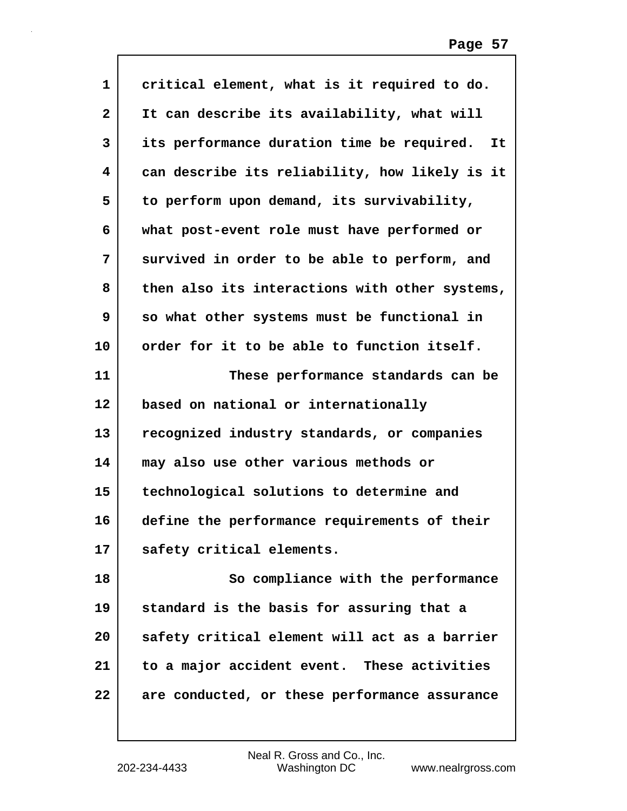| $\mathbf{1}$ | critical element, what is it required to do.     |
|--------------|--------------------------------------------------|
| $\mathbf{2}$ | It can describe its availability, what will      |
| 3            | its performance duration time be required.<br>It |
| 4            | can describe its reliability, how likely is it   |
| 5            | to perform upon demand, its survivability,       |
| 6            | what post-event role must have performed or      |
| 7            | survived in order to be able to perform, and     |
| 8            | then also its interactions with other systems,   |
| 9            | so what other systems must be functional in      |
| 10           | order for it to be able to function itself.      |
| 11           | These performance standards can be               |
| 12           | based on national or internationally             |
| 13           | recognized industry standards, or companies      |
| 14           | may also use other various methods or            |
| 15           | technological solutions to determine and         |
| 16           | define the performance requirements of their     |
| 17           | safety critical elements.                        |
| 18           | So compliance with the performance               |
| 19           | standard is the basis for assuring that a        |
| 20           | safety critical element will act as a barrier    |
| 21           | to a major accident event. These activities      |
| 22           | are conducted, or these performance assurance    |
|              |                                                  |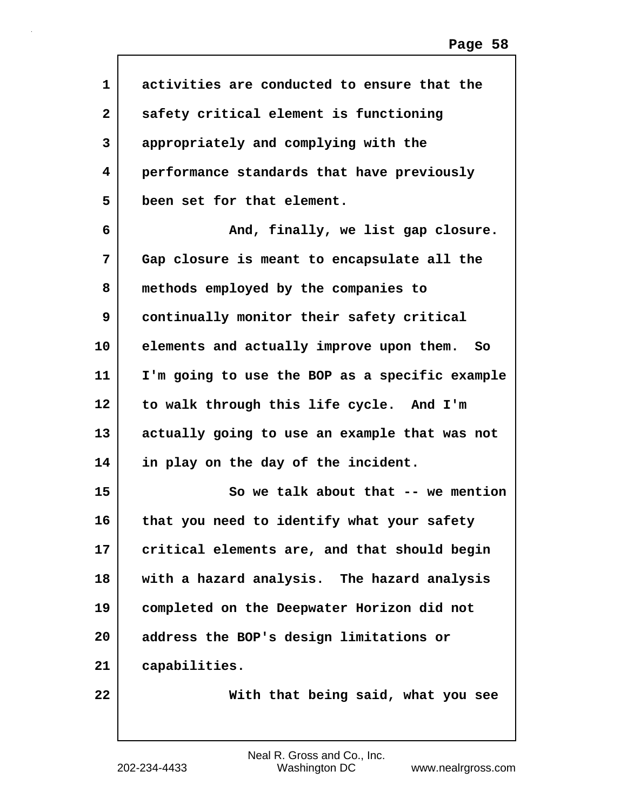| $\mathbf 1$  | activities are conducted to ensure that the    |
|--------------|------------------------------------------------|
| $\mathbf{2}$ | safety critical element is functioning         |
| 3            | appropriately and complying with the           |
| 4            | performance standards that have previously     |
| 5            | been set for that element.                     |
| 6            | And, finally, we list gap closure.             |
| 7            | Gap closure is meant to encapsulate all the    |
| 8            | methods employed by the companies to           |
| 9            | continually monitor their safety critical      |
| 10           | elements and actually improve upon them.<br>So |
| 11           | I'm going to use the BOP as a specific example |
| 12           | to walk through this life cycle. And I'm       |
| 13           | actually going to use an example that was not  |
| 14           | in play on the day of the incident.            |
| 15           | So we talk about that -- we mention            |
| 16           | that you need to identify what your safety     |
| 17           | critical elements are, and that should begin   |
| 18           | with a hazard analysis. The hazard analysis    |
| 19           | completed on the Deepwater Horizon did not     |
| 20           | address the BOP's design limitations or        |
| 21           | capabilities.                                  |
| 22           | With that being said, what you see             |
|              |                                                |

Г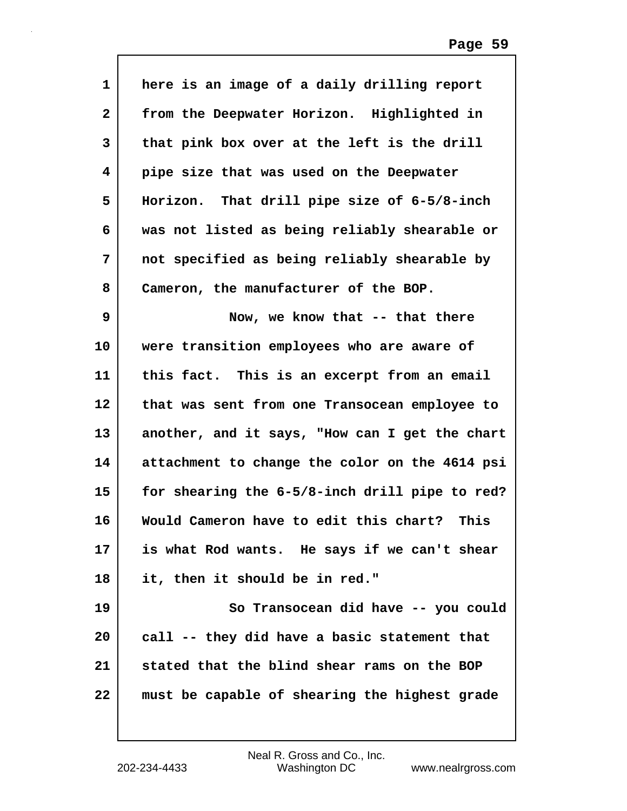| $\mathbf{1}$ | here is an image of a daily drilling report    |
|--------------|------------------------------------------------|
| $\mathbf{2}$ | from the Deepwater Horizon. Highlighted in     |
| 3            | that pink box over at the left is the drill    |
| 4            | pipe size that was used on the Deepwater       |
| 5            | Horizon. That drill pipe size of 6-5/8-inch    |
| 6            | was not listed as being reliably shearable or  |
| 7            | not specified as being reliably shearable by   |
| 8            | Cameron, the manufacturer of the BOP.          |
| 9            | Now, we know that -- that there                |
| 10           | were transition employees who are aware of     |
| 11           | this fact. This is an excerpt from an email    |
| $12 \,$      | that was sent from one Transocean employee to  |
| 13           | another, and it says, "How can I get the chart |
| 14           | attachment to change the color on the 4614 psi |
| 15           | for shearing the 6-5/8-inch drill pipe to red? |
| 16           | Would Cameron have to edit this chart? This    |
| 17           | is what Rod wants. He says if we can't shear   |
| 18           | it, then it should be in red."                 |
| 19           | So Transocean did have -- you could            |
| 20           | call -- they did have a basic statement that   |
| 21           | stated that the blind shear rams on the BOP    |
| 22           | must be capable of shearing the highest grade  |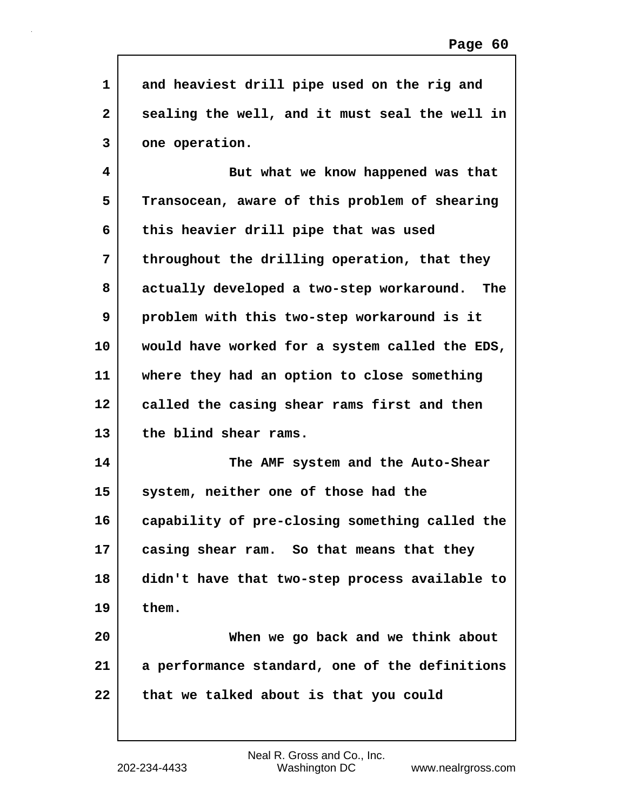| 1            | and heaviest drill pipe used on the rig and      |
|--------------|--------------------------------------------------|
| $\mathbf{2}$ | sealing the well, and it must seal the well in   |
| 3            | one operation.                                   |
| 4            | But what we know happened was that               |
| 5            | Transocean, aware of this problem of shearing    |
| 6            | this heavier drill pipe that was used            |
| 7            | throughout the drilling operation, that they     |
| 8            | actually developed a two-step workaround.<br>The |
| 9            | problem with this two-step workaround is it      |
| 10           | would have worked for a system called the EDS,   |
| 11           | where they had an option to close something      |
|              |                                                  |
| 12           | called the casing shear rams first and then      |
| 13           | the blind shear rams.                            |
| 14           | The AMF system and the Auto-Shear                |
| 15           | system, neither one of those had the             |
| 16           | capability of pre-closing something called the   |
| 17           | casing shear ram. So that means that they        |
| 18           | didn't have that two-step process available to   |
| 19           | them.                                            |
| 20           | When we go back and we think about               |
| 21           | a performance standard, one of the definitions   |
| 22           | that we talked about is that you could           |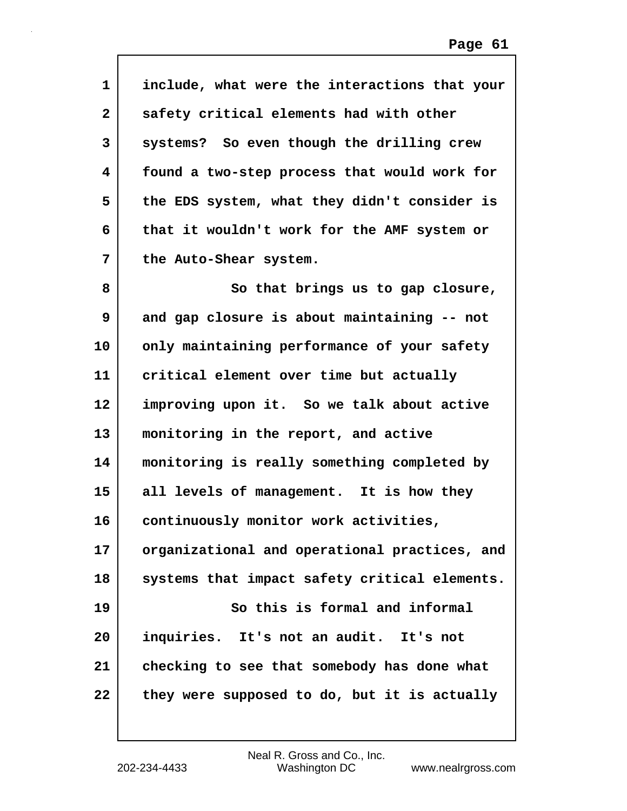| $\mathbf{1}$ | include, what were the interactions that your |
|--------------|-----------------------------------------------|
| $\mathbf{2}$ | safety critical elements had with other       |
| 3            | systems? So even though the drilling crew     |
| 4            | found a two-step process that would work for  |
| 5            | the EDS system, what they didn't consider is  |
| 6            | that it wouldn't work for the AMF system or   |
| 7            | the Auto-Shear system.                        |
| 8            | So that brings us to gap closure,             |
| 9            | and gap closure is about maintaining -- not   |
| 10           | only maintaining performance of your safety   |
| 11           | critical element over time but actually       |
| 12           | improving upon it. So we talk about active    |
| 13           | monitoring in the report, and active          |
| 14           | monitoring is really something completed by   |
| 15           | all levels of management. It is how they      |
| 16           | continuously monitor work activities,         |
| 17           | organizational and operational practices, and |
| 18           | systems that impact safety critical elements. |
| 19           | So this is formal and informal                |
| 20           | inquiries. It's not an audit. It's not        |
| 21           | checking to see that somebody has done what   |
| 22           | they were supposed to do, but it is actually  |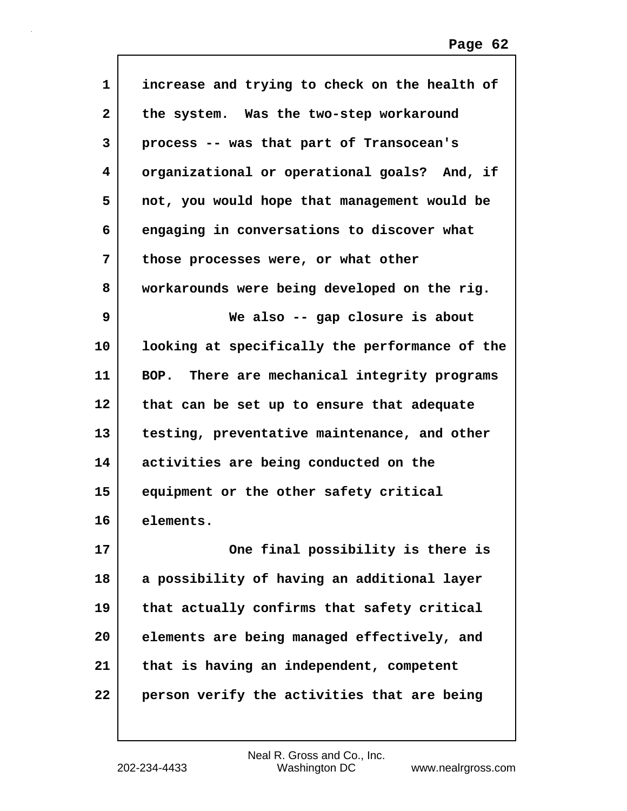| 1  | increase and trying to check on the health of  |
|----|------------------------------------------------|
| 2  | the system. Was the two-step workaround        |
| 3  | process -- was that part of Transocean's       |
| 4  | organizational or operational goals? And, if   |
| 5  | not, you would hope that management would be   |
| 6  | engaging in conversations to discover what     |
| 7  | those processes were, or what other            |
| 8  | workarounds were being developed on the rig.   |
| 9  | We also -- gap closure is about                |
| 10 | looking at specifically the performance of the |
| 11 | BOP. There are mechanical integrity programs   |
| 12 | that can be set up to ensure that adequate     |
| 13 | testing, preventative maintenance, and other   |
| 14 | activities are being conducted on the          |
| 15 | equipment or the other safety critical         |
| 16 | elements.                                      |
| 17 | One final possibility is there is              |
| 18 | a possibility of having an additional layer    |
| 19 | that actually confirms that safety critical    |
| 20 | elements are being managed effectively, and    |
| 21 | that is having an independent, competent       |
| 22 | person verify the activities that are being    |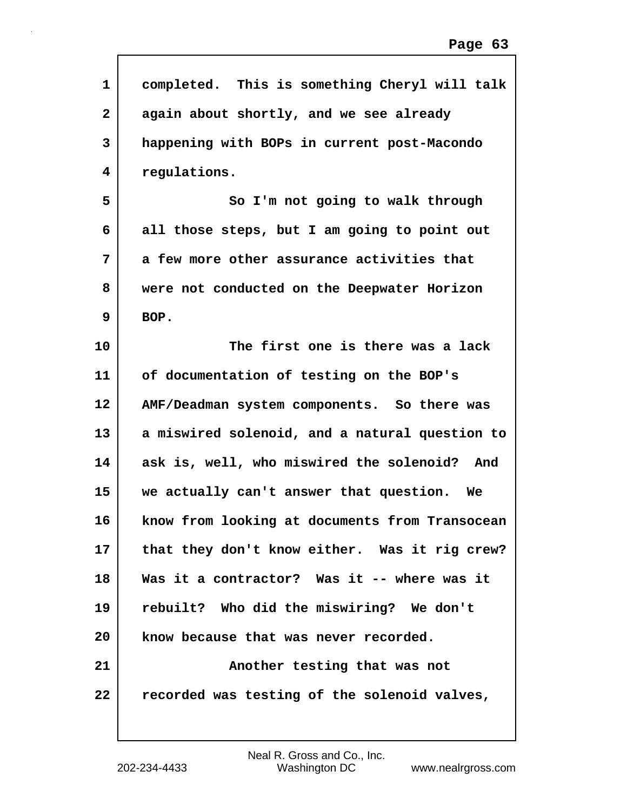| 1            | completed. This is something Cheryl will talk  |
|--------------|------------------------------------------------|
| $\mathbf{2}$ | again about shortly, and we see already        |
| 3            | happening with BOPs in current post-Macondo    |
| 4            | regulations.                                   |
| 5            | So I'm not going to walk through               |
| 6            | all those steps, but I am going to point out   |
| 7            | a few more other assurance activities that     |
| 8            | were not conducted on the Deepwater Horizon    |
| 9            | BOP.                                           |
| 10           | The first one is there was a lack              |
| 11           | of documentation of testing on the BOP's       |
| 12           | AMF/Deadman system components. So there was    |
| 13           | a miswired solenoid, and a natural question to |
| 14           | ask is, well, who miswired the solenoid? And   |
| 15           | we actually can't answer that question. We     |
| 16           | know from looking at documents from Transocean |
| 17           | that they don't know either. Was it rig crew?  |
| 18           | Was it a contractor? Was it -- where was it    |
| 19           | rebuilt? Who did the miswiring? We don't       |
| 20           | know because that was never recorded.          |
| 21           | Another testing that was not                   |
| 22           | recorded was testing of the solenoid valves,   |
|              |                                                |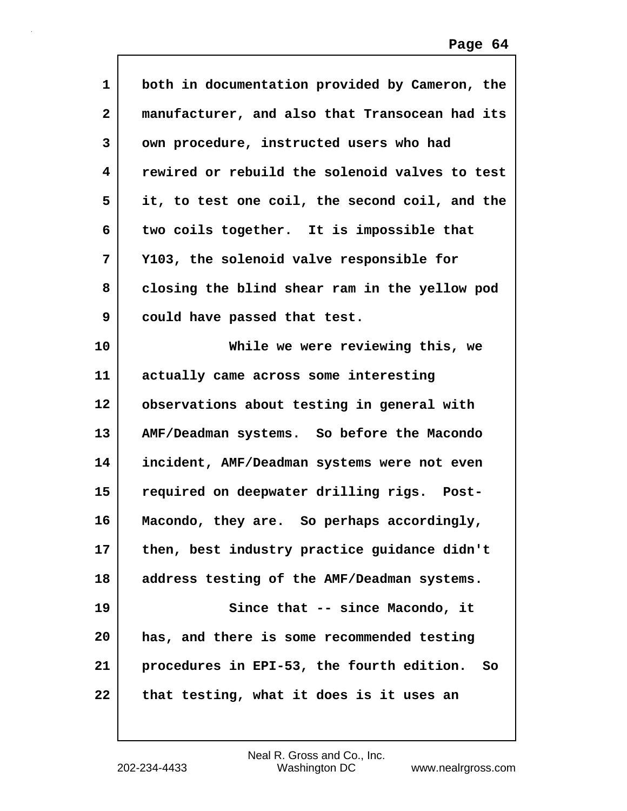| $\mathbf{1}$ | both in documentation provided by Cameron, the    |
|--------------|---------------------------------------------------|
| $\mathbf{2}$ | manufacturer, and also that Transocean had its    |
| 3            | own procedure, instructed users who had           |
| 4            | rewired or rebuild the solenoid valves to test    |
| 5            | it, to test one coil, the second coil, and the    |
| 6            | two coils together. It is impossible that         |
| 7            | Y103, the solenoid valve responsible for          |
| 8            | closing the blind shear ram in the yellow pod     |
| 9            | could have passed that test.                      |
| 10           | While we were reviewing this, we                  |
| 11           | actually came across some interesting             |
| $12 \,$      | observations about testing in general with        |
| 13           | AMF/Deadman systems. So before the Macondo        |
| 14           | incident, AMF/Deadman systems were not even       |
| 15           | required on deepwater drilling rigs. Post-        |
| 16           | Macondo, they are. So perhaps accordingly,        |
| 17           | then, best industry practice guidance didn't      |
| 18           | address testing of the AMF/Deadman systems.       |
| 19           | Since that -- since Macondo, it                   |
| 20           | has, and there is some recommended testing        |
| 21           | procedures in EPI-53, the fourth edition.<br>- So |
| 22           | that testing, what it does is it uses an          |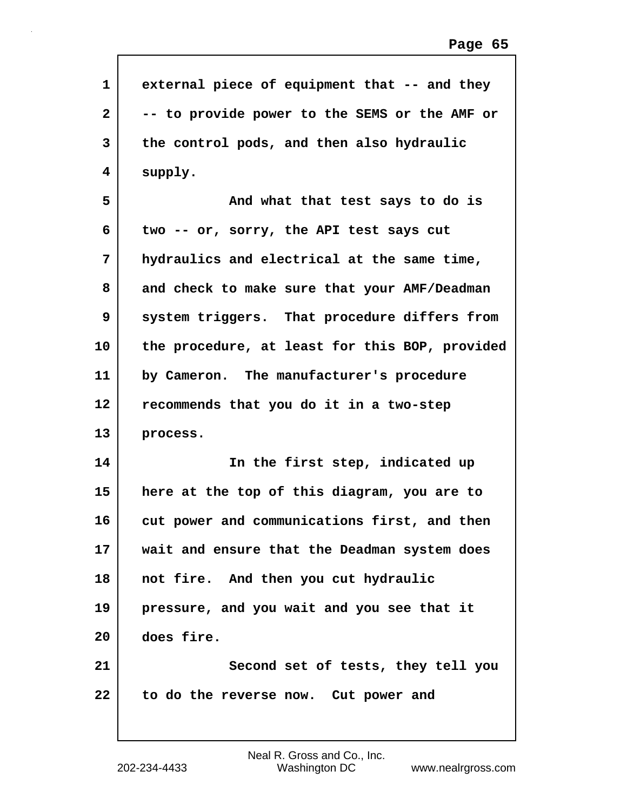| $\mathbf{1}$ | external piece of equipment that -- and they   |
|--------------|------------------------------------------------|
|              |                                                |
| $\mathbf{2}$ | -- to provide power to the SEMS or the AMF or  |
| 3            | the control pods, and then also hydraulic      |
| 4            | supply.                                        |
| 5            | And what that test says to do is               |
| 6            | two -- or, sorry, the API test says cut        |
| 7            | hydraulics and electrical at the same time,    |
| 8            | and check to make sure that your AMF/Deadman   |
| 9            | system triggers. That procedure differs from   |
| 10           | the procedure, at least for this BOP, provided |
| 11           | by Cameron. The manufacturer's procedure       |
| 12           | recommends that you do it in a two-step        |
| 13           | process.                                       |
| 14           | In the first step, indicated up                |
| 15           | here at the top of this diagram, you are to    |
| 16           | cut power and communications first, and then   |
| 17           | wait and ensure that the Deadman system does   |
| 18           | not fire. And then you cut hydraulic           |
| 19           | pressure, and you wait and you see that it     |
| 20           | does fire.                                     |
| 21           | Second set of tests, they tell you             |
| 22           | to do the reverse now. Cut power and           |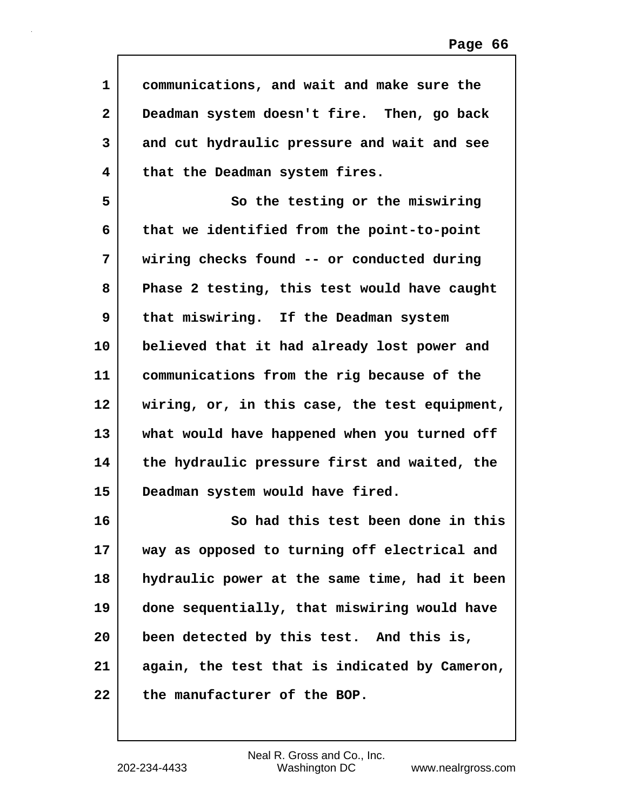| 1            | communications, and wait and make sure the    |
|--------------|-----------------------------------------------|
| $\mathbf{2}$ | Deadman system doesn't fire. Then, go back    |
| 3            | and cut hydraulic pressure and wait and see   |
| 4            | that the Deadman system fires.                |
| 5            | So the testing or the miswiring               |
| 6            | that we identified from the point-to-point    |
| 7            | wiring checks found -- or conducted during    |
| 8            | Phase 2 testing, this test would have caught  |
| 9            | that miswiring. If the Deadman system         |
| 10           | believed that it had already lost power and   |
| 11           | communications from the rig because of the    |
| 12           | wiring, or, in this case, the test equipment, |
| 13           | what would have happened when you turned off  |
| 14           | the hydraulic pressure first and waited, the  |
| 15           | Deadman system would have fired.              |
| 16           | So had this test been done in this            |
| 17           | way as opposed to turning off electrical and  |
| 18           | hydraulic power at the same time, had it been |
| 19           | done sequentially, that miswiring would have  |
| 20           | been detected by this test. And this is,      |
| 21           | again, the test that is indicated by Cameron, |
| 22           | the manufacturer of the BOP.                  |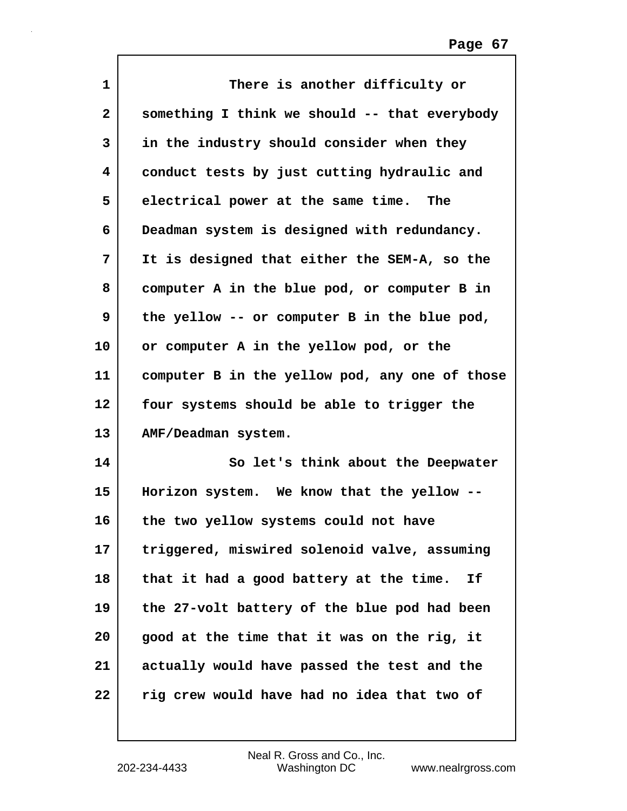| 1                       | There is another difficulty or                 |
|-------------------------|------------------------------------------------|
| $\overline{\mathbf{2}}$ | something I think we should -- that everybody  |
| 3                       | in the industry should consider when they      |
| 4                       | conduct tests by just cutting hydraulic and    |
| 5                       | electrical power at the same time. The         |
| 6                       | Deadman system is designed with redundancy.    |
| 7                       | It is designed that either the SEM-A, so the   |
| 8                       | computer A in the blue pod, or computer B in   |
| 9                       | the yellow -- or computer B in the blue pod,   |
| 10                      | or computer A in the yellow pod, or the        |
| 11                      | computer B in the yellow pod, any one of those |
| $12 \,$                 | four systems should be able to trigger the     |
| 13                      | AMF/Deadman system.                            |
| 14                      | So let's think about the Deepwater             |
| 15                      | Horizon system. We know that the yellow --     |
| 16                      | the two yellow systems could not have          |
| 17                      | triggered, miswired solenoid valve, assuming   |
| 18                      | that it had a good battery at the time.<br>Ιf  |
| 19                      | the 27-volt battery of the blue pod had been   |
| 20                      | good at the time that it was on the rig, it    |
| 21                      | actually would have passed the test and the    |
| 22                      | rig crew would have had no idea that two of    |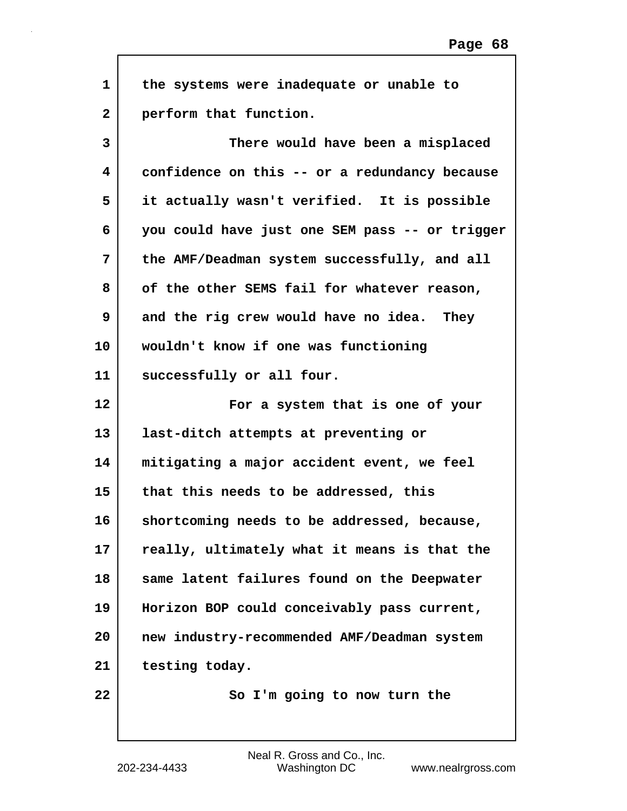| $\mathbf{1}$ | the systems were inadequate or unable to       |
|--------------|------------------------------------------------|
| $\mathbf{2}$ | perform that function.                         |
| 3            | There would have been a misplaced              |
| 4            | confidence on this -- or a redundancy because  |
| 5            | it actually wasn't verified. It is possible    |
| 6            | you could have just one SEM pass -- or trigger |
| 7            | the AMF/Deadman system successfully, and all   |
| 8            | of the other SEMS fail for whatever reason,    |
| 9            | and the rig crew would have no idea. They      |
| 10           | wouldn't know if one was functioning           |
| 11           | successfully or all four.                      |
| 12           | For a system that is one of your               |
| 13           | last-ditch attempts at preventing or           |
| 14           | mitigating a major accident event, we feel     |
| 15           | that this needs to be addressed, this          |
| 16           | shortcoming needs to be addressed, because,    |
| 17           | really, ultimately what it means is that the   |
| 18           | same latent failures found on the Deepwater    |
| 19           | Horizon BOP could conceivably pass current,    |
| 20           | new industry-recommended AMF/Deadman system    |
| 21           | testing today.                                 |
| 22           | So I'm going to now turn the                   |

 $\Gamma$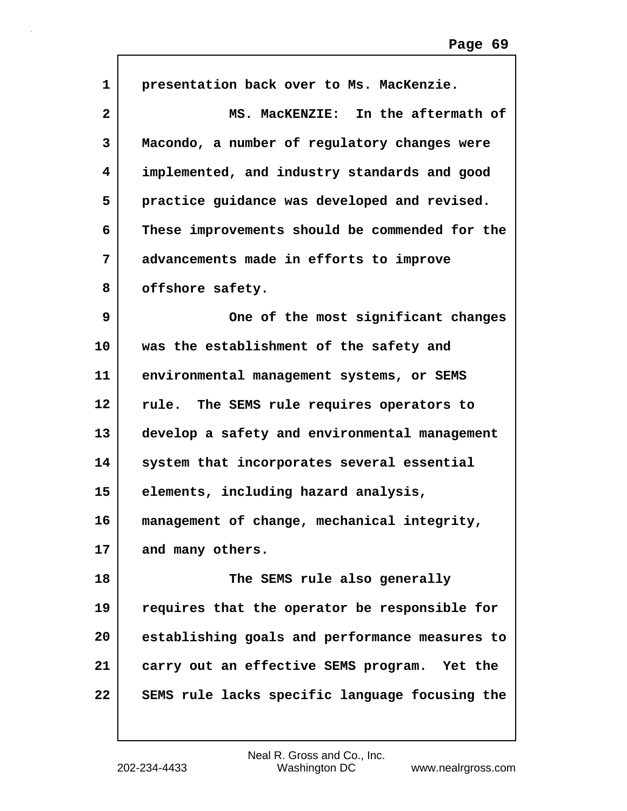| $\mathbf{1}$ | presentation back over to Ms. MacKenzie.       |
|--------------|------------------------------------------------|
| $\mathbf{2}$ | MS. MacKENZIE: In the aftermath of             |
| 3            | Macondo, a number of regulatory changes were   |
| 4            | implemented, and industry standards and good   |
| 5            | practice guidance was developed and revised.   |
| 6            | These improvements should be commended for the |
| 7            | advancements made in efforts to improve        |
| 8            | offshore safety.                               |
| 9            | One of the most significant changes            |
| 10           | was the establishment of the safety and        |
| 11           | environmental management systems, or SEMS      |
| 12           | rule. The SEMS rule requires operators to      |
| 13           | develop a safety and environmental management  |
| 14           | system that incorporates several essential     |
| 15           | elements, including hazard analysis,           |
| 16           | management of change, mechanical integrity,    |
| 17           | and many others.                               |
| 18           | The SEMS rule also generally                   |
| 19           | requires that the operator be responsible for  |
| 20           | establishing goals and performance measures to |
| 21           | carry out an effective SEMS program. Yet the   |
| 22           | SEMS rule lacks specific language focusing the |
|              |                                                |

 $\Gamma$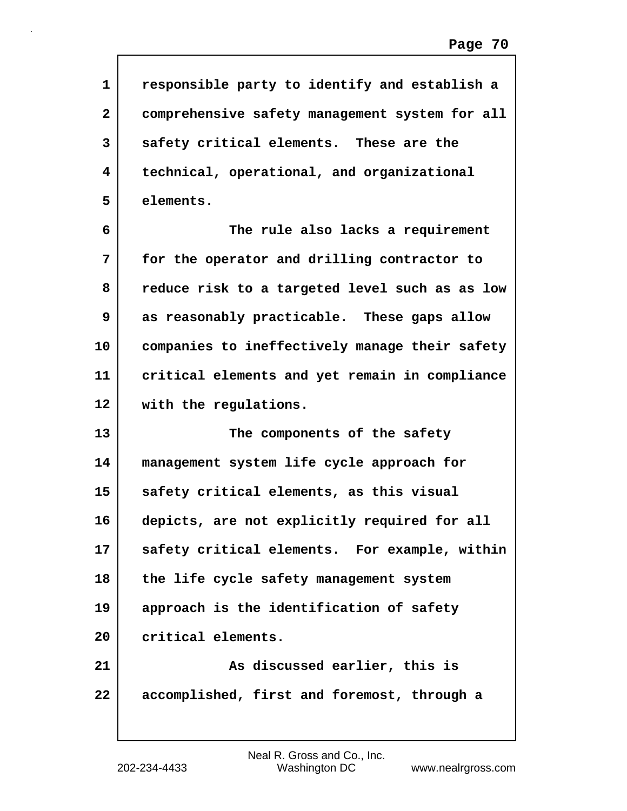| $\mathbf{1}$ | responsible party to identify and establish a  |
|--------------|------------------------------------------------|
| $\mathbf{2}$ | comprehensive safety management system for all |
| 3            | safety critical elements. These are the        |
| 4            | technical, operational, and organizational     |
| 5            | elements.                                      |
| 6            | The rule also lacks a requirement              |
| 7            | for the operator and drilling contractor to    |
| 8            | reduce risk to a targeted level such as as low |
| 9            | as reasonably practicable. These gaps allow    |
| 10           | companies to ineffectively manage their safety |
| 11           | critical elements and yet remain in compliance |
| 12           | with the regulations.                          |
| 13           | The components of the safety                   |
| 14           | management system life cycle approach for      |
| 15           | safety critical elements, as this visual       |
| 16           | depicts, are not explicitly required for all   |
| 17           | safety critical elements. For example, within  |
| 18           | the life cycle safety management system        |
| 19           | approach is the identification of safety       |
| 20           | critical elements.                             |
| 21           | As discussed earlier, this is                  |
| 22           | accomplished, first and foremost, through a    |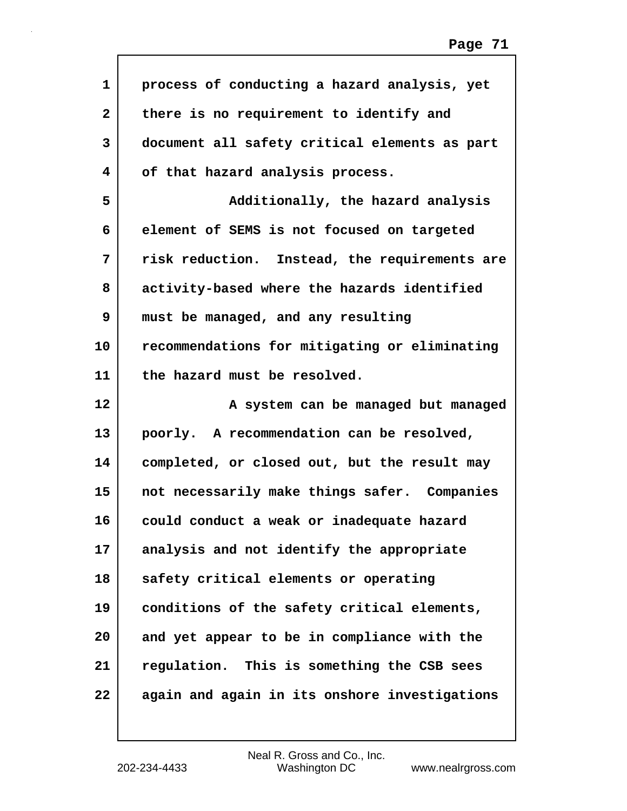| $\mathbf 1$  | process of conducting a hazard analysis, yet  |
|--------------|-----------------------------------------------|
| $\mathbf{2}$ | there is no requirement to identify and       |
| 3            | document all safety critical elements as part |
| 4            | of that hazard analysis process.              |
| 5            | Additionally, the hazard analysis             |
| 6            | element of SEMS is not focused on targeted    |
| 7            | risk reduction. Instead, the requirements are |
| 8            | activity-based where the hazards identified   |
| 9            | must be managed, and any resulting            |
| 10           | recommendations for mitigating or eliminating |
| 11           | the hazard must be resolved.                  |
|              |                                               |
| 12           | A system can be managed but managed           |
| 13           | poorly. A recommendation can be resolved,     |
| 14           | completed, or closed out, but the result may  |
| 15           | not necessarily make things safer. Companies  |
| 16           | could conduct a weak or inadequate hazard     |
| 17           | analysis and not identify the appropriate     |
| 18           | safety critical elements or operating         |
| 19           | conditions of the safety critical elements,   |
| 20           | and yet appear to be in compliance with the   |
| 21           | regulation. This is something the CSB sees    |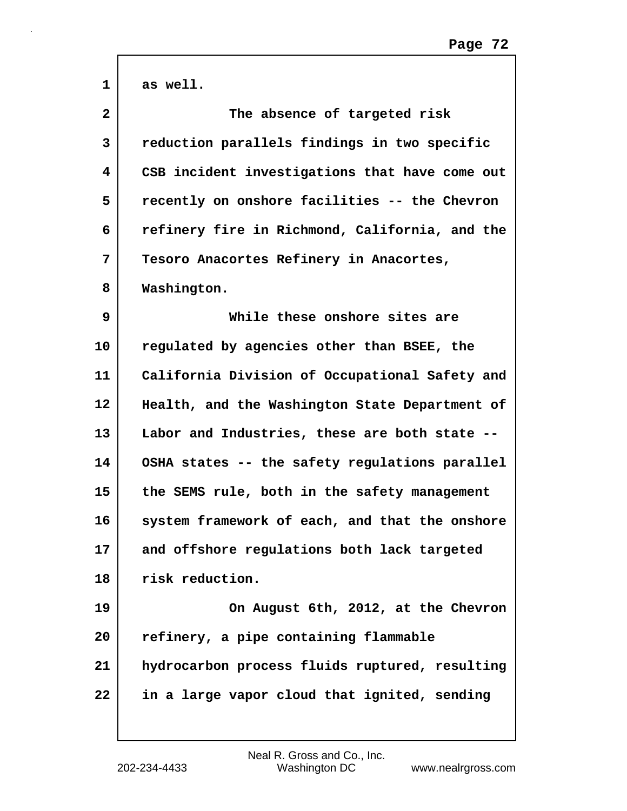| 1            | as well.                                       |
|--------------|------------------------------------------------|
| $\mathbf{2}$ | The absence of targeted risk                   |
| 3            | reduction parallels findings in two specific   |
| 4            | CSB incident investigations that have come out |
| 5            | recently on onshore facilities -- the Chevron  |
| 6            | refinery fire in Richmond, California, and the |
| 7            | Tesoro Anacortes Refinery in Anacortes,        |
| 8            | Washington.                                    |
| 9            | While these onshore sites are                  |
| 10           | regulated by agencies other than BSEE, the     |
| 11           | California Division of Occupational Safety and |
| 12           | Health, and the Washington State Department of |
| 13           | Labor and Industries, these are both state --  |
| 14           | OSHA states -- the safety regulations parallel |
| 15           | the SEMS rule, both in the safety management   |
| 16           | system framework of each, and that the onshore |
| 17           | and offshore regulations both lack targeted    |
| 18           | risk reduction.                                |
| 19           | On August 6th, 2012, at the Chevron            |
| 20           | refinery, a pipe containing flammable          |
| 21           | hydrocarbon process fluids ruptured, resulting |
| 22           | in a large vapor cloud that ignited, sending   |
|              |                                                |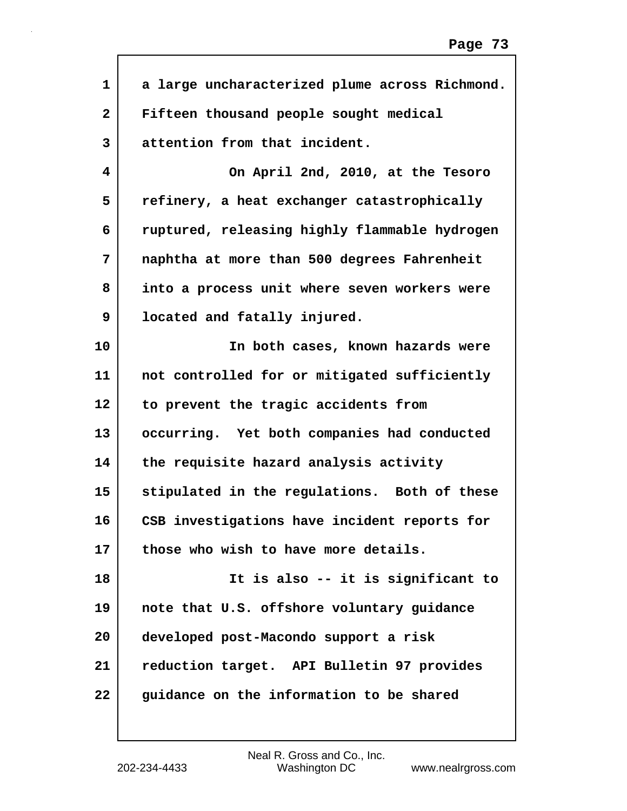| 1            | a large uncharacterized plume across Richmond. |
|--------------|------------------------------------------------|
| $\mathbf{2}$ | Fifteen thousand people sought medical         |
| 3            | attention from that incident.                  |
| 4            | On April 2nd, 2010, at the Tesoro              |
| 5            | refinery, a heat exchanger catastrophically    |
| 6            | ruptured, releasing highly flammable hydrogen  |
| 7            | naphtha at more than 500 degrees Fahrenheit    |
| 8            | into a process unit where seven workers were   |
| 9            | located and fatally injured.                   |
| 10           | In both cases, known hazards were              |
| 11           | not controlled for or mitigated sufficiently   |
| 12           | to prevent the tragic accidents from           |
| 13           | occurring. Yet both companies had conducted    |
| 14           | the requisite hazard analysis activity         |
| 15           | stipulated in the regulations. Both of these   |
| 16           | CSB investigations have incident reports for   |
| 17           | those who wish to have more details.           |
| 18           | It is also -- it is significant to             |
| 19           | note that U.S. offshore voluntary guidance     |
| 20           | developed post-Macondo support a risk          |
| 21           | reduction target. API Bulletin 97 provides     |
| 22           | guidance on the information to be shared       |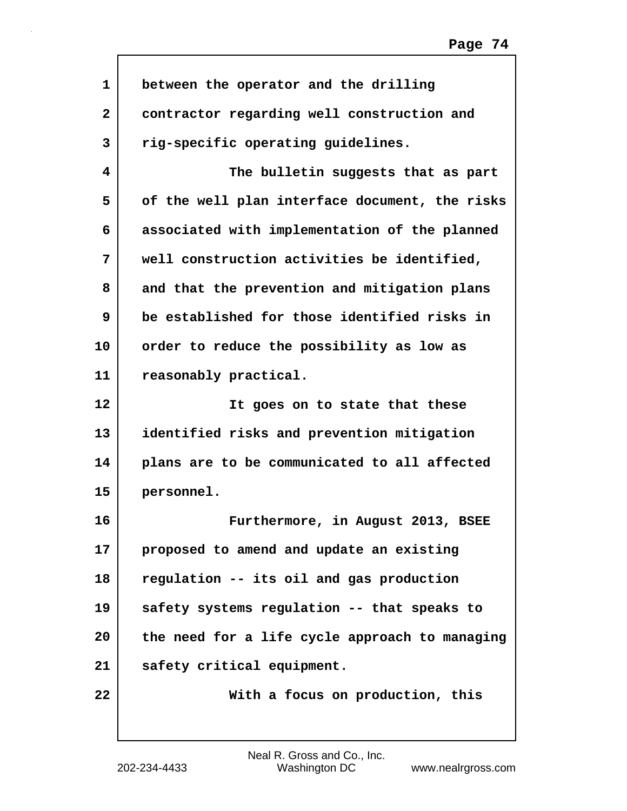| 1  | between the operator and the drilling          |
|----|------------------------------------------------|
| 2  | contractor regarding well construction and     |
| 3  | rig-specific operating guidelines.             |
| 4  | The bulletin suggests that as part             |
| 5  | of the well plan interface document, the risks |
| 6  | associated with implementation of the planned  |
| 7  | well construction activities be identified,    |
| 8  | and that the prevention and mitigation plans   |
| 9  | be established for those identified risks in   |
| 10 | order to reduce the possibility as low as      |
| 11 | reasonably practical.                          |
|    |                                                |
| 12 | It goes on to state that these                 |
| 13 | identified risks and prevention mitigation     |
| 14 | plans are to be communicated to all affected   |
| 15 | personnel.                                     |
| 16 | Furthermore, in August 2013, BSEE              |
| 17 | proposed to amend and update an existing       |
| 18 | regulation -- its oil and gas production       |
| 19 | safety systems regulation -- that speaks to    |
| 20 | the need for a life cycle approach to managing |
| 21 | safety critical equipment.                     |

 $\mathsf{I}$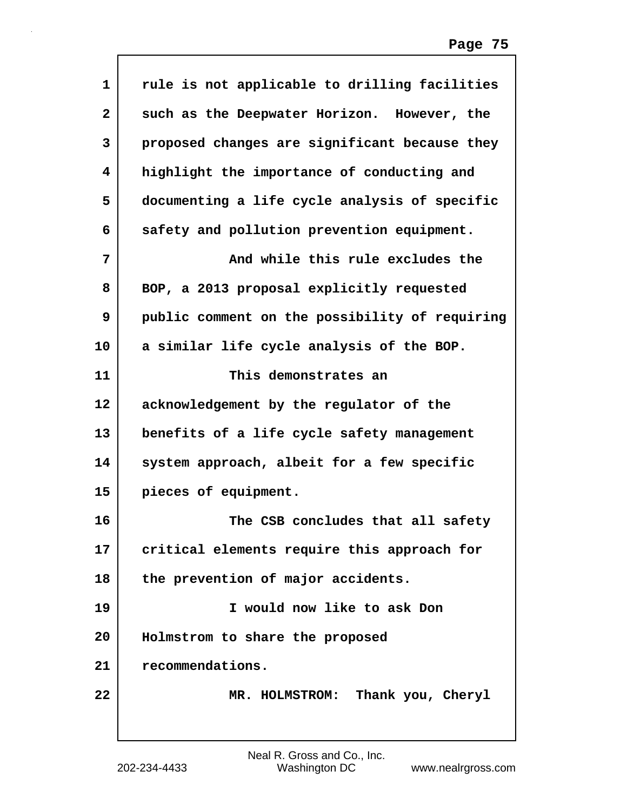| 1                       | rule is not applicable to drilling facilities  |
|-------------------------|------------------------------------------------|
| $\overline{\mathbf{2}}$ | such as the Deepwater Horizon. However, the    |
| 3                       | proposed changes are significant because they  |
| 4                       | highlight the importance of conducting and     |
| 5                       | documenting a life cycle analysis of specific  |
| 6                       | safety and pollution prevention equipment.     |
| 7                       | And while this rule excludes the               |
| 8                       | BOP, a 2013 proposal explicitly requested      |
| 9                       | public comment on the possibility of requiring |
| 10                      | a similar life cycle analysis of the BOP.      |
| 11                      | This demonstrates an                           |
| 12                      | acknowledgement by the regulator of the        |
| 13                      | benefits of a life cycle safety management     |
| 14                      | system approach, albeit for a few specific     |
| 15                      | pieces of equipment.                           |
| 16                      | The CSB concludes that all safety              |
| 17                      | critical elements require this approach for    |
| 18                      | the prevention of major accidents.             |
| 19                      | I would now like to ask Don                    |
| 20                      | Holmstrom to share the proposed                |
| 21                      | recommendations.                               |
| 22                      | MR. HOLMSTROM: Thank you, Cheryl               |
|                         |                                                |

Г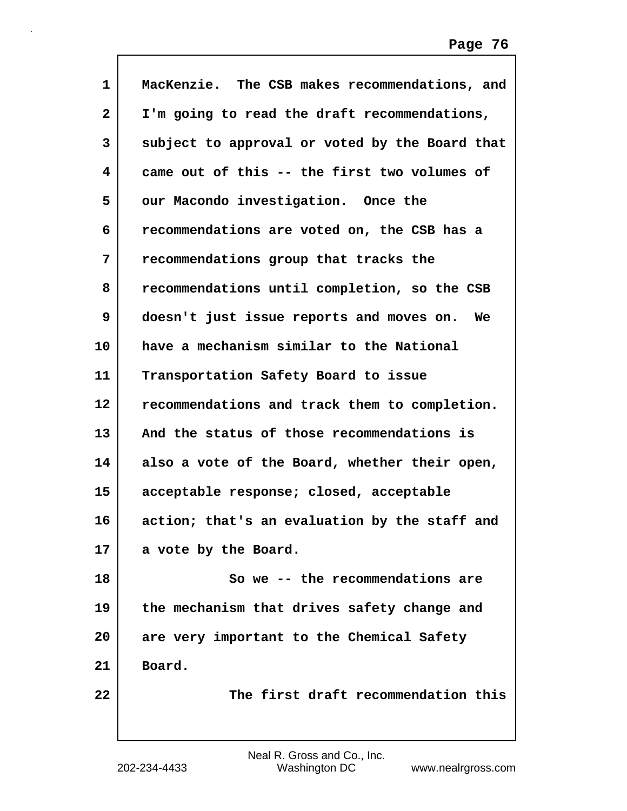| $\mathbf{1}$ | MacKenzie. The CSB makes recommendations, and  |
|--------------|------------------------------------------------|
| $\mathbf{2}$ | I'm going to read the draft recommendations,   |
| 3            | subject to approval or voted by the Board that |
| 4            | came out of this -- the first two volumes of   |
| 5            | our Macondo investigation. Once the            |
| 6            | recommendations are voted on, the CSB has a    |
| 7            | recommendations group that tracks the          |
| 8            | recommendations until completion, so the CSB   |
| 9            | doesn't just issue reports and moves on.<br>We |
| 10           | have a mechanism similar to the National       |
| 11           | Transportation Safety Board to issue           |
| 12           | recommendations and track them to completion.  |
| 13           | And the status of those recommendations is     |
| 14           | also a vote of the Board, whether their open,  |
| 15           | acceptable response; closed, acceptable        |
| 16           | action; that's an evaluation by the staff and  |
| 17           | a vote by the Board.                           |
| 18           | So we -- the recommendations are               |
| 19           | the mechanism that drives safety change and    |
| 20           | are very important to the Chemical Safety      |
| 21           | Board.                                         |
| 22           | The first draft recommendation this            |
|              |                                                |

 $\mathbf I$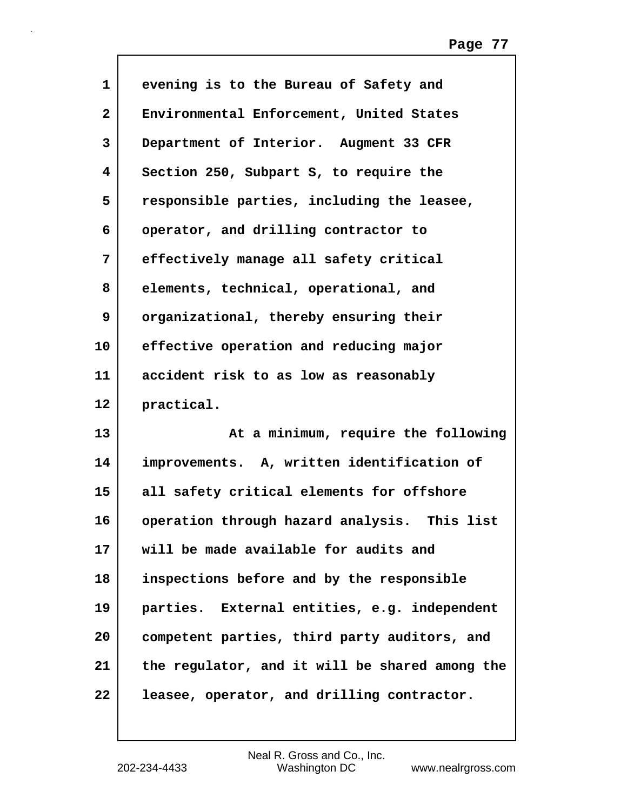| $\mathbf{1}$ | evening is to the Bureau of Safety and         |
|--------------|------------------------------------------------|
| $\mathbf{2}$ | Environmental Enforcement, United States       |
| 3            | Department of Interior. Augment 33 CFR         |
| 4            | Section 250, Subpart S, to require the         |
| 5            | responsible parties, including the leasee,     |
| 6            | operator, and drilling contractor to           |
| 7            | effectively manage all safety critical         |
| 8            | elements, technical, operational, and          |
| 9            | organizational, thereby ensuring their         |
| 10           | effective operation and reducing major         |
| 11           | accident risk to as low as reasonably          |
| 12           | practical.                                     |
| 13           | At a minimum, require the following            |
| 14           | improvements. A, written identification of     |
| 15           | all safety critical elements for offshore      |
| 16           | operation through hazard analysis. This list   |
| 17           | will be made available for audits and          |
| 18           | inspections before and by the responsible      |
| 19           | parties. External entities, e.g. independent   |
| 20           | competent parties, third party auditors, and   |
| 21           | the regulator, and it will be shared among the |
| 22           | leasee, operator, and drilling contractor.     |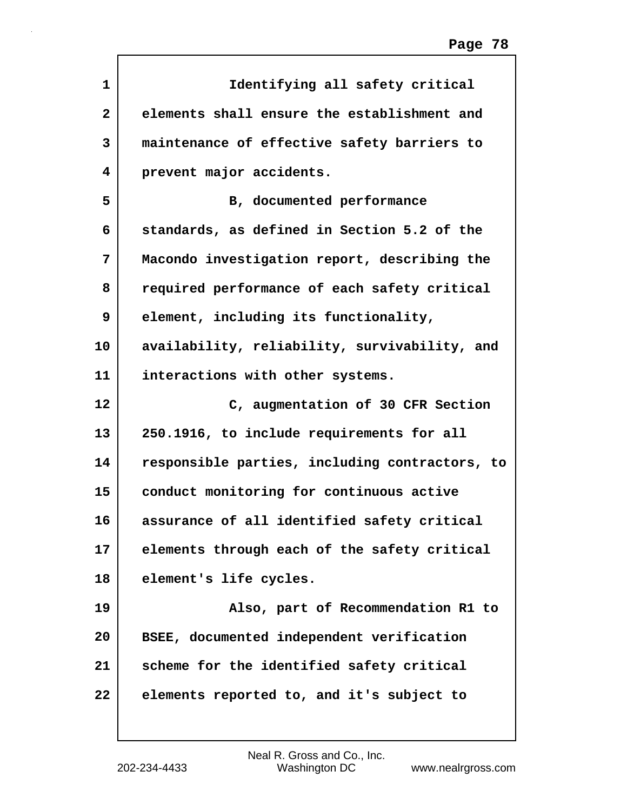| 1  | Identifying all safety critical                |
|----|------------------------------------------------|
| 2  | elements shall ensure the establishment and    |
| 3  | maintenance of effective safety barriers to    |
| 4  | prevent major accidents.                       |
| 5  | B, documented performance                      |
| 6  | standards, as defined in Section 5.2 of the    |
| 7  | Macondo investigation report, describing the   |
| 8  | required performance of each safety critical   |
| 9  | element, including its functionality,          |
| 10 | availability, reliability, survivability, and  |
| 11 | interactions with other systems.               |
| 12 | C, augmentation of 30 CFR Section              |
| 13 | 250.1916, to include requirements for all      |
| 14 | responsible parties, including contractors, to |
| 15 | conduct monitoring for continuous active       |
| 16 | assurance of all identified safety critical    |
| 17 | elements through each of the safety critical   |
| 18 | element's life cycles.                         |
| 19 | Also, part of Recommendation R1 to             |
| 20 | BSEE, documented independent verification      |
| 21 | scheme for the identified safety critical      |
| 22 | elements reported to, and it's subject to      |
|    |                                                |

 $\Gamma$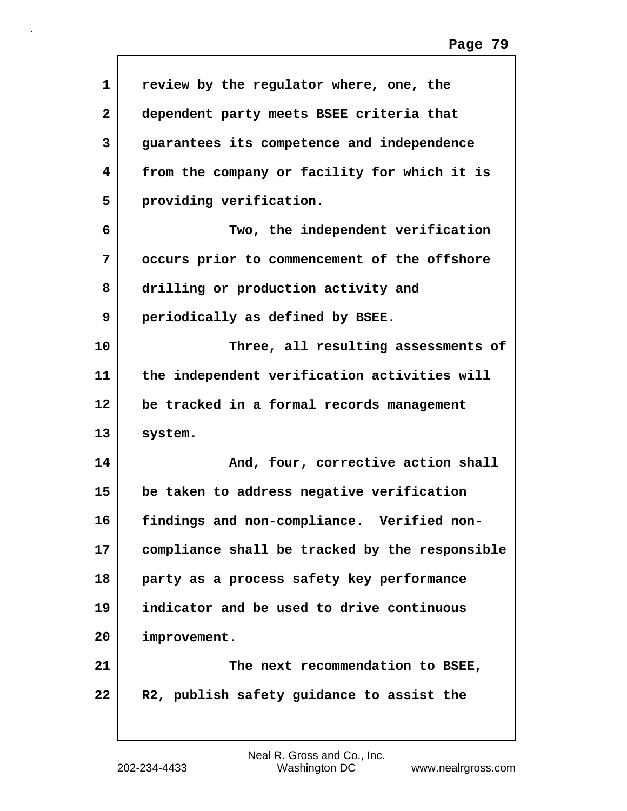| $\mathbf{1}$ | review by the regulator where, one, the        |
|--------------|------------------------------------------------|
| $\mathbf{2}$ | dependent party meets BSEE criteria that       |
| 3            | guarantees its competence and independence     |
| 4            | from the company or facility for which it is   |
| 5            | providing verification.                        |
| 6            | Two, the independent verification              |
| 7            | occurs prior to commencement of the offshore   |
| 8            | drilling or production activity and            |
| 9            | periodically as defined by BSEE.               |
| 10           | Three, all resulting assessments of            |
| 11           | the independent verification activities will   |
| 12           | be tracked in a formal records management      |
| 13           | system.                                        |
| 14           | And, four, corrective action shall             |
| 15           | be taken to address negative verification      |
| 16           | findings and non-compliance. Verified non-     |
| 17           | compliance shall be tracked by the responsible |
| 18           | party as a process safety key performance      |
| 19           | indicator and be used to drive continuous      |
| 20           | improvement.                                   |
| 21           | The next recommendation to BSEE,               |
| 22           | R2, publish safety guidance to assist the      |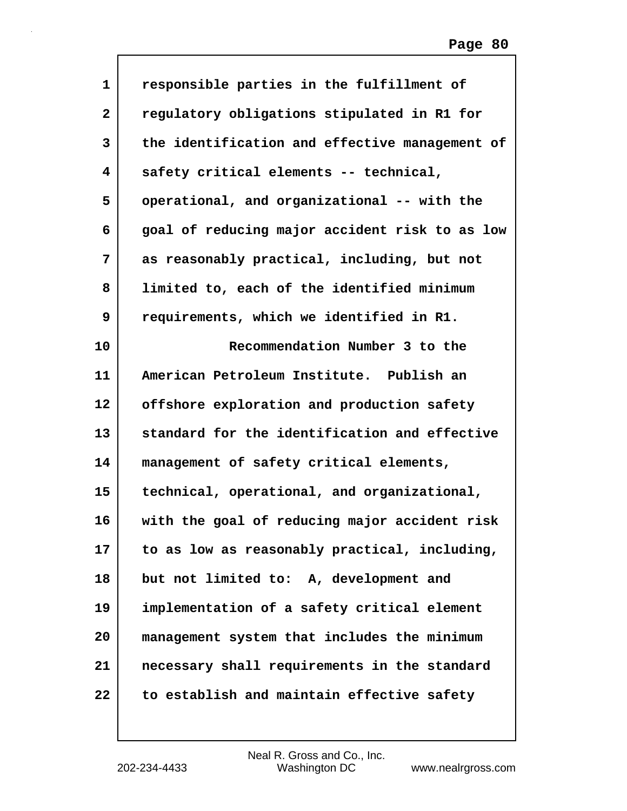| $\mathbf 1$  | responsible parties in the fulfillment of      |
|--------------|------------------------------------------------|
| $\mathbf{2}$ | regulatory obligations stipulated in R1 for    |
| 3            | the identification and effective management of |
| 4            | safety critical elements -- technical,         |
| 5            | operational, and organizational -- with the    |
| 6            | goal of reducing major accident risk to as low |
| 7            | as reasonably practical, including, but not    |
| 8            | limited to, each of the identified minimum     |
| 9            | requirements, which we identified in R1.       |
| 10           | Recommendation Number 3 to the                 |
| 11           | American Petroleum Institute. Publish an       |
| 12           | offshore exploration and production safety     |
| 13           | standard for the identification and effective  |
| 14           | management of safety critical elements,        |
| 15           | technical, operational, and organizational,    |
| 16           | with the goal of reducing major accident risk  |
| 17           | to as low as reasonably practical, including,  |
| 18           | but not limited to: A, development and         |
| 19           | implementation of a safety critical element    |
| 20           | management system that includes the minimum    |
| 21           | necessary shall requirements in the standard   |
| 22           | to establish and maintain effective safety     |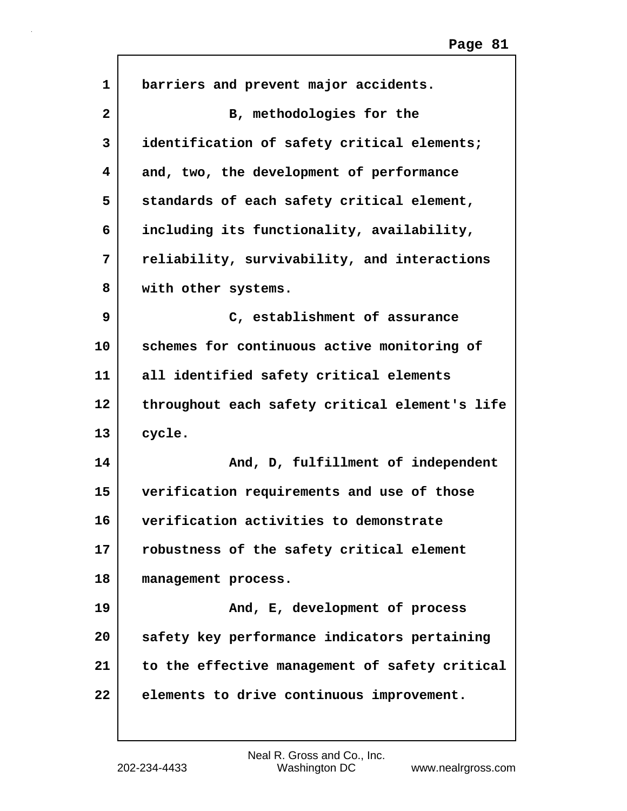| $\mathbf 1$  | barriers and prevent major accidents.          |
|--------------|------------------------------------------------|
| $\mathbf{2}$ | B, methodologies for the                       |
| 3            | identification of safety critical elements;    |
| 4            | and, two, the development of performance       |
| 5            | standards of each safety critical element,     |
| 6            | including its functionality, availability,     |
| 7            | reliability, survivability, and interactions   |
| 8            | with other systems.                            |
| 9            | C, establishment of assurance                  |
| 10           | schemes for continuous active monitoring of    |
| 11           | all identified safety critical elements        |
| 12           | throughout each safety critical element's life |
| 13           | cycle.                                         |
| 14           | And, D, fulfillment of independent             |
| 15           | verification requirements and use of those     |
| 16           | verification activities to demonstrate         |
| 17           | robustness of the safety critical element      |
| 18           | management process.                            |
| 19           | And, E, development of process                 |
| 20           | safety key performance indicators pertaining   |
| 21           | to the effective management of safety critical |
| 22           | elements to drive continuous improvement.      |
|              |                                                |

 $\Gamma$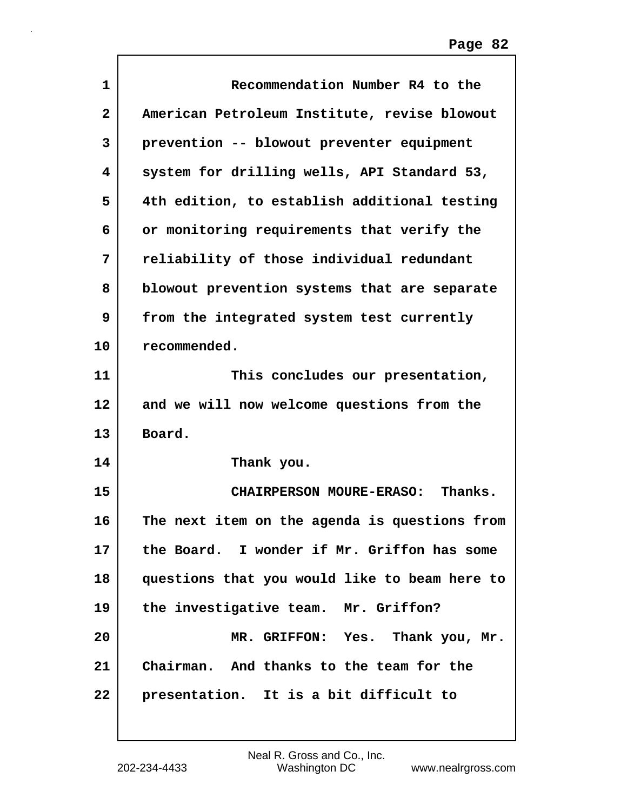| $\mathbf{1}$   | Recommendation Number R4 to the               |
|----------------|-----------------------------------------------|
| $\overline{2}$ | American Petroleum Institute, revise blowout  |
| 3              | prevention -- blowout preventer equipment     |
| 4              | system for drilling wells, API Standard 53,   |
| 5              | 4th edition, to establish additional testing  |
| 6              | or monitoring requirements that verify the    |
| 7              | reliability of those individual redundant     |
| 8              | blowout prevention systems that are separate  |
| 9              | from the integrated system test currently     |
| 10             | recommended.                                  |
| 11             | This concludes our presentation,              |
| 12             | and we will now welcome questions from the    |
| 13             | Board.                                        |
| 14             | Thank you.                                    |
| 15             | CHAIRPERSON MOURE-ERASO: Thanks.              |
| 16             | The next item on the agenda is questions from |
| 17             | the Board. I wonder if Mr. Griffon has some   |
| 18             | questions that you would like to beam here to |
| 19             | the investigative team. Mr. Griffon?          |
| 20             | MR. GRIFFON: Yes. Thank you, Mr.              |
| 21             | Chairman. And thanks to the team for the      |
| 22             | presentation. It is a bit difficult to        |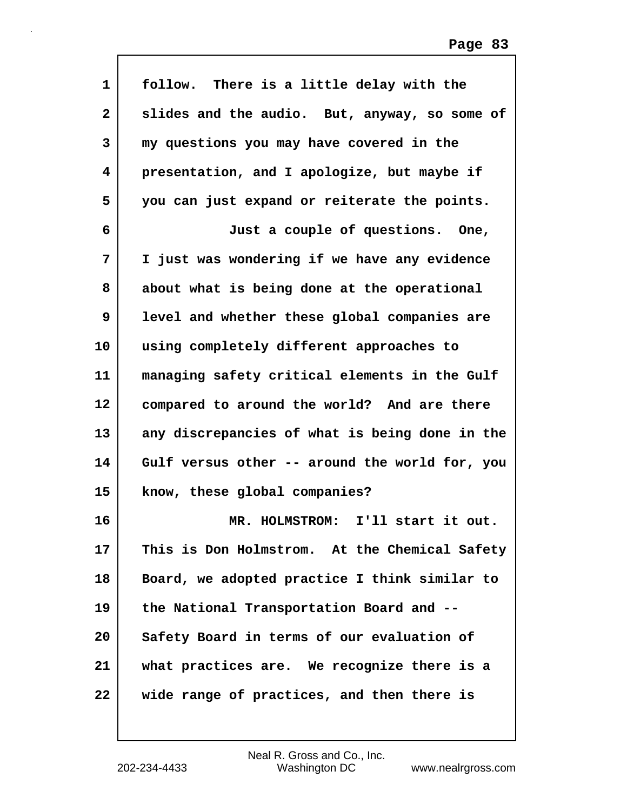| 1                       | follow. There is a little delay with the       |
|-------------------------|------------------------------------------------|
| $\overline{\mathbf{2}}$ | slides and the audio. But, anyway, so some of  |
| 3                       | my questions you may have covered in the       |
| 4                       | presentation, and I apologize, but maybe if    |
| 5                       | you can just expand or reiterate the points.   |
| 6                       | Just a couple of questions. One,               |
| 7                       | I just was wondering if we have any evidence   |
| 8                       | about what is being done at the operational    |
| 9                       | level and whether these global companies are   |
| 10                      | using completely different approaches to       |
| 11                      | managing safety critical elements in the Gulf  |
| 12                      | compared to around the world? And are there    |
| 13                      | any discrepancies of what is being done in the |
| 14                      | Gulf versus other -- around the world for, you |
| 15                      | know, these global companies?                  |
| 16                      | I'll start it out.<br><b>MR. HOLMSTROM:</b>    |
| 17                      | This is Don Holmstrom. At the Chemical Safety  |
| 18                      | Board, we adopted practice I think similar to  |
| 19                      | the National Transportation Board and --       |
| 20                      | Safety Board in terms of our evaluation of     |
| 21                      | what practices are. We recognize there is a    |
| 22                      | wide range of practices, and then there is     |

 $\mathsf{l}$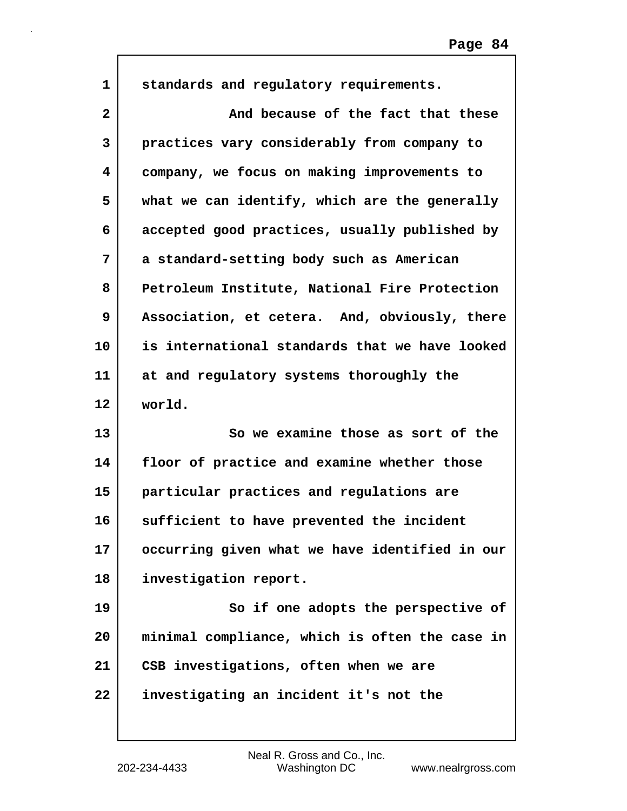| $\mathbf 1$  | standards and regulatory requirements.         |
|--------------|------------------------------------------------|
|              |                                                |
| $\mathbf{2}$ | And because of the fact that these             |
| 3            | practices vary considerably from company to    |
| 4            | company, we focus on making improvements to    |
| 5            | what we can identify, which are the generally  |
| 6            | accepted good practices, usually published by  |
| 7            | a standard-setting body such as American       |
| 8            | Petroleum Institute, National Fire Protection  |
| 9            | Association, et cetera. And, obviously, there  |
| 10           | is international standards that we have looked |
| 11           | at and regulatory systems thoroughly the       |
|              |                                                |
| 12           | world.                                         |
| 13           | So we examine those as sort of the             |
| 14           | floor of practice and examine whether those    |
| 15           | particular practices and regulations are       |
| 16           | sufficient to have prevented the incident      |
| 17           | occurring given what we have identified in our |
| 18           | investigation report.                          |
| 19           | So if one adopts the perspective of            |
| 20           | minimal compliance, which is often the case in |
| 21           | CSB investigations, often when we are          |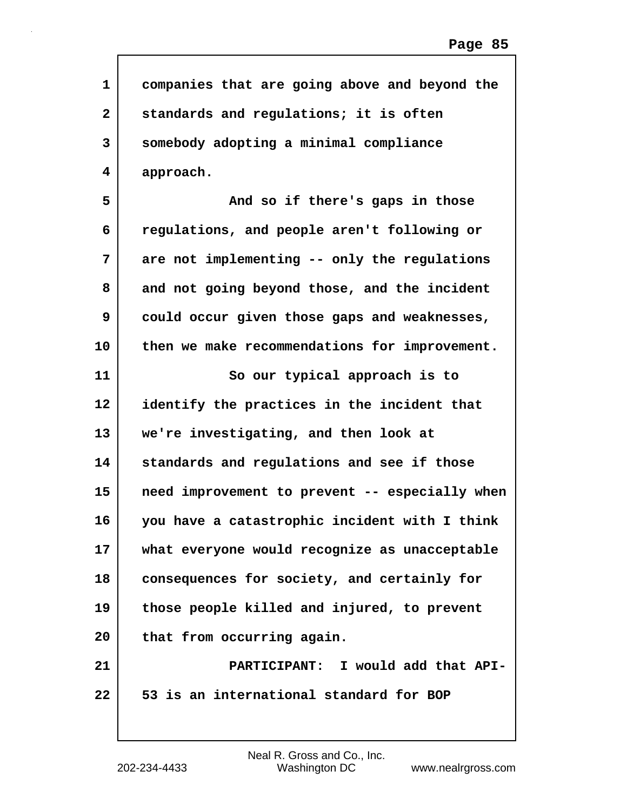| $\mathbf 1$             | companies that are going above and beyond the  |
|-------------------------|------------------------------------------------|
| $\overline{\mathbf{2}}$ | standards and regulations; it is often         |
| 3                       | somebody adopting a minimal compliance         |
| 4                       | approach.                                      |
| 5                       | And so if there's gaps in those                |
| 6                       | regulations, and people aren't following or    |
| 7                       | are not implementing -- only the regulations   |
| 8                       | and not going beyond those, and the incident   |
| 9                       | could occur given those gaps and weaknesses,   |
| 10                      | then we make recommendations for improvement.  |
| 11                      | So our typical approach is to                  |
| $12 \,$                 | identify the practices in the incident that    |
| 13                      | we're investigating, and then look at          |
| 14                      | standards and regulations and see if those     |
| 15                      | need improvement to prevent -- especially when |
| 16                      | you have a catastrophic incident with I think  |
| 17                      | what everyone would recognize as unacceptable  |
| 18                      | consequences for society, and certainly for    |
| 19                      | those people killed and injured, to prevent    |
| 20                      | that from occurring again.                     |
| 21                      | PARTICIPANT: I would add that API-             |
| 22                      | 53 is an international standard for BOP        |
|                         |                                                |

Г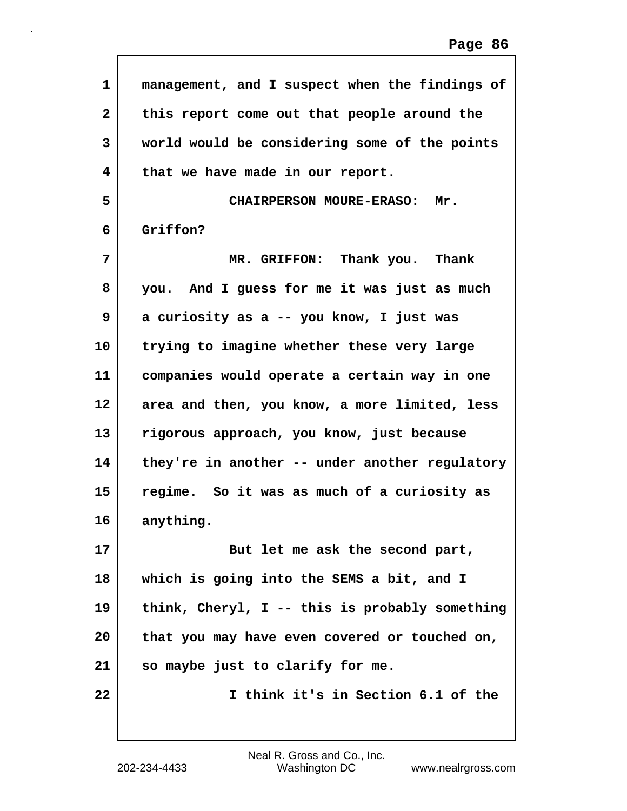| 1            | management, and I suspect when the findings of |
|--------------|------------------------------------------------|
| $\mathbf{2}$ | this report come out that people around the    |
| 3            | world would be considering some of the points  |
| 4            | that we have made in our report.               |
| 5            | <b>CHAIRPERSON MOURE-ERASO:</b><br>Mr.         |
| 6            | Griffon?                                       |
| 7            | MR. GRIFFON: Thank you. Thank                  |
| 8            | you. And I guess for me it was just as much    |
| 9            | a curiosity as a -- you know, I just was       |
| 10           | trying to imagine whether these very large     |
| 11           | companies would operate a certain way in one   |
| 12           | area and then, you know, a more limited, less  |
| 13           | rigorous approach, you know, just because      |
| 14           | they're in another -- under another regulatory |
| 15           | regime. So it was as much of a curiosity as    |
| 16           | anything.                                      |
| 17           | But let me ask the second part,                |
| 18           | which is going into the SEMS a bit, and I      |
| 19           | think, Cheryl, I -- this is probably something |
| 20           | that you may have even covered or touched on,  |
| 21           | so maybe just to clarify for me.               |
| 22           | I think it's in Section 6.1 of the             |
|              |                                                |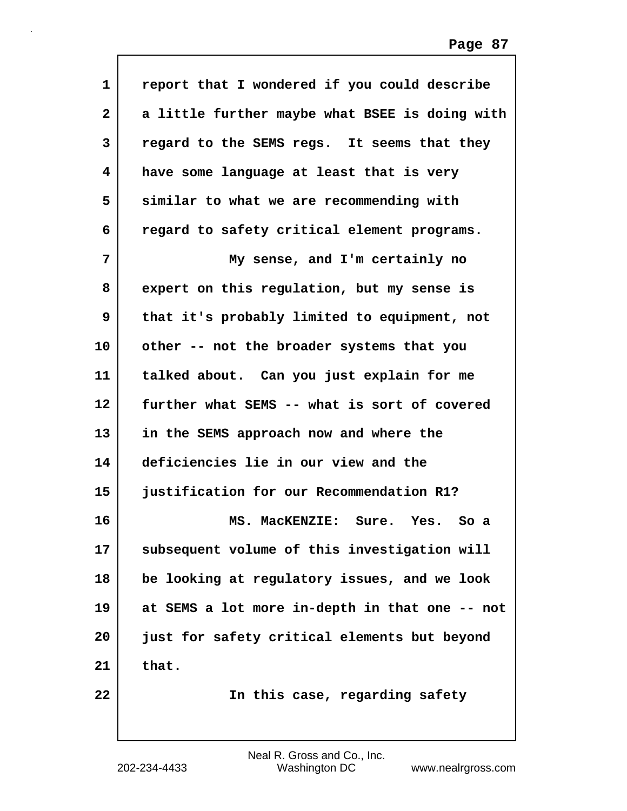| 1  | report that I wondered if you could describe   |
|----|------------------------------------------------|
| 2  | a little further maybe what BSEE is doing with |
| 3  | regard to the SEMS regs. It seems that they    |
| 4  | have some language at least that is very       |
| 5  | similar to what we are recommending with       |
| 6  | regard to safety critical element programs.    |
| 7  | My sense, and I'm certainly no                 |
| 8  | expert on this regulation, but my sense is     |
| 9  | that it's probably limited to equipment, not   |
| 10 | other -- not the broader systems that you      |
| 11 | talked about. Can you just explain for me      |
| 12 | further what SEMS -- what is sort of covered   |
| 13 | in the SEMS approach now and where the         |
| 14 | deficiencies lie in our view and the           |
| 15 | justification for our Recommendation R1?       |
| 16 | MS. MacKENZIE: Sure. Yes. So a                 |
| 17 | subsequent volume of this investigation will   |
| 18 | be looking at regulatory issues, and we look   |
| 19 | at SEMS a lot more in-depth in that one -- not |
| 20 | just for safety critical elements but beyond   |
| 21 | that.                                          |
| 22 | In this case, regarding safety                 |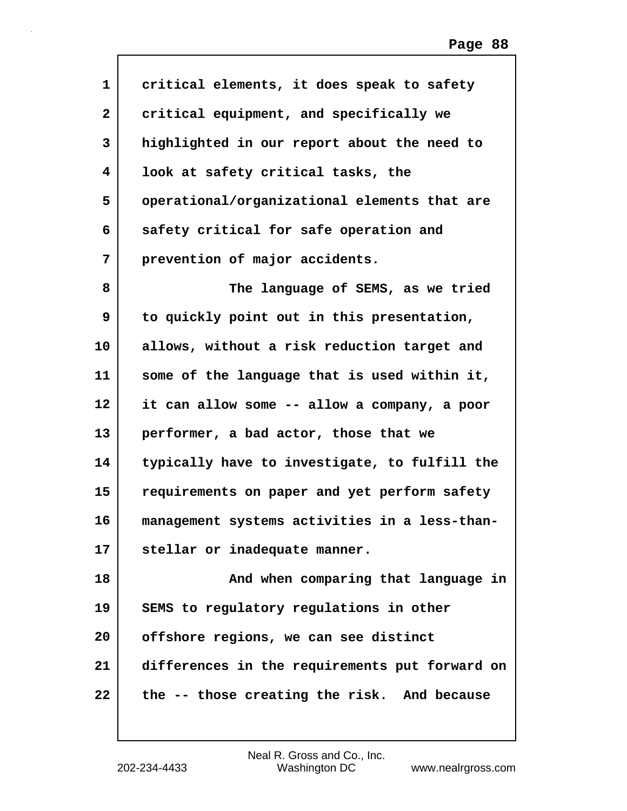| 1            | critical elements, it does speak to safety     |
|--------------|------------------------------------------------|
| $\mathbf{2}$ | critical equipment, and specifically we        |
| 3            | highlighted in our report about the need to    |
| 4            | look at safety critical tasks, the             |
| 5            | operational/organizational elements that are   |
| 6            | safety critical for safe operation and         |
| 7            | prevention of major accidents.                 |
| 8            | The language of SEMS, as we tried              |
| 9            | to quickly point out in this presentation,     |
| 10           | allows, without a risk reduction target and    |
| 11           | some of the language that is used within it,   |
| 12           | it can allow some -- allow a company, a poor   |
| 13           | performer, a bad actor, those that we          |
| 14           | typically have to investigate, to fulfill the  |
| 15           | requirements on paper and yet perform safety   |
| 16           | management systems activities in a less-than-  |
| 17           | stellar or inadequate manner.                  |
| 18           | And when comparing that language in            |
| 19           | SEMS to regulatory regulations in other        |
| 20           | offshore regions, we can see distinct          |
| 21           | differences in the requirements put forward on |
| 22           | the -- those creating the risk. And because    |
|              |                                                |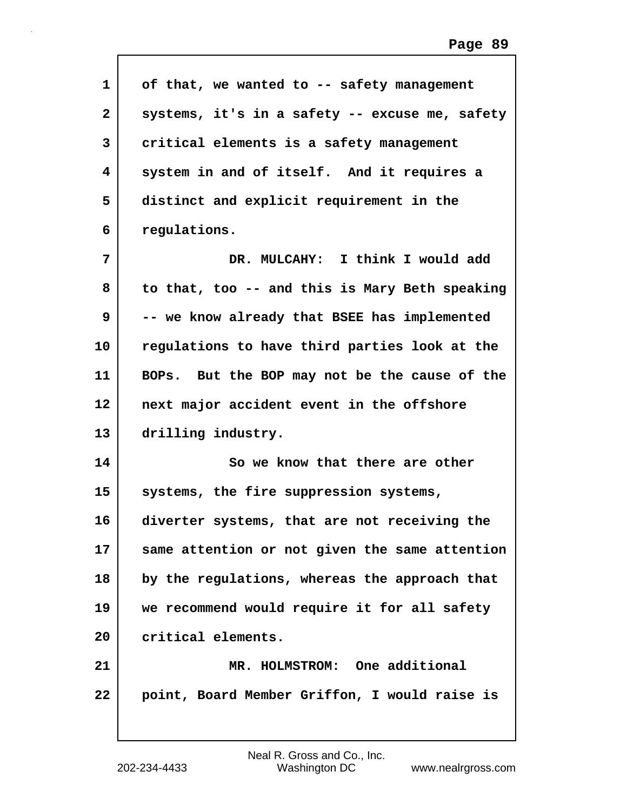| $\mathbf{1}$ | of that, we wanted to -- safety management     |
|--------------|------------------------------------------------|
| $\mathbf{2}$ | systems, it's in a safety -- excuse me, safety |
| 3            | critical elements is a safety management       |
| 4            | system in and of itself. And it requires a     |
| 5            | distinct and explicit requirement in the       |
| 6            | regulations.                                   |
| 7            | DR. MULCAHY: I think I would add               |
| 8            | to that, too -- and this is Mary Beth speaking |
| 9            | -- we know already that BSEE has implemented   |
| 10           | regulations to have third parties look at the  |
| 11           | BOPs. But the BOP may not be the cause of the  |
| 12           | next major accident event in the offshore      |
| 13           | drilling industry.                             |
| 14           | So we know that there are other                |
| 15           | systems, the fire suppression systems,         |
| 16           | diverter systems, that are not receiving the   |
| 17           | same attention or not given the same attention |
| 18           | by the regulations, whereas the approach that  |
| 19           | we recommend would require it for all safety   |
| 20           | critical elements.                             |
| 21           | MR. HOLMSTROM: One additional                  |
| 22           | point, Board Member Griffon, I would raise is  |

 $\mathbf l$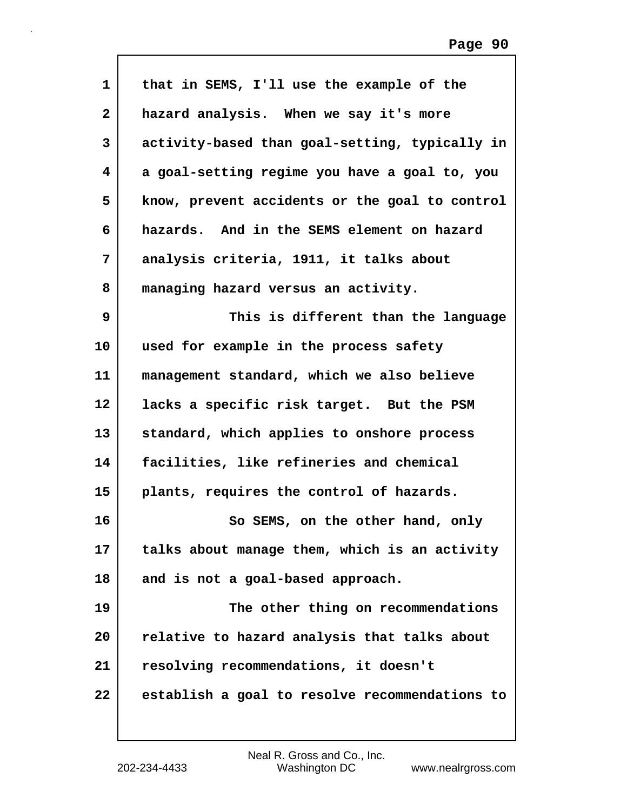| $\mathbf{1}$ | that in SEMS, I'll use the example of the      |
|--------------|------------------------------------------------|
| $\mathbf{2}$ | hazard analysis. When we say it's more         |
| 3            | activity-based than goal-setting, typically in |
| 4            | a goal-setting regime you have a goal to, you  |
| 5            | know, prevent accidents or the goal to control |
| 6            | hazards. And in the SEMS element on hazard     |
| 7            | analysis criteria, 1911, it talks about        |
| 8            | managing hazard versus an activity.            |
| 9            | This is different than the language            |
| 10           | used for example in the process safety         |
| 11           | management standard, which we also believe     |
| 12           | lacks a specific risk target. But the PSM      |
| 13           | standard, which applies to onshore process     |
| 14           | facilities, like refineries and chemical       |
| 15           | plants, requires the control of hazards.       |
| 16           | So SEMS, on the other hand, only               |
| 17           | talks about manage them, which is an activity  |
| 18           | and is not a goal-based approach.              |
| 19           | The other thing on recommendations             |
| 20           | relative to hazard analysis that talks about   |
| 21           | resolving recommendations, it doesn't          |
| 22           | establish a goal to resolve recommendations to |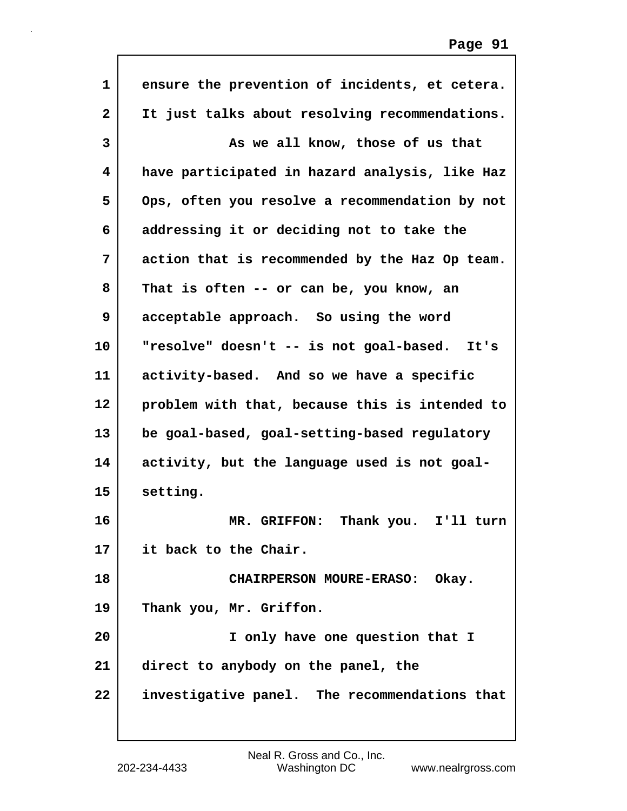| $\mathbf{1}$ | ensure the prevention of incidents, et cetera. |
|--------------|------------------------------------------------|
| $\mathbf{2}$ | It just talks about resolving recommendations. |
| 3            | As we all know, those of us that               |
| 4            | have participated in hazard analysis, like Haz |
| 5            | Ops, often you resolve a recommendation by not |
| 6            | addressing it or deciding not to take the      |
| 7            | action that is recommended by the Haz Op team. |
| 8            | That is often -- or can be, you know, an       |
| 9            | acceptable approach. So using the word         |
| 10           | "resolve" doesn't -- is not goal-based. It's   |
| 11           | activity-based. And so we have a specific      |
| 12           | problem with that, because this is intended to |
| 13           | be goal-based, goal-setting-based regulatory   |
| 14           | activity, but the language used is not goal-   |
| 15           | setting.                                       |
| 16           | Thank you.<br>MR. GRIFFON:<br>I'll turn        |
| 17           | it back to the Chair.                          |
| 18           | CHAIRPERSON MOURE-ERASO: Okay.                 |
| 19           | Thank you, Mr. Griffon.                        |
| 20           | I only have one question that I                |
| 21           | direct to anybody on the panel, the            |
| 22           | investigative panel. The recommendations that  |
|              |                                                |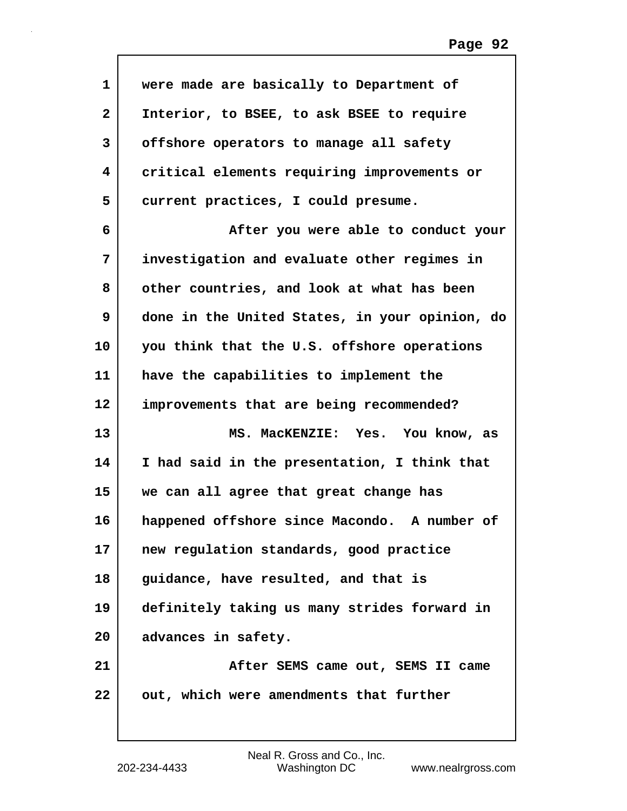| $\mathbf{1}$ | were made are basically to Department of       |
|--------------|------------------------------------------------|
| $\mathbf{2}$ | Interior, to BSEE, to ask BSEE to require      |
| 3            | offshore operators to manage all safety        |
|              |                                                |
| 4            | critical elements requiring improvements or    |
| 5            | current practices, I could presume.            |
| 6            | After you were able to conduct your            |
| 7            | investigation and evaluate other regimes in    |
| 8            | other countries, and look at what has been     |
| 9            | done in the United States, in your opinion, do |
| 10           | you think that the U.S. offshore operations    |
| 11           | have the capabilities to implement the         |
| 12           | improvements that are being recommended?       |
| 13           | MS. MacKENZIE: Yes. You know, as               |
| 14           | I had said in the presentation, I think that   |
| 15           | we can all agree that great change has         |
| 16           | happened offshore since Macondo. A number of   |
| 17           | new regulation standards, good practice        |
| 18           | guidance, have resulted, and that is           |
| 19           | definitely taking us many strides forward in   |
| 20           | advances in safety.                            |
| 21           | After SEMS came out, SEMS II came              |
| 22           | out, which were amendments that further        |
|              |                                                |

 $\mathbf I$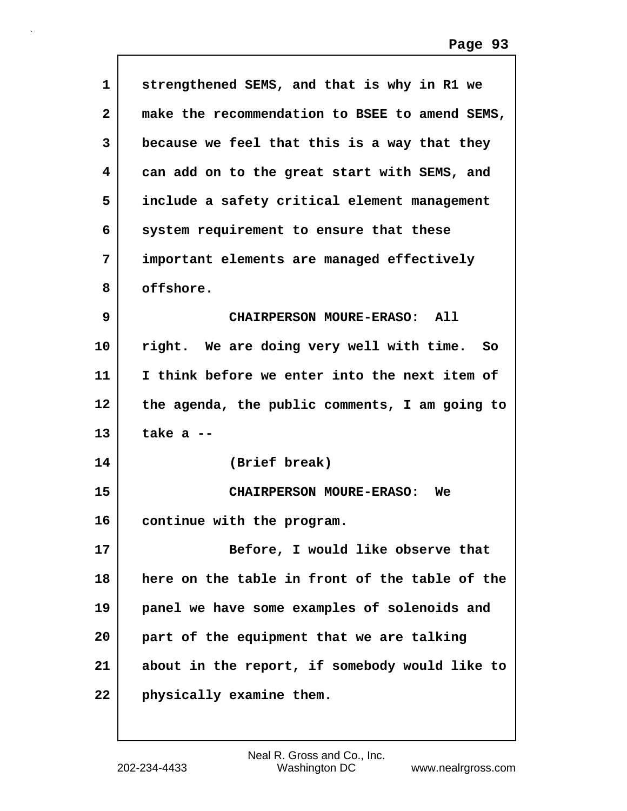| $\mathbf{1}$ | strengthened SEMS, and that is why in R1 we    |
|--------------|------------------------------------------------|
| $\mathbf{2}$ | make the recommendation to BSEE to amend SEMS, |
| 3            | because we feel that this is a way that they   |
| 4            | can add on to the great start with SEMS, and   |
| 5            | include a safety critical element management   |
| 6            | system requirement to ensure that these        |
| 7            | important elements are managed effectively     |
| 8            | offshore.                                      |
| 9            | CHAIRPERSON MOURE-ERASO: All                   |
| 10           | right. We are doing very well with time. So    |
| 11           | I think before we enter into the next item of  |
| 12           | the agenda, the public comments, I am going to |
| 13           | take $a -$                                     |
| 14           | (Brief break)                                  |
| 15           | <b>CHAIRPERSON MOURE-ERASO:</b><br>We          |
| 16           | continue with the program.                     |
| 17           | Before, I would like observe that              |
| 18           | here on the table in front of the table of the |
| 19           | panel we have some examples of solenoids and   |
| 20           | part of the equipment that we are talking      |
| 21           | about in the report, if somebody would like to |
| 22           | physically examine them.                       |

 $\mathsf{I}$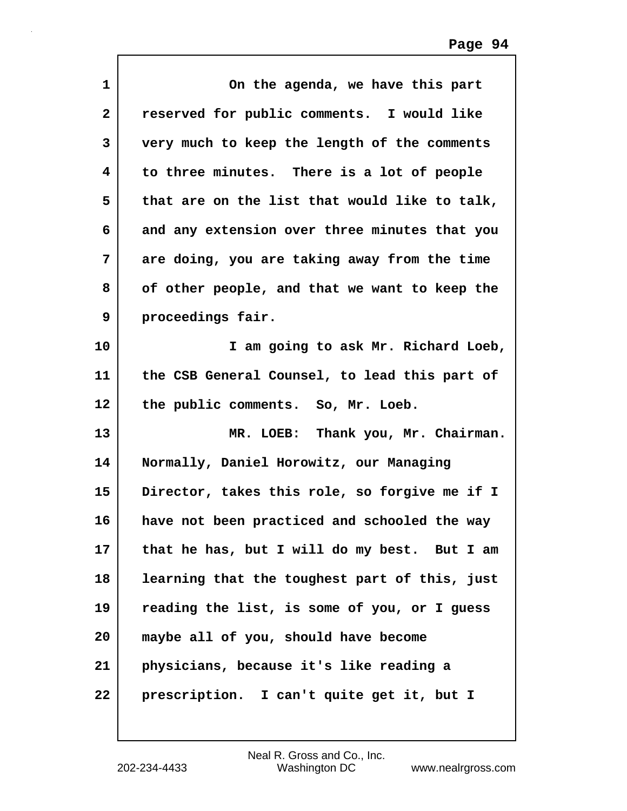| $\mathbf 1$  | On the agenda, we have this part              |
|--------------|-----------------------------------------------|
| $\mathbf{2}$ | reserved for public comments. I would like    |
| 3            | very much to keep the length of the comments  |
| 4            | to three minutes. There is a lot of people    |
| 5            | that are on the list that would like to talk, |
| 6            | and any extension over three minutes that you |
| 7            | are doing, you are taking away from the time  |
| 8            | of other people, and that we want to keep the |
| 9            | proceedings fair.                             |
| 10           | I am going to ask Mr. Richard Loeb,           |
| 11           | the CSB General Counsel, to lead this part of |
| 12           | the public comments. So, Mr. Loeb.            |
| 13           | MR. LOEB: Thank you, Mr. Chairman.            |
| 14           | Normally, Daniel Horowitz, our Managing       |
| 15           | Director, takes this role, so forgive me if I |
| 16           | have not been practiced and schooled the way  |
| 17           | that he has, but I will do my best. But I am  |
| 18           | learning that the toughest part of this, just |
| 19           | reading the list, is some of you, or I guess  |
| 20           | maybe all of you, should have become          |
| 21           | physicians, because it's like reading a       |
| 22           | prescription. I can't quite get it, but I     |

 $\mathsf{I}$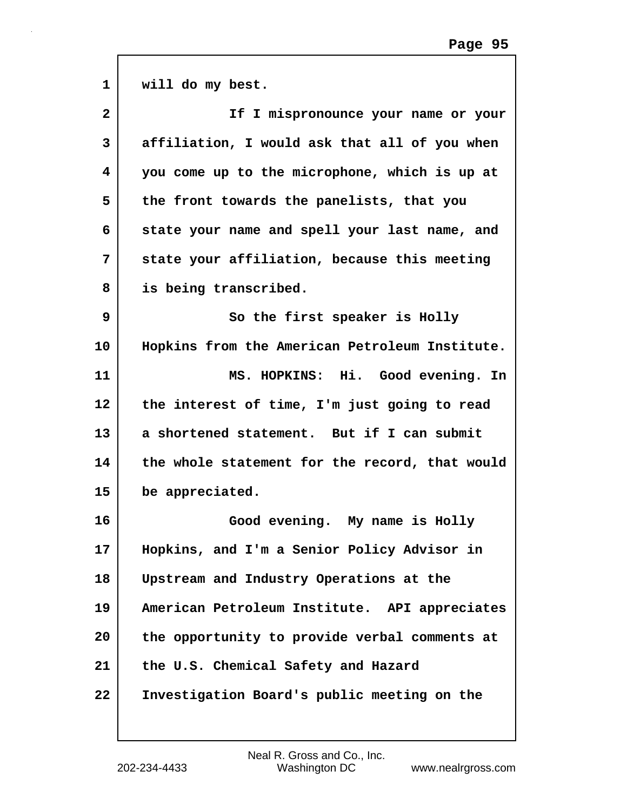| $\mathbf{1}$ | will do my best.                               |
|--------------|------------------------------------------------|
| $\mathbf{2}$ | If I mispronounce your name or your            |
| 3            | affiliation, I would ask that all of you when  |
| 4            | you come up to the microphone, which is up at  |
| 5            | the front towards the panelists, that you      |
| 6            | state your name and spell your last name, and  |
| 7            | state your affiliation, because this meeting   |
| 8            | is being transcribed.                          |
| 9            | So the first speaker is Holly                  |
| 10           | Hopkins from the American Petroleum Institute. |
| 11           | MS. HOPKINS: Hi. Good evening. In              |
| 12           | the interest of time, I'm just going to read   |
| 13           | a shortened statement. But if I can submit     |
| 14           | the whole statement for the record, that would |
| 15           | be appreciated.                                |
| 16           | Good evening. My name is Holly                 |
| 17           | Hopkins, and I'm a Senior Policy Advisor in    |
| 18           | Upstream and Industry Operations at the        |
| 19           | American Petroleum Institute. API appreciates  |
| 20           | the opportunity to provide verbal comments at  |
| 21           | the U.S. Chemical Safety and Hazard            |
| 22           | Investigation Board's public meeting on the    |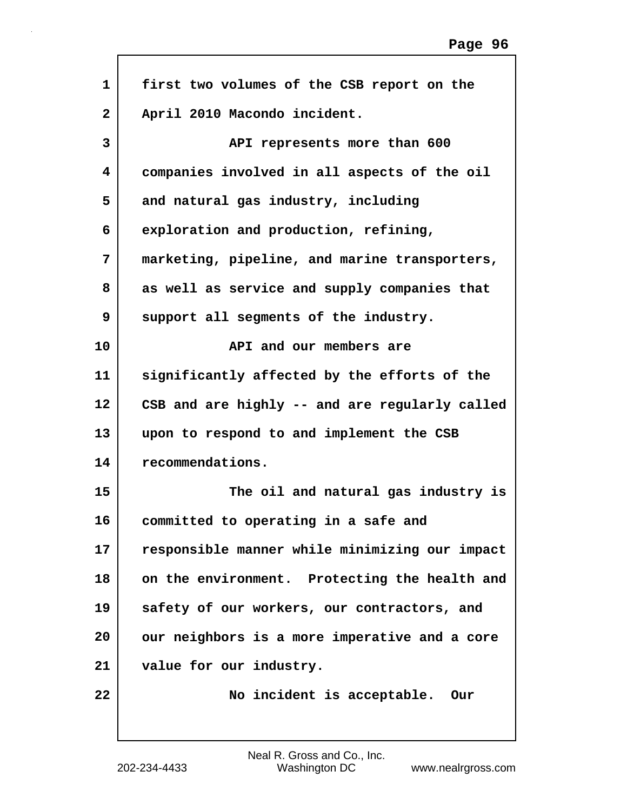| $\mathbf{1}$ | first two volumes of the CSB report on the     |
|--------------|------------------------------------------------|
| $\mathbf{2}$ | April 2010 Macondo incident.                   |
| 3            | API represents more than 600                   |
| 4            | companies involved in all aspects of the oil   |
| 5            | and natural gas industry, including            |
| 6            | exploration and production, refining,          |
| 7            | marketing, pipeline, and marine transporters,  |
| 8            | as well as service and supply companies that   |
| 9            | support all segments of the industry.          |
| 10           | API and our members are                        |
| 11           | significantly affected by the efforts of the   |
| 12           | CSB and are highly -- and are regularly called |
| 13           | upon to respond to and implement the CSB       |
| 14           | recommendations.                               |
| 15           | The oil and natural gas industry is            |
| 16           | committed to operating in a safe and           |
| 17           | responsible manner while minimizing our impact |
| 18           | on the environment. Protecting the health and  |
| 19           | safety of our workers, our contractors, and    |
| 20           | our neighbors is a more imperative and a core  |
| 21           | value for our industry.                        |
| 22           | No incident is acceptable.<br>Our              |
|              |                                                |

 $\Gamma$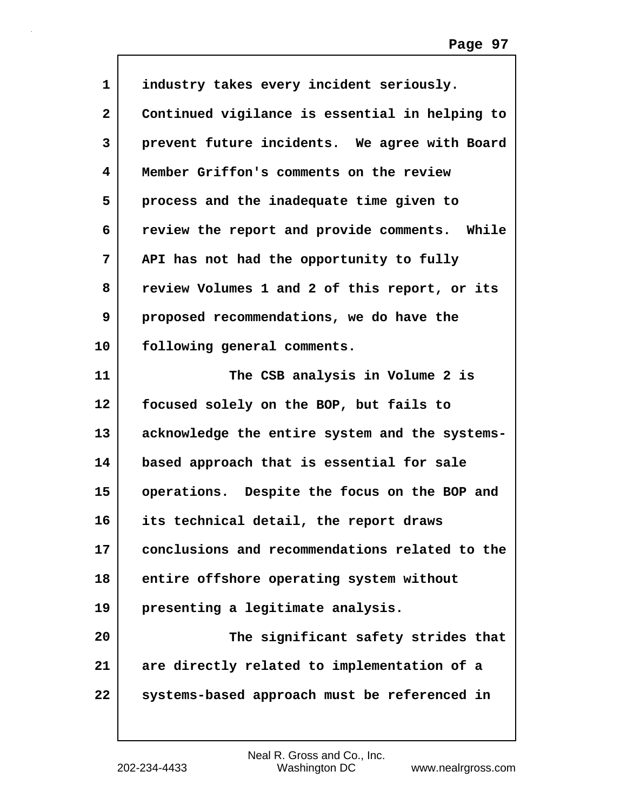| $\mathbf{1}$ | industry takes every incident seriously.       |
|--------------|------------------------------------------------|
| $\mathbf{2}$ | Continued vigilance is essential in helping to |
| 3            | prevent future incidents. We agree with Board  |
| 4            | Member Griffon's comments on the review        |
| 5            | process and the inadequate time given to       |
| 6            | review the report and provide comments. While  |
| 7            | API has not had the opportunity to fully       |
| 8            | review Volumes 1 and 2 of this report, or its  |
| 9            | proposed recommendations, we do have the       |
| 10           | following general comments.                    |
| 11           | The CSB analysis in Volume 2 is                |
| 12           | focused solely on the BOP, but fails to        |
| 13           | acknowledge the entire system and the systems- |
| 14           | based approach that is essential for sale      |
| 15           | operations. Despite the focus on the BOP and   |
| 16           | its technical detail, the report draws         |
| 17           | conclusions and recommendations related to the |
| 18           | entire offshore operating system without       |
| 19           | presenting a legitimate analysis.              |
| 20           | The significant safety strides that            |
| 21           | are directly related to implementation of a    |
| 22           | systems-based approach must be referenced in   |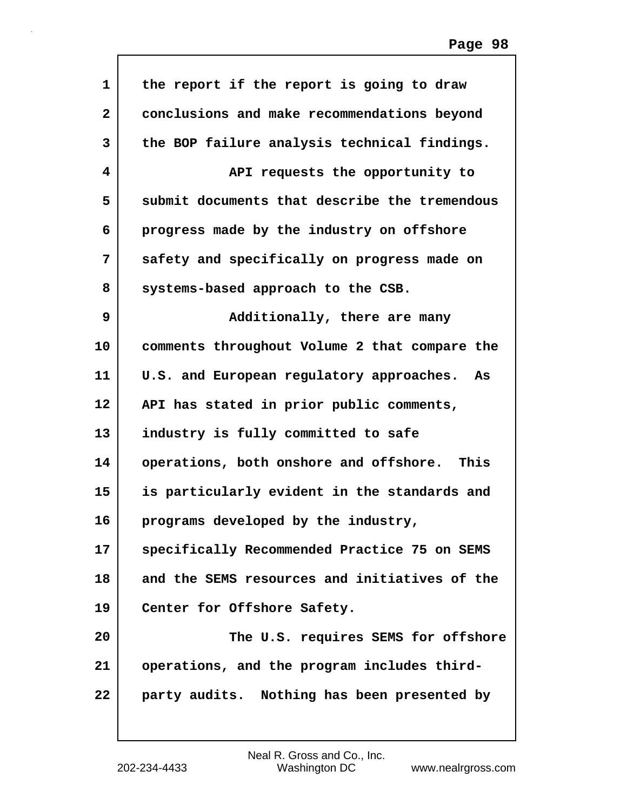| 1  | the report if the report is going to draw      |
|----|------------------------------------------------|
| 2  | conclusions and make recommendations beyond    |
| 3  | the BOP failure analysis technical findings.   |
| 4  | API requests the opportunity to                |
| 5  | submit documents that describe the tremendous  |
| 6  | progress made by the industry on offshore      |
| 7  | safety and specifically on progress made on    |
| 8  | systems-based approach to the CSB.             |
| 9  | Additionally, there are many                   |
| 10 | comments throughout Volume 2 that compare the  |
| 11 | U.S. and European regulatory approaches.<br>As |
| 12 | API has stated in prior public comments,       |
| 13 | industry is fully committed to safe            |
| 14 | operations, both onshore and offshore.<br>This |
| 15 | is particularly evident in the standards and   |
| 16 | programs developed by the industry,            |
| 17 | specifically Recommended Practice 75 on SEMS   |
| 18 | and the SEMS resources and initiatives of the  |
| 19 | Center for Offshore Safety.                    |
| 20 | The U.S. requires SEMS for offshore            |
| 21 | operations, and the program includes third-    |
| 22 | party audits. Nothing has been presented by    |
|    |                                                |

Г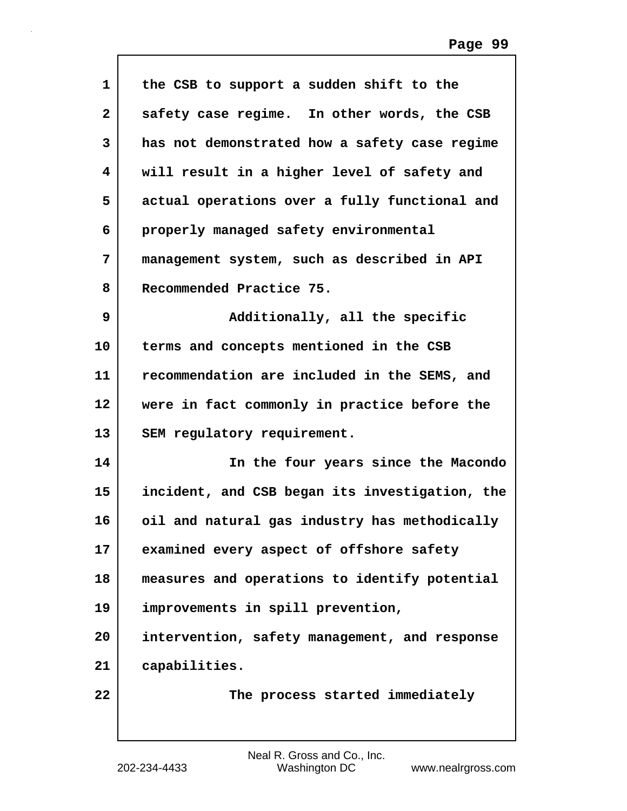| 1  | the CSB to support a sudden shift to the       |
|----|------------------------------------------------|
| 2  | safety case regime. In other words, the CSB    |
| 3  | has not demonstrated how a safety case regime  |
| 4  | will result in a higher level of safety and    |
| 5  | actual operations over a fully functional and  |
| 6  | properly managed safety environmental          |
| 7  | management system, such as described in API    |
| 8  | Recommended Practice 75.                       |
| 9  | Additionally, all the specific                 |
| 10 | terms and concepts mentioned in the CSB        |
| 11 | recommendation are included in the SEMS, and   |
| 12 | were in fact commonly in practice before the   |
| 13 | SEM regulatory requirement.                    |
| 14 | In the four years since the Macondo            |
| 15 | incident, and CSB began its investigation, the |
| 16 | oil and natural gas industry has methodically  |
| 17 | examined every aspect of offshore safety       |
| 18 | measures and operations to identify potential  |
| 19 | improvements in spill prevention,              |
| 20 | intervention, safety management, and response  |
| 21 | capabilities.                                  |
| 22 | The process started immediately                |
|    |                                                |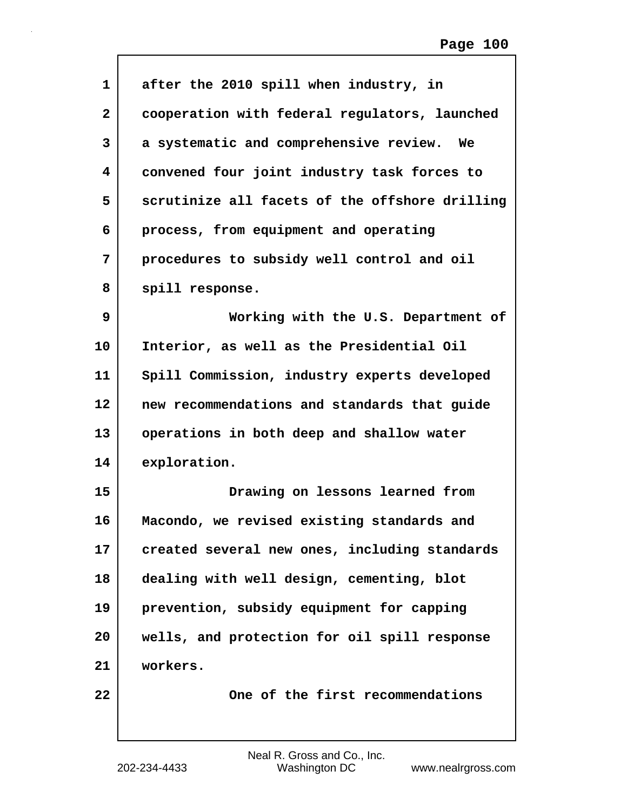| $\mathbf 1$  | after the 2010 spill when industry, in         |
|--------------|------------------------------------------------|
| $\mathbf{2}$ | cooperation with federal regulators, launched  |
| 3            | a systematic and comprehensive review. We      |
| 4            | convened four joint industry task forces to    |
| 5            | scrutinize all facets of the offshore drilling |
| 6            | process, from equipment and operating          |
| 7            | procedures to subsidy well control and oil     |
| 8            | spill response.                                |
| 9            | Working with the U.S. Department of            |
| 10           | Interior, as well as the Presidential Oil      |
| 11           | Spill Commission, industry experts developed   |
| 12           | new recommendations and standards that guide   |
| 13           | operations in both deep and shallow water      |
| 14           | exploration.                                   |
| 15           | Drawing on lessons learned from                |
| 16           | Macondo, we revised existing standards and     |
| 17           | created several new ones, including standards  |
| 18           | dealing with well design, cementing, blot      |
| 19           | prevention, subsidy equipment for capping      |
| 20           | wells, and protection for oil spill response   |
| 21           | workers.                                       |
| 22           | One of the first recommendations               |
|              |                                                |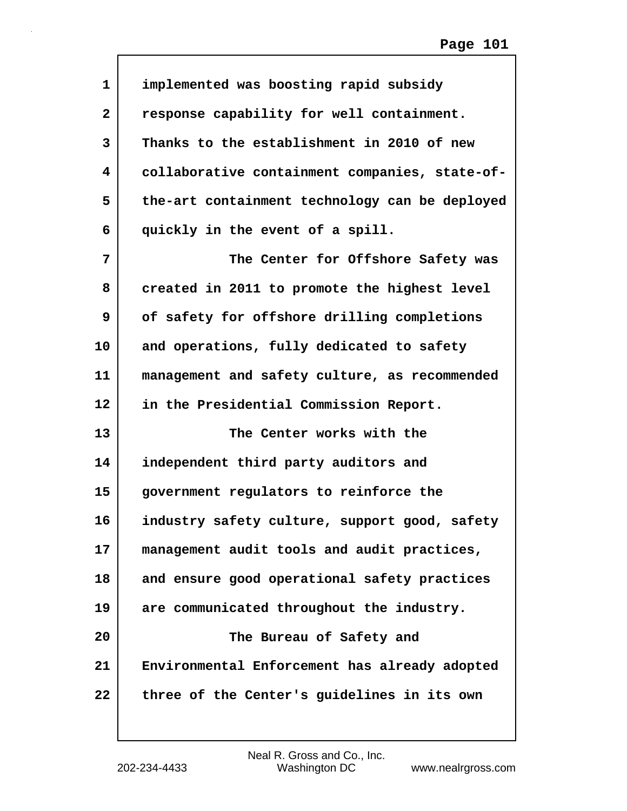| 1            | implemented was boosting rapid subsidy         |
|--------------|------------------------------------------------|
| $\mathbf{2}$ | response capability for well containment.      |
| 3            | Thanks to the establishment in 2010 of new     |
| 4            | collaborative containment companies, state-of- |
| 5            | the-art containment technology can be deployed |
| 6            | quickly in the event of a spill.               |
| 7            | The Center for Offshore Safety was             |
| 8            | created in 2011 to promote the highest level   |
| 9            | of safety for offshore drilling completions    |
| 10           | and operations, fully dedicated to safety      |
| 11           | management and safety culture, as recommended  |
| $12 \,$      | in the Presidential Commission Report.         |
| 13           | The Center works with the                      |
| 14           | independent third party auditors and           |
| 15           | government regulators to reinforce the         |
| 16           | industry safety culture, support good, safety  |
| 17           | management audit tools and audit practices,    |
| 18           | and ensure good operational safety practices   |
| 19           | are communicated throughout the industry.      |
| 20           | The Bureau of Safety and                       |
| 21           | Environmental Enforcement has already adopted  |
| 22           | three of the Center's guidelines in its own    |

 $\mathsf{l}$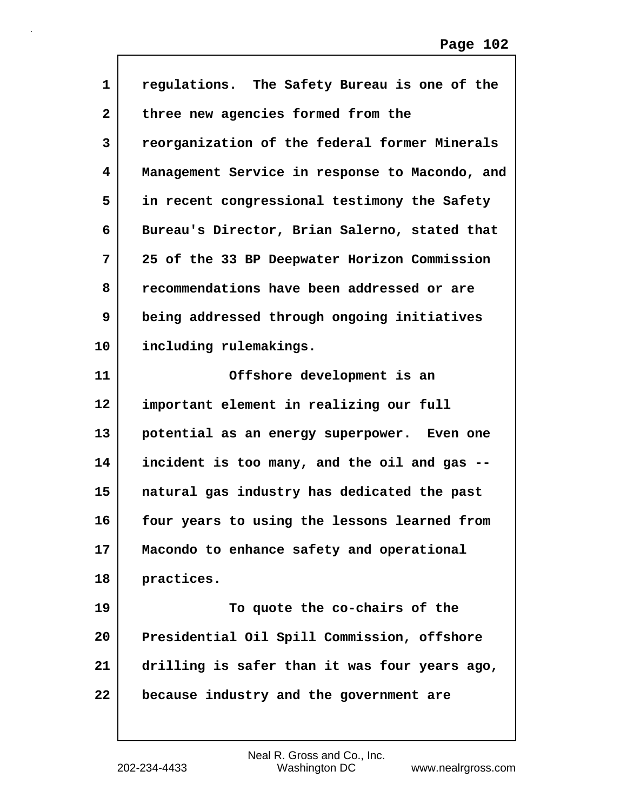| $\mathbf 1$     | regulations. The Safety Bureau is one of the   |
|-----------------|------------------------------------------------|
| 2               | three new agencies formed from the             |
| 3               | reorganization of the federal former Minerals  |
| 4               | Management Service in response to Macondo, and |
| 5               | in recent congressional testimony the Safety   |
| 6               | Bureau's Director, Brian Salerno, stated that  |
| 7               | 25 of the 33 BP Deepwater Horizon Commission   |
| 8               | recommendations have been addressed or are     |
| 9               | being addressed through ongoing initiatives    |
| 10              | including rulemakings.                         |
| 11              | Offshore development is an                     |
| 12 <sup>2</sup> | important element in realizing our full        |
| 13              | potential as an energy superpower. Even one    |
| 14              | incident is too many, and the oil and gas --   |
| 15              | natural gas industry has dedicated the past    |
| 16              | four years to using the lessons learned from   |
| 17              | Macondo to enhance safety and operational      |
| 18              | practices.                                     |
| 19              | To quote the co-chairs of the                  |
| 20              | Presidential Oil Spill Commission, offshore    |
| 21              | drilling is safer than it was four years ago,  |
| 22              | because industry and the government are        |
|                 |                                                |

 $\mathsf{l}$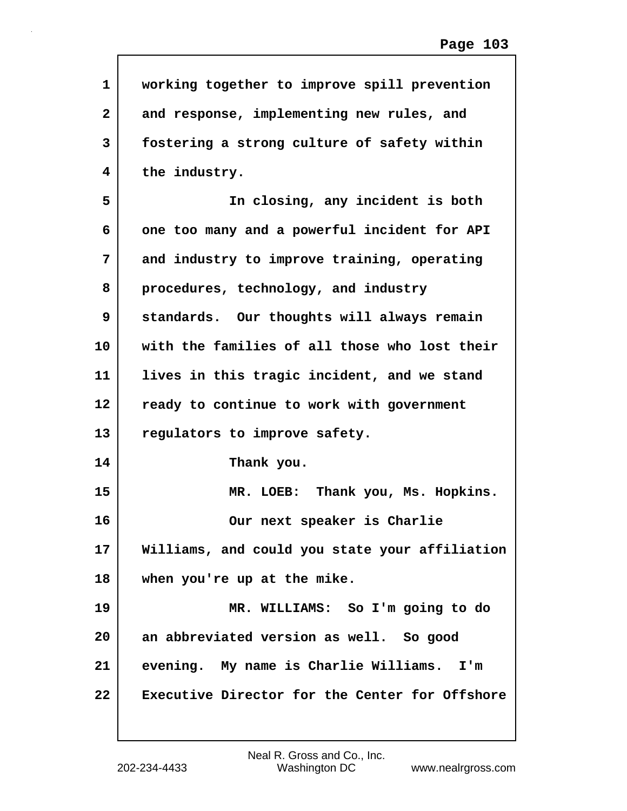| $\mathbf{1}$   | working together to improve spill prevention   |
|----------------|------------------------------------------------|
| $\overline{2}$ | and response, implementing new rules, and      |
| 3              | fostering a strong culture of safety within    |
| 4              | the industry.                                  |
| 5              | In closing, any incident is both               |
| 6              | one too many and a powerful incident for API   |
| 7              | and industry to improve training, operating    |
| 8              | procedures, technology, and industry           |
| 9              | standards. Our thoughts will always remain     |
| 10             | with the families of all those who lost their  |
| 11             | lives in this tragic incident, and we stand    |
| 12             | ready to continue to work with government      |
| 13             | regulators to improve safety.                  |
| 14             | Thank you.                                     |
| 15             | MR. LOEB: Thank you, Ms. Hopkins.              |
| 16             | Our next speaker is Charlie                    |
| 17             | Williams, and could you state your affiliation |
| 18             | when you're up at the mike.                    |
| 19             | MR. WILLIAMS: So I'm going to do               |
| 20             | an abbreviated version as well. So good        |
| 21             | evening. My name is Charlie Williams. I'm      |
| 22             | Executive Director for the Center for Offshore |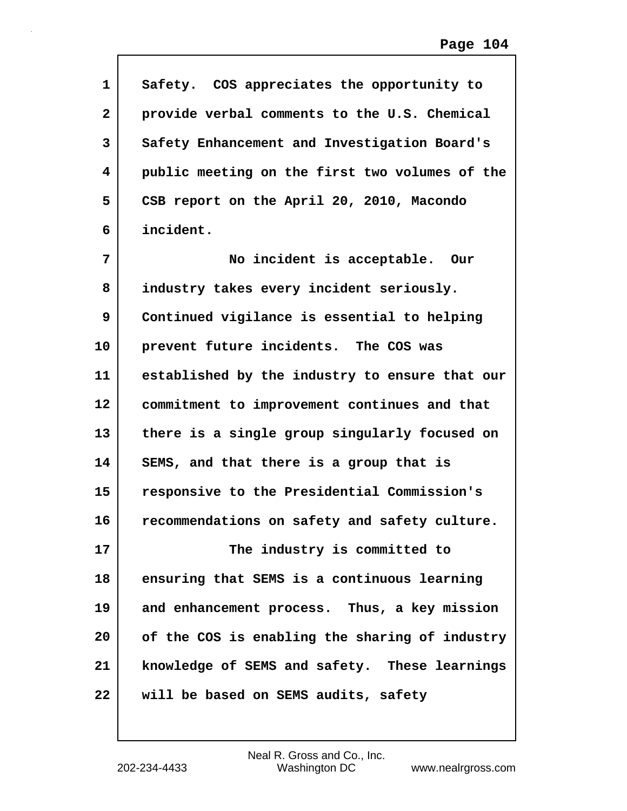| 1                       | Safety. COS appreciates the opportunity to     |
|-------------------------|------------------------------------------------|
| $\overline{\mathbf{2}}$ | provide verbal comments to the U.S. Chemical   |
| 3                       | Safety Enhancement and Investigation Board's   |
| 4                       | public meeting on the first two volumes of the |
| 5                       | CSB report on the April 20, 2010, Macondo      |
| 6                       | incident.                                      |
| 7                       | No incident is acceptable. Our                 |
| 8                       | industry takes every incident seriously.       |
| 9                       | Continued vigilance is essential to helping    |
| 10                      | prevent future incidents. The COS was          |
| 11                      | established by the industry to ensure that our |
| 12 <sub>2</sub>         | commitment to improvement continues and that   |
| 13                      | there is a single group singularly focused on  |
| 14                      | SEMS, and that there is a group that is        |
| 15                      | responsive to the Presidential Commission's    |
| 16                      | recommendations on safety and safety culture.  |
| 17                      | The industry is committed to                   |
| 18                      | ensuring that SEMS is a continuous learning    |
| 19                      | and enhancement process. Thus, a key mission   |
| 20                      | of the COS is enabling the sharing of industry |
| 21                      | knowledge of SEMS and safety. These learnings  |
| 22                      | will be based on SEMS audits, safety           |

 $\mathsf{l}$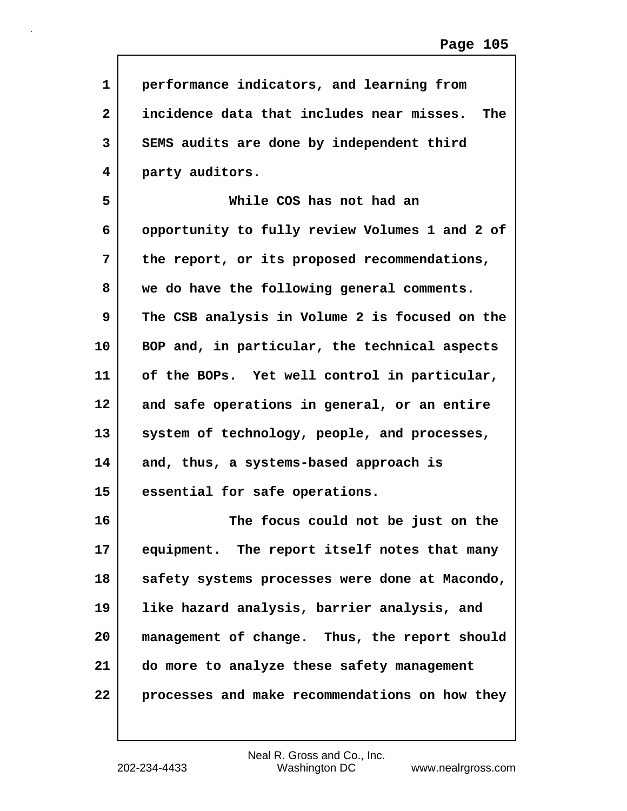| 1            | performance indicators, and learning from               |
|--------------|---------------------------------------------------------|
| $\mathbf{2}$ | incidence data that includes near misses.<br><b>The</b> |
| 3            | SEMS audits are done by independent third               |
| 4            | party auditors.                                         |
| 5            | While COS has not had an                                |
| 6            | opportunity to fully review Volumes 1 and 2 of          |
| 7            | the report, or its proposed recommendations,            |
| 8            | we do have the following general comments.              |
| 9            | The CSB analysis in Volume 2 is focused on the          |
| 10           | BOP and, in particular, the technical aspects           |
| 11           | of the BOPs. Yet well control in particular,            |
| 12           | and safe operations in general, or an entire            |
| 13           | system of technology, people, and processes,            |
| 14           | and, thus, a systems-based approach is                  |
| 15           | essential for safe operations.                          |
| 16           | The focus could not be just on the                      |
| 17           | equipment. The report itself notes that many            |
| 18           | safety systems processes were done at Macondo,          |
| 19           | like hazard analysis, barrier analysis, and             |
| 20           | management of change. Thus, the report should           |
| 21           | do more to analyze these safety management              |
| 22           | processes and make recommendations on how they          |
|              |                                                         |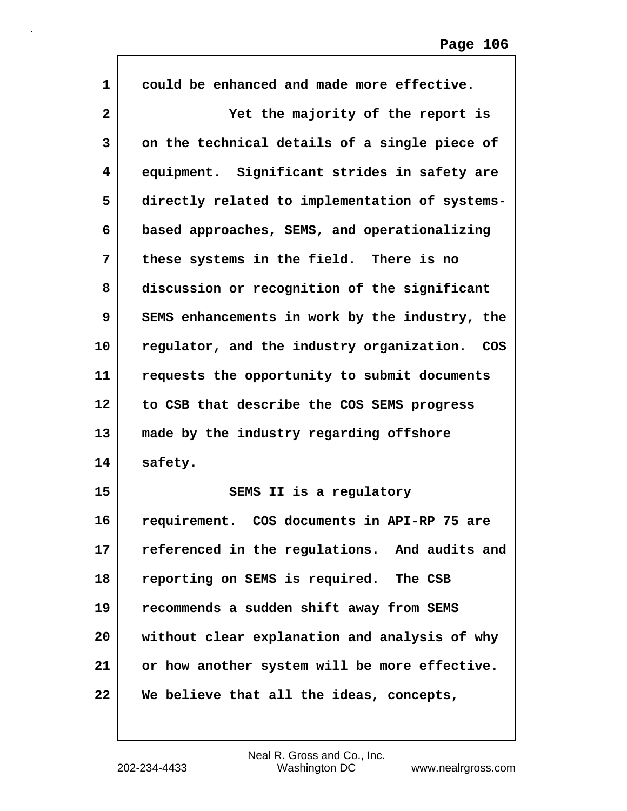| $\mathbf{1}$ | could be enhanced and made more effective.     |
|--------------|------------------------------------------------|
| 2            | Yet the majority of the report is              |
| 3            | on the technical details of a single piece of  |
| 4            | equipment. Significant strides in safety are   |
| 5            | directly related to implementation of systems- |
| 6            | based approaches, SEMS, and operationalizing   |
| 7            | these systems in the field. There is no        |
| 8            | discussion or recognition of the significant   |
| 9            | SEMS enhancements in work by the industry, the |
| 10           | regulator, and the industry organization. COS  |
| 11           | requests the opportunity to submit documents   |
| 12           | to CSB that describe the COS SEMS progress     |
| 13           | made by the industry regarding offshore        |
| 14           | safety.                                        |
| 15           | SEMS II is a regulatory                        |
| 16           | requirement. COS documents in API-RP 75 are    |
| 17           | referenced in the regulations. And audits and  |
| 18           | reporting on SEMS is required. The CSB         |
| 19           | recommends a sudden shift away from SEMS       |
| 20           | without clear explanation and analysis of why  |
| 21           | or how another system will be more effective.  |
| 22           | We believe that all the ideas, concepts,       |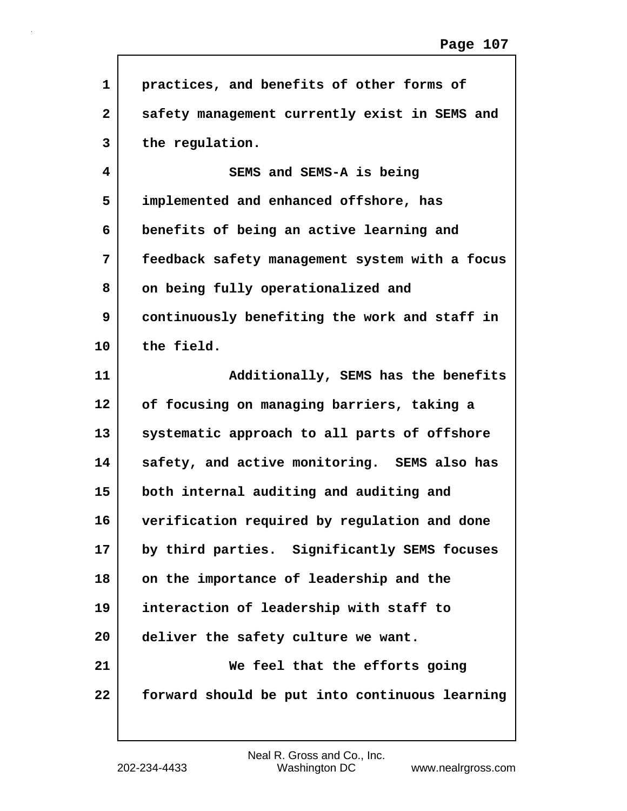| 1            | practices, and benefits of other forms of      |
|--------------|------------------------------------------------|
| $\mathbf{2}$ | safety management currently exist in SEMS and  |
| 3            | the regulation.                                |
| 4            | SEMS and SEMS-A is being                       |
| 5            | implemented and enhanced offshore, has         |
| 6            | benefits of being an active learning and       |
| 7            | feedback safety management system with a focus |
| 8            | on being fully operationalized and             |
| 9            | continuously benefiting the work and staff in  |
| 10           | the field.                                     |
| 11           | Additionally, SEMS has the benefits            |
| 12           | of focusing on managing barriers, taking a     |
| 13           | systematic approach to all parts of offshore   |
| 14           | safety, and active monitoring. SEMS also has   |
| 15           | both internal auditing and auditing and        |
| 16           | verification required by regulation and done   |
| 17           | by third parties. Significantly SEMS focuses   |
| 18           | on the importance of leadership and the        |
| 19           | interaction of leadership with staff to        |
| 20           | deliver the safety culture we want.            |
| 21           | We feel that the efforts going                 |
| 22           | forward should be put into continuous learning |

 $\mathsf{I}$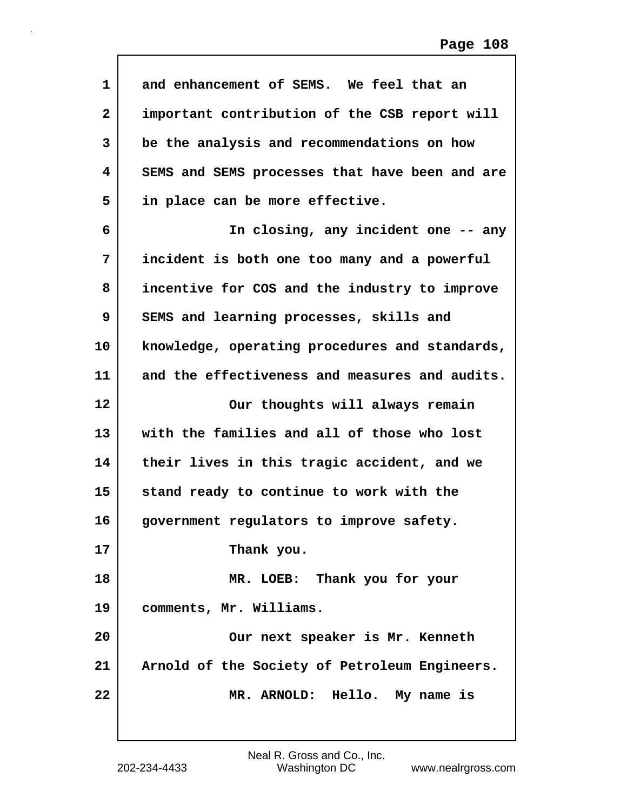| 1            | and enhancement of SEMS. We feel that an       |
|--------------|------------------------------------------------|
| $\mathbf{2}$ | important contribution of the CSB report will  |
| 3            | be the analysis and recommendations on how     |
| 4            | SEMS and SEMS processes that have been and are |
| 5            | in place can be more effective.                |
| 6            | In closing, any incident one -- any            |
| 7            | incident is both one too many and a powerful   |
| 8            | incentive for COS and the industry to improve  |
| 9            | SEMS and learning processes, skills and        |
| 10           | knowledge, operating procedures and standards, |
| 11           | and the effectiveness and measures and audits. |
| 12           | Our thoughts will always remain                |
| 13           | with the families and all of those who lost    |
| 14           | their lives in this tragic accident, and we    |
| 15           | stand ready to continue to work with the       |
| 16           | government regulators to improve safety.       |
| 17           | Thank you.                                     |
| 18           | MR. LOEB: Thank you for your                   |
| 19           | comments, Mr. Williams.                        |
| 20           | Our next speaker is Mr. Kenneth                |
| 21           | Arnold of the Society of Petroleum Engineers.  |
| 22           | MR. ARNOLD: Hello. My name is                  |
|              |                                                |

 $\mathsf{I}$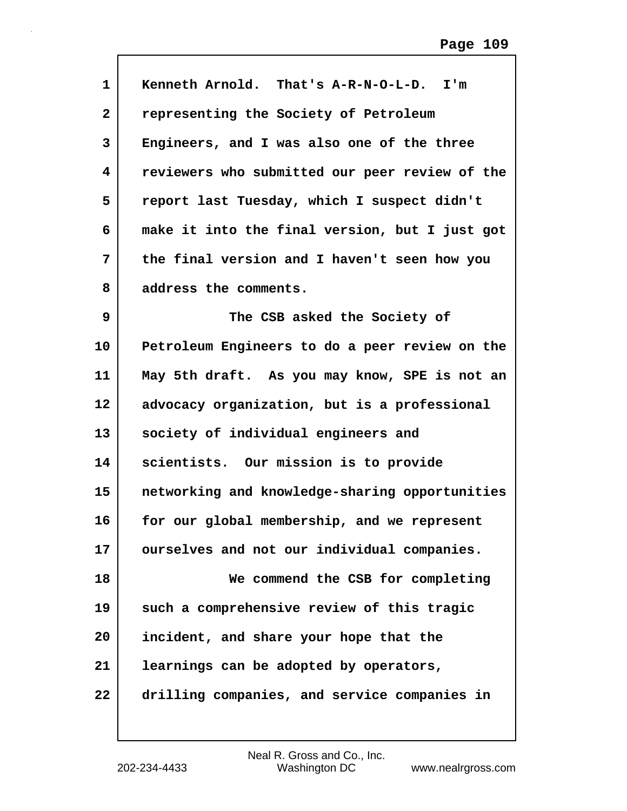| $\mathbf{1}$ | Kenneth Arnold. That's A-R-N-O-L-D. I'm        |
|--------------|------------------------------------------------|
| $\mathbf{2}$ | representing the Society of Petroleum          |
| 3            | Engineers, and I was also one of the three     |
| 4            | reviewers who submitted our peer review of the |
| 5            | report last Tuesday, which I suspect didn't    |
| 6            | make it into the final version, but I just got |
| 7            | the final version and I haven't seen how you   |
| 8            | address the comments.                          |
| 9            | The CSB asked the Society of                   |
| 10           | Petroleum Engineers to do a peer review on the |
| 11           | May 5th draft. As you may know, SPE is not an  |
| $12 \,$      | advocacy organization, but is a professional   |
| 13           | society of individual engineers and            |
| 14           | scientists. Our mission is to provide          |
| 15           | networking and knowledge-sharing opportunities |
| 16           | for our global membership, and we represent    |
| 17           | ourselves and not our individual companies.    |
| 18           | We commend the CSB for completing              |
| 19           | such a comprehensive review of this tragic     |
| 20           | incident, and share your hope that the         |
| 21           | learnings can be adopted by operators,         |
| 22           | drilling companies, and service companies in   |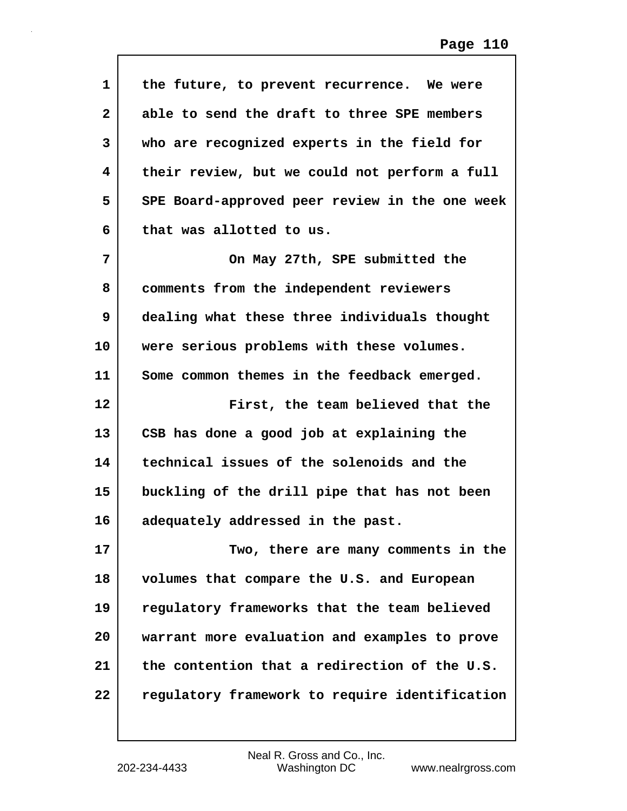| $\mathbf{1}$ | the future, to prevent recurrence. We were     |
|--------------|------------------------------------------------|
| $\mathbf{2}$ | able to send the draft to three SPE members    |
| 3            | who are recognized experts in the field for    |
| 4            | their review, but we could not perform a full  |
| 5            | SPE Board-approved peer review in the one week |
| 6            | that was allotted to us.                       |
| 7            | On May 27th, SPE submitted the                 |
| 8            | comments from the independent reviewers        |
| 9            | dealing what these three individuals thought   |
| 10           | were serious problems with these volumes.      |
| 11           | Some common themes in the feedback emerged.    |
| 12           | First, the team believed that the              |
| 13           | CSB has done a good job at explaining the      |
| 14           | technical issues of the solenoids and the      |
| 15           | buckling of the drill pipe that has not been   |
| 16           | adequately addressed in the past.              |
| 17           | Two, there are many comments in the            |
| 18           | volumes that compare the U.S. and European     |
| 19           | regulatory frameworks that the team believed   |
| 20           | warrant more evaluation and examples to prove  |
| 21           | the contention that a redirection of the U.S.  |
| 22           |                                                |
|              | regulatory framework to require identification |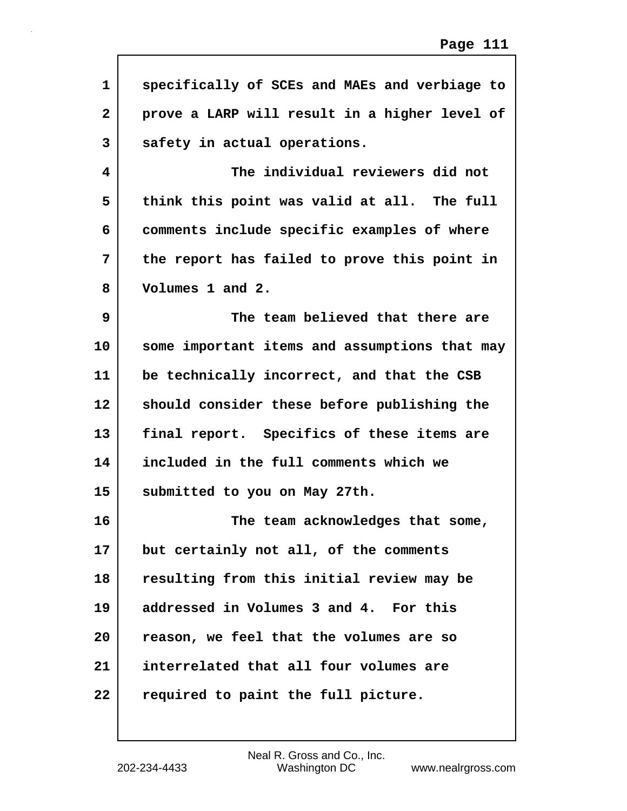| 1              | specifically of SCEs and MAEs and verbiage to |
|----------------|-----------------------------------------------|
| $\overline{2}$ | prove a LARP will result in a higher level of |
| 3              | safety in actual operations.                  |
| 4              | The individual reviewers did not              |
| 5              | think this point was valid at all. The full   |
| 6              | comments include specific examples of where   |
| 7              | the report has failed to prove this point in  |
| 8              | Volumes 1 and 2.                              |
| 9              | The team believed that there are              |
| 10             | some important items and assumptions that may |
| 11             | be technically incorrect, and that the CSB    |
| 12             | should consider these before publishing the   |
| 13             | final report. Specifics of these items are    |
| 14             | included in the full comments which we        |
| 15             | submitted to you on May 27th.                 |
| 16             | The team acknowledges that some,              |
| 17             | but certainly not all, of the comments        |
| 18             | resulting from this initial review may be     |
| 19             | addressed in Volumes 3 and 4. For this        |
| 20             | reason, we feel that the volumes are so       |
| 21             | interrelated that all four volumes are        |
| 22             | required to paint the full picture.           |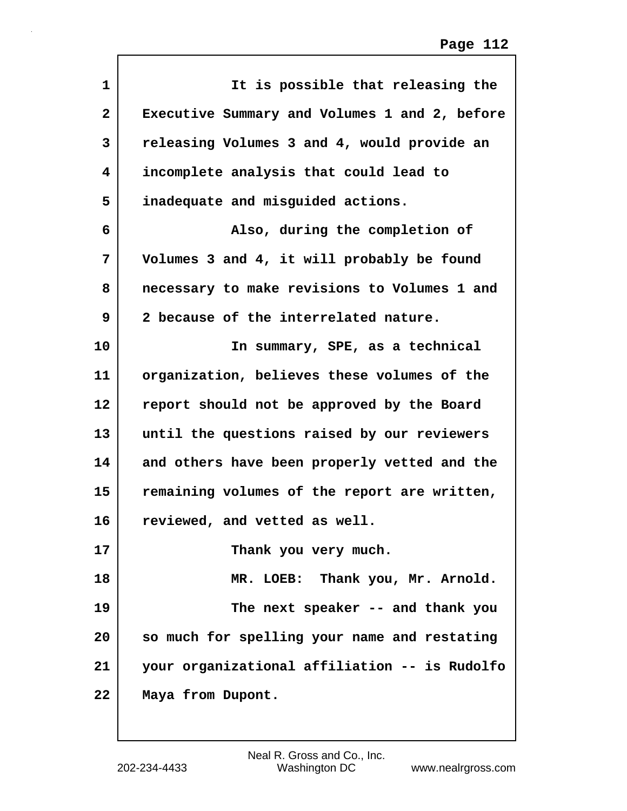| 1              | It is possible that releasing the             |
|----------------|-----------------------------------------------|
| $\overline{a}$ | Executive Summary and Volumes 1 and 2, before |
| 3              | releasing Volumes 3 and 4, would provide an   |
| 4              | incomplete analysis that could lead to        |
| 5              | inadequate and misguided actions.             |
| 6              | Also, during the completion of                |
| 7              | Volumes 3 and 4, it will probably be found    |
| 8              | necessary to make revisions to Volumes 1 and  |
| 9              | 2 because of the interrelated nature.         |
| 10             | In summary, SPE, as a technical               |
| 11             | organization, believes these volumes of the   |
| 12             | report should not be approved by the Board    |
| 13             | until the questions raised by our reviewers   |
| 14             | and others have been properly vetted and the  |
| 15             | remaining volumes of the report are written,  |
| 16             | reviewed, and vetted as well.                 |
| 17             | Thank you very much.                          |
| 18             | MR. LOEB: Thank you, Mr. Arnold.              |
| 19             | The next speaker -- and thank you             |
| 20             | so much for spelling your name and restating  |
| 21             | your organizational affiliation -- is Rudolfo |
| 22             | Maya from Dupont.                             |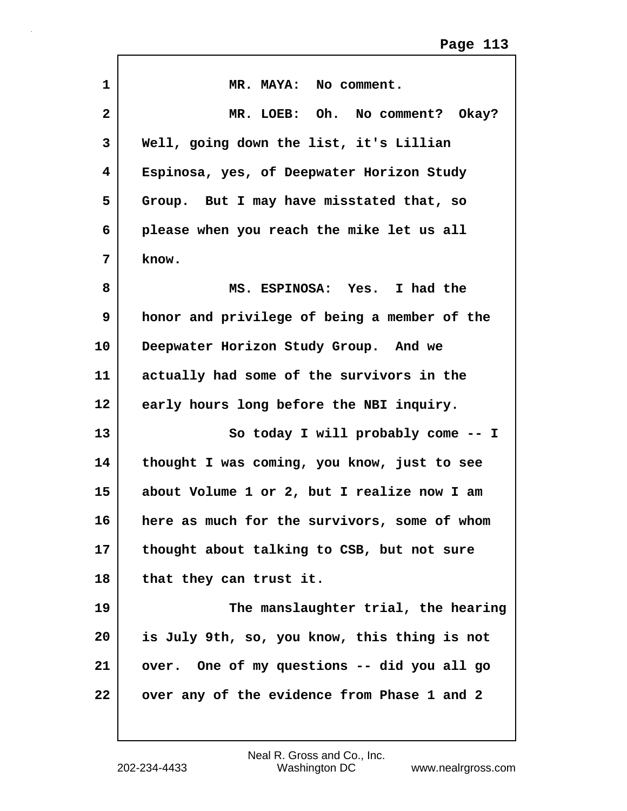| $\mathbf{1}$ | MR. MAYA: No comment.                        |
|--------------|----------------------------------------------|
| $\mathbf{2}$ | MR. LOEB: Oh. No comment? Okay?              |
| 3            | Well, going down the list, it's Lillian      |
| 4            | Espinosa, yes, of Deepwater Horizon Study    |
| 5            | Group. But I may have misstated that, so     |
| 6            | please when you reach the mike let us all    |
| 7            | know.                                        |
| 8            | MS. ESPINOSA: Yes. I had the                 |
| 9            | honor and privilege of being a member of the |
| 10           | Deepwater Horizon Study Group. And we        |
| 11           | actually had some of the survivors in the    |
| 12           | early hours long before the NBI inquiry.     |
| 13           | So today I will probably come -- I           |
| 14           | thought I was coming, you know, just to see  |
| 15           | about Volume 1 or 2, but I realize now I am  |
| 16           | here as much for the survivors, some of whom |
| 17           | thought about talking to CSB, but not sure   |
| 18           | that they can trust it.                      |
| 19           | The manslaughter trial, the hearing          |
| 20           | is July 9th, so, you know, this thing is not |
| 21           | over. One of my questions -- did you all go  |
| 22           | over any of the evidence from Phase 1 and 2  |
|              |                                              |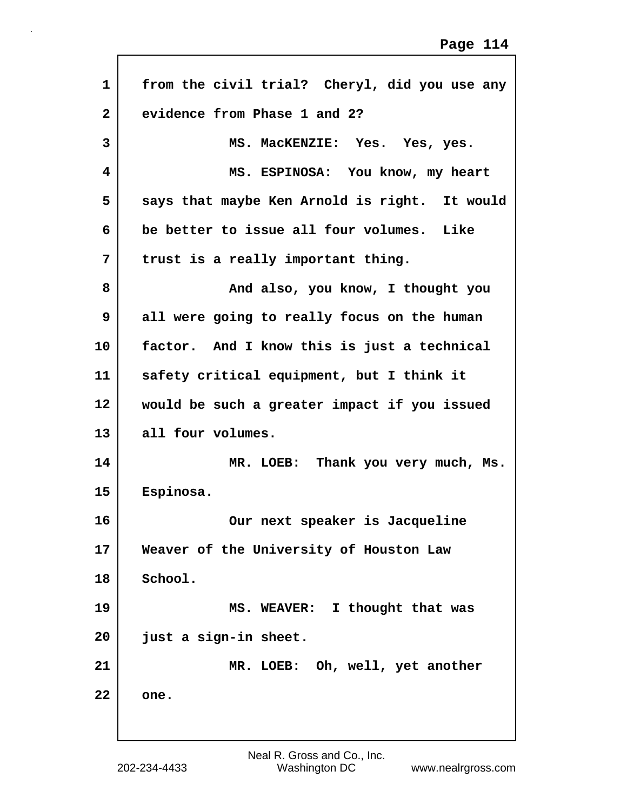| $\mathbf{1}$ | from the civil trial? Cheryl, did you use any |
|--------------|-----------------------------------------------|
| $\mathbf{2}$ | evidence from Phase 1 and 2?                  |
| 3            | MS. MacKENZIE: Yes. Yes, yes.                 |
| 4            | MS. ESPINOSA: You know, my heart              |
| 5            | says that maybe Ken Arnold is right. It would |
| 6            | be better to issue all four volumes. Like     |
| 7            | trust is a really important thing.            |
| 8            | And also, you know, I thought you             |
| 9            | all were going to really focus on the human   |
| 10           | factor. And I know this is just a technical   |
| 11           | safety critical equipment, but I think it     |
| 12           | would be such a greater impact if you issued  |
| 13           | all four volumes.                             |
| 14           | MR. LOEB: Thank you very much, Ms.            |
| 15           | Espinosa.                                     |
| 16           | Our next speaker is Jacqueline                |
| 17           | Weaver of the University of Houston Law       |
| 18           | School.                                       |
| 19           | MS. WEAVER: I thought that was                |
| 20           | just a sign-in sheet.                         |
| 21           | MR. LOEB: Oh, well, yet another               |
| 22           | one.                                          |
|              |                                               |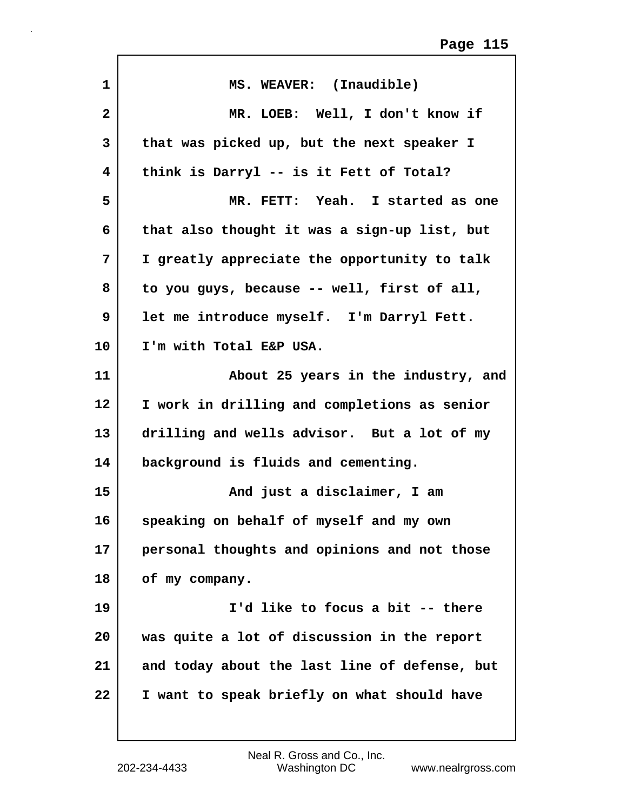| $\mathbf{1}$ | MS. WEAVER: (Inaudible)                       |
|--------------|-----------------------------------------------|
| $\mathbf{2}$ | MR. LOEB: Well, I don't know if               |
| 3            | that was picked up, but the next speaker I    |
| 4            | think is Darryl -- is it Fett of Total?       |
| 5            | MR. FETT: Yeah. I started as one              |
| 6            | that also thought it was a sign-up list, but  |
| 7            | I greatly appreciate the opportunity to talk  |
| 8            | to you guys, because -- well, first of all,   |
| 9            | let me introduce myself. I'm Darryl Fett.     |
| 10           | I'm with Total E&P USA.                       |
| 11           | About 25 years in the industry, and           |
| 12           | I work in drilling and completions as senior  |
| 13           | drilling and wells advisor. But a lot of my   |
| 14           | background is fluids and cementing.           |
| 15           | And just a disclaimer, I am                   |
| 16           | speaking on behalf of myself and my own       |
| 17           | personal thoughts and opinions and not those  |
| 18           | of my company.                                |
| 19           | I'd like to focus a bit -- there              |
| 20           | was quite a lot of discussion in the report   |
| 21           | and today about the last line of defense, but |
| 22           | I want to speak briefly on what should have   |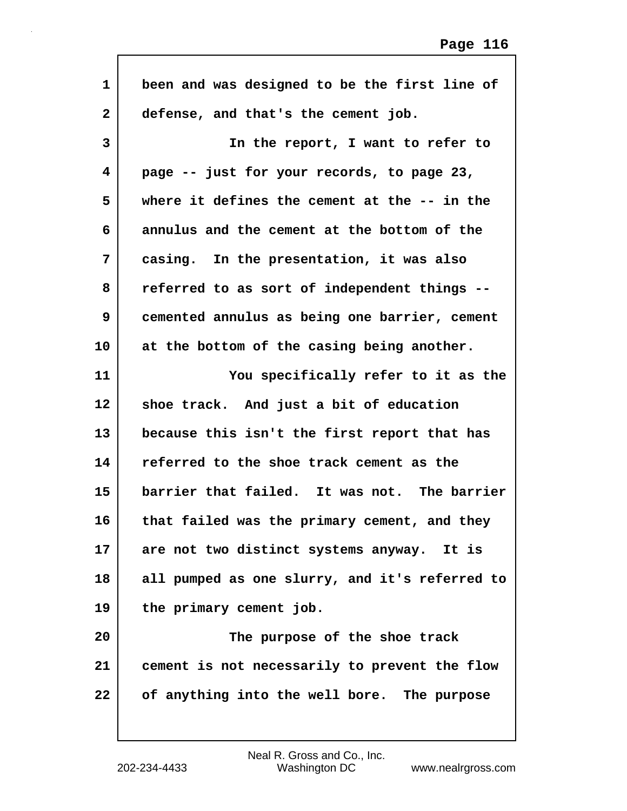| 1            | been and was designed to be the first line of  |
|--------------|------------------------------------------------|
| $\mathbf{2}$ | defense, and that's the cement job.            |
| 3            | In the report, I want to refer to              |
| 4            | page -- just for your records, to page 23,     |
| 5            | where it defines the cement at the -- in the   |
| 6            | annulus and the cement at the bottom of the    |
| 7            | casing. In the presentation, it was also       |
| 8            | referred to as sort of independent things --   |
| 9            | cemented annulus as being one barrier, cement  |
| 10           | at the bottom of the casing being another.     |
| 11           | You specifically refer to it as the            |
| 12           | shoe track. And just a bit of education        |
| 13           | because this isn't the first report that has   |
| 14           | referred to the shoe track cement as the       |
| 15           | barrier that failed. It was not. The barrier   |
| 16           | that failed was the primary cement, and they   |
| 17           | are not two distinct systems anyway. It is     |
| 18           | all pumped as one slurry, and it's referred to |
| 19           | the primary cement job.                        |
| 20           | The purpose of the shoe track                  |
| 21           | cement is not necessarily to prevent the flow  |
| 22           | of anything into the well bore. The purpose    |
|              |                                                |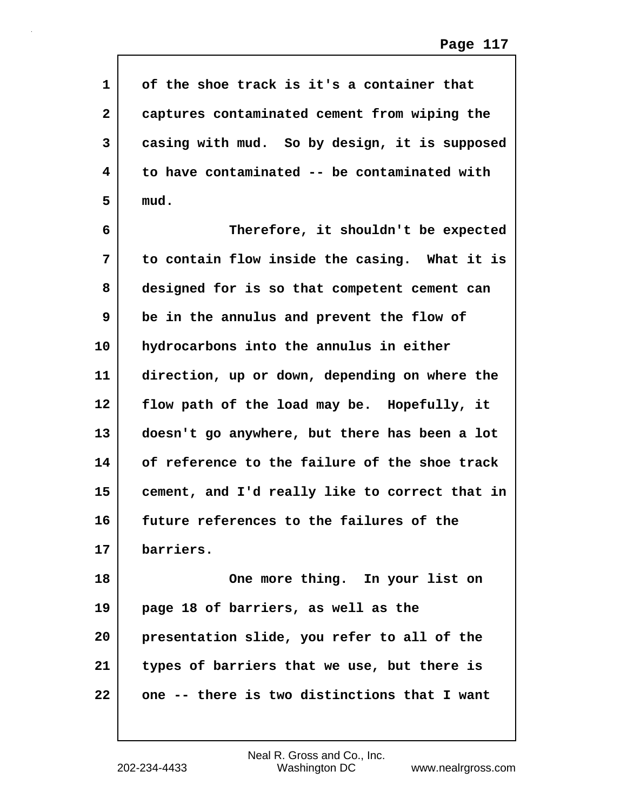| $\mathbf{1}$ | of the shoe track is it's a container that     |
|--------------|------------------------------------------------|
| $\mathbf{2}$ | captures contaminated cement from wiping the   |
| 3            | casing with mud. So by design, it is supposed  |
| 4            | to have contaminated -- be contaminated with   |
| 5            | mud.                                           |
| 6            | Therefore, it shouldn't be expected            |
| 7            | to contain flow inside the casing. What it is  |
| 8            | designed for is so that competent cement can   |
| 9            | be in the annulus and prevent the flow of      |
| 10           | hydrocarbons into the annulus in either        |
| 11           | direction, up or down, depending on where the  |
| 12           | flow path of the load may be. Hopefully, it    |
| 13           | doesn't go anywhere, but there has been a lot  |
| 14           | of reference to the failure of the shoe track  |
| 15           | cement, and I'd really like to correct that in |
| 16           | future references to the failures of the       |
| 17           | barriers.                                      |
| 18           | One more thing. In your list on                |
| 19           | page 18 of barriers, as well as the            |
| 20           | presentation slide, you refer to all of the    |
| 21           | types of barriers that we use, but there is    |
| 22           | one -- there is two distinctions that I want   |
|              |                                                |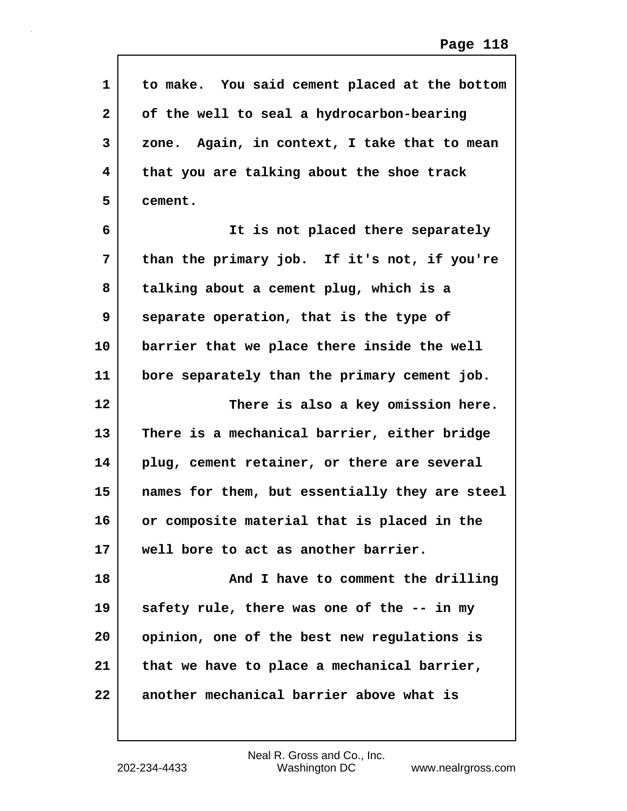| $\mathbf{1}$ | to make. You said cement placed at the bottom  |
|--------------|------------------------------------------------|
| $\mathbf{2}$ | of the well to seal a hydrocarbon-bearing      |
| 3            | zone. Again, in context, I take that to mean   |
| 4            | that you are talking about the shoe track      |
| 5            | cement.                                        |
| 6            | It is not placed there separately              |
| 7            | than the primary job. If it's not, if you're   |
| 8            | talking about a cement plug, which is a        |
| 9            | separate operation, that is the type of        |
| 10           | barrier that we place there inside the well    |
| 11           | bore separately than the primary cement job.   |
| 12           | There is also a key omission here.             |
| 13           | There is a mechanical barrier, either bridge   |
| 14           | plug, cement retainer, or there are several    |
| 15           | names for them, but essentially they are steel |
| 16           | or composite material that is placed in the    |
| 17           | well bore to act as another barrier.           |
| 18           | And I have to comment the drilling             |
| 19           | safety rule, there was one of the -- in my     |
| 20           | opinion, one of the best new regulations is    |
| 21           | that we have to place a mechanical barrier,    |
| 22           | another mechanical barrier above what is       |
|              |                                                |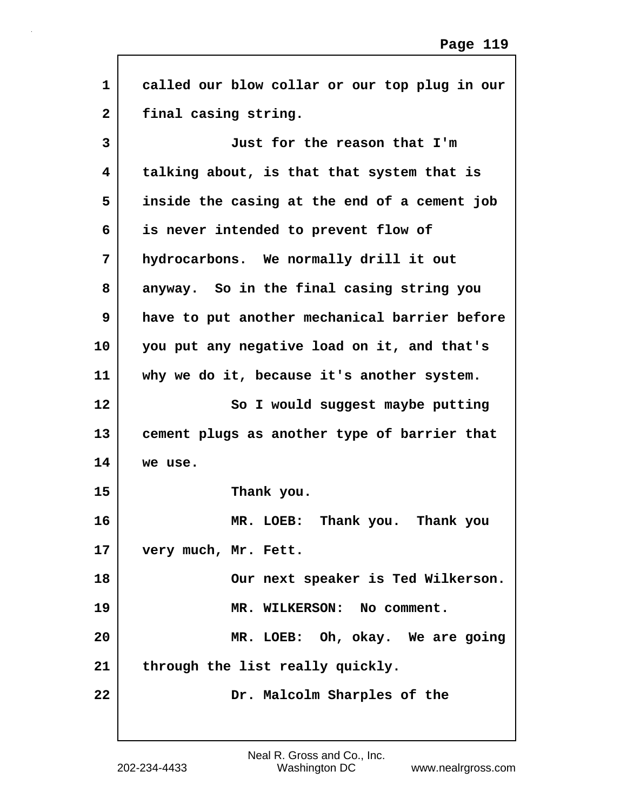| $\mathbf{1}$ | called our blow collar or our top plug in our |
|--------------|-----------------------------------------------|
| $\mathbf{2}$ | final casing string.                          |
| 3            | Just for the reason that I'm                  |
| 4            | talking about, is that that system that is    |
| 5            | inside the casing at the end of a cement job  |
| 6            | is never intended to prevent flow of          |
| 7            | hydrocarbons. We normally drill it out        |
| 8            | anyway. So in the final casing string you     |
| 9            | have to put another mechanical barrier before |
| 10           | you put any negative load on it, and that's   |
| 11           | why we do it, because it's another system.    |
| 12           | So I would suggest maybe putting              |
| 13           | cement plugs as another type of barrier that  |
| 14           | we use.                                       |
| 15           | Thank you.                                    |
| 16           | MR. LOEB: Thank you. Thank you                |
| 17           | very much, Mr. Fett.                          |
| 18           | Our next speaker is Ted Wilkerson.            |
| 19           | MR. WILKERSON: No comment.                    |
| 20           | MR. LOEB: Oh, okay. We are going              |
| 21           | through the list really quickly.              |
| 22           | Dr. Malcolm Sharples of the                   |

Г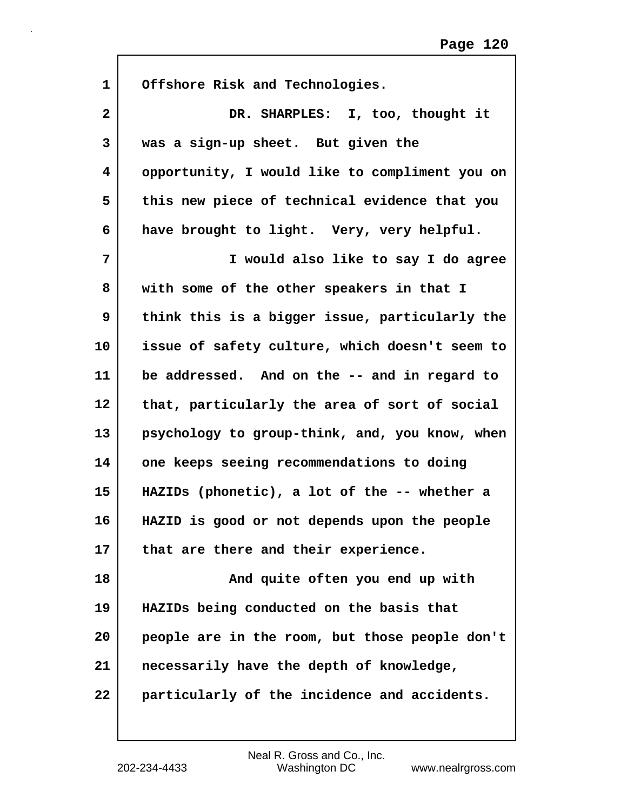| 1  | Offshore Risk and Technologies.                |
|----|------------------------------------------------|
| 2  | DR. SHARPLES: I, too, thought it               |
| 3  | was a sign-up sheet. But given the             |
| 4  | opportunity, I would like to compliment you on |
| 5  | this new piece of technical evidence that you  |
| 6  | have brought to light. Very, very helpful.     |
| 7  | I would also like to say I do agree            |
| 8  | with some of the other speakers in that I      |
| 9  | think this is a bigger issue, particularly the |
| 10 | issue of safety culture, which doesn't seem to |
| 11 | be addressed. And on the -- and in regard to   |
| 12 | that, particularly the area of sort of social  |
| 13 | psychology to group-think, and, you know, when |
| 14 | one keeps seeing recommendations to doing      |
| 15 | HAZIDs (phonetic), a lot of the -- whether a   |
| 16 | HAZID is good or not depends upon the people   |
| 17 | that are there and their experience.           |
| 18 | And quite often you end up with                |
| 19 | HAZIDs being conducted on the basis that       |
| 20 | people are in the room, but those people don't |
| 21 | necessarily have the depth of knowledge,       |
| 22 | particularly of the incidence and accidents.   |
|    |                                                |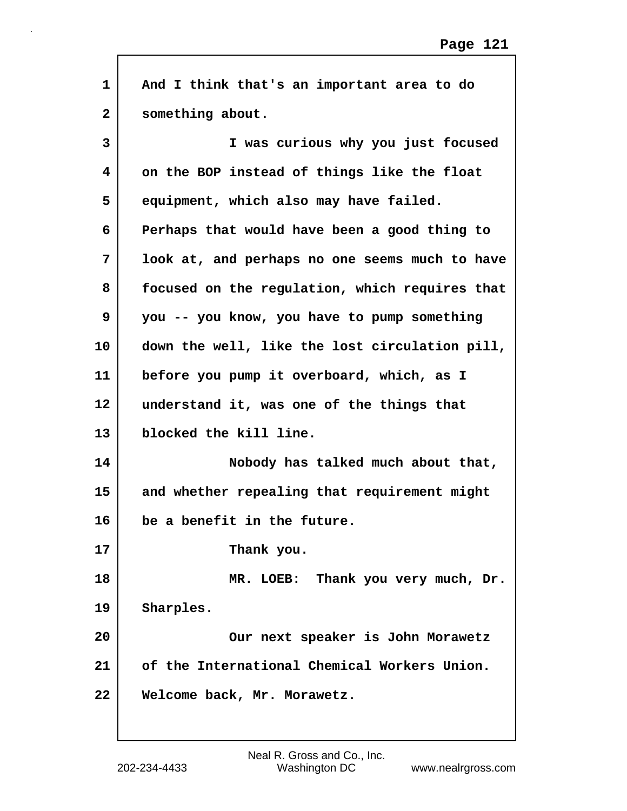| $\mathbf{1}$   | And I think that's an important area to do     |
|----------------|------------------------------------------------|
| $\overline{a}$ | something about.                               |
| 3              | I was curious why you just focused             |
| 4              | on the BOP instead of things like the float    |
| 5              | equipment, which also may have failed.         |
| 6              | Perhaps that would have been a good thing to   |
| 7              | look at, and perhaps no one seems much to have |
| 8              | focused on the regulation, which requires that |
| 9              | you -- you know, you have to pump something    |
| 10             | down the well, like the lost circulation pill, |
| 11             | before you pump it overboard, which, as I      |
| 12             | understand it, was one of the things that      |
| 13             | blocked the kill line.                         |
| 14             | Nobody has talked much about that,             |
| 15             | and whether repealing that requirement might   |
| 16             | be a benefit in the future.                    |
| 17             | Thank you.                                     |
| 18             | MR. LOEB: Thank you very much, Dr.             |
| 19             | Sharples.                                      |
| 20             | Our next speaker is John Morawetz              |
| 21             | of the International Chemical Workers Union.   |
| 22             | Welcome back, Mr. Morawetz.                    |

 $\mathsf{I}$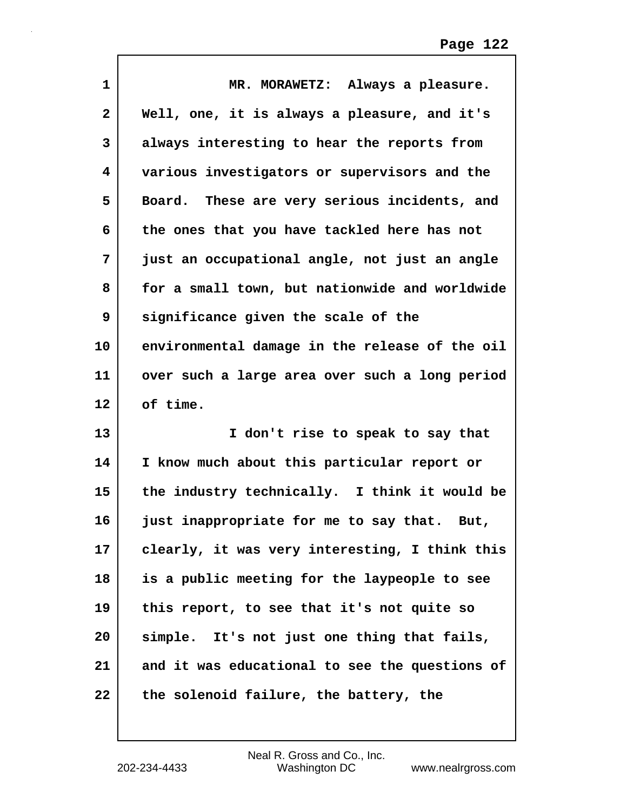| 1            | MR. MORAWETZ: Always a pleasure.                |
|--------------|-------------------------------------------------|
| $\mathbf{2}$ | Well, one, it is always a pleasure, and it's    |
| 3            | always interesting to hear the reports from     |
| 4            | various investigators or supervisors and the    |
| 5            | These are very serious incidents, and<br>Board. |
| 6            | the ones that you have tackled here has not     |
| 7            | just an occupational angle, not just an angle   |
| 8            | for a small town, but nationwide and worldwide  |
| 9            | significance given the scale of the             |
| 10           | environmental damage in the release of the oil  |
| 11           | over such a large area over such a long period  |
|              |                                                 |
| 12           | of time.                                        |
| 13           | I don't rise to speak to say that               |
| 14           | I know much about this particular report or     |
| 15           | the industry technically. I think it would be   |
| 16           | just inappropriate for me to say that.<br>But,  |
| 17           | clearly, it was very interesting, I think this  |
| 18           | is a public meeting for the laypeople to see    |
| 19           | this report, to see that it's not quite so      |
| 20           | simple. It's not just one thing that fails,     |
| 21           | and it was educational to see the questions of  |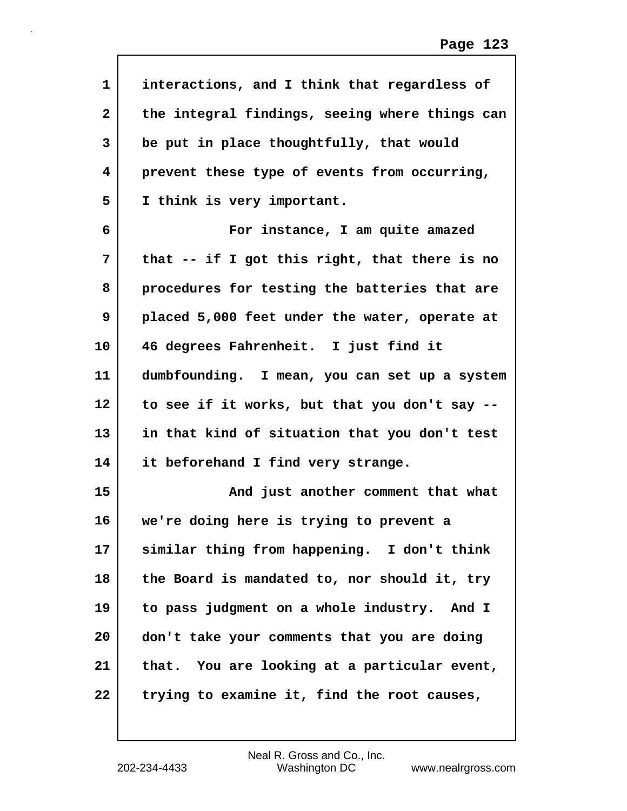| $\mathbf 1$       | interactions, and I think that regardless of   |
|-------------------|------------------------------------------------|
| $\mathbf{2}$      | the integral findings, seeing where things can |
| 3                 | be put in place thoughtfully, that would       |
| 4                 | prevent these type of events from occurring,   |
| 5                 | I think is very important.                     |
| 6                 | For instance, I am quite amazed                |
| 7                 | that -- if I got this right, that there is no  |
| 8                 | procedures for testing the batteries that are  |
| 9                 | placed 5,000 feet under the water, operate at  |
| 10                | 46 degrees Fahrenheit. I just find it          |
| 11                | dumbfounding. I mean, you can set up a system  |
| $12 \overline{ }$ | to see if it works, but that you don't say --  |
| 13                | in that kind of situation that you don't test  |
| 14                | it beforehand I find very strange.             |
| 15                | And just another comment that what             |
| 16                | we're doing here is trying to prevent a        |
| 17                | similar thing from happening. I don't think    |
| 18                | the Board is mandated to, nor should it, try   |
| 19                | to pass judgment on a whole industry. And I    |
| 20                | don't take your comments that you are doing    |
| 21                | that. You are looking at a particular event,   |
| 22                | trying to examine it, find the root causes,    |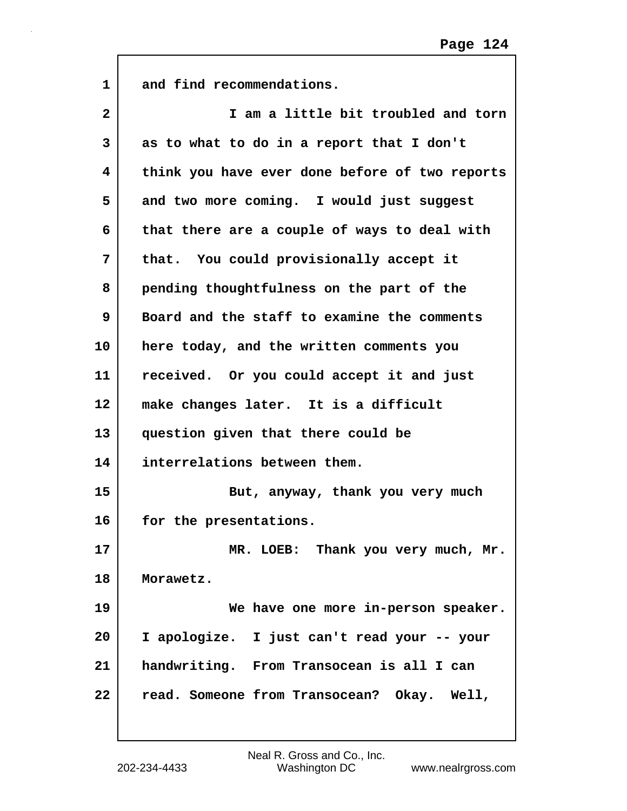| $\mathbf{1}$ | and find recommendations.                      |
|--------------|------------------------------------------------|
| $\mathbf{2}$ | I am a little bit troubled and torn            |
| 3            | as to what to do in a report that I don't      |
| 4            | think you have ever done before of two reports |
| 5            | and two more coming. I would just suggest      |
| 6            | that there are a couple of ways to deal with   |
| 7            | that. You could provisionally accept it        |
| 8            | pending thoughtfulness on the part of the      |
| 9            | Board and the staff to examine the comments    |
| 10           | here today, and the written comments you       |
| 11           | received. Or you could accept it and just      |
| $12 \,$      | make changes later. It is a difficult          |
| 13           | question given that there could be             |
| 14           | interrelations between them.                   |
| 15           | But, anyway, thank you very much               |
| 16           | for the presentations.                         |
| 17           | MR. LOEB: Thank you very much, Mr.             |
| 18           | Morawetz.                                      |
| 19           | We have one more in-person speaker.            |
| 20           | I apologize. I just can't read your -- your    |
| 21           | handwriting. From Transocean is all I can      |
| 22           | read. Someone from Transocean? Okay. Well,     |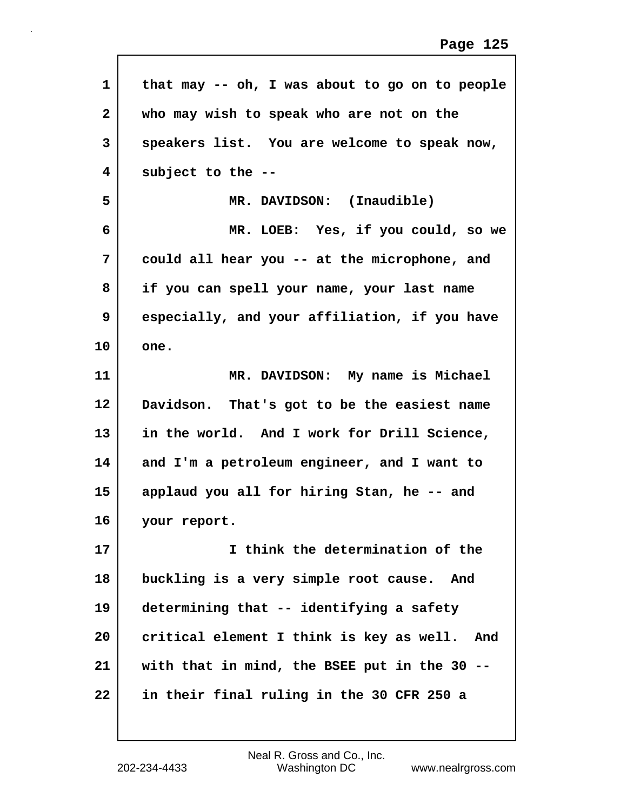| $\mathbf{1}$ | that may -- oh, I was about to go on to people  |
|--------------|-------------------------------------------------|
| $\mathbf{2}$ | who may wish to speak who are not on the        |
| 3            | speakers list. You are welcome to speak now,    |
| 4            | subject to the --                               |
| 5            | MR. DAVIDSON: (Inaudible)                       |
| 6            | MR. LOEB: Yes, if you could, so we              |
| 7            | could all hear you -- at the microphone, and    |
| 8            | if you can spell your name, your last name      |
| 9            | especially, and your affiliation, if you have   |
| 10           | one.                                            |
| 11           | MR. DAVIDSON: My name is Michael                |
| 12           | Davidson. That's got to be the easiest name     |
| 13           | in the world. And I work for Drill Science,     |
| 14           | and I'm a petroleum engineer, and I want to     |
| 15           | applaud you all for hiring Stan, he -- and      |
| 16           | your report.                                    |
| 17           | I think the determination of the                |
| 18           | buckling is a very simple root cause. And       |
| 19           | determining that -- identifying a safety        |
| 20           | critical element I think is key as well.<br>And |
| 21           | with that in mind, the BSEE put in the 30 --    |
| 22           | in their final ruling in the 30 CFR 250 a       |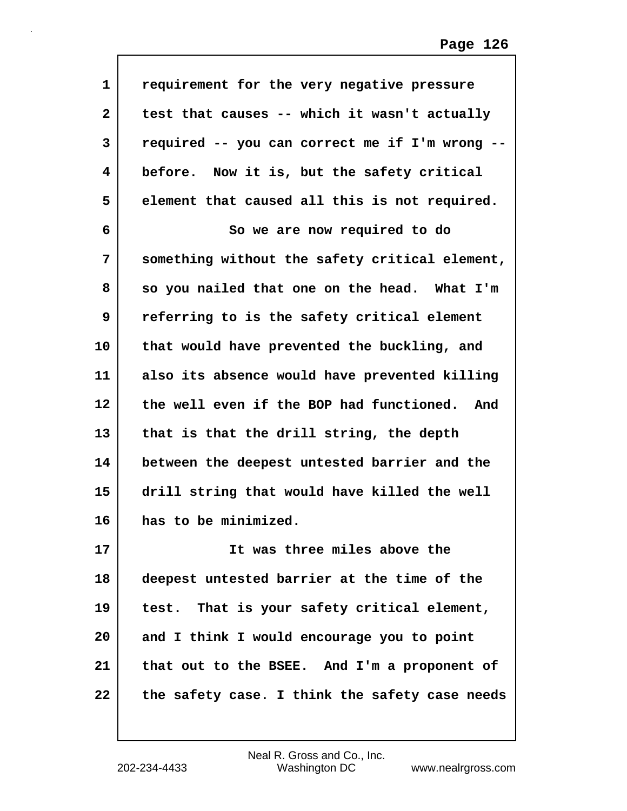| $\mathbf{1}$ | requirement for the very negative pressure     |
|--------------|------------------------------------------------|
| $\mathbf{2}$ | test that causes -- which it wasn't actually   |
| 3            | required -- you can correct me if I'm wrong -- |
| 4            | before. Now it is, but the safety critical     |
| 5            | element that caused all this is not required.  |
| 6            | So we are now required to do                   |
| 7            | something without the safety critical element, |
| 8            | so you nailed that one on the head. What I'm   |
| 9            | referring to is the safety critical element    |
| 10           | that would have prevented the buckling, and    |
| 11           | also its absence would have prevented killing  |
| 12           | the well even if the BOP had functioned. And   |
| 13           | that is that the drill string, the depth       |
| 14           | between the deepest untested barrier and the   |
| 15           | drill string that would have killed the well   |
| 16           | has to be minimized.                           |
| 17           | It was three miles above the                   |
| 18           | deepest untested barrier at the time of the    |
| 19           | test. That is your safety critical element,    |
| 20           | and I think I would encourage you to point     |
| 21           | that out to the BSEE. And I'm a proponent of   |
| 22           | the safety case. I think the safety case needs |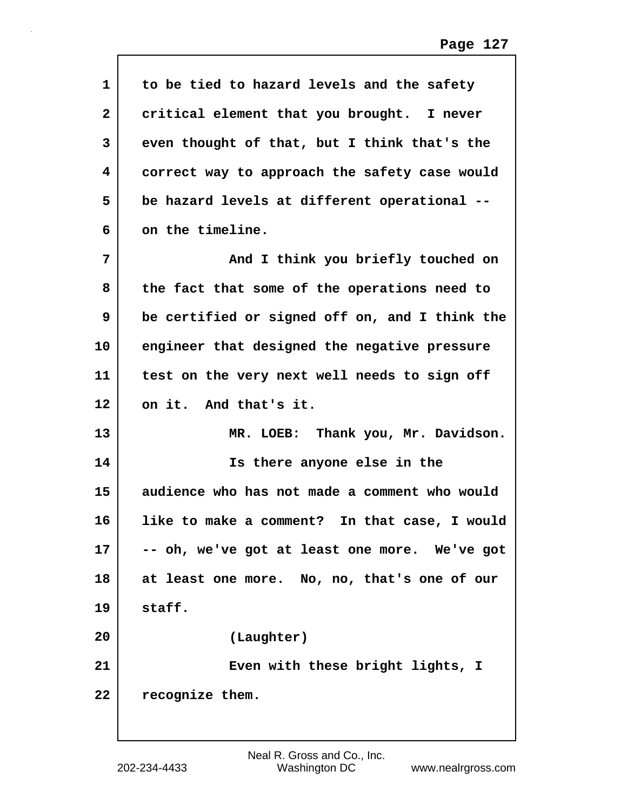| $\mathbf 1$  | to be tied to hazard levels and the safety     |
|--------------|------------------------------------------------|
| $\mathbf{2}$ | critical element that you brought. I never     |
| 3            | even thought of that, but I think that's the   |
| 4            | correct way to approach the safety case would  |
| 5            | be hazard levels at different operational --   |
| 6            | on the timeline.                               |
| 7            | And I think you briefly touched on             |
| 8            | the fact that some of the operations need to   |
| 9            | be certified or signed off on, and I think the |
| 10           | engineer that designed the negative pressure   |
| 11           | test on the very next well needs to sign off   |
| 12           | on it. And that's it.                          |
| 13           | MR. LOEB: Thank you, Mr. Davidson.             |
| 14           | Is there anyone else in the                    |
| 15           | audience who has not made a comment who would  |
| 16           | like to make a comment? In that case, I would  |
| 17           | -- oh, we've got at least one more. We've got  |
| 18           | at least one more. No, no, that's one of our   |
| 19           | staff.                                         |
| 20           | (Laughter)                                     |
| 21           | Even with these bright lights, I               |
| 22           | recognize them.                                |
|              |                                                |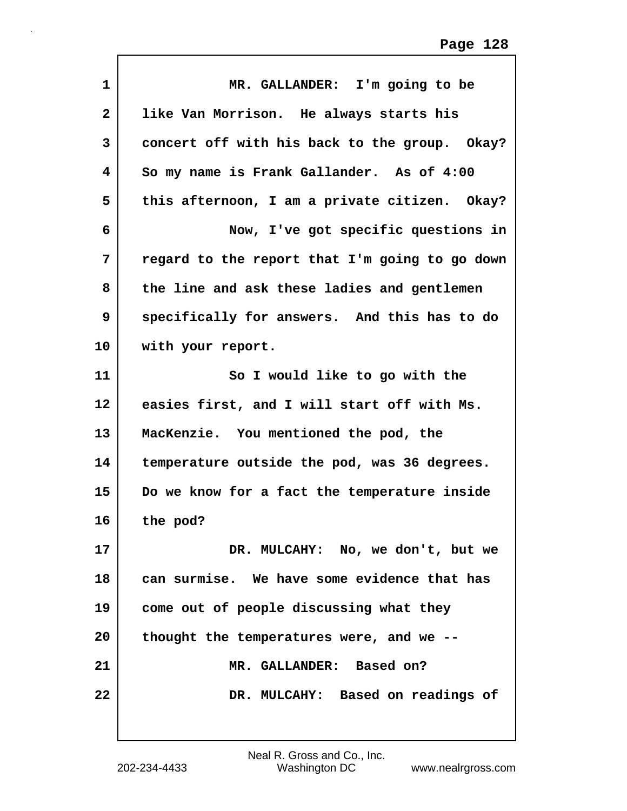| $\mathbf 1$    | MR. GALLANDER: I'm going to be                 |
|----------------|------------------------------------------------|
| $\overline{2}$ | like Van Morrison. He always starts his        |
| 3              | concert off with his back to the group. Okay?  |
| 4              | So my name is Frank Gallander. As of 4:00      |
| 5              | this afternoon, I am a private citizen. Okay?  |
| 6              | Now, I've got specific questions in            |
| 7              | regard to the report that I'm going to go down |
| 8              | the line and ask these ladies and gentlemen    |
| 9              | specifically for answers. And this has to do   |
| 10             | with your report.                              |
| 11             | So I would like to go with the                 |
| 12             | easies first, and I will start off with Ms.    |
| 13             | MacKenzie. You mentioned the pod, the          |
| 14             | temperature outside the pod, was 36 degrees.   |
| 15             | Do we know for a fact the temperature inside   |
| 16             | the pod?                                       |
| 17             | DR. MULCAHY: No, we don't, but we              |
| 18             | can surmise. We have some evidence that has    |
| 19             | come out of people discussing what they        |
| 20             | thought the temperatures were, and we --       |
| 21             | MR. GALLANDER: Based on?                       |
| 22             | DR. MULCAHY: Based on readings of              |
|                |                                                |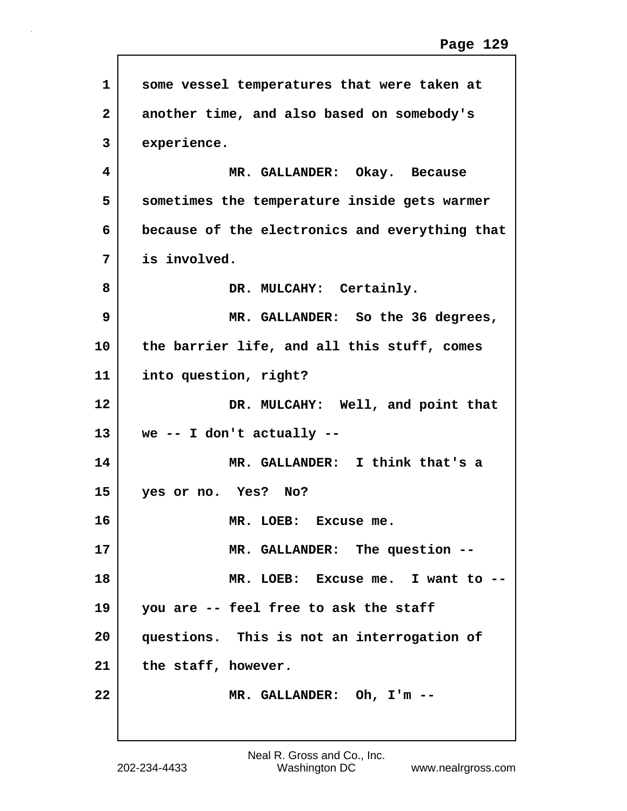| $\mathbf{1}$   | some vessel temperatures that were taken at    |
|----------------|------------------------------------------------|
| $\overline{2}$ | another time, and also based on somebody's     |
| 3              | experience.                                    |
| 4              | MR. GALLANDER: Okay. Because                   |
| 5              | sometimes the temperature inside gets warmer   |
| 6              | because of the electronics and everything that |
| 7              | is involved.                                   |
| 8              | DR. MULCAHY: Certainly.                        |
| 9              | MR. GALLANDER: So the 36 degrees,              |
| 10             | the barrier life, and all this stuff, comes    |
| 11             | into question, right?                          |
| 12             | DR. MULCAHY: Well, and point that              |
| 13             | we -- I don't actually --                      |
| 14             | MR. GALLANDER: I think that's a                |
| 15             | yes or no. Yes? No?                            |
| 16             | MR. LOEB: Excuse me.                           |
| 17             | MR. GALLANDER: The question --                 |
| 18             | MR. LOEB: Excuse me. I want to --              |
| 19             | you are -- feel free to ask the staff          |
| 20             | questions. This is not an interrogation of     |
| 21             | the staff, however.                            |
| 22             | MR. GALLANDER: Oh, I'm --                      |
|                |                                                |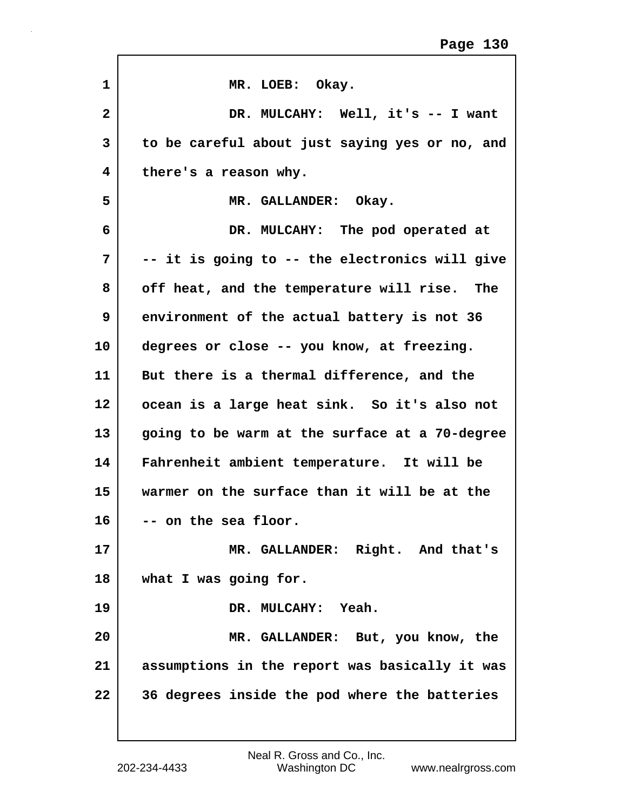| 1               | MR. LOEB: Okay.                                |
|-----------------|------------------------------------------------|
| $\mathbf{2}$    | DR. MULCAHY: Well, it's -- I want              |
| 3               | to be careful about just saying yes or no, and |
| 4               | there's a reason why.                          |
| 5               | MR. GALLANDER: Okay.                           |
| 6               | DR. MULCAHY: The pod operated at               |
| 7               | -- it is going to -- the electronics will give |
| 8               | off heat, and the temperature will rise. The   |
| 9               | environment of the actual battery is not 36    |
| 10              | degrees or close -- you know, at freezing.     |
| 11              | But there is a thermal difference, and the     |
| 12 <sub>2</sub> | ocean is a large heat sink. So it's also not   |
| 13              | going to be warm at the surface at a 70-degree |
| 14              | Fahrenheit ambient temperature. It will be     |
| 15              | warmer on the surface than it will be at the   |
| 16              | on the sea floor.                              |
| 17              | MR. GALLANDER: Right. And that's               |
| 18              | what I was going for.                          |
| 19              | DR. MULCAHY: Yeah.                             |
| 20              | MR. GALLANDER: But, you know, the              |
| 21              | assumptions in the report was basically it was |
| 22              | 36 degrees inside the pod where the batteries  |
|                 |                                                |

 $\mathbf{r}$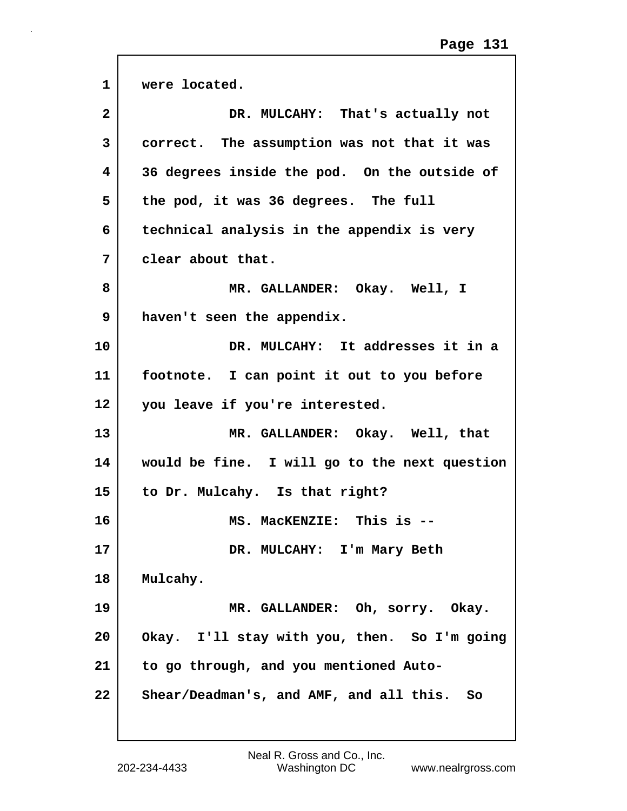٦

| $\mathbf{1}$      | were located.                                 |
|-------------------|-----------------------------------------------|
| $\mathbf{2}$      | DR. MULCAHY: That's actually not              |
| 3                 | correct. The assumption was not that it was   |
| 4                 | 36 degrees inside the pod. On the outside of  |
| 5                 | the pod, it was 36 degrees. The full          |
| 6                 | technical analysis in the appendix is very    |
| 7                 | clear about that.                             |
| 8                 | MR. GALLANDER: Okay. Well, I                  |
| 9                 | haven't seen the appendix.                    |
| 10                | DR. MULCAHY: It addresses it in a             |
| 11                | footnote. I can point it out to you before    |
| $12 \overline{ }$ | you leave if you're interested.               |
| 13                | MR. GALLANDER: Okay. Well, that               |
| 14                | would be fine. I will go to the next question |
| 15                | to Dr. Mulcahy. Is that right?                |
| 16                | This is $-$<br><b>MS. MacKENZIE:</b>          |
| 17                | DR. MULCAHY: I'm Mary Beth                    |
| 18                | Mulcahy.                                      |
| 19                | MR. GALLANDER: Oh, sorry. Okay.               |
| 20                | Okay. I'll stay with you, then. So I'm going  |
| 21                | to go through, and you mentioned Auto-        |
| 22                | Shear/Deadman's, and AMF, and all this.<br>So |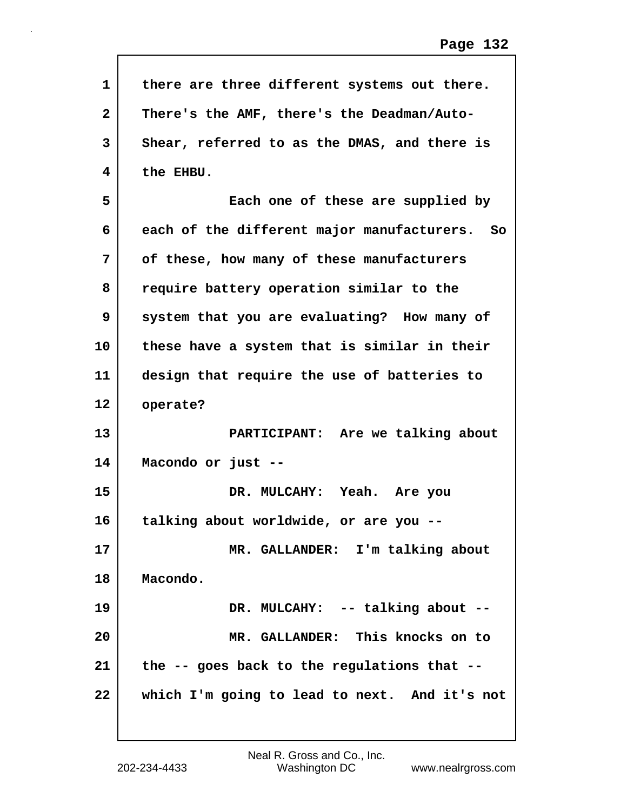| $\mathbf{1}$ | there are three different systems out there.  |
|--------------|-----------------------------------------------|
| $\mathbf{2}$ | There's the AMF, there's the Deadman/Auto-    |
| 3            | Shear, referred to as the DMAS, and there is  |
| 4            | the EHBU.                                     |
| 5            | Each one of these are supplied by             |
| 6            | each of the different major manufacturers. So |
| 7            | of these, how many of these manufacturers     |
| 8            | require battery operation similar to the      |
| 9            | system that you are evaluating? How many of   |
| 10           | these have a system that is similar in their  |
| 11           | design that require the use of batteries to   |
| 12           | operate?                                      |
| 13           | PARTICIPANT: Are we talking about             |
| 14           | Macondo or just --                            |
| 15           | DR. MULCAHY: Yeah. Are you                    |
| 16           | talking about worldwide, or are you --        |
| 17           | MR. GALLANDER: I'm talking about              |
| 18           | Macondo.                                      |
| 19           | DR. MULCAHY: -- talking about --              |
| 20           | MR. GALLANDER: This knocks on to              |
| 21           | the -- goes back to the regulations that --   |
| 22           | which I'm going to lead to next. And it's not |
|              |                                               |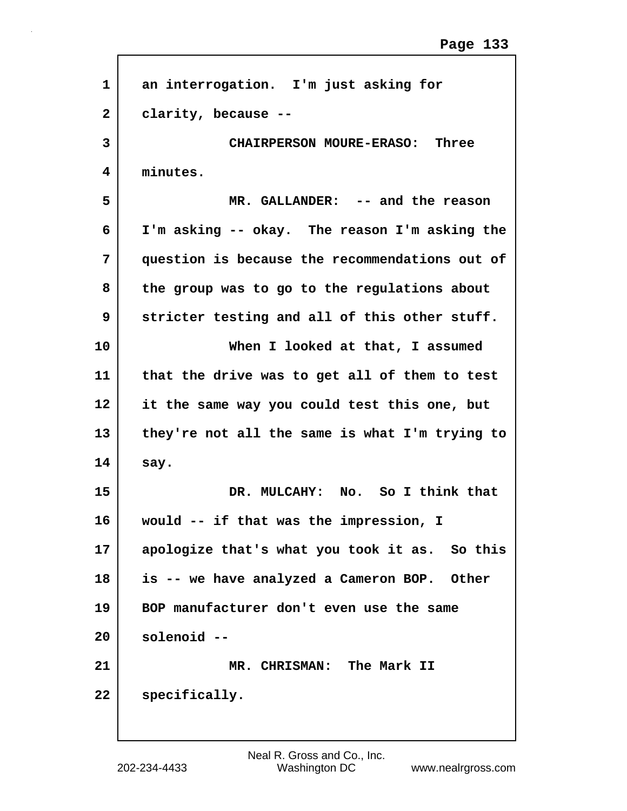| 1              | an interrogation. I'm just asking for          |
|----------------|------------------------------------------------|
| $\overline{2}$ | clarity, because --                            |
| 3              | CHAIRPERSON MOURE-ERASO: Three                 |
| 4              | minutes.                                       |
| 5              | MR. GALLANDER: -- and the reason               |
| 6              | I'm asking -- okay. The reason I'm asking the  |
| 7              | question is because the recommendations out of |
| 8              | the group was to go to the regulations about   |
| 9              | stricter testing and all of this other stuff.  |
| 10             | When I looked at that, I assumed               |
| 11             | that the drive was to get all of them to test  |
| 12             | it the same way you could test this one, but   |
| 13             | they're not all the same is what I'm trying to |
| 14             | say.                                           |
| 15             | DR. MULCAHY: No. So I think that               |
| 16             | would -- if that was the impression, I         |
| 17             | apologize that's what you took it as. So this  |
| 18             | is -- we have analyzed a Cameron BOP. Other    |
| 19             | BOP manufacturer don't even use the same       |
| 20             | solenoid --                                    |
| 21             | MR. CHRISMAN: The Mark II                      |
| 22             | specifically.                                  |
|                |                                                |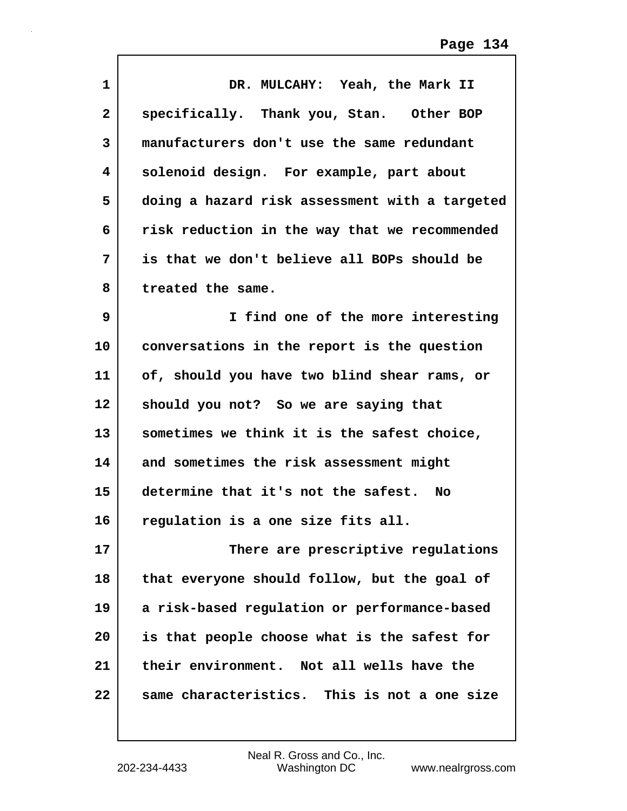| 1            | DR. MULCAHY: Yeah, the Mark II                 |
|--------------|------------------------------------------------|
| $\mathbf{2}$ | specifically. Thank you, Stan. Other BOP       |
| 3            | manufacturers don't use the same redundant     |
| 4            | solenoid design. For example, part about       |
| 5            | doing a hazard risk assessment with a targeted |
| 6            | risk reduction in the way that we recommended  |
| 7            | is that we don't believe all BOPs should be    |
| 8            | treated the same.                              |
| 9            | I find one of the more interesting             |
| 10           | conversations in the report is the question    |
| 11           | of, should you have two blind shear rams, or   |
| 12           | should you not? So we are saying that          |
| 13           | sometimes we think it is the safest choice,    |
| 14           | and sometimes the risk assessment might        |
| 15           | determine that it's not the safest. No         |
| 16           | regulation is a one size fits all.             |
| 17           | There are prescriptive regulations             |
| 18           | that everyone should follow, but the goal of   |
| 19           | a risk-based regulation or performance-based   |
| 20           | is that people choose what is the safest for   |
| 21           | their environment. Not all wells have the      |
| 22           | same characteristics. This is not a one size   |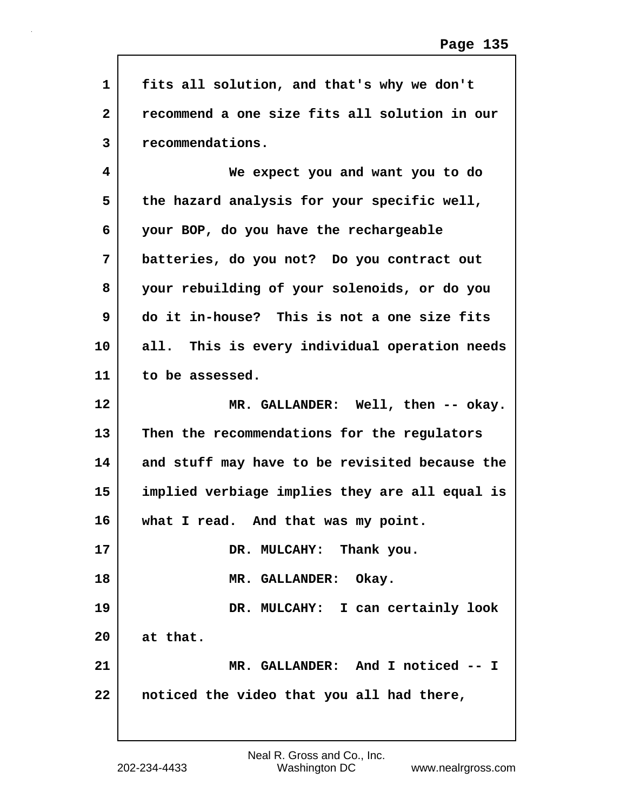| $\mathbf{1}$ | fits all solution, and that's why we don't     |
|--------------|------------------------------------------------|
| $\mathbf{2}$ | recommend a one size fits all solution in our  |
| 3            | recommendations.                               |
| 4            | We expect you and want you to do               |
| 5            | the hazard analysis for your specific well,    |
| 6            | your BOP, do you have the rechargeable         |
| 7            | batteries, do you not? Do you contract out     |
| 8            | your rebuilding of your solenoids, or do you   |
| 9            | do it in-house? This is not a one size fits    |
| 10           | all. This is every individual operation needs  |
| 11           | to be assessed.                                |
| 12           | MR. GALLANDER: Well, then -- okay.             |
| 13           | Then the recommendations for the regulators    |
| 14           | and stuff may have to be revisited because the |
| 15           | implied verbiage implies they are all equal is |
| 16           | what I read. And that was my point.            |
| 17           | DR. MULCAHY: Thank you.                        |
| 18           | MR. GALLANDER: Okay.                           |
| 19           | DR. MULCAHY: I can certainly look              |
| 20           | at that.                                       |
| 21           | MR. GALLANDER: And I noticed -- I              |
| 22           | noticed the video that you all had there,      |
|              |                                                |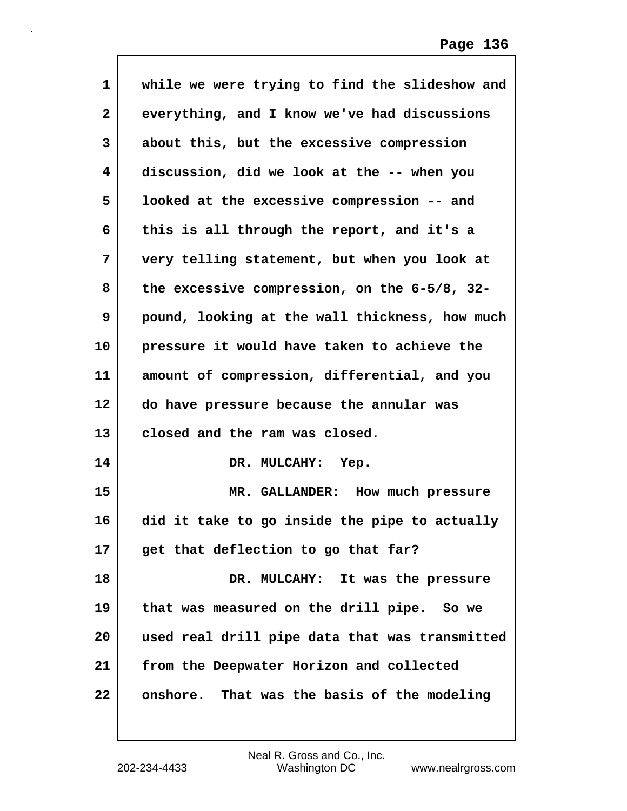| $\mathbf{1}$ | while we were trying to find the slideshow and  |
|--------------|-------------------------------------------------|
| $\mathbf{2}$ | everything, and I know we've had discussions    |
| 3            | about this, but the excessive compression       |
| 4            | discussion, did we look at the -- when you      |
| 5            | looked at the excessive compression -- and      |
| 6            | this is all through the report, and it's a      |
| 7            | very telling statement, but when you look at    |
| 8            | the excessive compression, on the $6-5/8$ , 32- |
| 9            | pound, looking at the wall thickness, how much  |
| 10           | pressure it would have taken to achieve the     |
| 11           | amount of compression, differential, and you    |
| 12           | do have pressure because the annular was        |
| 13           | closed and the ram was closed.                  |
| 14           | DR. MULCAHY: Yep.                               |
| 15           | MR. GALLANDER: How much pressure                |
| 16           | did it take to go inside the pipe to actually   |
| 17           | get that deflection to go that far?             |
| 18           | DR. MULCAHY: It was the pressure                |
| 19           | that was measured on the drill pipe. So we      |
| 20           | used real drill pipe data that was transmitted  |
| 21           | from the Deepwater Horizon and collected        |
| 22           | onshore. That was the basis of the modeling     |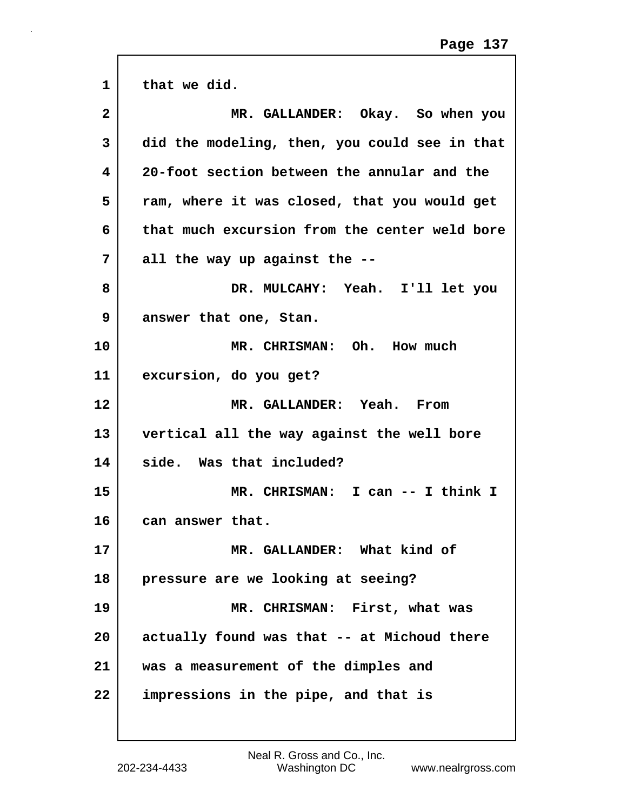| $\mathbf{1}$ | that we did.                                  |
|--------------|-----------------------------------------------|
| $\mathbf{2}$ | MR. GALLANDER: Okay. So when you              |
| 3            | did the modeling, then, you could see in that |
| 4            | 20-foot section between the annular and the   |
| 5            | ram, where it was closed, that you would get  |
| 6            | that much excursion from the center weld bore |
| 7            | all the way up against the --                 |
| 8            | DR. MULCAHY: Yeah. I'll let you               |
| 9            | answer that one, Stan.                        |
| 10           | MR. CHRISMAN: Oh. How much                    |
| 11           | excursion, do you get?                        |
| 12           | MR. GALLANDER: Yeah. From                     |
| 13           | vertical all the way against the well bore    |
| 14           | side. Was that included?                      |
| 15           | MR. CHRISMAN: I can -- I think I              |
| 16           | can answer that.                              |
| 17           | MR. GALLANDER: What kind of                   |
| 18           | pressure are we looking at seeing?            |
| 19           | MR. CHRISMAN: First, what was                 |
| 20           | actually found was that -- at Michoud there   |
| 21           | was a measurement of the dimples and          |
| 22           | impressions in the pipe, and that is          |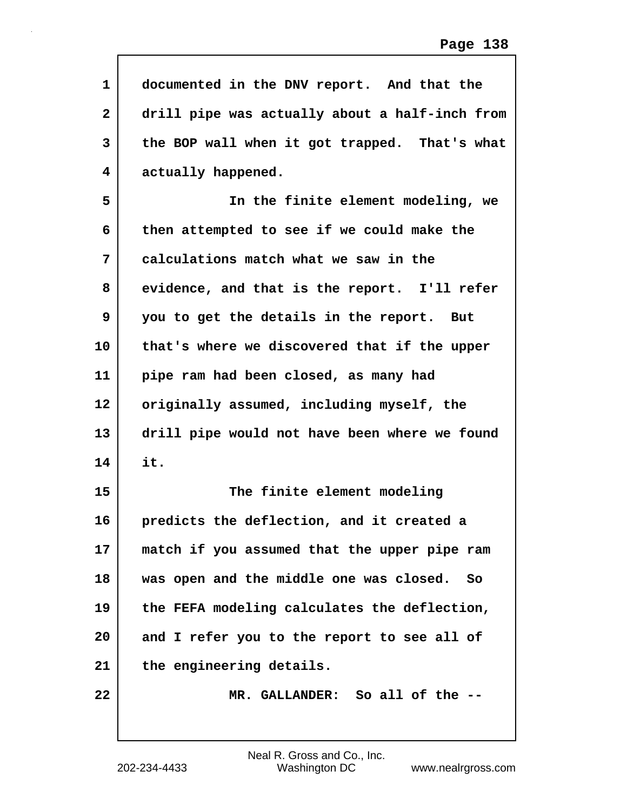| $\mathbf 1$ | documented in the DNV report. And that the     |
|-------------|------------------------------------------------|
| 2           | drill pipe was actually about a half-inch from |
| 3           | the BOP wall when it got trapped. That's what  |
| 4           | actually happened.                             |
| 5           | In the finite element modeling, we             |
| 6           | then attempted to see if we could make the     |
| 7           | calculations match what we saw in the          |
| 8           | evidence, and that is the report. I'll refer   |
| 9           | you to get the details in the report. But      |
| 10          | that's where we discovered that if the upper   |
| 11          | pipe ram had been closed, as many had          |
| 12          | originally assumed, including myself, the      |
| 13          | drill pipe would not have been where we found  |
| 14          | it.                                            |
| 15          | The finite element modeling                    |
| 16          | predicts the deflection, and it created a      |
| 17          | match if you assumed that the upper pipe ram   |
| 18          | was open and the middle one was closed. So     |
| 19          | the FEFA modeling calculates the deflection,   |
| 20          | and I refer you to the report to see all of    |
| 21          | the engineering details.                       |
| 22          | MR. GALLANDER: So all of the --                |
|             |                                                |

 $\mathsf{I}$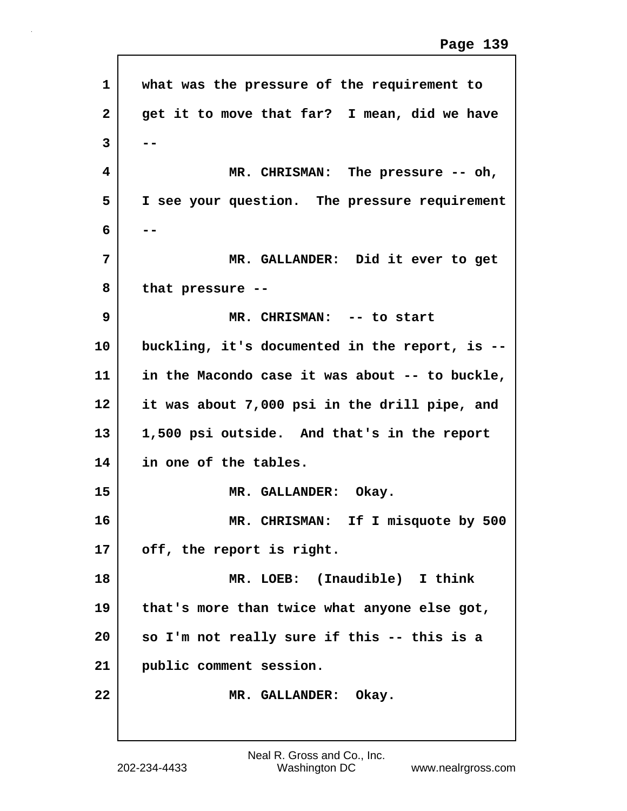| 1  | what was the pressure of the requirement to    |
|----|------------------------------------------------|
| 2  | get it to move that far? I mean, did we have   |
| 3  |                                                |
| 4  | MR. CHRISMAN: The pressure -- oh,              |
| 5  | I see your question. The pressure requirement  |
| 6  |                                                |
| 7  | MR. GALLANDER: Did it ever to get              |
| 8  | that pressure --                               |
| 9  | MR. CHRISMAN: -- to start                      |
| 10 | buckling, it's documented in the report, is -- |
| 11 | in the Macondo case it was about -- to buckle, |
| 12 | it was about 7,000 psi in the drill pipe, and  |
| 13 | 1,500 psi outside. And that's in the report    |
| 14 | in one of the tables.                          |
| 15 | MR. GALLANDER: Okay.                           |
| 16 | MR. CHRISMAN: If I misquote by 500             |
| 17 | off, the report is right.                      |
| 18 | MR. LOEB: (Inaudible) I think                  |
| 19 | that's more than twice what anyone else got,   |
| 20 | so I'm not really sure if this -- this is a    |
| 21 | public comment session.                        |
| 22 | MR. GALLANDER: Okay.                           |
|    |                                                |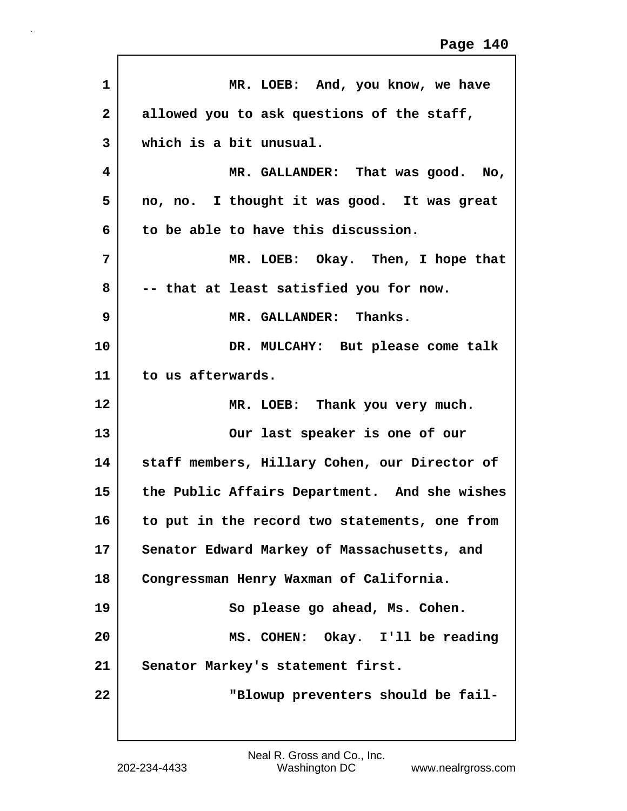| $\mathbf{1}$   | MR. LOEB: And, you know, we have              |
|----------------|-----------------------------------------------|
| $\overline{2}$ | allowed you to ask questions of the staff,    |
| 3              | which is a bit unusual.                       |
| 4              | MR. GALLANDER: That was good. No,             |
| 5              | no, no. I thought it was good. It was great   |
| 6              | to be able to have this discussion.           |
| 7              | MR. LOEB: Okay. Then, I hope that             |
| 8              | -- that at least satisfied you for now.       |
| 9              | MR. GALLANDER: Thanks.                        |
| 10             | DR. MULCAHY: But please come talk             |
| 11             | to us afterwards.                             |
| 12             | MR. LOEB: Thank you very much.                |
| 13             | Our last speaker is one of our                |
| 14             | staff members, Hillary Cohen, our Director of |
| 15             | the Public Affairs Department. And she wishes |
| 16             | to put in the record two statements, one from |
| 17             | Senator Edward Markey of Massachusetts, and   |
| 18             | Congressman Henry Waxman of California.       |
| 19             | So please go ahead, Ms. Cohen.                |
| 20             | MS. COHEN: Okay. I'll be reading              |
| 21             | Senator Markey's statement first.             |
| 22             | "Blowup preventers should be fail-            |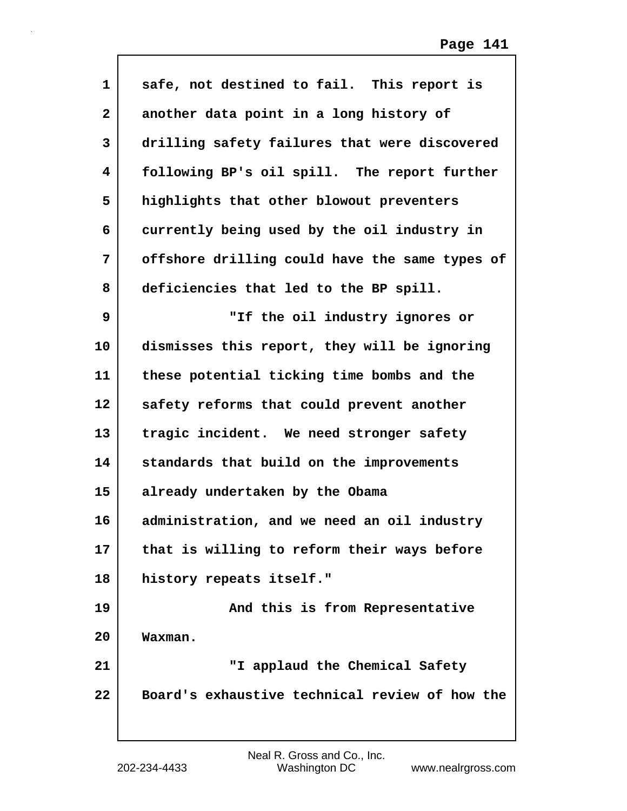| $\mathbf{1}$      | safe, not destined to fail. This report is     |
|-------------------|------------------------------------------------|
| $\mathbf{2}$      | another data point in a long history of        |
| 3                 | drilling safety failures that were discovered  |
| 4                 | following BP's oil spill. The report further   |
| 5                 | highlights that other blowout preventers       |
| 6                 | currently being used by the oil industry in    |
| 7                 | offshore drilling could have the same types of |
| 8                 | deficiencies that led to the BP spill.         |
| 9                 | "If the oil industry ignores or                |
| 10                | dismisses this report, they will be ignoring   |
| 11                | these potential ticking time bombs and the     |
| $12 \overline{ }$ | safety reforms that could prevent another      |
| 13                | tragic incident. We need stronger safety       |
| 14                | standards that build on the improvements       |
| 15                | already undertaken by the Obama                |
| 16                | administration, and we need an oil industry    |
| 17                | that is willing to reform their ways before    |
| 18                | history repeats itself."                       |
| 19                | And this is from Representative                |
| 20                | Waxman.                                        |
| 21                | "I applaud the Chemical Safety                 |
| 22                | Board's exhaustive technical review of how the |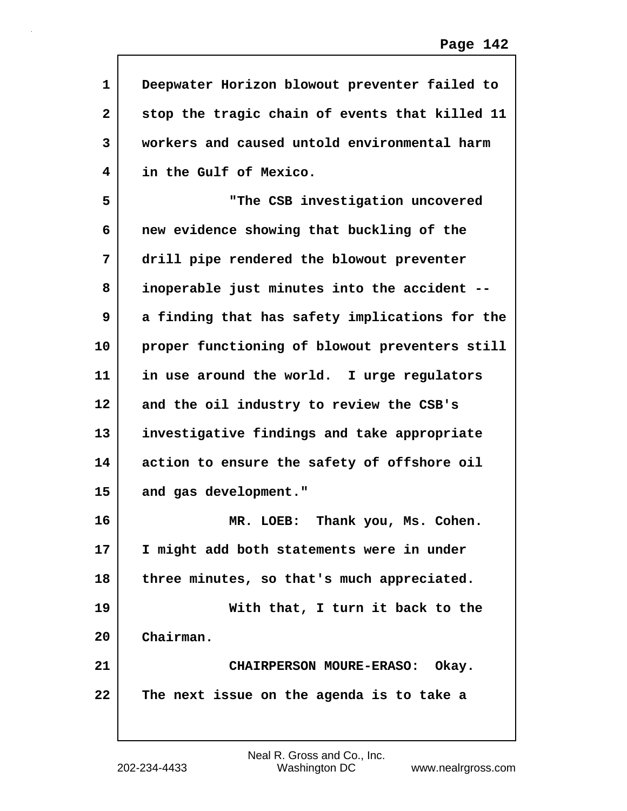| 1            | Deepwater Horizon blowout preventer failed to  |
|--------------|------------------------------------------------|
| $\mathbf{2}$ | stop the tragic chain of events that killed 11 |
| 3            | workers and caused untold environmental harm   |
| 4            | in the Gulf of Mexico.                         |
| 5            | "The CSB investigation uncovered               |
| 6            | new evidence showing that buckling of the      |
| 7            | drill pipe rendered the blowout preventer      |
| 8            | inoperable just minutes into the accident --   |
| 9            | a finding that has safety implications for the |
| 10           | proper functioning of blowout preventers still |
| 11           | in use around the world. I urge regulators     |
| 12           | and the oil industry to review the CSB's       |
| 13           | investigative findings and take appropriate    |
| 14           | action to ensure the safety of offshore oil    |
| 15           | and gas development."                          |
| 16           | Thank you, Ms. Cohen.<br>MR. LOEB:             |
| 17           | I might add both statements were in under      |
| 18           | three minutes, so that's much appreciated.     |
| 19           | With that, I turn it back to the               |
| 20           | Chairman.                                      |
| 21           | CHAIRPERSON MOURE-ERASO: Okay.                 |
| 22           | The next issue on the agenda is to take a      |
|              |                                                |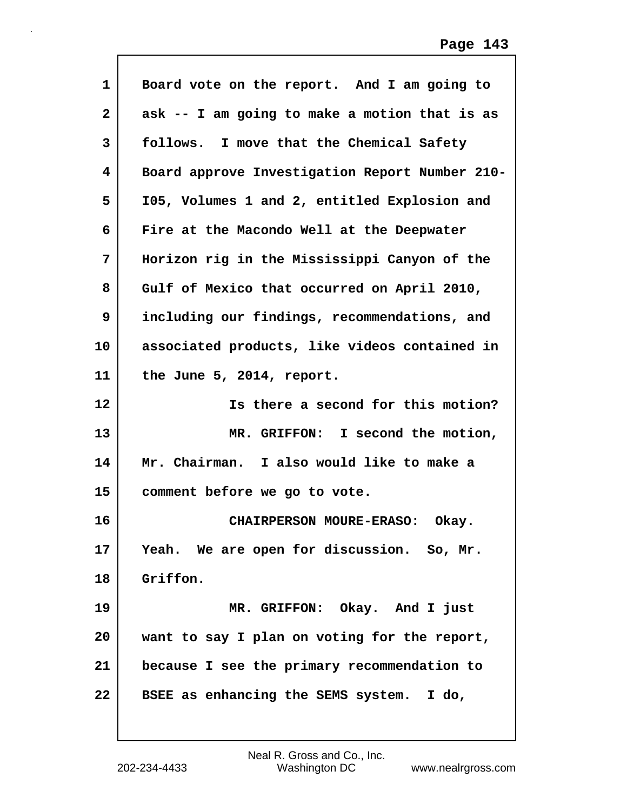| $\mathbf{1}$      | Board vote on the report. And I am going to    |
|-------------------|------------------------------------------------|
| $\mathbf{2}$      | ask -- I am going to make a motion that is as  |
| 3                 | follows. I move that the Chemical Safety       |
| 4                 | Board approve Investigation Report Number 210- |
| 5                 | 105, Volumes 1 and 2, entitled Explosion and   |
| 6                 | Fire at the Macondo Well at the Deepwater      |
| 7                 | Horizon rig in the Mississippi Canyon of the   |
| 8                 | Gulf of Mexico that occurred on April 2010,    |
| 9                 | including our findings, recommendations, and   |
| 10                | associated products, like videos contained in  |
| 11                | the June 5, 2014, report.                      |
| $12 \overline{ }$ | Is there a second for this motion?             |
| 13                | MR. GRIFFON: I second the motion,              |
| 14                | Mr. Chairman. I also would like to make a      |
| 15                | comment before we go to vote.                  |
|                   |                                                |
| 16                | CHAIRPERSON MOURE-ERASO: Okay.                 |
| 17                | Yeah. We are open for discussion. So, Mr.      |
| 18                | Griffon.                                       |
| 19                | MR. GRIFFON: Okay. And I just                  |
| 20                | want to say I plan on voting for the report,   |
| 21                | because I see the primary recommendation to    |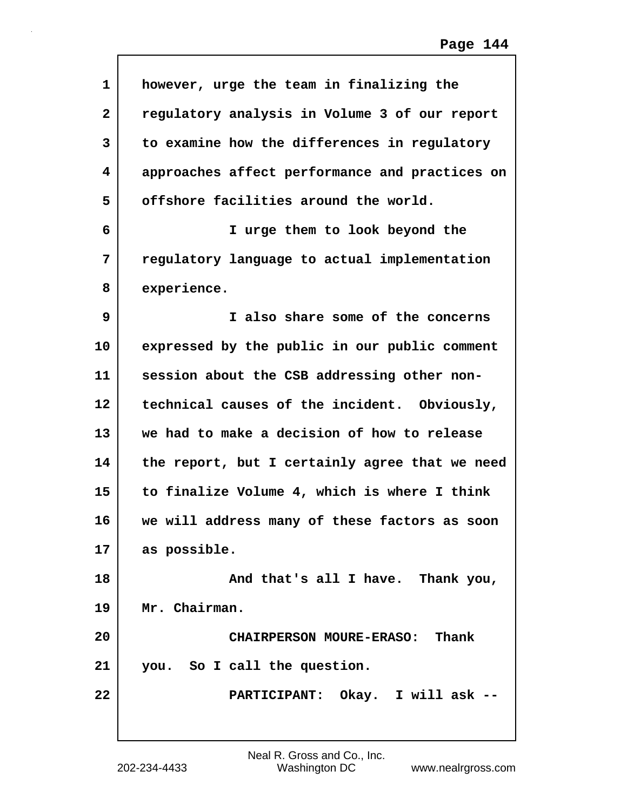| $\mathbf{1}$   | however, urge the team in finalizing the       |
|----------------|------------------------------------------------|
| $\overline{2}$ | regulatory analysis in Volume 3 of our report  |
| 3              | to examine how the differences in regulatory   |
| 4              | approaches affect performance and practices on |
| 5              | offshore facilities around the world.          |
| 6              | I urge them to look beyond the                 |
| 7              | regulatory language to actual implementation   |
| 8              | experience.                                    |
| 9              | I also share some of the concerns              |
| 10             | expressed by the public in our public comment  |
| 11             | session about the CSB addressing other non-    |
| 12             | technical causes of the incident. Obviously,   |
| 13             | we had to make a decision of how to release    |
| 14             | the report, but I certainly agree that we need |
| 15             | to finalize Volume 4, which is where I think   |
| 16             | we will address many of these factors as soon  |
| 17             | as possible.                                   |
| 18             | And that's all I have. Thank you,              |
| 19             | Mr. Chairman.                                  |
| 20             | CHAIRPERSON MOURE-ERASO: Thank                 |
| 21             | you. So I call the question.                   |
| 22             | PARTICIPANT: Okay. I will ask --               |
|                |                                                |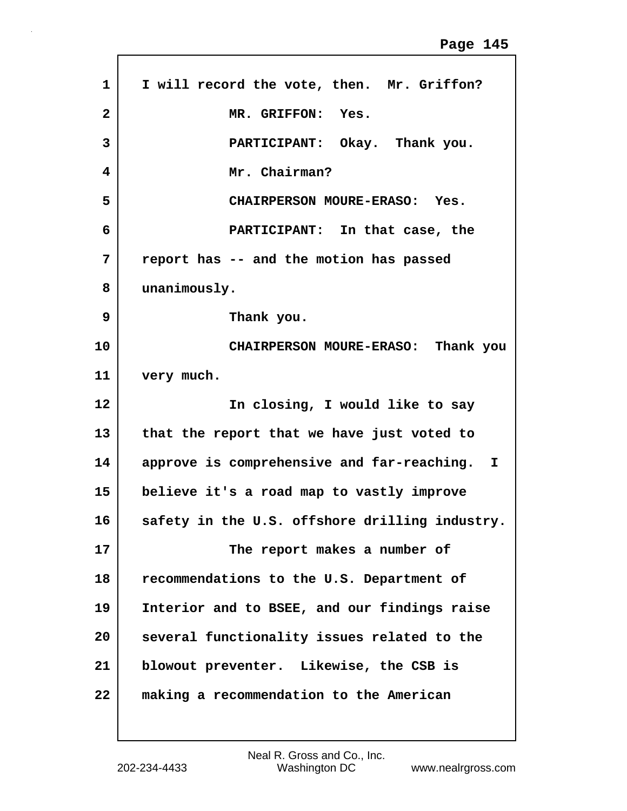| $\mathbf{1}$   | I will record the vote, then. Mr. Griffon?     |
|----------------|------------------------------------------------|
| $\overline{2}$ | MR. GRIFFON: Yes.                              |
| 3              | PARTICIPANT: Okay. Thank you.                  |
| 4              | Mr. Chairman?                                  |
| 5              | CHAIRPERSON MOURE-ERASO: Yes.                  |
| 6              | PARTICIPANT: In that case, the                 |
| 7              | report has -- and the motion has passed        |
| 8              | unanimously.                                   |
| 9              | Thank you.                                     |
| 10             | CHAIRPERSON MOURE-ERASO: Thank you             |
| 11             | very much.                                     |
| 12             | In closing, I would like to say                |
| 13             | that the report that we have just voted to     |
| 14             | approve is comprehensive and far-reaching. I   |
| 15             | believe it's a road map to vastly improve      |
| 16             | safety in the U.S. offshore drilling industry. |
| 17             | The report makes a number of                   |
| 18             | recommendations to the U.S. Department of      |
| 19             | Interior and to BSEE, and our findings raise   |
| 20             | several functionality issues related to the    |
| 21             | blowout preventer. Likewise, the CSB is        |
|                |                                                |

 $\Gamma$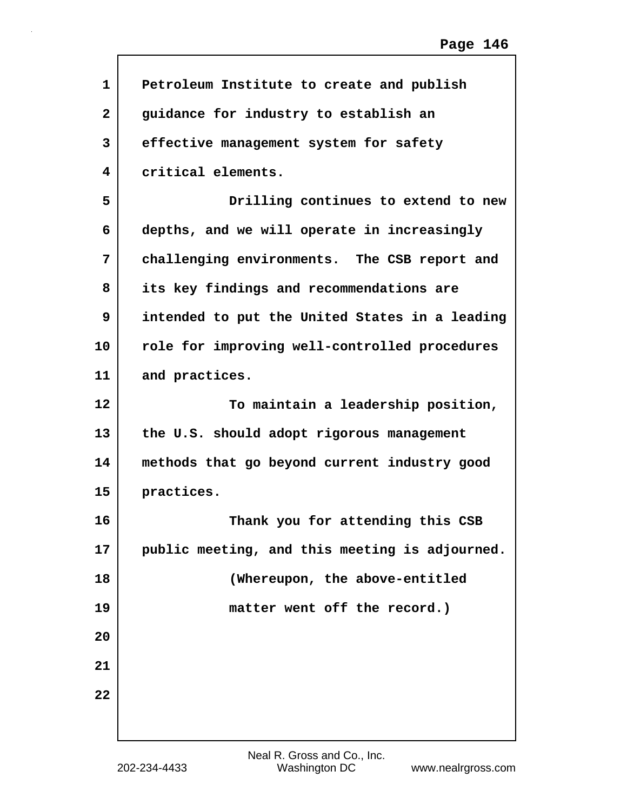| 1            | Petroleum Institute to create and publish      |
|--------------|------------------------------------------------|
| $\mathbf{2}$ | guidance for industry to establish an          |
| 3            | effective management system for safety         |
| 4            | critical elements.                             |
| 5            | Drilling continues to extend to new            |
| 6            | depths, and we will operate in increasingly    |
| 7            | challenging environments. The CSB report and   |
| 8            | its key findings and recommendations are       |
| 9            | intended to put the United States in a leading |
| 10           | role for improving well-controlled procedures  |
| 11           | and practices.                                 |
| 12           | To maintain a leadership position,             |
| 13           | the U.S. should adopt rigorous management      |
| 14           | methods that go beyond current industry good   |
| 15           | practices.                                     |
| 16           | Thank you for attending this CSB               |
| 17           | public meeting, and this meeting is adjourned. |
| 18           | (Whereupon, the above-entitled                 |
| 19           | matter went off the record.)                   |
| 20           |                                                |
| 21           |                                                |
| 22           |                                                |
|              |                                                |

 $\sqrt{ }$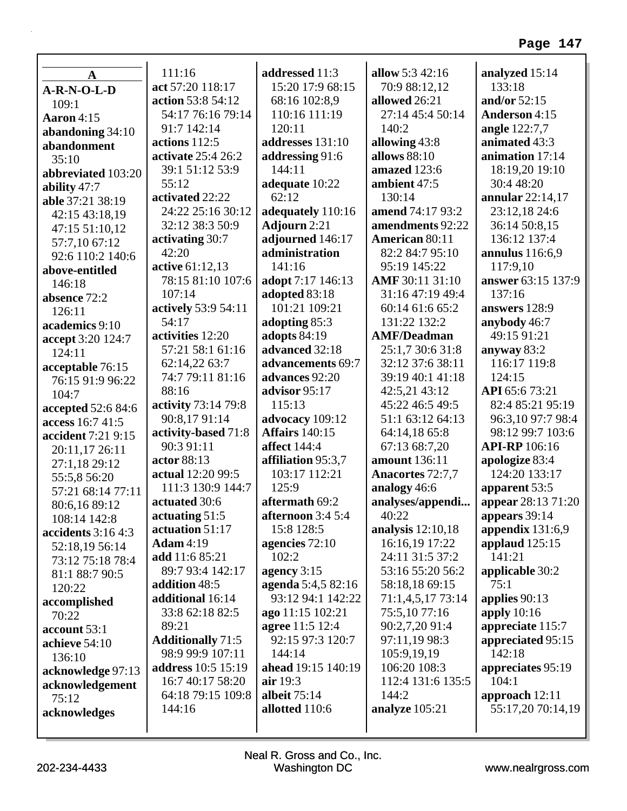| $\mathbf A$              | 111:16                   | addressed 11:3         | allow 5:3 42:16     | analyzed 15:14         |
|--------------------------|--------------------------|------------------------|---------------------|------------------------|
| $A-R-N-O-L-D$            | act 57:20 118:17         | 15:20 17:9 68:15       | 70:9 88:12,12       | 133:18                 |
| 109:1                    | action 53:8 54:12        | 68:16 102:8,9          | allowed 26:21       | and/or 52:15           |
| <b>Aaron</b> 4:15        | 54:17 76:16 79:14        | 110:16 111:19          | 27:14 45:4 50:14    | <b>Anderson 4:15</b>   |
|                          | 91:7 142:14              | 120:11                 | 140:2               | angle 122:7,7          |
| abandoning 34:10         | actions $112:5$          | addresses 131:10       | allowing 43:8       | animated 43:3          |
| abandonment              | activate 25:4 26:2       | addressing 91:6        | allows 88:10        | animation 17:14        |
| 35:10                    | 39:1 51:12 53:9          | 144:11                 | amazed 123:6        | 18:19,20 19:10         |
| abbreviated 103:20       | 55:12                    | adequate 10:22         | ambient 47:5        | 30:4 48:20             |
| ability $47:7$           | activated 22:22          | 62:12                  | 130:14              | annular 22:14,17       |
| able 37:21 38:19         | 24:22 25:16 30:12        | adequately 110:16      | amend 74:17 93:2    | 23:12,18 24:6          |
| 42:15 43:18,19           | 32:12 38:3 50:9          |                        | amendments 92:22    | 36:14 50:8,15          |
| 47:15 51:10,12           |                          | <b>Adjourn</b> 2:21    | American 80:11      | 136:12 137:4           |
| 57:7,10 67:12            | activating 30:7          | adjourned 146:17       |                     |                        |
| 92:6 110:2 140:6         | 42:20                    | administration         | 82:2 84:7 95:10     | <b>annulus</b> 116:6,9 |
| above-entitled           | active 61:12,13          | 141:16                 | 95:19 145:22        | 117:9,10               |
| 146:18                   | 78:15 81:10 107:6        | adopt 7:17 146:13      | AMF 30:11 31:10     | answer 63:15 137:9     |
| absence 72:2             | 107:14                   | adopted 83:18          | 31:16 47:19 49:4    | 137:16                 |
| 126:11                   | actively 53:9 54:11      | 101:21 109:21          | 60:14 61:6 65:2     | answers 128:9          |
| academics 9:10           | 54:17                    | adopting 85:3          | 131:22 132:2        | anybody 46:7           |
| accept 3:20 124:7        | activities 12:20         | adopts 84:19           | <b>AMF/Deadman</b>  | 49:15 91:21            |
| 124:11                   | 57:21 58:1 61:16         | advanced 32:18         | 25:1,7 30:6 31:8    | anyway 83:2            |
| acceptable 76:15         | 62:14,22 63:7            | advancements 69:7      | 32:12 37:6 38:11    | 116:17 119:8           |
| 76:15 91:9 96:22         | 74:7 79:11 81:16         | advances 92:20         | 39:19 40:1 41:18    | 124:15                 |
| 104:7                    | 88:16                    | advisor 95:17          | 42:5,21 43:12       | API 65:6 73:21         |
| accepted 52:6 84:6       | activity 73:14 79:8      | 115:13                 | 45:22 46:5 49:5     | 82:4 85:21 95:19       |
| access 16:7 41:5         | 90:8,17 91:14            | advocacy 109:12        | 51:1 63:12 64:13    | 96:3,10 97:7 98:4      |
| accident 7:21 9:15       | activity-based 71:8      | <b>Affairs</b> 140:15  | 64:14,18 65:8       | 98:12 99:7 103:6       |
| 20:11,17 26:11           | 90:3 91:11               | affect 144:4           | 67:13 68:7,20       | <b>API-RP</b> 106:16   |
| 27:1,18 29:12            | actor 88:13              | affiliation 95:3,7     | amount 136:11       | apologize 83:4         |
| 55:5,8 56:20             | actual 12:20 99:5        | 103:17 112:21          | Anacortes 72:7,7    | 124:20 133:17          |
| 57:21 68:14 77:11        | 111:3 130:9 144:7        | 125:9                  | analogy 46:6        | apparent 53:5          |
| 80:6,16 89:12            | actuated 30:6            | aftermath 69:2         | analyses/appendi    | appear 28:13 71:20     |
| 108:14 142:8             | actuating 51:5           | afternoon $3:45:4$     | 40:22               | appears 39:14          |
| accidents $3:164:3$      | actuation 51:17          | 15:8 128:5             | analysis $12:10,18$ | appendix $131:6,9$     |
| 52:18,19 56:14           | <b>Adam</b> 4:19         | agencies 72:10         | 16:16,19 17:22      | applaud 125:15         |
| 73:12 75:18 78:4         | add 11:6 85:21           | 102:2                  | 24:11 31:5 37:2     | 141:21                 |
| 81:1 88:7 90:5           | 89:7 93:4 142:17         | agency $3:15$          | 53:16 55:20 56:2    | applicable 30:2        |
| 120:22                   | addition 48:5            | agenda 5:4,5 82:16     | 58:18,18 69:15      | 75:1                   |
| accomplished             | additional 16:14         | 93:12 94:1 142:22      | 71:1,4,5,17 73:14   | applies $90:13$        |
| 70:22                    | 33:8 62:18 82:5          | ago 11:15 102:21       | 75:5,10 77:16       | apply $10:16$          |
| account 53:1             | 89:21                    | <b>agree</b> 11:5 12:4 | 90:2,7,20 91:4      | appreciate 115:7       |
| achieve 54:10            | <b>Additionally 71:5</b> | 92:15 97:3 120:7       | 97:11,19 98:3       | appreciated 95:15      |
| 136:10                   | 98:9 99:9 107:11         | 144:14                 | 105:9,19,19         | 142:18                 |
| acknowledge 97:13        | address 10:5 15:19       | ahead 19:15 140:19     | 106:20 108:3        | appreciates 95:19      |
|                          | 16:7 40:17 58:20         | air $19:3$             | 112:4 131:6 135:5   | 104:1                  |
| acknowledgement<br>75:12 | 64:18 79:15 109:8        | albeit 75:14           | 144:2               | approach $12:11$       |
|                          | 144:16                   | allotted 110:6         | analyze 105:21      | 55:17,20 70:14,19      |
| acknowledges             |                          |                        |                     |                        |
|                          |                          |                        |                     |                        |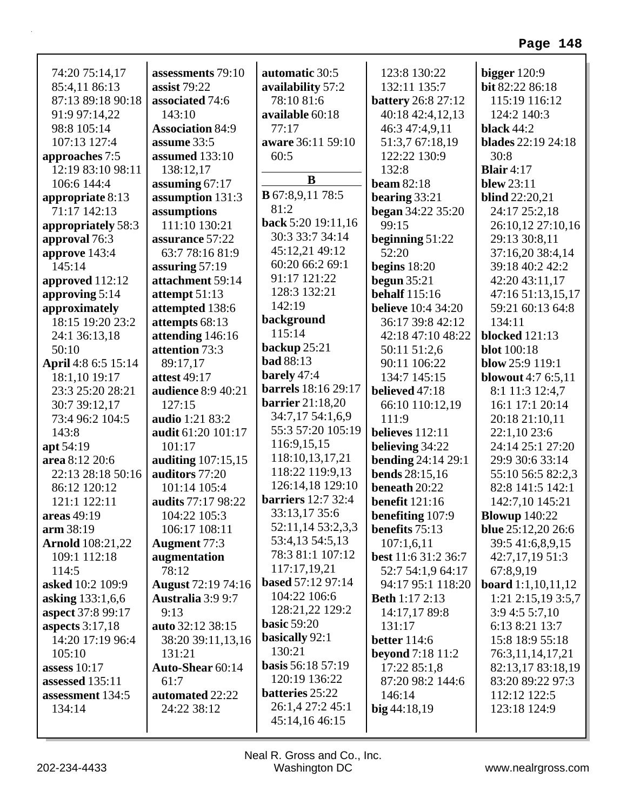|                         | assessments 79:10         |                           | 123:8 130:22              |                                   |
|-------------------------|---------------------------|---------------------------|---------------------------|-----------------------------------|
| 74:20 75:14,17          | assist 79:22              | automatic 30:5            | 132:11 135:7              | bigger $120:9$<br>bit 82:22 86:18 |
| 85:4,11 86:13           | associated 74:6           | availability 57:2         |                           |                                   |
| 87:13 89:18 90:18       | 143:10                    | 78:10 81:6                | <b>battery</b> 26:8 27:12 | 115:19 116:12                     |
| 91:9 97:14,22           |                           | available 60:18<br>77:17  | 40:18 42:4,12,13          | 124:2 140:3                       |
| 98:8 105:14             | <b>Association 84:9</b>   |                           | 46:3 47:4,9,11            | black 44:2                        |
| 107:13 127:4            | assume 33:5               | aware 36:11 59:10         | 51:3,7 67:18,19           | <b>blades</b> 22:19 24:18         |
| approaches 7:5          | assumed 133:10            | 60:5                      | 122:22 130:9              | 30:8                              |
| 12:19 83:10 98:11       | 138:12,17                 | B                         | 132:8                     | <b>Blair</b> $4:17$               |
| 106:6 144:4             | assuming $67:17$          | <b>B</b> 67:8,9,11 78:5   | beam $82:18$              | <b>blew</b> 23:11                 |
| appropriate 8:13        | assumption 131:3          | 81:2                      | bearing $33:21$           | <b>blind</b> 22:20,21             |
| 71:17 142:13            | assumptions               | back 5:20 19:11,16        | <b>began</b> 34:22 35:20  | 24:17 25:2,18                     |
| appropriately 58:3      | 111:10 130:21             | 30:3 33:7 34:14           | 99:15                     | 26:10,12 27:10,16                 |
| approval 76:3           | assurance 57:22           | 45:12,21 49:12            | beginning $51:22$         | 29:13 30:8,11                     |
| approve 143:4           | 63:7 78:16 81:9           | 60:20 66:2 69:1           | 52:20                     | 37:16,20 38:4,14                  |
| 145:14                  | assuring 57:19            | 91:17 121:22              | begins $18:20$            | 39:18 40:2 42:2                   |
| approved 112:12         | attachment 59:14          | 128:3 132:21              | begun $35:21$             | 42:20 43:11,17                    |
| approving 5:14          | attempt 51:13             | 142:19                    | <b>behalf</b> 115:16      | 47:16 51:13,15,17                 |
| approximately           | attempted 138:6           |                           | <b>believe</b> 10:4 34:20 | 59:21 60:13 64:8                  |
| 18:15 19:20 23:2        | attempts 68:13            | background<br>115:14      | 36:17 39:8 42:12          | 134:11                            |
| 24:1 36:13,18           | attending 146:16          |                           | 42:18 47:10 48:22         | <b>blocked</b> 121:13             |
| 50:10                   | attention 73:3            | backup $25:21$            | 50:11 51:2,6              | <b>blot</b> 100:18                |
| April 4:8 6:5 15:14     | 89:17,17                  | <b>bad</b> 88:13          | 90:11 106:22              | blow $25:9$ 119:1                 |
| 18:1,10 19:17           | <b>attest 49:17</b>       | barely 47:4               | 134:7 145:15              | <b>blowout</b> 4:7 6:5,11         |
| 23:3 25:20 28:21        | audience 8:9 40:21        | barrels 18:16 29:17       | believed 47:18            | 8:1 11:3 12:4,7                   |
| 30:7 39:12,17           | 127:15                    | <b>barrier</b> 21:18,20   | 66:10 110:12,19           | 16:1 17:1 20:14                   |
| 73:4 96:2 104:5         | audio 1:21 83:2           | 34:7,17 54:1,6,9          | 111:9                     | 20:18 21:10,11                    |
| 143:8                   | audit 61:20 101:17        | 55:3 57:20 105:19         | believes $112:11$         | 22:1,10 23:6                      |
| apt 54:19               | 101:17                    | 116:9,15,15               | believing 34:22           | 24:14 25:1 27:20                  |
| area 8:12 20:6          | auditing 107:15,15        | 118:10,13,17,21           | <b>bending 24:14 29:1</b> | 29:9 30:6 33:14                   |
| 22:13 28:18 50:16       | auditors 77:20            | 118:22 119:9,13           | <b>bends</b> 28:15,16     | 55:10 56:5 82:2,3                 |
| 86:12 120:12            | 101:14 105:4              | 126:14,18 129:10          | beneath 20:22             | 82:8 141:5 142:1                  |
| 121:1 122:11            | audits 77:17 98:22        | <b>barriers</b> 12:7 32:4 | <b>benefit</b> 121:16     | 142:7,10 145:21                   |
| areas 49:19             | 104:22 105:3              | 33:13,17 35:6             | benefiting 107:9          | <b>Blowup</b> 140:22              |
| arm 38:19               | 106:17 108:11             | 52:11,14 53:2,3,3         | <b>benefits</b> 75:13     | blue 25:12,20 26:6                |
| <b>Arnold</b> 108:21,22 | <b>Augment 77:3</b>       | 53:4,13 54:5,13           | 107:1,6,11                | 39:5 41:6,8,9,15                  |
| 109:1 112:18            | augmentation              | 78:3 81:1 107:12          | best 11:6 31:2 36:7       | 42:7,17,1951:3                    |
| 114:5                   | 78:12                     | 117:17,19,21              | 52:7 54:1,9 64:17         | 67:8,9,19                         |
| asked 10:2 109:9        | <b>August</b> 72:19 74:16 | <b>based 57:12 97:14</b>  | 94:17 95:1 118:20         | <b>board</b> $1:1,10,11,12$       |
| asking 133:1,6,6        | Australia 3:9 9:7         | 104:22 106:6              | <b>Beth 1:17 2:13</b>     | 1:21 2:15,19 3:5,7                |
| aspect 37:8 99:17       | 9:13                      | 128:21,22 129:2           | 14:17,17 89:8             | 3:94:55:7,10                      |
| aspects $3:17,18$       | auto 32:12 38:15          | <b>basic 59:20</b>        | 131:17                    | 6:13 8:21 13:7                    |
| 14:20 17:19 96:4        | 38:20 39:11,13,16         | <b>basically</b> 92:1     | <b>better</b> 114:6       | 15:8 18:9 55:18                   |
| 105:10                  | 131:21                    | 130:21                    | <b>beyond</b> 7:18 11:2   | 76:3,11,14,17,21                  |
| assess $10:17$          | Auto-Shear 60:14          | <b>basis</b> 56:18 57:19  | 17:22 85:1,8              | 82:13,17 83:18,19                 |
| assessed 135:11         | 61:7                      | 120:19 136:22             | 87:20 98:2 144:6          | 83:20 89:22 97:3                  |
| assessment 134:5        | automated 22:22           | <b>batteries</b> 25:22    | 146:14                    | 112:12 122:5                      |
| 134:14                  | 24:22 38:12               | 26:1,4 27:2 45:1          | $big\,44:18,19$           | 123:18 124:9                      |
|                         |                           | 45:14,16 46:15            |                           |                                   |
|                         |                           |                           |                           |                                   |

Г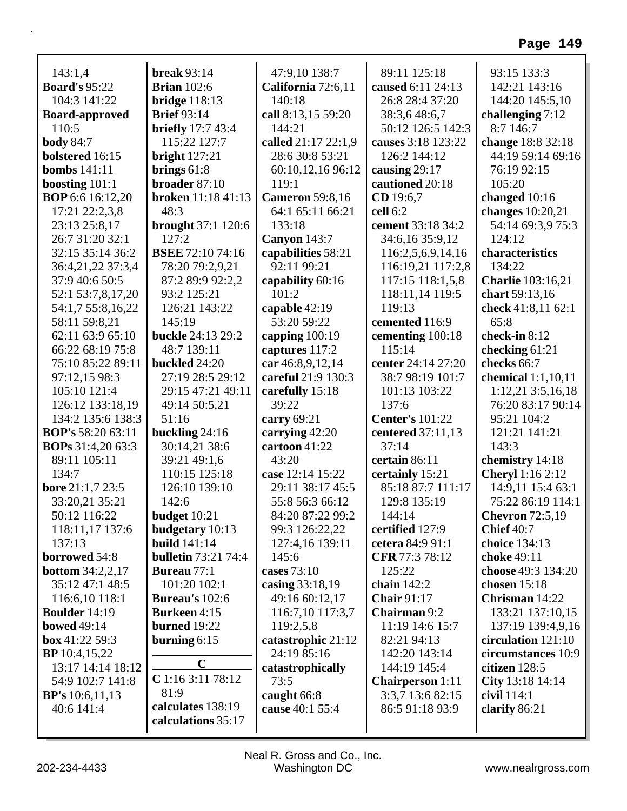|                                             | <b>break</b> 93:14                 |                                     | 89:11 125:18                       | 93:15 133:3                            |
|---------------------------------------------|------------------------------------|-------------------------------------|------------------------------------|----------------------------------------|
| 143:1,4<br><b>Board's 95:22</b>             | <b>Brian</b> 102:6                 | 47:9,10 138:7<br>California 72:6,11 | caused 6:11 24:13                  | 142:21 143:16                          |
| 104:3 141:22                                | bridge $118:13$                    | 140:18                              | 26:8 28:4 37:20                    | 144:20 145:5,10                        |
|                                             | <b>Brief</b> 93:14                 |                                     |                                    |                                        |
| <b>Board-approved</b><br>110:5              | <b>briefly</b> 17:7 43:4           | call 8:13,15 59:20<br>144:21        | 38:3,6 48:6,7<br>50:12 126:5 142:3 | challenging $7:12$<br>8:7 146:7        |
|                                             | 115:22 127:7                       | called 21:17 22:1,9                 | causes 3:18 123:22                 |                                        |
| <b>body</b> 84:7<br>bolstered 16:15         |                                    | 28:6 30:8 53:21                     | 126:2 144:12                       | change 18:8 32:18<br>44:19 59:14 69:16 |
| <b>bombs</b> 141:11                         | bright $127:21$                    |                                     | causing 29:17                      | 76:19 92:15                            |
|                                             | brings $61:8$<br>broader 87:10     | 60:10,12,16 96:12<br>119:1          |                                    | 105:20                                 |
| boosting $101:1$<br><b>BOP</b> 6:6 16:12,20 | broken 11:18 41:13                 | <b>Cameron</b> 59:8,16              | cautioned 20:18<br>CD 19:6,7       |                                        |
| 17:21 22:2,3,8                              | 48:3                               | 64:1 65:11 66:21                    | cell 6:2                           | changed 10:16<br>changes 10:20,21      |
| 23:13 25:8,17                               |                                    | 133:18                              | cement 33:18 34:2                  | 54:14 69:3,9 75:3                      |
| 26:7 31:20 32:1                             | <b>brought</b> 37:1 120:6<br>127:2 |                                     | 34:6,16 35:9,12                    | 124:12                                 |
| 32:15 35:14 36:2                            | <b>BSEE 72:10 74:16</b>            | <b>Canyon</b> 143:7                 |                                    |                                        |
|                                             |                                    | capabilities 58:21<br>92:11 99:21   | 116:2,5,6,9,14,16                  | characteristics<br>134:22              |
| 36:4,21,22 37:3,4                           | 78:20 79:2,9,21                    |                                     | 116:19,21 117:2,8                  |                                        |
| 37:9 40:6 50:5                              | 87:2 89:9 92:2,2                   | capability 60:16                    | 117:15 118:1,5,8                   | <b>Charlie</b> 103:16,21               |
| 52:1 53:7,8,17,20                           | 93:2 125:21                        | 101:2                               | 118:11,14 119:5<br>119:13          | chart 59:13,16                         |
| 54:1,7 55:8,16,22                           | 126:21 143:22                      | capable 42:19                       |                                    | check 41:8,11 62:1                     |
| 58:11 59:8,21                               | 145:19                             | 53:20 59:22                         | cemented 116:9                     | 65:8                                   |
| 62:11 63:9 65:10                            | buckle 24:13 29:2                  | capping $100:19$                    | cementing 100:18                   | check-in 8:12                          |
| 66:22 68:19 75:8                            | 48:7 139:11                        | captures 117:2                      | 115:14                             | checking 61:21                         |
| 75:10 85:22 89:11                           | buckled 24:20                      | car 46:8,9,12,14                    | center 24:14 27:20                 | checks 66:7                            |
| 97:12,15 98:3                               | 27:19 28:5 29:12                   | careful 21:9 130:3                  | 38:7 98:19 101:7                   | chemical $1:1,10,11$                   |
| 105:10 121:4                                | 29:15 47:21 49:11                  | carefully 15:18                     | 101:13 103:22                      | 1:12,21 3:5,16,18                      |
| 126:12 133:18,19                            | 49:14 50:5,21                      | 39:22                               | 137:6                              | 76:20 83:17 90:14                      |
| 134:2 135:6 138:3                           | 51:16                              | carry $69:21$                       | <b>Center's 101:22</b>             | 95:21 104:2                            |
| <b>BOP's</b> 58:20 63:11                    | buckling 24:16                     | carrying 42:20                      | centered 37:11,13                  | 121:21 141:21                          |
| <b>BOPs</b> 31:4,20 63:3                    | 30:14,21 38:6                      | cartoon $41:22$                     | 37:14                              | 143:3                                  |
| 89:11 105:11                                | 39:21 49:1,6                       | 43:20                               | certain 86:11                      | chemistry 14:18                        |
| 134:7                                       | 110:15 125:18                      | case 12:14 15:22                    | certainly 15:21                    | <b>Cheryl</b> 1:16 2:12                |
| <b>bore</b> 21:1,7 23:5                     | 126:10 139:10                      | 29:11 38:17 45:5                    | 85:18 87:7 111:17                  | 14:9,11 15:4 63:1                      |
| 33:20,21 35:21                              | 142:6                              | 55:8 56:3 66:12                     | 129:8 135:19                       | 75:22 86:19 114:1                      |
| 50:12 116:22                                | budget $10:21$                     | 84:20 87:22 99:2                    | 144:14                             | <b>Chevron</b> 72:5,19                 |
| 118:11,17 137:6                             | budgetary 10:13                    | 99:3 126:22,22                      | certified 127:9                    | <b>Chief</b> 40:7                      |
| 137:13                                      | <b>build</b> 141:14                | 127:4,16 139:11                     | cetera 84:9 91:1                   | choice 134:13                          |
| borrowed 54:8                               | <b>bulletin 73:21 74:4</b>         | 145:6                               | <b>CFR</b> 77:3 78:12              | choke 49:11                            |
| <b>bottom</b> 34:2,2,17                     | <b>Bureau</b> 77:1                 | cases $73:10$                       | 125:22                             | choose 49:3 134:20                     |
| 35:12 47:1 48:5                             | 101:20 102:1                       | casing 33:18,19                     | chain $142:2$                      | chosen $15:18$                         |
| 116:6,10 118:1                              | <b>Bureau's 102:6</b>              | 49:16 60:12,17                      | <b>Chair 91:17</b>                 | Chrisman 14:22                         |
| <b>Boulder</b> 14:19                        | <b>Burkeen</b> 4:15                | 116:7,10 117:3,7                    | <b>Chairman</b> 9:2                | 133:21 137:10,15                       |
| <b>bowed</b> 49:14                          | <b>burned</b> 19:22                | 119:2,5,8                           | 11:19 14:6 15:7                    | 137:19 139:4,9,16                      |
| box 41:22 59:3                              | burning $6:15$                     | catastrophic 21:12                  | 82:21 94:13                        | circulation 121:10                     |
| <b>BP</b> 10:4,15,22                        |                                    | 24:19 85:16                         | 142:20 143:14                      | circumstances 10:9                     |
| 13:17 14:14 18:12                           | $\mathbf C$                        | catastrophically                    | 144:19 145:4                       | citizen 128:5                          |
| 54:9 102:7 141:8                            | C 1:16 3:11 78:12                  | 73:5                                | <b>Chairperson</b> 1:11            | City 13:18 14:14                       |
| <b>BP's</b> 10:6,11,13                      | 81:9                               | caught 66:8                         | 3:3,7 13:6 82:15                   | civil 114:1                            |
| 40:6 141:4                                  | calculates 138:19                  | cause 40:1 55:4                     | 86:5 91:18 93:9                    | clarify 86:21                          |
|                                             | calculations 35:17                 |                                     |                                    |                                        |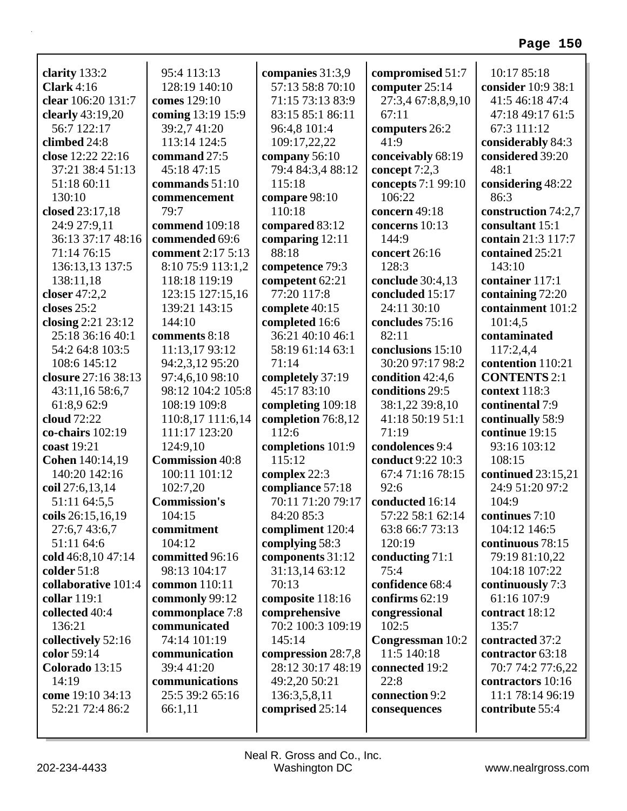| clarity 133:2              | 95:4 113:13                        | companies 31:3,9                   | compromised 51:7                      | 10:17 85:18                        |
|----------------------------|------------------------------------|------------------------------------|---------------------------------------|------------------------------------|
| Clark $4:16$               | 128:19 140:10                      | 57:13 58:8 70:10                   | computer 25:14                        | consider 10:9 38:1                 |
| clear 106:20 131:7         | comes 129:10                       | 71:15 73:13 83:9                   | 27:3,4 67:8,8,9,10                    | 41:5 46:18 47:4                    |
| clearly 43:19,20           | coming 13:19 15:9                  | 83:15 85:1 86:11                   | 67:11                                 | 47:18 49:17 61:5                   |
| 56:7 122:17                | 39:2,7 41:20                       | 96:4,8 101:4                       | computers 26:2                        | 67:3 111:12                        |
| climbed 24:8               | 113:14 124:5                       | 109:17,22,22                       | 41:9                                  | considerably 84:3                  |
| close 12:22 22:16          | command 27:5                       | company 56:10                      | conceivably 68:19                     | considered 39:20                   |
| 37:21 38:4 51:13           | 45:18 47:15                        | 79:4 84:3,4 88:12                  | concept 7:2,3                         | 48:1                               |
| 51:18 60:11                | commands 51:10                     | 115:18                             | concepts 7:1 99:10                    | considering 48:22                  |
| 130:10                     | commencement                       | compare 98:10                      | 106:22                                | 86:3                               |
| closed 23:17,18            | 79:7                               | 110:18                             | concern 49:18                         | construction 74:2,7                |
| 24:9 27:9,11               | commend 109:18                     | compared 83:12                     | concerns 10:13                        | consultant 15:1                    |
| 36:13 37:17 48:16          | commended 69:6                     | comparing 12:11                    | 144:9                                 | contain 21:3 117:7                 |
| 71:14 76:15                | comment 2:17 5:13                  | 88:18                              | concert 26:16                         | contained 25:21                    |
| 136:13,13 137:5            | 8:10 75:9 113:1,2                  | competence 79:3                    | 128:3                                 | 143:10                             |
| 138:11,18                  | 118:18 119:19                      | competent 62:21                    | conclude 30:4,13                      | container 117:1                    |
| closer 47:2,2              | 123:15 127:15,16                   | 77:20 117:8                        | concluded 15:17                       | containing 72:20                   |
| closes 25:2                | 139:21 143:15                      | complete 40:15                     | 24:11 30:10                           | containment 101:2                  |
| closing 2:21 23:12         | 144:10                             | completed 16:6<br>36:21 40:10 46:1 | concludes 75:16                       | 101:4,5                            |
| 25:18 36:16 40:1           | comments 8:18                      |                                    | 82:11                                 | contaminated                       |
| 54:2 64:8 103:5            | 11:13,17 93:12                     | 58:19 61:14 63:1<br>71:14          | conclusions 15:10<br>30:20 97:17 98:2 | 117:2,4,4                          |
| 108:6 145:12               | 94:2,3,12 95:20                    |                                    |                                       | contention 110:21                  |
| closure 27:16 38:13        | 97:4,6,10 98:10                    | completely 37:19<br>45:17 83:10    | condition 42:4,6                      | <b>CONTENTS 2:1</b>                |
| 43:11,16 58:6,7            | 98:12 104:2 105:8                  |                                    | conditions 29:5                       | context 118:3                      |
| 61:8,9 62:9<br>cloud 72:22 | 108:19 109:8                       | completing 109:18                  | 38:1,22 39:8,10                       | continental 7:9                    |
| co-chairs 102:19           | 110:8,17 111:6,14<br>111:17 123:20 | completion 76:8,12<br>112:6        | 41:18 50:19 51:1<br>71:19             | continually 58:9<br>continue 19:15 |
| coast 19:21                | 124:9,10                           |                                    | condolences 9:4                       | 93:16 103:12                       |
| <b>Cohen</b> 140:14,19     | <b>Commission 40:8</b>             | completions 101:9<br>115:12        | conduct 9:22 10:3                     | 108:15                             |
| 140:20 142:16              | 100:11 101:12                      | complex 22:3                       | 67:4 71:16 78:15                      | continued $23:15,21$               |
| coil 27:6,13,14            | 102:7,20                           | compliance 57:18                   | 92:6                                  | 24:9 51:20 97:2                    |
| 51:11 64:5,5               | <b>Commission's</b>                | 70:11 71:20 79:17                  | conducted 16:14                       | 104:9                              |
| coils 26:15,16,19          | 104:15                             | 84:20 85:3                         | 57:22 58:1 62:14                      | continues $7:10$                   |
| 27:6,7 43:6,7              | commitment                         | compliment 120:4                   | 63:8 66:7 73:13                       | 104:12 146:5                       |
| 51:11 64:6                 | 104:12                             | complying 58:3                     | 120:19                                | continuous 78:15                   |
| cold 46:8,10 47:14         | committed 96:16                    | components 31:12                   | conducting 71:1                       | 79:19 81:10,22                     |
| colder 51:8                | 98:13 104:17                       | 31:13,14 63:12                     | 75:4                                  | 104:18 107:22                      |
| collaborative 101:4        | common 110:11                      | 70:13                              | confidence 68:4                       | continuously 7:3                   |
| collar 119:1               | commonly 99:12                     | composite 118:16                   | confirms $62:19$                      | 61:16 107:9                        |
| collected 40:4             | commonplace 7:8                    | comprehensive                      | congressional                         | contract 18:12                     |
| 136:21                     | communicated                       | 70:2 100:3 109:19                  | 102:5                                 | 135:7                              |
| collectively 52:16         | 74:14 101:19                       | 145:14                             | Congressman 10:2                      | contracted 37:2                    |
| color 59:14                | communication                      | compression 28:7,8                 | 11:5 140:18                           | contractor 63:18                   |
| Colorado 13:15             | 39:4 41:20                         | 28:12 30:17 48:19                  | connected 19:2                        | 70:7 74:2 77:6,22                  |
| 14:19                      | communications                     | 49:2,20 50:21                      | 22:8                                  | contractors 10:16                  |
| come 19:10 34:13           | 25:5 39:2 65:16                    | 136:3,5,8,11                       | connection 9:2                        | 11:1 78:14 96:19                   |
| 52:21 72:4 86:2            | 66:1,11                            | comprised 25:14                    | consequences                          | contribute 55:4                    |
|                            |                                    |                                    |                                       |                                    |
|                            |                                    |                                    |                                       |                                    |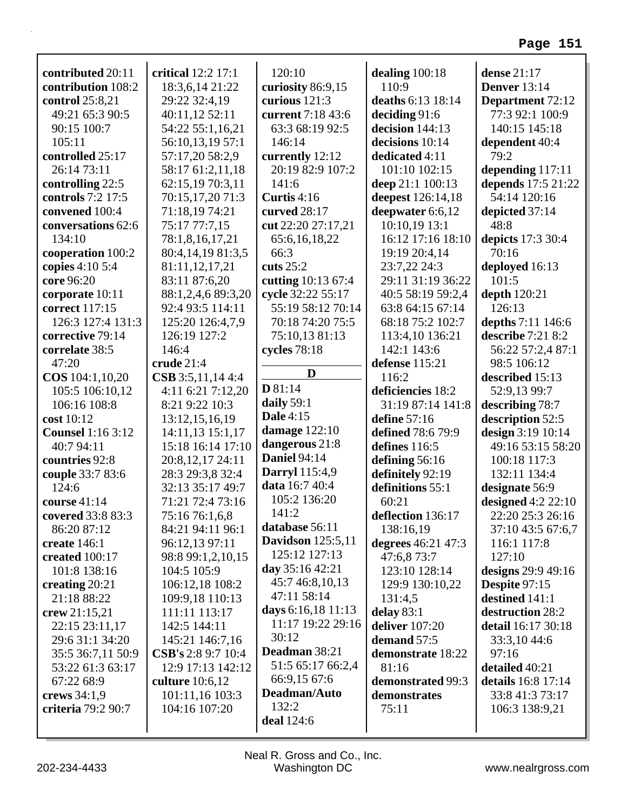| contributed 20:11        | critical 12:2 17:1  | 120:10                   | dealing $100:18$   | dense $21:17$           |
|--------------------------|---------------------|--------------------------|--------------------|-------------------------|
| contribution 108:2       | 18:3,6,14 21:22     | curiosity 86:9,15        | 110:9              | <b>Denver</b> 13:14     |
| control 25:8,21          | 29:22 32:4,19       | curious 121:3            | deaths 6:13 18:14  | <b>Department</b> 72:12 |
| 49:21 65:3 90:5          | 40:11,12 52:11      | current 7:18 43:6        | deciding 91:6      | 77:3 92:1 100:9         |
| 90:15 100:7              | 54:22 55:1,16,21    | 63:3 68:19 92:5          | decision 144:13    | 140:15 145:18           |
| 105:11                   | 56:10,13,19 57:1    | 146:14                   | decisions 10:14    | dependent 40:4          |
| controlled 25:17         | 57:17,20 58:2,9     | currently 12:12          | dedicated 4:11     | 79:2                    |
| 26:14 73:11              | 58:17 61:2,11,18    | 20:19 82:9 107:2         | 101:10 102:15      | depending 117:11        |
| controlling 22:5         | 62:15,19 70:3,11    | 141:6                    | deep 21:1 100:13   | depends 17:5 21:22      |
| controls 7:2 17:5        | 70:15,17,20 71:3    | Curtis 4:16              | deepest 126:14,18  | 54:14 120:16            |
| convened 100:4           | 71:18,19 74:21      | curved 28:17             | deepwater 6:6,12   | depicted 37:14          |
| conversations 62:6       | 75:17 77:7,15       | cut 22:20 27:17,21       | 10:10,19 13:1      | 48:8                    |
| 134:10                   | 78:1,8,16,17,21     | 65:6, 16, 18, 22         | 16:12 17:16 18:10  | depicts 17:3 30:4       |
| cooperation 100:2        | 80:4,14,19 81:3,5   | 66:3                     | 19:19 20:4,14      | 70:16                   |
| copies 4:10 5:4          | 81:11,12,17,21      | cuts $25:2$              | 23:7,22 24:3       | deployed 16:13          |
| core 96:20               | 83:11 87:6,20       | cutting 10:13 67:4       | 29:11 31:19 36:22  | 101:5                   |
| corporate 10:11          | 88:1,2,4,6 89:3,20  | cycle 32:22 55:17        | 40:5 58:19 59:2,4  | depth 120:21            |
| correct 117:15           | 92:4 93:5 114:11    | 55:19 58:12 70:14        | 63:8 64:15 67:14   | 126:13                  |
| 126:3 127:4 131:3        | 125:20 126:4,7,9    | 70:18 74:20 75:5         | 68:18 75:2 102:7   | depths 7:11 146:6       |
| corrective 79:14         | 126:19 127:2        | 75:10,13 81:13           | 113:4,10 136:21    | describe 7:21 8:2       |
| correlate 38:5           | 146:4               | cycles 78:18             | 142:1 143:6        | 56:22 57:2,4 87:1       |
| 47:20                    | crude 21:4          |                          | defense 115:21     | 98:5 106:12             |
| COS 104:1,10,20          | $CSB$ 3:5,11,14 4:4 | D                        | 116:2              | described 15:13         |
| 105:5 106:10,12          | 4:11 6:21 7:12,20   | D81:14                   | deficiencies 18:2  | 52:9,13 99:7            |
| 106:16 108:8             | 8:21 9:22 10:3      | daily 59:1               | 31:19 87:14 141:8  | describing 78:7         |
| cost 10:12               | 13:12,15,16,19      | <b>Dale 4:15</b>         | define 57:16       | description 52:5        |
| <b>Counsel</b> 1:16 3:12 | 14:11,13 15:1,17    | damage $122:10$          | defined 78:6 79:9  | design 3:19 10:14       |
| 40:7 94:11               | 15:18 16:14 17:10   | dangerous 21:8           | defines 116:5      | 49:16 53:15 58:20       |
| countries 92:8           | 20:8, 12, 17 24:11  | <b>Daniel 94:14</b>      | defining 56:16     | 100:18 117:3            |
| couple 33:7 83:6         | 28:3 29:3,8 32:4    | <b>Darryl</b> 115:4,9    | definitely 92:19   | 132:11 134:4            |
| 124:6                    | 32:13 35:17 49:7    | data 16:7 40:4           | definitions 55:1   | designate 56:9          |
| course $41:14$           | 71:21 72:4 73:16    | 105:2 136:20             | 60:21              | designed $4:2$ 22:10    |
| covered 33:8 83:3        | 75:16 76:1,6,8      | 141:2                    | deflection 136:17  | 22:20 25:3 26:16        |
| 86:20 87:12              | 84:21 94:11 96:1    | database 56:11           | 138:16,19          | 37:10 43:5 67:6,7       |
| create 146:1             | 96:12,13 97:11      | <b>Davidson</b> 125:5,11 | degrees 46:21 47:3 | 116:1 117:8             |
| created 100:17           | 98:8 99:1,2,10,15   | 125:12 127:13            | 47:6,8 73:7        | 127:10                  |
| 101:8 138:16             | 104:5 105:9         | day 35:16 42:21          | 123:10 128:14      | designs $29:949:16$     |
| creating $20:21$         | 106:12,18 108:2     | 45:7 46:8,10,13          | 129:9 130:10,22    | Despite 97:15           |
| 21:18 88:22              | 109:9,18 110:13     | 47:11 58:14              | 131:4,5            | destined 141:1          |
| crew $21:15,21$          | 111:11 113:17       | days 6:16,18 11:13       | delay $83:1$       | destruction 28:2        |
| 22:15 23:11,17           | 142:5 144:11        | 11:17 19:22 29:16        | deliver $107:20$   | detail 16:17 30:18      |
| 29:6 31:1 34:20          | 145:21 146:7,16     | 30:12                    | demand 57:5        | 33:3,1044:6             |
| 35:5 36:7,11 50:9        | CSB's 2:8 9:7 10:4  | Deadman 38:21            | demonstrate 18:22  | 97:16                   |
| 53:22 61:3 63:17         | 12:9 17:13 142:12   | 51:5 65:17 66:2,4        | 81:16              | detailed 40:21          |
| 67:22 68:9               | culture 10:6,12     | 66:9,15 67:6             | demonstrated 99:3  | details 16:8 17:14      |
| crews $34:1,9$           | 101:11,16 103:3     | Deadman/Auto             | demonstrates       | 33:8 41:3 73:17         |
| criteria 79:2 90:7       | 104:16 107:20       | 132:2                    | 75:11              | 106:3 138:9,21          |
|                          |                     | deal 124:6               |                    |                         |
|                          |                     |                          |                    |                         |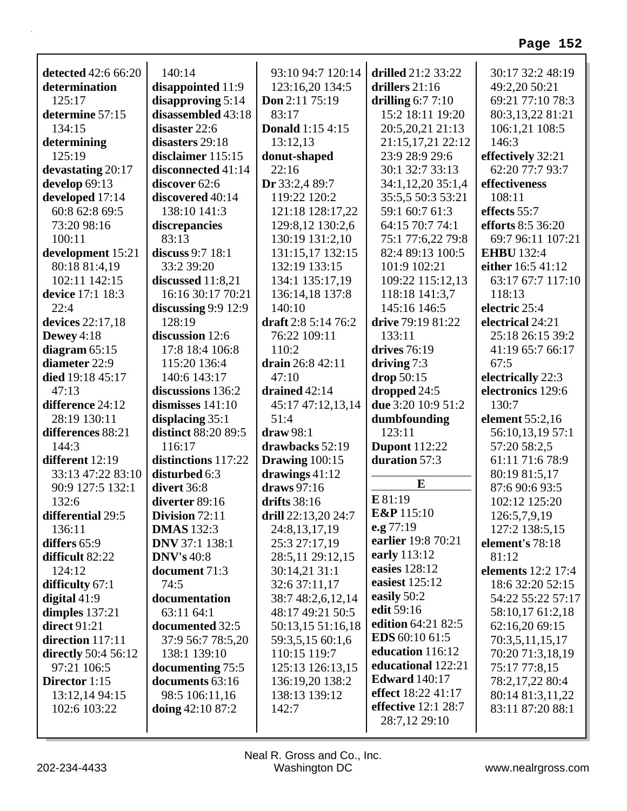| detected 42:6 66:20<br>determination<br>125:17<br>determine 57:15<br>134:15<br>determining<br>125:19<br>devastating 20:17 | 140:14<br>disappointed 11:9<br>disapproving $5:14$<br>disassembled 43:18<br>disaster 22:6<br>disasters 29:18<br>disclaimer 115:15<br>disconnected 41:14 | 93:10 94:7 120:14<br>123:16,20 134:5<br>Don 2:11 75:19<br>83:17<br><b>Donald</b> 1:15 4:15<br>13:12,13<br>donut-shaped<br>22:16 | drilled 21:2 33:22<br>drillers 21:16<br>drilling $6:77:10$<br>15:2 18:11 19:20<br>20:5,20,21 21:13<br>21:15,17,21 22:12<br>23:9 28:9 29:6<br>30:1 32:7 33:13 | 30:17 32:2 48:19<br>49:2,20 50:21<br>69:21 77:10 78:3<br>80:3,13,22 81:21<br>106:1,21 108:5<br>146:3<br>effectively 32:21<br>62:20 77:7 93:7 |
|---------------------------------------------------------------------------------------------------------------------------|---------------------------------------------------------------------------------------------------------------------------------------------------------|---------------------------------------------------------------------------------------------------------------------------------|--------------------------------------------------------------------------------------------------------------------------------------------------------------|----------------------------------------------------------------------------------------------------------------------------------------------|
| develop 69:13                                                                                                             | discover 62:6                                                                                                                                           | Dr 33:2,4 89:7                                                                                                                  | 34:1,12,20 35:1,4                                                                                                                                            | effectiveness                                                                                                                                |
| developed 17:14                                                                                                           | discovered 40:14                                                                                                                                        | 119:22 120:2                                                                                                                    | 35:5,5 50:3 53:21                                                                                                                                            | 108:11                                                                                                                                       |
| 60:8 62:8 69:5                                                                                                            | 138:10 141:3                                                                                                                                            | 121:18 128:17,22                                                                                                                | 59:1 60:7 61:3                                                                                                                                               | effects 55:7                                                                                                                                 |
| 73:20 98:16                                                                                                               | discrepancies                                                                                                                                           | 129:8,12 130:2,6                                                                                                                | 64:15 70:7 74:1                                                                                                                                              | efforts 8:5 36:20                                                                                                                            |
| 100:11                                                                                                                    | 83:13                                                                                                                                                   | 130:19 131:2,10                                                                                                                 | 75:1 77:6,22 79:8                                                                                                                                            | 69:7 96:11 107:21                                                                                                                            |
| development 15:21                                                                                                         | discuss 9:7 18:1                                                                                                                                        | 131:15,17 132:15                                                                                                                | 82:4 89:13 100:5                                                                                                                                             | <b>EHBU</b> 132:4                                                                                                                            |
| 80:18 81:4,19                                                                                                             | 33:2 39:20                                                                                                                                              | 132:19 133:15                                                                                                                   | 101:9 102:21                                                                                                                                                 | either 16:5 41:12                                                                                                                            |
| 102:11 142:15                                                                                                             | discussed 11:8,21                                                                                                                                       | 134:1 135:17,19                                                                                                                 | 109:22 115:12,13                                                                                                                                             | 63:17 67:7 117:10                                                                                                                            |
| device 17:1 18:3                                                                                                          | 16:16 30:17 70:21                                                                                                                                       | 136:14,18 137:8                                                                                                                 | 118:18 141:3,7                                                                                                                                               | 118:13                                                                                                                                       |
| 22:4                                                                                                                      | discussing $9:9$ 12:9                                                                                                                                   | 140:10                                                                                                                          | 145:16 146:5                                                                                                                                                 | electric 25:4                                                                                                                                |
| devices 22:17,18                                                                                                          | 128:19                                                                                                                                                  | draft $2:85:1476:2$                                                                                                             | drive 79:19 81:22                                                                                                                                            | electrical 24:21                                                                                                                             |
| Dewey $4:18$                                                                                                              | discussion 12:6                                                                                                                                         | 76:22 109:11                                                                                                                    | 133:11                                                                                                                                                       | 25:18 26:15 39:2                                                                                                                             |
| diagram $65:15$                                                                                                           | 17:8 18:4 106:8                                                                                                                                         | 110:2                                                                                                                           | drives 76:19                                                                                                                                                 | 41:19 65:7 66:17                                                                                                                             |
| diameter 22:9                                                                                                             | 115:20 136:4                                                                                                                                            | drain 26:8 42:11                                                                                                                | driving $7:3$                                                                                                                                                | 67:5                                                                                                                                         |
| died 19:18 45:17                                                                                                          | 140:6 143:17                                                                                                                                            | 47:10                                                                                                                           | drop 50:15                                                                                                                                                   | electrically 22:3                                                                                                                            |
| 47:13                                                                                                                     | discussions 136:2                                                                                                                                       | drained $42:14$                                                                                                                 | dropped 24:5                                                                                                                                                 | electronics 129:6                                                                                                                            |
| difference 24:12                                                                                                          | dismisses $141:10$                                                                                                                                      | 45:17 47:12,13,14                                                                                                               | due 3:20 10:9 51:2                                                                                                                                           | 130:7                                                                                                                                        |
| 28:19 130:11                                                                                                              | displacing 35:1                                                                                                                                         | 51:4                                                                                                                            | dumbfounding                                                                                                                                                 | element 55:2,16                                                                                                                              |
| differences 88:21                                                                                                         | distinct 88:20 89:5                                                                                                                                     | $draw 98:1$                                                                                                                     | 123:11                                                                                                                                                       | 56:10,13,19 57:1                                                                                                                             |
| 144:3                                                                                                                     | 116:17                                                                                                                                                  | drawbacks 52:19                                                                                                                 | <b>Dupont</b> 112:22                                                                                                                                         | 57:20 58:2,5                                                                                                                                 |
| different 12:19                                                                                                           | distinctions 117:22                                                                                                                                     | Drawing $100:15$                                                                                                                | duration 57:3                                                                                                                                                | 61:11 71:6 78:9                                                                                                                              |
| 33:13 47:22 83:10                                                                                                         | disturbed 6:3                                                                                                                                           | drawings $41:12$                                                                                                                |                                                                                                                                                              | 80:19 81:5,17                                                                                                                                |
| 90:9 127:5 132:1                                                                                                          | divert 36:8                                                                                                                                             | draws 97:16                                                                                                                     | E                                                                                                                                                            | 87:6 90:6 93:5                                                                                                                               |
| 132:6                                                                                                                     | diverter 89:16                                                                                                                                          | drifts 38:16                                                                                                                    | E 81:19                                                                                                                                                      | 102:12 125:20                                                                                                                                |
| differential 29:5                                                                                                         | Division $72:11$                                                                                                                                        | drill $22:13,20\,24:7$                                                                                                          | <b>E&amp;P</b> 115:10                                                                                                                                        | 126:5,7,9,19                                                                                                                                 |
| 136:11                                                                                                                    | <b>DMAS</b> 132:3                                                                                                                                       | 24:8, 13, 17, 19                                                                                                                | e.g $77:19$                                                                                                                                                  | 127:2 138:5,15                                                                                                                               |
| differs 65:9                                                                                                              | <b>DNV</b> 37:1 138:1                                                                                                                                   | 25:3 27:17,19                                                                                                                   | earlier 19:8 70:21                                                                                                                                           | element's 78:18                                                                                                                              |
| difficult 82:22                                                                                                           | DNV's 40:8                                                                                                                                              | 28:5,11 29:12,15                                                                                                                | early 113:12                                                                                                                                                 | 81:12                                                                                                                                        |
| 124:12                                                                                                                    | document 71:3                                                                                                                                           | 30:14,21 31:1                                                                                                                   | easies 128:12                                                                                                                                                | <b>elements</b> 12:2 17:4                                                                                                                    |
| difficulty 67:1                                                                                                           | 74:5                                                                                                                                                    | 32:6 37:11,17                                                                                                                   | easiest $125:12$                                                                                                                                             | 18:6 32:20 52:15                                                                                                                             |
| digital 41:9                                                                                                              | documentation                                                                                                                                           | 38:7 48:2,6,12,14                                                                                                               | easily 50:2                                                                                                                                                  | 54:22 55:22 57:17                                                                                                                            |
| dimples $137:21$                                                                                                          | 63:11 64:1                                                                                                                                              | 48:17 49:21 50:5                                                                                                                | edit 59:16                                                                                                                                                   | 58:10,17 61:2,18                                                                                                                             |
| direct $91:21$                                                                                                            | documented 32:5                                                                                                                                         | 50:13,15 51:16,18                                                                                                               | edition 64:21 82:5                                                                                                                                           | 62:16,20 69:15                                                                                                                               |
| direction 117:11                                                                                                          | 37:9 56:7 78:5,20                                                                                                                                       | 59:3,5,15 60:1,6                                                                                                                | <b>EDS</b> 60:10 61:5                                                                                                                                        | 70:3,5,11,15,17                                                                                                                              |
| directly 50:4 56:12                                                                                                       | 138:1 139:10                                                                                                                                            | 110:15 119:7                                                                                                                    | education 116:12                                                                                                                                             | 70:20 71:3,18,19                                                                                                                             |
| 97:21 106:5                                                                                                               | documenting 75:5                                                                                                                                        | 125:13 126:13,15                                                                                                                | educational 122:21                                                                                                                                           | 75:17 77:8,15                                                                                                                                |
| Director 1:15                                                                                                             | documents 63:16                                                                                                                                         | 136:19,20 138:2                                                                                                                 | <b>Edward</b> 140:17                                                                                                                                         | 78:2,17,22 80:4                                                                                                                              |
| 13:12,14 94:15                                                                                                            | 98:5 106:11,16                                                                                                                                          | 138:13 139:12                                                                                                                   | effect 18:22 41:17                                                                                                                                           | 80:14 81:3,11,22                                                                                                                             |
| 102:6 103:22                                                                                                              | doing $42:1087:2$                                                                                                                                       | 142:7                                                                                                                           | effective 12:1 28:7                                                                                                                                          | 83:11 87:20 88:1                                                                                                                             |
|                                                                                                                           |                                                                                                                                                         |                                                                                                                                 | 28:7,12 29:10                                                                                                                                                |                                                                                                                                              |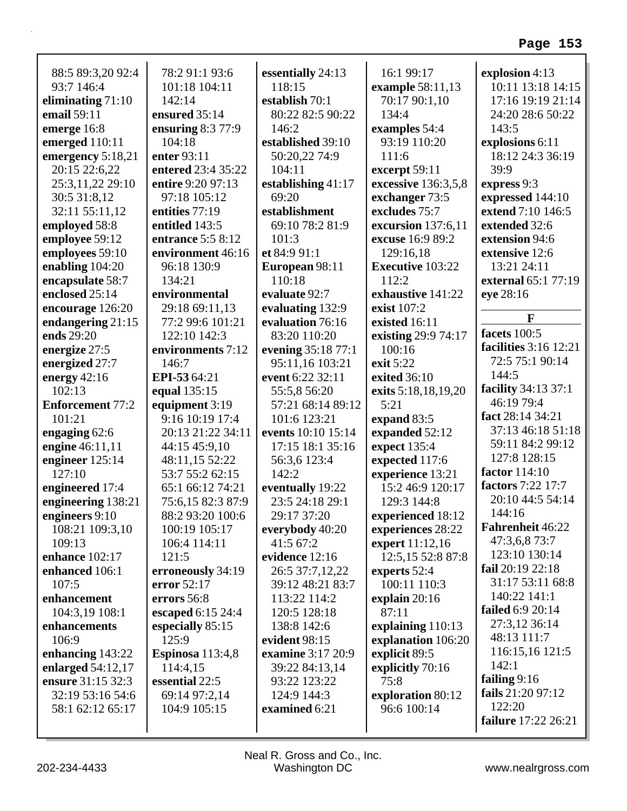| 88:5 89:3,20 92:4       | 78:2 91:1 93:6     | essentially 24:13  | 16:1 99:17              | explosion 4:13               |
|-------------------------|--------------------|--------------------|-------------------------|------------------------------|
| 93:7 146:4              | 101:18 104:11      | 118:15             | example 58:11,13        | 10:11 13:18 14:15            |
| eliminating $71:10$     | 142:14             | establish 70:1     | 70:17 90:1,10           | 17:16 19:19 21:14            |
| email 59:11             | ensured 35:14      | 80:22 82:5 90:22   | 134:4                   | 24:20 28:6 50:22             |
| emerge 16:8             | ensuring $8:377:9$ | 146:2              | examples 54:4           | 143:5                        |
| emerged 110:11          | 104:18             | established 39:10  | 93:19 110:20            | explosions 6:11              |
| emergency 5:18,21       | enter 93:11        | 50:20,22 74:9      | 111:6                   | 18:12 24:3 36:19             |
| 20:15 22:6,22           | entered 23:4 35:22 | 104:11             | excerpt 59:11           | 39:9                         |
| 25:3,11,22 29:10        | entire 9:20 97:13  | establishing 41:17 | excessive 136:3,5,8     | express 9:3                  |
| 30:5 31:8,12            | 97:18 105:12       | 69:20              | exchanger 73:5          | expressed 144:10             |
| 32:11 55:11,12          | entities 77:19     | establishment      | excludes 75:7           | extend 7:10 146:5            |
| employed 58:8           | entitled 143:5     | 69:10 78:2 81:9    | excursion 137:6,11      | extended 32:6                |
| employee 59:12          | entrance 5:5 8:12  | 101:3              | excuse 16:9 89:2        | extension 94:6               |
| employees 59:10         | environment 46:16  | et 84:9 91:1       | 129:16,18               | extensive 12:6               |
| enabling $104:20$       | 96:18 130:9        | European 98:11     | <b>Executive 103:22</b> | 13:21 24:11                  |
| encapsulate 58:7        | 134:21             | 110:18             | 112:2                   | external 65:1 77:19          |
| enclosed 25:14          | environmental      | evaluate 92:7      | exhaustive 141:22       | eye 28:16                    |
| encourage 126:20        | 29:18 69:11,13     | evaluating 132:9   | exist 107:2             |                              |
| endangering 21:15       | 77:2 99:6 101:21   | evaluation 76:16   | existed 16:11           | F                            |
| ends 29:20              | 122:10 142:3       | 83:20 110:20       | existing 29:9 74:17     | facets 100:5                 |
| energize 27:5           | environments 7:12  | evening 35:18 77:1 | 100:16                  | <b>facilities</b> 3:16 12:21 |
| energized 27:7          | 146:7              | 95:11,16 103:21    | exit 5:22               | 72:5 75:1 90:14              |
| energy $42:16$          | EPI-53 64:21       | event 6:22 32:11   | exited 36:10            | 144:5                        |
| 102:13                  | equal 135:15       | 55:5,8 56:20       | exits 5:18,18,19,20     | facility 34:13 37:1          |
| <b>Enforcement 77:2</b> | equipment 3:19     | 57:21 68:14 89:12  | 5:21                    | 46:19 79:4                   |
| 101:21                  | 9:16 10:19 17:4    | 101:6 123:21       | expand 83:5             | fact 28:14 34:21             |
| engaging $62:6$         | 20:13 21:22 34:11  | events 10:10 15:14 | expanded 52:12          | 37:13 46:18 51:18            |
| engine 46:11,11         | 44:15 45:9,10      | 17:15 18:1 35:16   | expect 135:4            | 59:11 84:2 99:12             |
| engineer 125:14         | 48:11,15 52:22     | 56:3,6 123:4       | expected 117:6          | 127:8 128:15                 |
| 127:10                  | 53:7 55:2 62:15    | 142:2              | experience 13:21        | <b>factor</b> 114:10         |
| engineered 17:4         | 65:1 66:12 74:21   | eventually 19:22   | 15:2 46:9 120:17        | factors 7:22 17:7            |
| engineering 138:21      | 75:6,15 82:3 87:9  | 23:5 24:18 29:1    | 129:3 144:8             | 20:10 44:5 54:14             |
| engineers 9:10          | 88:2 93:20 100:6   | 29:17 37:20        | experienced 18:12       | 144:16                       |
| 108:21 109:3,10         | 100:19 105:17      | everybody 40:20    | experiences 28:22       | <b>Fahrenheit 46:22</b>      |
| 109:13                  | 106:4 114:11       | 41:5 67:2          | expert 11:12,16         | 47:3,6,8 73:7                |
| enhance 102:17          | 121:5              | evidence 12:16     | 12:5,15 52:8 87:8       | 123:10 130:14                |
| enhanced 106:1          | erroneously 34:19  | 26:5 37:7,12,22    | experts 52:4            | fail 20:19 22:18             |
| 107:5                   | error 52:17        | 39:12 48:21 83:7   | 100:11 110:3            | 31:17 53:11 68:8             |
| enhancement             | errors 56:8        | 113:22 114:2       | explain $20:16$         | 140:22 141:1                 |
| 104:3,19 108:1          | escaped 6:15 24:4  | 120:5 128:18       | 87:11                   | failed 6:9 20:14             |
| enhancements            | especially 85:15   | 138:8 142:6        | explaining 110:13       | 27:3,12 36:14                |
| 106:9                   | 125:9              | evident 98:15      | explanation 106:20      | 48:13 111:7                  |
| enhancing 143:22        | Espinosa 113:4,8   | examine 3:17 20:9  | explicit 89:5           | 116:15,16 121:5              |
| enlarged $54:12,17$     | 114:4,15           | 39:22 84:13,14     | explicitly 70:16        | 142:1                        |
| ensure 31:15 32:3       | essential 22:5     | 93:22 123:22       | 75:8                    | failing $9:16$               |
| 32:19 53:16 54:6        | 69:14 97:2,14      | 124:9 144:3        | exploration 80:12       | fails 21:20 97:12            |
| 58:1 62:12 65:17        | 104:9 105:15       | examined 6:21      | 96:6 100:14             | 122:20                       |
|                         |                    |                    |                         | <b>failure</b> 17:22 26:21   |
|                         |                    |                    |                         |                              |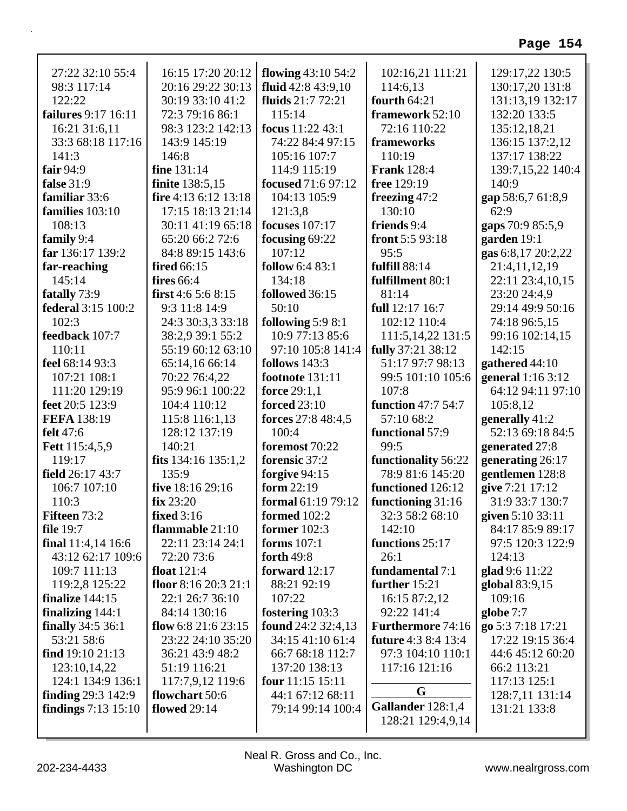| 27:22 32:10 55:4            | 16:15 17:20 20:12    | flowing 43:10 54:2     | 102:16,21 111:21           | 129:17,22 130:5    |
|-----------------------------|----------------------|------------------------|----------------------------|--------------------|
| 98:3 117:14                 | 20:16 29:22 30:13    | fluid 42:8 43:9,10     | 114:6,13                   | 130:17,20 131:8    |
| 122:22                      | 30:19 33:10 41:2     | fluids 21:7 72:21      | fourth $64:21$             | 131:13,19 132:17   |
| <b>failures</b> 9:17 16:11  | 72:3 79:16 86:1      | 115:14                 | framework 52:10            | 132:20 133:5       |
| 16:21 31:6,11               | 98:3 123:2 142:13    | focus 11:22 43:1       | 72:16 110:22               | 135:12,18,21       |
| 33:3 68:18 117:16           | 143:9 145:19         | 74:22 84:4 97:15       | frameworks                 | 136:15 137:2,12    |
| 141:3                       | 146:8                | 105:16 107:7           | 110:19                     | 137:17 138:22      |
| fair $94:9$                 | fine 131:14          | 114:9 115:19           | <b>Frank</b> 128:4         | 139:7,15,22 140:4  |
| false 31:9                  | finite 138:5,15      | focused 71:6 97:12     | free 129:19                | 140:9              |
| familiar 33:6               | fire 4:13 6:12 13:18 | 104:13 105:9           | freezing $47:2$            | gap 58:6,7 61:8,9  |
| families 103:10             | 17:15 18:13 21:14    | 121:3,8                | 130:10                     | 62:9               |
| 108:13                      | 30:11 41:19 65:18    | focuses $107:17$       | friends 9:4                | gaps 70:9 85:5,9   |
| family 9:4                  | 65:20 66:2 72:6      | focusing $69:22$       | front $5:593:18$           | garden 19:1        |
| far 136:17 139:2            | 84:8 89:15 143:6     | 107:12                 | 95:5                       | gas 6:8,17 20:2,22 |
| far-reaching                | <b>fired</b> 66:15   | follow 6:4 83:1        | <b>fulfill</b> 88:14       | 21:4,11,12,19      |
| 145:14                      | fires $66:4$         | 134:18                 | fulfillment 80:1           | 22:11 23:4,10,15   |
| fatally 73:9                | first $4:65:68:15$   | followed 36:15         | 81:14                      | 23:20 24:4,9       |
| federal 3:15 100:2          | 9:3 11:8 14:9        | 50:10                  | full 12:17 16:7            | 29:14 49:9 50:16   |
| 102:3                       | 24:3 30:3,3 33:18    | following $5:98:1$     | 102:12 110:4               | 74:18 96:5,15      |
| feedback 107:7              | 38:2.9 39:1 55:2     | 10:9 77:13 85:6        | 111:5,14,22 131:5          | 99:16 102:14,15    |
| 110:11                      | 55:19 60:12 63:10    | 97:10 105:8 141:4      | fully 37:21 38:12          | 142:15             |
| feel 68:14 93:3             | 65:14,16 66:14       | follows $143:3$        | 51:17 97:7 98:13           | gathered 44:10     |
| 107:21 108:1                | 70:22 76:4,22        | <b>footnote</b> 131:11 | 99:5 101:10 105:6          | general 1:16 3:12  |
| 111:20 129:19               | 95:9 96:1 100:22     | force 29:1,1           | 107:8                      | 64:12 94:11 97:10  |
| feet 20:5 123:9             | 104:4 110:12         | <b>forced</b> 23:10    | function 47:7 54:7         | 105:8,12           |
| FEFA 138:19                 | 115:8 116:1,13       | forces 27:8 48:4,5     | 57:10 68:2                 | generally 41:2     |
| felt 47:6                   | 128:12 137:19        | 100:4                  | functional 57:9            | 52:13 69:18 84:5   |
| <b>Fett</b> 115:4,5,9       | 140:21               | foremost 70:22         | 99:5                       | generated 27:8     |
| 119:17                      | fits 134:16 135:1,2  | forensic 37:2          | functionality 56:22        | generating 26:17   |
| field 26:17 43:7            | 135:9                | forgive 94:15          | 78:9 81:6 145:20           | gentlemen 128:8    |
| 106:7 107:10                | five 18:16 29:16     | form 22:19             | functioned 126:12          | give 7:21 17:12    |
| 110:3                       | fix 23:20            | formal 61:19 79:12     | functioning 31:16          | 31:9 33:7 130:7    |
| <b>Fifteen 73:2</b>         | fixed $3:16$         | formed $102:2$         | 32:3 58:2 68:10            | given 5:10 33:11   |
| <b>file</b> 19:7            | flammable $21:10$    | former $102:3$         | 142:10                     | 84:17 85:9 89:17   |
| final 11:4,14 16:6          | 22:11 23:14 24:1     | forms $107:1$          | functions 25:17            | 97:5 120:3 122:9   |
| 43:12 62:17 109:6           | 72:20 73:6           | forth 49:8             | 26:1                       | 124:13             |
| 109:7 111:13                | float $121:4$        | forward $12:17$        | fundamental 7:1            | glad 9:6 11:22     |
| 119:2,8 125:22              | floor $8:1620:321:1$ | 88:21 92:19            | further 15:21              | global 83:9,15     |
| finalize $144:15$           | 22:1 26:7 36:10      | 107:22                 | 16:15 87:2,12              | 109:16             |
| finalizing $144:1$          | 84:14 130:16         | fostering 103:3        | 92:22 141:4                | globe 7:7          |
| <b>finally</b> 34:5 36:1    | flow 6:8 21:6 23:15  | found 24:2 32:4,13     | <b>Furthermore 74:16</b>   | go 5:3 7:18 17:21  |
| 53:21 58:6                  | 23:22 24:10 35:20    | 34:15 41:10 61:4       | <b>future</b> 4:3 8:4 13:4 | 17:22 19:15 36:4   |
| find $19:1021:13$           | 36:21 43:9 48:2      | 66:7 68:18 112:7       | 97:3 104:10 110:1          | 44:6 45:12 60:20   |
| 123:10,14,22                | 51:19 116:21         | 137:20 138:13          | 117:16 121:16              | 66:2 113:21        |
| 124:1 134:9 136:1           | 117:7,9,12 119:6     | four $11:15$ 15:11     |                            | 117:13 125:1       |
| <b>finding</b> $29:3$ 142:9 | flowchart 50:6       | 44:1 67:12 68:11       | G                          | 128:7,11 131:14    |
| findings $7:13$ $15:10$     | <b>flowed</b> 29:14  | 79:14 99:14 100:4      | Gallander 128:1,4          | 131:21 133:8       |
|                             |                      |                        | 128:21 129:4,9,14          |                    |
|                             |                      |                        |                            |                    |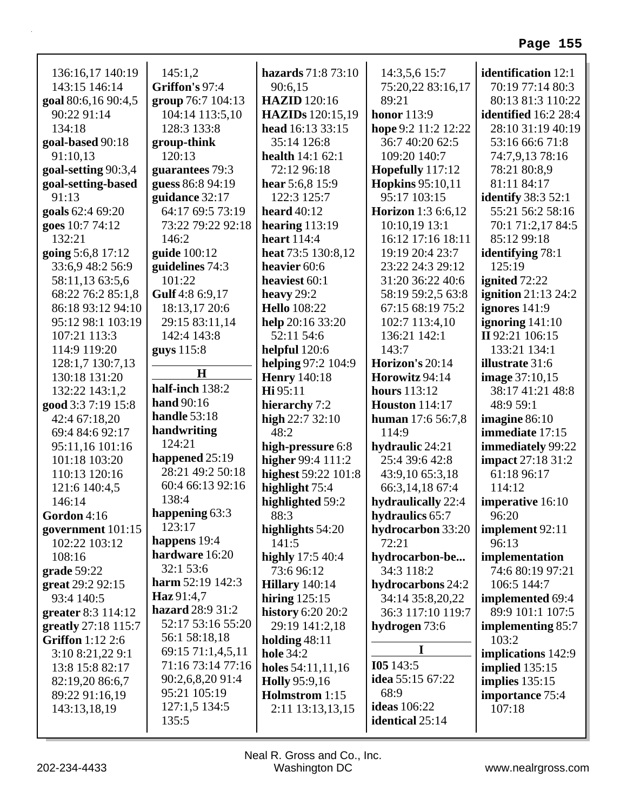| 136:16,17 140:19        | 145:1,2              | hazards 71:8 73:10       | 14:3,5,6 15:7             | <b>identification</b> 12:1 |
|-------------------------|----------------------|--------------------------|---------------------------|----------------------------|
| 143:15 146:14           | Griffon's 97:4       | 90:6,15                  | 75:20,22 83:16,17         | 70:19 77:14 80:3           |
| goal 80:6,16 90:4,5     | group 76:7 104:13    | <b>HAZID</b> 120:16      | 89:21                     | 80:13 81:3 110:22          |
| 90:22 91:14             | 104:14 113:5,10      | <b>HAZIDs</b> 120:15,19  | <b>honor</b> 113:9        | identified 16:2 28:4       |
| 134:18                  | 128:3 133:8          | head 16:13 33:15         | hope 9:2 11:2 12:22       | 28:10 31:19 40:19          |
| goal-based 90:18        | group-think          | 35:14 126:8              | 36:7 40:20 62:5           | 53:16 66:6 71:8            |
| 91:10,13                | 120:13               | <b>health</b> $14:162:1$ | 109:20 140:7              | 74:7,9,13 78:16            |
| goal-setting 90:3,4     | guarantees 79:3      | 72:12 96:18              | Hopefully 117:12          | 78:21 80:8,9               |
| goal-setting-based      | guess 86:8 94:19     | hear $5:6,8$ 15:9        | <b>Hopkins</b> 95:10,11   | 81:11 84:17                |
| 91:13                   | guidance 32:17       | 122:3 125:7              | 95:17 103:15              | <b>identify</b> 38:3 52:1  |
| goals 62:4 69:20        | 64:17 69:5 73:19     | heard $40:12$            | <b>Horizon</b> 1:3 6:6,12 | 55:21 56:2 58:16           |
| goes 10:7 74:12         | 73:22 79:22 92:18    | hearing $113:19$         | 10:10,19 13:1             | 70:1 71:2,17 84:5          |
| 132:21                  | 146:2                | <b>heart</b> 114:4       | 16:12 17:16 18:11         | 85:12 99:18                |
| going 5:6,8 17:12       | guide 100:12         | heat 73:5 130:8,12       | 19:19 20:4 23:7           | <b>identifying</b> 78:1    |
| 33:6,9 48:2 56:9        | guidelines 74:3      | heavier 60:6             | 23:22 24:3 29:12          | 125:19                     |
| 58:11,13 63:5,6         | 101:22               | heaviest 60:1            | 31:20 36:22 40:6          | ignited 72:22              |
| 68:22 76:2 85:1,8       | Gulf 4:8 6:9,17      | heavy 29:2               | 58:19 59:2,5 63:8         | ignition $21:13\,24:2$     |
| 86:18 93:12 94:10       | 18:13,17 20:6        | <b>Hello</b> 108:22      | 67:15 68:19 75:2          | ignores 141:9              |
| 95:12 98:1 103:19       | 29:15 83:11,14       | help 20:16 33:20         | 102:7 113:4,10            | ignoring $141:10$          |
| 107:21 113:3            | 142:4 143:8          | 52:11 54:6               | 136:21 142:1              | II 92:21 106:15            |
| 114:9 119:20            | guys $115:8$         | helpful 120:6            | 143:7                     | 133:21 134:1               |
| 128:1,7 130:7,13        |                      | helping 97:2 104:9       | Horizon's 20:14           | <b>illustrate</b> 31:6     |
| 130:18 131:20           | $\bf H$              | <b>Henry</b> 140:18      | Horowitz 94:14            | <b>image</b> 37:10,15      |
| 132:22 143:1,2          | half-inch 138:2      | Hi 95:11                 | <b>hours</b> 113:12       | 38:17 41:21 48:8           |
| good 3:3 7:19 15:8      | hand 90:16           | hierarchy 7:2            | <b>Houston</b> 114:17     | 48:9 59:1                  |
| 42:4 67:18,20           | handle $53:18$       | high $22:732:10$         | human 17:6 56:7,8         | imagine 86:10              |
| 69:4 84:6 92:17         | handwriting          | 48:2                     | 114:9                     | immediate 17:15            |
| 95:11,16 101:16         | 124:21               | high-pressure 6:8        | hydraulic 24:21           | immediately 99:22          |
| 101:18 103:20           | happened 25:19       | higher 99:4 111:2        | 25:4 39:6 42:8            | <b>impact</b> 27:18 31:2   |
| 110:13 120:16           | 28:21 49:2 50:18     | highest 59:22 101:8      | 43:9,10 65:3,18           | 61:18 96:17                |
| 121:6 140:4,5           | 60:4 66:13 92:16     | highlight 75:4           | 66:3,14,18 67:4           | 114:12                     |
| 146:14                  | 138:4                | highlighted 59:2         | hydraulically 22:4        | imperative 16:10           |
| Gordon $4:16$           | happening 63:3       | 88:3                     | hydraulics 65:7           | 96:20                      |
| government $101:15$     | 123:17               | highlights 54:20         | hydrocarbon 33:20         | implement 92:11            |
| 102:22 103:12           | happens 19:4         | 141:5                    | 72:21                     | 96:13                      |
| 108:16                  | hardware 16:20       | highly 17:5 40:4         | hydrocarbon-be            | implementation             |
| grade 59:22             | 32:1 53:6            | 73:6 96:12               | 34:3 118:2                | 74:6 80:19 97:21           |
| great 29:2 92:15        | harm $52:19$ $142:3$ | <b>Hillary</b> 140:14    | hydrocarbons 24:2         | 106:5 144:7                |
| 93:4 140:5              | Haz 91:4,7           | hiring $125:15$          | 34:14 35:8,20,22          | implemented 69:4           |
| greater 8:3 114:12      | hazard 28:9 31:2     | <b>history</b> 6:20 20:2 | 36:3 117:10 119:7         | 89:9 101:1 107:5           |
| greatly 27:18 115:7     | 52:17 53:16 55:20    | 29:19 141:2,18           | hydrogen 73:6             | <b>implementing 85:7</b>   |
| <b>Griffon</b> 1:12 2:6 | 56:1 58:18,18        | holding $48:11$          |                           | 103:2                      |
| 3:10 8:21,22 9:1        | 69:15 71:1,4,5,11    | <b>hole</b> 34:2         | 1                         | implications 142:9         |
| 13:8 15:8 82:17         | 71:16 73:14 77:16    | holes 54:11,11,16        | I05143:5                  | implied $135:15$           |
| 82:19,20 86:6,7         | 90:2,6,8,20 91:4     | <b>Holly</b> 95:9,16     | idea 55:15 67:22          | implies $135:15$           |
| 89:22 91:16,19          | 95:21 105:19         | Holmstrom 1:15           | 68:9                      | importance 75:4            |
| 143:13,18,19            | 127:1,5 134:5        | 2:11 13:13,13,15         | <b>ideas</b> 106:22       | 107:18                     |
|                         | 135:5                |                          | <b>identical</b> 25:14    |                            |
|                         |                      |                          |                           |                            |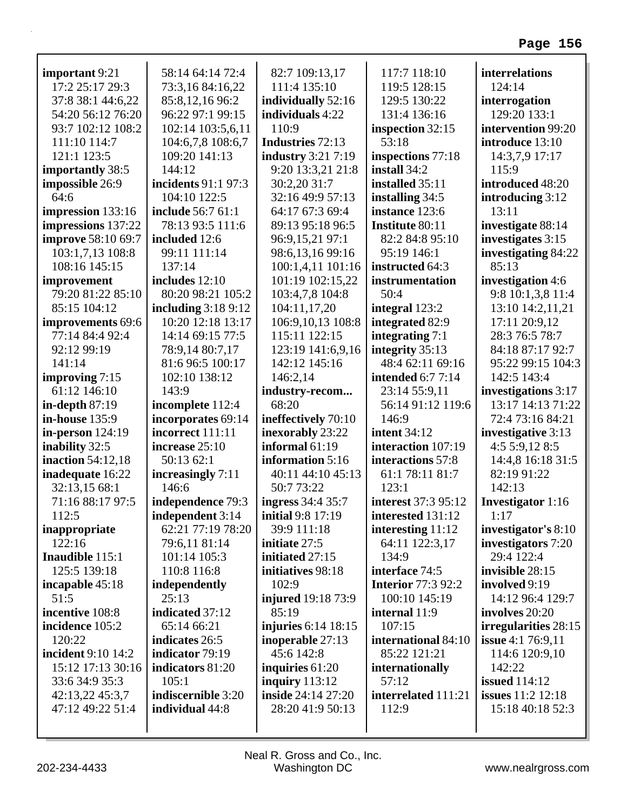| important 9:21            | 58:14 64:14 72:4       | 82:7 109:13,17            | 117:7 118:10              | interrelations           |
|---------------------------|------------------------|---------------------------|---------------------------|--------------------------|
| 17:2 25:17 29:3           | 73:3,16 84:16,22       | 111:4 135:10              | 119:5 128:15              | 124:14                   |
| 37:8 38:1 44:6,22         | 85:8,12,16 96:2        | individually 52:16        | 129:5 130:22              | interrogation            |
| 54:20 56:12 76:20         | 96:22 97:1 99:15       | individuals 4:22          | 131:4 136:16              | 129:20 133:1             |
| 93:7 102:12 108:2         | 102:14 103:5,6,11      | 110:9                     | inspection 32:15          | intervention 99:20       |
| 111:10 114:7              | 104:6,7,8 108:6,7      | Industries 72:13          | 53:18                     | introduce 13:10          |
| 121:1 123:5               | 109:20 141:13          | <b>industry</b> 3:21 7:19 | inspections 77:18         | 14:3,7,9 17:17           |
| importantly 38:5          | 144:12                 | 9:20 13:3,21 21:8         | install $34:2$            | 115:9                    |
| impossible 26:9           | incidents 91:1 97:3    | 30:2,20 31:7              | installed 35:11           | introduced 48:20         |
| 64:6                      | 104:10 122:5           | 32:16 49:9 57:13          | installing 34:5           | introducing 3:12         |
| impression 133:16         | include 56:7 61:1      | 64:17 67:3 69:4           | instance 123:6            | 13:11                    |
| impressions 137:22        | 78:13 93:5 111:6       | 89:13 95:18 96:5          | <b>Institute 80:11</b>    | investigate 88:14        |
| <b>improve</b> 58:10 69:7 | included 12:6          | 96:9,15,21 97:1           | 82:2 84:8 95:10           | investigates 3:15        |
| 103:1,7,13 108:8          | 99:11 111:14           | 98:6,13,16 99:16          | 95:19 146:1               | investigating 84:22      |
| 108:16 145:15             | 137:14                 | 100:1,4,11 101:16         | instructed 64:3           | 85:13                    |
| improvement               | includes $12:10$       | 101:19 102:15,22          | instrumentation           | investigation 4:6        |
| 79:20 81:22 85:10         | 80:20 98:21 105:2      | 103:4,7,8 104:8           | 50:4                      | 9:8 10:1,3,8 11:4        |
| 85:15 104:12              | including $3:189:12$   | 104:11,17,20              | integral 123:2            | 13:10 14:2,11,21         |
| <b>improvements</b> 69:6  | 10:20 12:18 13:17      | 106:9,10,13 108:8         | integrated 82:9           | 17:11 20:9,12            |
| 77:14 84:4 92:4           | 14:14 69:15 77:5       | 115:11 122:15             | integrating 7:1           | 28:3 76:5 78:7           |
| 92:12 99:19               | 78:9,14 80:7,17        | 123:19 141:6,9,16         | integrity 35:13           | 84:18 87:17 92:7         |
| 141:14                    | 81:6 96:5 100:17       | 142:12 145:16             | 48:4 62:11 69:16          | 95:22 99:15 104:3        |
| improving 7:15            | 102:10 138:12          | 146:2,14                  | <b>intended</b> 6:7 7:14  | 142:5 143:4              |
| 61:12 146:10              | 143:9                  | industry-recom            | 23:14 55:9,11             | investigations 3:17      |
| in-depth $87:19$          | incomplete 112:4       | 68:20                     | 56:14 91:12 119:6         | 13:17 14:13 71:22        |
| in-house 135:9            | incorporates 69:14     | ineffectively 70:10       | 146:9                     | 72:4 73:16 84:21         |
| in-person $124:19$        | incorrect 111:11       | inexorably 23:22          | <b>intent</b> 34:12       | investigative 3:13       |
| inability 32:5            | increase 25:10         | informal 61:19            | interaction 107:19        | 4:55:9,128:5             |
| <b>inaction</b> 54:12,18  | 50:13 62:1             | information 5:16          | interactions 57:8         | 14:4,8 16:18 31:5        |
| inadequate 16:22          | increasingly $7:11$    | 40:11 44:10 45:13         | 61:1 78:11 81:7           | 82:19 91:22              |
| 32:13,15 68:1             | 146:6                  | 50:7 73:22                | 123:1                     | 142:13                   |
| 71:16 88:17 97:5          | independence 79:3      | <b>ingress</b> 34:4 35:7  | interest 37:3 95:12       | <b>Investigator</b> 1:16 |
| 112:5                     | independent 3:14       | <b>initial</b> 9:8 17:19  | interested 131:12         | 1:17                     |
| inappropriate             | 62:21 77:19 78:20      | 39:9 111:18               | interesting $11:12$       | investigator's 8:10      |
| 122:16                    | 79:6,11 81:14          | initiate 27:5             | 64:11 122:3,17            | investigators 7:20       |
| Inaudible 115:1           | 101:14 105:3           | initiated 27:15           | 134:9                     | 29:4 122:4               |
| 125:5 139:18              | 110:8 116:8            | initiatives 98:18         | interface 74:5            | invisible 28:15          |
| incapable 45:18           | independently          | 102:9                     | <b>Interior 77:3 92:2</b> | involved 9:19            |
| 51:5                      | 25:13                  | injured 19:18 73:9        | 100:10 145:19             | 14:12 96:4 129:7         |
| incentive 108:8           | indicated 37:12        | 85:19                     | internal 11:9             | involves 20:20           |
| incidence 105:2           | 65:14 66:21            | injuries 6:14 18:15       | 107:15                    | irregularities 28:15     |
| 120:22                    | indicates 26:5         | inoperable 27:13          | international 84:10       | <b>issue</b> 4:1 76:9,11 |
| incident 9:10 14:2        | <b>indicator</b> 79:19 | 45:6 142:8                | 85:22 121:21              | 114:6 120:9,10           |
| 15:12 17:13 30:16         | indicators 81:20       | inquiries 61:20           | internationally           | 142:22                   |
| 33:6 34:9 35:3            | 105:1                  | inquiry $113:12$          | 57:12                     | <b>issued</b> 114:12     |
| 42:13,22 45:3,7           | indiscernible 3:20     | <b>inside</b> 24:14 27:20 | interrelated 111:21       | <b>issues</b> 11:2 12:18 |
| 47:12 49:22 51:4          | individual 44:8        | 28:20 41:9 50:13          | 112:9                     | 15:18 40:18 52:3         |
|                           |                        |                           |                           |                          |

r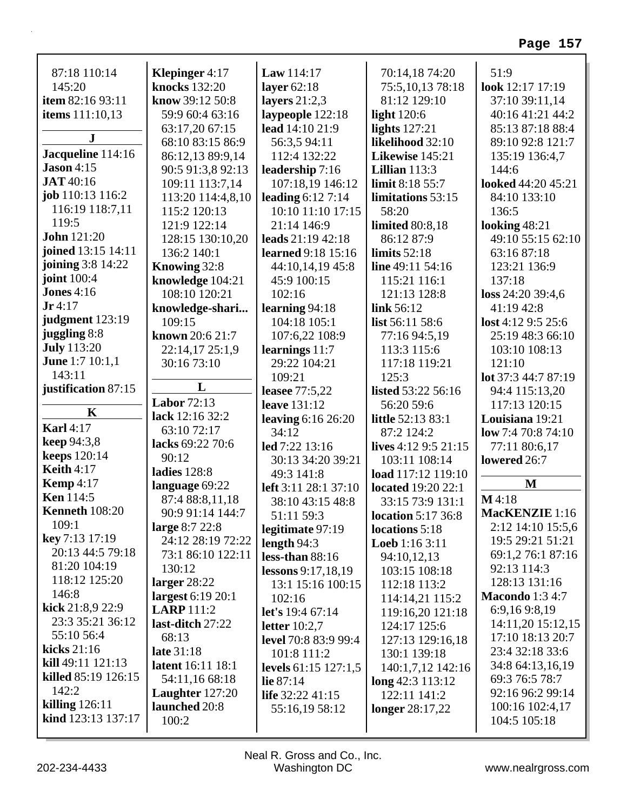| 87:18 110:14             | Klepinger 4:17           | <b>Law</b> $114:17$         | 70:14,18 74:20            | 51:9                           |
|--------------------------|--------------------------|-----------------------------|---------------------------|--------------------------------|
| 145:20                   | <b>knocks</b> 132:20     | layer $62:18$               | 75:5,10,13 78:18          | look 12:17 17:19               |
| item 82:16 93:11         | know 39:12 50:8          | layers $21:2,3$             | 81:12 129:10              | 37:10 39:11,14                 |
| <b>items</b> 111:10,13   | 59:9 60:4 63:16          | laypeople 122:18            | light $120:6$             | 40:16 41:21 44:2               |
| ${\bf J}$                | 63:17,20 67:15           | lead 14:10 21:9             | lights $127:21$           | 85:13 87:18 88:4               |
|                          | 68:10 83:15 86:9         | 56:3,5 94:11                | likelihood 32:10          | 89:10 92:8 121:7               |
| Jacqueline 114:16        | 86:12,13 89:9,14         | 112:4 132:22                | Likewise 145:21           | 135:19 136:4,7                 |
| $ Jason 4:15$            | 90:5 91:3,8 92:13        | leadership 7:16             | Lillian $113:3$           | 144:6                          |
| <b>JAT</b> 40:16         | 109:11 113:7,14          | 107:18,19 146:12            | limit 8:18 55:7           | looked 44:20 45:21             |
| job 110:13 116:2         | 113:20 114:4,8,10        | leading $6:127:14$          | limitations 53:15         | 84:10 133:10                   |
| 116:19 118:7,11          | 115:2 120:13             | 10:10 11:10 17:15           | 58:20                     | 136:5                          |
| 119:5                    | 121:9 122:14             | 21:14 146:9                 | <b>limited</b> 80:8,18    | looking 48:21                  |
| <b>John</b> 121:20       | 128:15 130:10,20         | leads 21:19 42:18           | 86:12 87:9                | 49:10 55:15 62:10              |
| joined 13:15 14:11       | 136:2 140:1              | learned 9:18 15:16          | limits $52:18$            | 63:16 87:18                    |
| joining 3:8 14:22        | Knowing 32:8             | 44:10,14,19 45:8            | line $49:11\,54:16$       | 123:21 136:9                   |
| <b>joint</b> 100:4       | knowledge 104:21         | 45:9 100:15                 | 115:21 116:1              | 137:18                         |
| Jones $4:16$             | 108:10 120:21            | 102:16                      | 121:13 128:8              | loss 24:20 39:4,6              |
| $Jr$ 4:17                | knowledge-shari          | learning $94:18$            | link 56:12                | 41:19 42:8                     |
| judgment 123:19          | 109:15                   | 104:18 105:1                | list 56:11 58:6           | $\text{lost } 4:12\,9:5\,25:6$ |
| juggling 8:8             | known 20:6 21:7          | 107:6,22 108:9              | 77:16 94:5,19             | 25:19 48:3 66:10               |
| <b>July</b> 113:20       | 22:14,17 25:1,9          | learnings 11:7              | 113:3 115:6               | 103:10 108:13                  |
| <b>June</b> 1:7 10:1,1   | 30:16 73:10              | 29:22 104:21                | 117:18 119:21             | 121:10                         |
| 143:11                   |                          | 109:21                      | 125:3                     | lot 37:3 44:7 87:19            |
| justification 87:15      | L                        | leasee 77:5,22              | listed 53:22 56:16        | 94:4 115:13,20                 |
|                          | <b>Labor 72:13</b>       | <b>leave</b> 131:12         | 56:20 59:6                | 117:13 120:15                  |
| $\mathbf K$              | lack 12:16 32:2          | leaving $6:16$ $26:20$      | little 52:13 83:1         | Louisiana 19:21                |
| <b>Karl 4:17</b>         | 63:10 72:17              | 34:12                       | 87:2 124:2                | low 7:4 70:8 74:10             |
| keep 94:3,8              | lacks 69:22 70:6         | led 7:22 13:16              | lives $4:129:521:15$      | 77:11 80:6,17                  |
| <b>keeps</b> 120:14      | 90:12                    | 30:13 34:20 39:21           | 103:11 108:14             | lowered 26:7                   |
| <b>Keith 4:17</b>        | <b>ladies</b> 128:8      | 49:3 141:8                  | load 117:12 119:10        |                                |
| <b>Kemp</b> 4:17         | language 69:22           | <b>left</b> 3:11 28:1 37:10 | <b>located</b> 19:20 22:1 | M                              |
| <b>Ken</b> 114:5         | 87:4 88:8,11,18          | 38:10 43:15 48:8            | 33:15 73:9 131:1          | M4:18                          |
| <b>Kenneth 108:20</b>    | 90:9 91:14 144:7         | 51:11 59:3                  | <b>location</b> 5:17 36:8 | MacKENZIE 1:16                 |
| 109:1                    | large 8:7 22:8           | legitimate 97:19            | locations 5:18            | 2:12 14:10 15:5,6              |
| key 7:13 17:19           | 24:12 28:19 72:22        | length $94:3$               | <b>Loeb</b> 1:16 3:11     | 19:5 29:21 51:21               |
| 20:13 44:5 79:18         | 73:1 86:10 122:11        | less-than $88:16$           | 94:10,12,13               | 69:1,2 76:1 87:16              |
| 81:20 104:19             | 130:12                   | lessons 9:17,18,19          | 103:15 108:18             | 92:13 114:3                    |
| 118:12 125:20            | larger $28:22$           | 13:1 15:16 100:15           | 112:18 113:2              | 128:13 131:16                  |
| 146:8                    | largest 6:19 20:1        | 102:16                      | 114:14,21 115:2           | <b>Macondo</b> 1:3 4:7         |
| kick 21:8,9 22:9         | <b>LARP</b> 111:2        | <b>let's</b> 19:4 67:14     | 119:16,20 121:18          | 6:9,169:8,19                   |
| 23:3 35:21 36:12         | last-ditch 27:22         | letter $10:2,7$             | 124:17 125:6              | 14:11,20 15:12,15              |
| 55:10 56:4               | 68:13                    | <b>level</b> 70:8 83:9 99:4 | 127:13 129:16,18          | 17:10 18:13 20:7               |
| kicks $21:16$            | late 31:18               | 101:8 111:2                 | 130:1 139:18              | 23:4 32:18 33:6                |
| $\bf{kill}$ 49:11 121:13 | <b>latent</b> 16:11 18:1 | levels $61:15$ $127:1,5$    | 140:1,7,12 142:16         | 34:8 64:13,16,19               |
| killed 85:19 126:15      | 54:11,16 68:18           | lie $87:14$                 | $\log 42:3$ 113:12        | 69:3 76:5 78:7                 |
| 142:2                    | Laughter $127:20$        | life $32:22\,41:15$         | 122:11 141:2              | 92:16 96:2 99:14               |
| killing $126:11$         | launched 20:8            | 55:16,19 58:12              | longer $28:17,22$         | 100:16 102:4,17                |
| kind 123:13 137:17       | 100:2                    |                             |                           | 104:5 105:18                   |
|                          |                          |                             |                           |                                |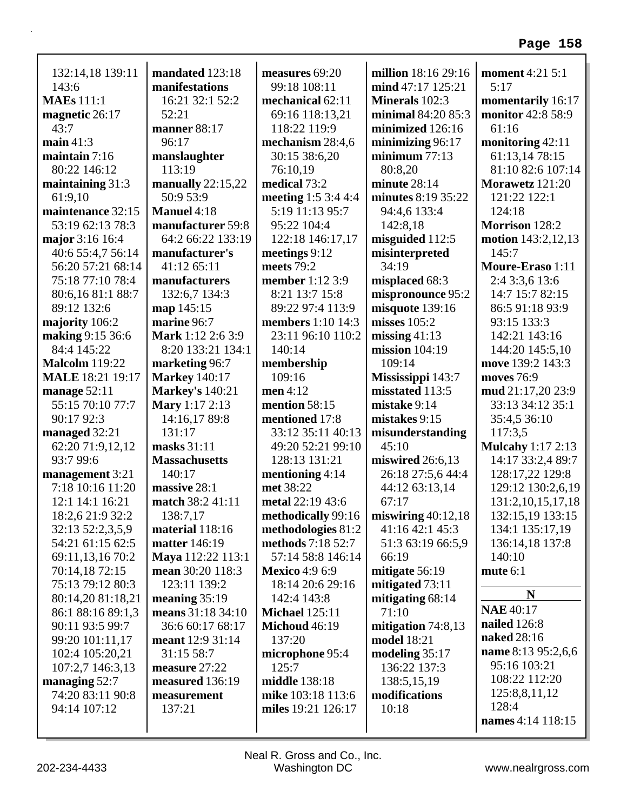| 132:14,18 139:11<br>143:6<br><b>MAEs</b> 111:1<br>magnetic 26:17<br>43:7<br>main $41:3$<br>maintain 7:16<br>80:22 146:12 | mandated 123:18<br>manifestations<br>16:21 32:1 52:2<br>52:21<br>manner 88:17<br>96:17<br>manslaughter<br>113:19 | measures 69:20<br>99:18 108:11<br>mechanical 62:11<br>69:16 118:13,21<br>118:22 119:9<br>mechanism 28:4,6<br>30:15 38:6,20<br>76:10,19 | million 18:16 29:16<br>mind 47:17 125:21<br>Minerals 102:3<br>minimal 84:20 85:3<br>minimized 126:16<br>minimizing $96:17$<br>minimum $77:13$<br>80:8,20 | <b>moment</b> 4:21 5:1<br>5:17<br>momentarily 16:17<br>monitor 42:8 58:9<br>61:16<br>monitoring 42:11<br>61:13,14 78:15<br>81:10 82:6 107:14 |
|--------------------------------------------------------------------------------------------------------------------------|------------------------------------------------------------------------------------------------------------------|----------------------------------------------------------------------------------------------------------------------------------------|----------------------------------------------------------------------------------------------------------------------------------------------------------|----------------------------------------------------------------------------------------------------------------------------------------------|
| maintaining 31:3                                                                                                         | manually 22:15,22                                                                                                | medical 73:2                                                                                                                           | minute $28:14$                                                                                                                                           | Morawetz 121:20                                                                                                                              |
| 61:9,10                                                                                                                  | 50:9 53:9                                                                                                        | meeting 1:5 3:4 4:4                                                                                                                    | minutes 8:19 35:22                                                                                                                                       | 121:22 122:1                                                                                                                                 |
| maintenance 32:15                                                                                                        | Manuel 4:18                                                                                                      | 5:19 11:13 95:7                                                                                                                        | 94:4,6 133:4                                                                                                                                             | 124:18                                                                                                                                       |
| 53:19 62:13 78:3                                                                                                         | manufacturer 59:8                                                                                                | 95:22 104:4                                                                                                                            | 142:8,18                                                                                                                                                 | Morrison 128:2                                                                                                                               |
| major 3:16 16:4                                                                                                          | 64:2 66:22 133:19                                                                                                | 122:18 146:17,17                                                                                                                       | misguided 112:5                                                                                                                                          | motion 143:2,12,13                                                                                                                           |
| 40:6 55:4,7 56:14                                                                                                        | manufacturer's                                                                                                   | meetings 9:12                                                                                                                          | misinterpreted                                                                                                                                           | 145:7                                                                                                                                        |
| 56:20 57:21 68:14                                                                                                        | 41:12 65:11                                                                                                      | meets $79:2$                                                                                                                           | 34:19                                                                                                                                                    | Moure-Eraso 1:11                                                                                                                             |
| 75:18 77:10 78:4                                                                                                         | manufacturers                                                                                                    | member 1:12 3:9                                                                                                                        | misplaced 68:3                                                                                                                                           | 2:4 3:3,6 13:6                                                                                                                               |
| 80:6,16 81:1 88:7                                                                                                        | 132:6,7 134:3                                                                                                    | 8:21 13:7 15:8                                                                                                                         | mispronounce 95:2                                                                                                                                        | 14:7 15:7 82:15                                                                                                                              |
| 89:12 132:6                                                                                                              | map 145:15                                                                                                       | 89:22 97:4 113:9                                                                                                                       | misquote 139:16                                                                                                                                          | 86:5 91:18 93:9                                                                                                                              |
| majority 106:2                                                                                                           | marine 96:7                                                                                                      | members 1:10 14:3                                                                                                                      | misses $105:2$                                                                                                                                           | 93:15 133:3                                                                                                                                  |
| making 9:15 36:6                                                                                                         | Mark 1:12 2:6 3:9                                                                                                | 23:11 96:10 110:2                                                                                                                      | missing $41:13$                                                                                                                                          | 142:21 143:16                                                                                                                                |
| 84:4 145:22                                                                                                              | 8:20 133:21 134:1                                                                                                | 140:14                                                                                                                                 | mission $104:19$                                                                                                                                         | 144:20 145:5,10                                                                                                                              |
| <b>Malcolm</b> 119:22                                                                                                    | marketing 96:7                                                                                                   | membership                                                                                                                             | 109:14                                                                                                                                                   | move 139:2 143:3                                                                                                                             |
| <b>MALE</b> 18:21 19:17                                                                                                  | <b>Markey</b> 140:17                                                                                             | 109:16                                                                                                                                 | Mississippi 143:7                                                                                                                                        | moves 76:9                                                                                                                                   |
| manage 52:11                                                                                                             | <b>Markey's 140:21</b>                                                                                           | men 4:12                                                                                                                               | misstated 113:5                                                                                                                                          | mud 21:17,20 23:9                                                                                                                            |
| 55:15 70:10 77:7                                                                                                         | Mary 1:17 2:13                                                                                                   | mention 58:15                                                                                                                          | mistake 9:14                                                                                                                                             | 33:13 34:12 35:1                                                                                                                             |
| 90:17 92:3                                                                                                               | 14:16,17 89:8                                                                                                    | mentioned 17:8                                                                                                                         | mistakes 9:15                                                                                                                                            | 35:4,5 36:10                                                                                                                                 |
| managed 32:21                                                                                                            | 131:17                                                                                                           | 33:12 35:11 40:13                                                                                                                      | misunderstanding                                                                                                                                         | 117:3,5                                                                                                                                      |
| 62:20 71:9,12,12                                                                                                         | masks 31:11                                                                                                      | 49:20 52:21 99:10                                                                                                                      | 45:10                                                                                                                                                    | <b>Mulcahy</b> 1:17 2:13                                                                                                                     |
| 93:7 99:6                                                                                                                | <b>Massachusetts</b>                                                                                             | 128:13 131:21                                                                                                                          | miswired 26:6,13                                                                                                                                         | 14:17 33:2,4 89:7                                                                                                                            |
| management 3:21                                                                                                          | 140:17                                                                                                           | mentioning $4:14$                                                                                                                      | 26:18 27:5,6 44:4                                                                                                                                        | 128:17,22 129:8                                                                                                                              |
| 7:18 10:16 11:20                                                                                                         | massive 28:1                                                                                                     | met 38:22                                                                                                                              | 44:12 63:13,14                                                                                                                                           | 129:12 130:2,6,19                                                                                                                            |
| 12:1 14:1 16:21                                                                                                          | match 38:2 41:11                                                                                                 | metal 22:19 43:6                                                                                                                       | 67:17                                                                                                                                                    | 131:2, 10, 15, 17, 18                                                                                                                        |
| 18:2,6 21:9 32:2                                                                                                         | 138:7,17                                                                                                         | methodically $99:16$                                                                                                                   | miswiring $40:12,18$                                                                                                                                     | 132:15,19 133:15                                                                                                                             |
| 32:13 52:2,3,5,9                                                                                                         | material 118:16                                                                                                  | methodologies 81:2                                                                                                                     | 41:16 42:1 45:3                                                                                                                                          | 134:1 135:17,19                                                                                                                              |
| 54:21 61:15 62:5                                                                                                         | <b>matter</b> 146:19                                                                                             | methods 7:18 52:7                                                                                                                      | 51:3 63:19 66:5,9                                                                                                                                        | 136:14,18 137:8                                                                                                                              |
| 69:11,13,16 70:2                                                                                                         | Maya 112:22 113:1                                                                                                | 57:14 58:8 146:14                                                                                                                      | 66:19                                                                                                                                                    | 140:10                                                                                                                                       |
| 70:14,18 72:15                                                                                                           | mean 30:20 118:3                                                                                                 | <b>Mexico</b> 4:9 6:9                                                                                                                  | mitigate 56:19                                                                                                                                           | mute $6:1$                                                                                                                                   |
| 75:13 79:12 80:3                                                                                                         | 123:11 139:2                                                                                                     | 18:14 20:6 29:16                                                                                                                       | mitigated $73:11$                                                                                                                                        |                                                                                                                                              |
| 80:14,20 81:18,21                                                                                                        | meaning $35:19$                                                                                                  | 142:4 143:8                                                                                                                            | mitigating $68:14$                                                                                                                                       | $\mathbf N$                                                                                                                                  |
| 86:1 88:16 89:1,3                                                                                                        | means 31:18 34:10                                                                                                | <b>Michael 125:11</b>                                                                                                                  | 71:10                                                                                                                                                    | <b>NAE</b> 40:17                                                                                                                             |
| 90:11 93:5 99:7                                                                                                          | 36:6 60:17 68:17                                                                                                 | Michoud 46:19                                                                                                                          | mitigation $74:8,13$                                                                                                                                     | <b>nailed</b> 126:8                                                                                                                          |
| 99:20 101:11,17                                                                                                          | meant $12:931:14$                                                                                                | 137:20                                                                                                                                 | <b>model</b> 18:21                                                                                                                                       | naked 28:16                                                                                                                                  |
| 102:4 105:20,21                                                                                                          | 31:15 58:7                                                                                                       | microphone 95:4                                                                                                                        | modeling $35:17$                                                                                                                                         | name 8:13 95:2,6,6                                                                                                                           |
| 107:2,7 146:3,13                                                                                                         | measure 27:22                                                                                                    | 125:7                                                                                                                                  | 136:22 137:3                                                                                                                                             | 95:16 103:21                                                                                                                                 |
| managing $52:7$                                                                                                          | measured 136:19                                                                                                  | middle 138:18                                                                                                                          | 138:5,15,19                                                                                                                                              | 108:22 112:20                                                                                                                                |
| 74:20 83:11 90:8                                                                                                         | measurement                                                                                                      | mike 103:18 113:6                                                                                                                      | modifications                                                                                                                                            | 125:8,8,11,12                                                                                                                                |
| 94:14 107:12                                                                                                             | 137:21                                                                                                           | miles 19:21 126:17                                                                                                                     | 10:18                                                                                                                                                    | 128:4                                                                                                                                        |
|                                                                                                                          |                                                                                                                  |                                                                                                                                        |                                                                                                                                                          | names 4:14 118:15                                                                                                                            |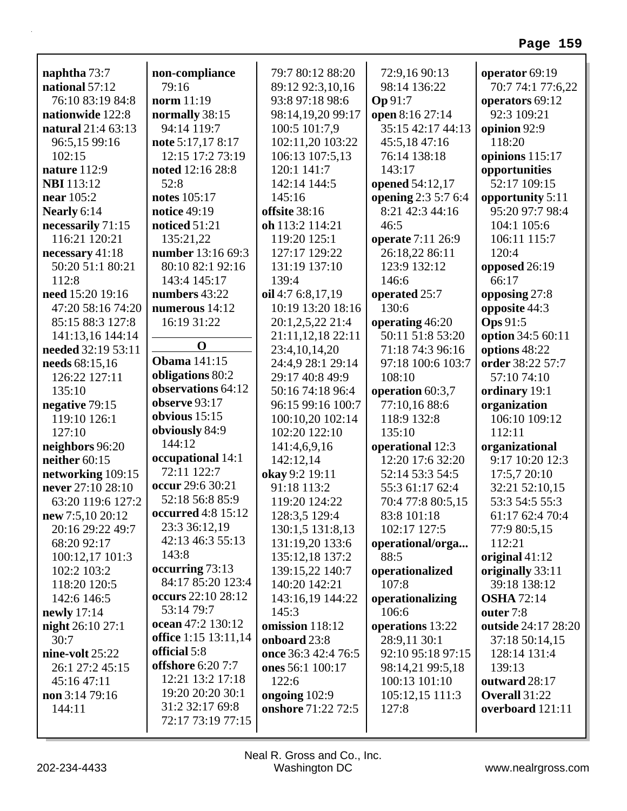|                                |                                        | 79:7 80:12 88:20    |                                        |                                     |
|--------------------------------|----------------------------------------|---------------------|----------------------------------------|-------------------------------------|
| naphtha 73:7<br>national 57:12 | non-compliance<br>79:16                | 89:12 92:3,10,16    | 72:9,16 90:13<br>98:14 136:22          | operator 69:19<br>70:7 74:1 77:6,22 |
| 76:10 83:19 84:8               | norm 11:19                             | 93:8 97:18 98:6     | Op 91:7                                | operators 69:12                     |
| nationwide 122:8               | normally 38:15                         | 98:14,19,20 99:17   |                                        | 92:3 109:21                         |
| natural 21:4 63:13             | 94:14 119:7                            | 100:5 101:7,9       | open 8:16 27:14<br>35:15 42:17 44:13   |                                     |
|                                |                                        |                     |                                        | opinion 92:9<br>118:20              |
| 96:5,15 99:16<br>102:15        | note 5:17,17 8:17<br>12:15 17:2 73:19  | 102:11,20 103:22    | 45:5,1847:16                           |                                     |
|                                |                                        | 106:13 107:5,13     | 76:14 138:18                           | opinions 115:17                     |
| nature 112:9                   | noted 12:16 28:8<br>52:8               | 120:1 141:7         | 143:17                                 | opportunities<br>52:17 109:15       |
| <b>NBI</b> 113:12              |                                        | 142:14 144:5        | opened 54:12,17                        |                                     |
| near $105:2$                   | notes 105:17                           | 145:16              | opening 2:3 5:7 6:4<br>8:21 42:3 44:16 | opportunity 5:11                    |
| Nearly 6:14                    | notice 49:19                           | offsite 38:16       |                                        | 95:20 97:7 98:4                     |
| necessarily 71:15              | noticed 51:21                          | oh 113:2 114:21     | 46:5                                   | 104:1 105:6                         |
| 116:21 120:21                  | 135:21,22                              | 119:20 125:1        | operate 7:11 26:9                      | 106:11 115:7                        |
| necessary $41:18$              | number 13:16 69:3                      | 127:17 129:22       | 26:18,22 86:11                         | 120:4                               |
| 50:20 51:1 80:21               | 80:10 82:1 92:16                       | 131:19 137:10       | 123:9 132:12                           | opposed 26:19                       |
| 112:8                          | 143:4 145:17                           | 139:4               | 146:6                                  | 66:17                               |
| need 15:20 19:16               | numbers 43:22                          | oil 4:7 6:8,17,19   | operated 25:7                          | opposing 27:8                       |
| 47:20 58:16 74:20              | numerous $14:12$                       | 10:19 13:20 18:16   | 130:6                                  | opposite 44:3                       |
| 85:15 88:3 127:8               | 16:19 31:22                            | 20:1,2,5,22 21:4    | operating 46:20                        | <b>Ops</b> 91:5                     |
| 141:13,16 144:14               | $\bf{0}$                               | 21:11,12,18 22:11   | 50:11 51:8 53:20                       | option 34:5 60:11                   |
| needed 32:19 53:11             | <b>Obama</b> 141:15                    | 23:4, 10, 14, 20    | 71:18 74:3 96:16                       | options 48:22                       |
| needs 68:15,16                 |                                        | 24:4,9 28:1 29:14   | 97:18 100:6 103:7                      | order 38:22 57:7                    |
| 126:22 127:11                  | obligations 80:2<br>observations 64:12 | 29:17 40:8 49:9     | 108:10                                 | 57:10 74:10                         |
| 135:10                         |                                        | 50:16 74:18 96:4    | operation 60:3,7                       | ordinary 19:1                       |
| negative 79:15                 | observe 93:17                          | 96:15 99:16 100:7   | 77:10,16 88:6                          | organization                        |
| 119:10 126:1                   | obvious $15:15$                        | 100:10,20 102:14    | 118:9 132:8                            | 106:10 109:12                       |
| 127:10                         | obviously 84:9                         | 102:20 122:10       | 135:10                                 | 112:11                              |
| neighbors 96:20                | 144:12                                 | 141:4,6,9,16        | operational 12:3                       | organizational                      |
| neither 60:15                  | occupational 14:1                      | 142:12,14           | 12:20 17:6 32:20                       | 9:17 10:20 12:3                     |
| networking 109:15              | 72:11 122:7                            | okay 9:2 19:11      | 52:14 53:3 54:5                        | 17:5,7 20:10                        |
| never 27:10 28:10              | occur 29:6 30:21                       | 91:18 113:2         | 55:3 61:17 62:4                        | 32:21 52:10,15                      |
| 63:20 119:6 127:2              | 52:18 56:8 85:9                        | 119:20 124:22       | 70:4 77:8 80:5,15                      | 53:3 54:5 55:3                      |
| new 7:5,10 20:12               | <b>occurred</b> 4:8 15:12              | 128:3,5 129:4       | 83:8 101:18                            | 61:17 62:4 70:4                     |
| 20:16 29:22 49:7               | 23:3 36:12,19                          | 130:1,5 131:8,13    | 102:17 127:5                           | 77:9 80:5,15                        |
| 68:20 92:17                    | 42:13 46:3 55:13                       | 131:19,20 133:6     | operational/orga                       | 112:21                              |
| 100:12,17 101:3                | 143:8                                  | 135:12,18 137:2     | 88:5                                   | original $41:12$                    |
| 102:2 103:2                    | occurring 73:13                        | 139:15,22 140:7     | operationalized                        | originally 33:11                    |
| 118:20 120:5                   | 84:17 85:20 123:4                      | 140:20 142:21       | 107:8                                  | 39:18 138:12                        |
| 142:6 146:5                    | occurs 22:10 28:12                     | 143:16,19 144:22    | operationalizing                       | <b>OSHA</b> 72:14                   |
| newly $17:14$                  | 53:14 79:7                             | 145:3               | 106:6                                  | outer 7:8                           |
| night 26:10 27:1               | ocean 47:2 130:12                      | omission 118:12     | operations 13:22                       | outside 24:17 28:20                 |
| 30:7                           | <b>office</b> 1:15 13:11,14            | onboard 23:8        | 28:9,11 30:1                           | 37:18 50:14,15                      |
| nine-volt 25:22                | official 5:8                           | once 36:3 42:4 76:5 | 92:10 95:18 97:15                      | 128:14 131:4                        |
| 26:1 27:2 45:15                | <b>offshore</b> 6:20 7:7               | ones 56:1 100:17    | 98:14,21 99:5,18                       | 139:13                              |
| 45:16 47:11                    | 12:21 13:2 17:18                       | 122:6               | 100:13 101:10                          | outward 28:17                       |
| non $3:1479:16$                | 19:20 20:20 30:1                       | ongoing 102:9       | 105:12,15 111:3                        | Overall 31:22                       |
| 144:11                         | 31:2 32:17 69:8                        | onshore 71:22 72:5  | 127:8                                  | overboard 121:11                    |
|                                | 72:17 73:19 77:15                      |                     |                                        |                                     |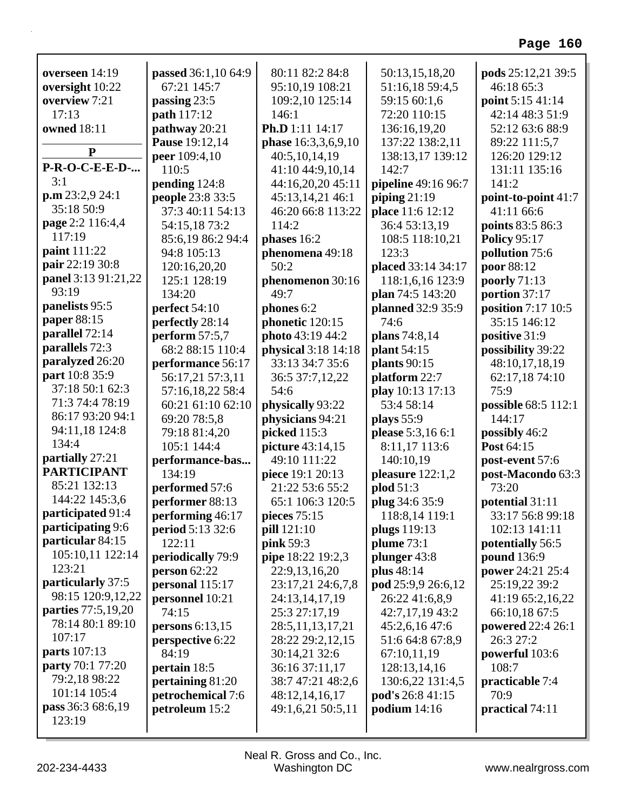| overseen 14:19<br>oversight 10:22 | passed 36:1,10 64:9<br>67:21 145:7            | 80:11 82:2 84:8<br>95:10,19 108:21 | 50:13,15,18,20<br>51:16,18 59:4,5   | pods 25:12,21 39:5<br>46:18 65:3 |
|-----------------------------------|-----------------------------------------------|------------------------------------|-------------------------------------|----------------------------------|
| overview 7:21                     |                                               | 109:2,10 125:14                    | 59:15 60:1,6                        | point 5:15 41:14                 |
| 17:13                             | passing 23:5<br>path 117:12                   | 146:1                              | 72:20 110:15                        | 42:14 48:3 51:9                  |
| <b>owned</b> 18:11                | pathway 20:21                                 | Ph.D 1:11 14:17                    | 136:16,19,20                        | 52:12 63:6 88:9                  |
|                                   |                                               |                                    |                                     |                                  |
| ${\bf P}$                         | <b>Pause</b> 19:12,14<br><b>peer</b> 109:4,10 | phase 16:3,3,6,9,10                | 137:22 138:2,11<br>138:13,17 139:12 | 89:22 111:5,7<br>126:20 129:12   |
| <b>P-R-O-C-E-E-D-</b>             | 110:5                                         | 40:5,10,14,19<br>41:10 44:9,10,14  | 142:7                               | 131:11 135:16                    |
| 3:1                               | pending 124:8                                 | 44:16,20,20 45:11                  | pipeline 49:16 96:7                 | 141:2                            |
| p.m 23:2,9 24:1                   | people 23:8 33:5                              | 45:13,14,21 46:1                   | piping $21:19$                      | point-to-point 41:7              |
| 35:18 50:9                        | 37:3 40:11 54:13                              | 46:20 66:8 113:22                  | place 11:6 12:12                    | 41:11 66:6                       |
| page 2:2 116:4,4                  | 54:15,18 73:2                                 | 114:2                              | 36:4 53:13,19                       | points 83:5 86:3                 |
| 117:19                            | 85:6,19 86:2 94:4                             | phases 16:2                        | 108:5 118:10,21                     | <b>Policy 95:17</b>              |
| paint 111:22                      | 94:8 105:13                                   | phenomena 49:18                    | 123:3                               | pollution 75:6                   |
| pair 22:19 30:8                   | 120:16,20,20                                  | 50:2                               | placed 33:14 34:17                  | poor 88:12                       |
| panel 3:13 91:21,22               | 125:1 128:19                                  | phenomenon 30:16                   | 118:1,6,16 123:9                    | poorly $71:13$                   |
| 93:19                             | 134:20                                        | 49:7                               | plan 74:5 143:20                    | portion 37:17                    |
| panelists 95:5                    | perfect 54:10                                 | phones 6:2                         | planned 32:9 35:9                   | position 7:17 10:5               |
| paper 88:15                       | perfectly 28:14                               | phonetic 120:15                    | 74:6                                | 35:15 146:12                     |
| parallel 72:14                    | perform $57:5,7$                              | photo 43:19 44:2                   | plans 74:8,14                       | positive 31:9                    |
| parallels 72:3                    | 68:2 88:15 110:4                              | physical 3:18 14:18                | <b>plant</b> 54:15                  | possibility 39:22                |
| paralyzed 26:20                   | performance 56:17                             | 33:13 34:7 35:6                    | plants $90:15$                      | 48:10,17,18,19                   |
| part 10:8 35:9                    | 56:17,21 57:3,11                              | 36:5 37:7,12,22                    | platform 22:7                       | 62:17,18 74:10                   |
| 37:18 50:1 62:3                   | 57:16,18,22 58:4                              | 54:6                               | play 10:13 17:13                    | 75:9                             |
| 71:3 74:4 78:19                   | 60:21 61:10 62:10                             | physically 93:22                   | 53:4 58:14                          | possible 68:5 112:1              |
| 86:17 93:20 94:1                  | 69:20 78:5,8                                  | physicians 94:21                   | plays 55:9                          | 144:17                           |
| 94:11,18 124:8                    | 79:18 81:4,20                                 | picked 115:3                       | please 5:3,16 6:1                   | possibly 46:2                    |
| 134:4                             | 105:1 144:4                                   | picture 43:14,15                   | 8:11,17 113:6                       | Post 64:15                       |
| partially 27:21                   | performance-bas                               | 49:10 111:22                       | 140:10,19                           | post-event 57:6                  |
| <b>PARTICIPANT</b>                | 134:19                                        | piece 19:1 20:13                   | pleasure $122:1,2$                  | post-Macondo 63:3                |
| 85:21 132:13                      | performed 57:6                                | 21:22 53:6 55:2                    | plod 51:3                           | 73:20                            |
| 144:22 145:3,6                    | performer 88:13                               | 65:1 106:3 120:5                   | plug 34:6 35:9                      | potential 31:11                  |
| participated 91:4                 | performing 46:17                              | pieces 75:15                       | 118:8,14 119:1                      | 33:17 56:8 99:18                 |
| participating 9:6                 | period 5:13 32:6                              | pill 121:10                        | plugs 119:13                        | 102:13 141:11                    |
| particular 84:15                  | 122:11                                        | pink 59:3                          | plume 73:1                          | potentially 56:5                 |
| 105:10,11 122:14                  | periodically 79:9                             | pipe 18:22 19:2,3                  | plunger 43:8                        | pound 136:9                      |
| 123:21                            | person $62:22$                                | 22:9,13,16,20                      | plus 48:14                          | power 24:21 25:4                 |
| particularly 37:5                 | personal 115:17                               | 23:17,21 24:6,7,8                  | pod 25:9,9 26:6,12                  | 25:19,22 39:2                    |
| 98:15 120:9,12,22                 | personnel 10:21                               | 24:13,14,17,19                     | 26:22 41:6,8,9                      | 41:19 65:2,16,22                 |
| parties 77:5,19,20                | 74:15                                         | 25:3 27:17,19                      | 42:7,17,19 43:2                     | 66:10,18 67:5                    |
| 78:14 80:1 89:10                  | persons 6:13,15                               | 28:5, 11, 13, 17, 21               | 45:2,6,16 47:6                      | powered 22:4 26:1                |
| 107:17                            | perspective 6:22                              | 28:22 29:2,12,15                   | 51:6 64:8 67:8,9                    | 26:3 27:2                        |
| <b>parts</b> 107:13               | 84:19                                         | 30:14,21 32:6                      | 67:10,11,19                         | powerful 103:6                   |
| <b>party</b> 70:1 77:20           | pertain 18:5                                  | 36:16 37:11,17                     | 128:13,14,16                        | 108:7                            |
| 79:2,18 98:22                     | pertaining 81:20                              | 38:7 47:21 48:2,6                  | 130:6,22 131:4,5                    | practicable 7:4                  |
| 101:14 105:4                      | petrochemical 7:6                             | 48:12,14,16,17                     | pod's 26:8 41:15                    | 70:9                             |
| pass 36:3 68:6,19                 | petroleum 15:2                                | 49:1,6,21 50:5,11                  | podium $14:16$                      | practical 74:11                  |
| 123:19                            |                                               |                                    |                                     |                                  |
|                                   |                                               |                                    |                                     |                                  |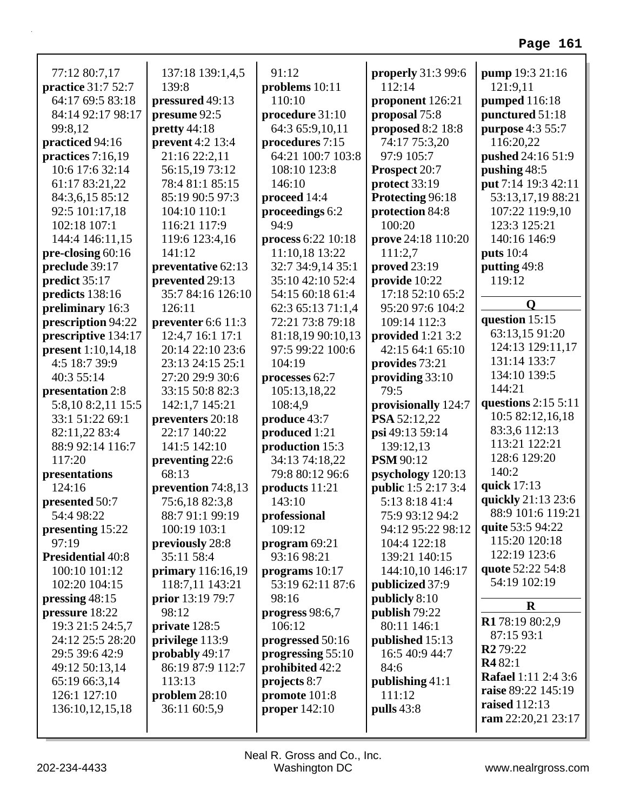| 77:12 80:7,17                          | 137:18 139:1,4,5                      | 91:12                                | <b>properly</b> 31:3 99:6          | pump 19:3 21:16                     |
|----------------------------------------|---------------------------------------|--------------------------------------|------------------------------------|-------------------------------------|
| <b>practice</b> 31:7 52:7              | 139:8                                 | problems $10:11$<br>110:10           | 112:14                             | 121:9,11                            |
| 64:17 69:5 83:18                       | pressured 49:13<br>presume 92:5       |                                      | proponent 126:21                   | pumped 116:18                       |
| 84:14 92:17 98:17                      | pretty 44:18                          | procedure 31:10<br>64:3 65:9,10,11   | proposal 75:8<br>proposed 8:2 18:8 | punctured 51:18<br>purpose 4:3 55:7 |
| 99:8,12                                | prevent 4:2 13:4                      |                                      |                                    |                                     |
| practiced 94:16<br>practices $7:16,19$ | 21:16 22:2,11                         | procedures 7:15<br>64:21 100:7 103:8 | 74:17 75:3,20<br>97:9 105:7        | 116:20,22<br>pushed 24:16 51:9      |
| 10:6 17:6 32:14                        | 56:15,19 73:12                        | 108:10 123:8                         | Prospect 20:7                      | pushing 48:5                        |
| 61:17 83:21,22                         | 78:4 81:1 85:15                       | 146:10                               |                                    | put 7:14 19:3 42:11                 |
|                                        | 85:19 90:5 97:3                       |                                      | protect 33:19<br>Protecting 96:18  | 53:13,17,19 88:21                   |
| 84:3,6,15 85:12<br>92:5 101:17,18      | 104:10 110:1                          | proceed 14:4                         |                                    | 107:22 119:9,10                     |
| 102:18 107:1                           | 116:21 117:9                          | proceedings 6:2<br>94:9              | protection 84:8<br>100:20          | 123:3 125:21                        |
| 144:4 146:11,15                        | 119:6 123:4,16                        | process 6:22 10:18                   | prove 24:18 110:20                 | 140:16 146:9                        |
| pre-closing 60:16                      | 141:12                                | 11:10,18 13:22                       | 111:2,7                            | <b>puts</b> 10:4                    |
| preclude 39:17                         |                                       | 32:7 34:9,14 35:1                    | <b>proved</b> 23:19                | putting 49:8                        |
| predict 35:17                          | preventative 62:13<br>prevented 29:13 | 35:10 42:10 52:4                     | provide 10:22                      | 119:12                              |
| predicts 138:16                        | 35:7 84:16 126:10                     | 54:15 60:18 61:4                     | 17:18 52:10 65:2                   |                                     |
| preliminary 16:3                       | 126:11                                | 62:3 65:13 71:1,4                    | 95:20 97:6 104:2                   | $\mathbf 0$                         |
| prescription 94:22                     | preventer $6:6$ 11:3                  | 72:21 73:8 79:18                     | 109:14 112:3                       | question 15:15                      |
| prescriptive 134:17                    | 12:4,7 16:1 17:1                      | 81:18,19 90:10,13                    | provided 1:21 3:2                  | 63:13,15 91:20                      |
| <b>present</b> 1:10,14,18              | 20:14 22:10 23:6                      | 97:5 99:22 100:6                     | 42:15 64:1 65:10                   | 124:13 129:11,17                    |
| 4:5 18:7 39:9                          | 23:13 24:15 25:1                      | 104:19                               | provides 73:21                     | 131:14 133:7                        |
| 40:3 55:14                             |                                       |                                      |                                    | 134:10 139:5                        |
|                                        | 27:20 29:9 30:6                       | processes 62:7                       | providing 33:10<br>79:5            | 144:21                              |
| presentation 2:8                       | 33:15 50:8 82:3                       | 105:13,18,22                         |                                    | questions $2:15\ 5:11$              |
| 5:8,10 8:2,11 15:5                     | 142:1,7 145:21                        | 108:4,9                              | provisionally 124:7                | 10:5 82:12,16,18                    |
| 33:1 51:22 69:1                        | preventers 20:18                      | produce 43:7                         | PSA 52:12,22                       | 83:3,6 112:13                       |
| 82:11,22 83:4                          | 22:17 140:22                          | produced 1:21                        | psi 49:13 59:14                    | 113:21 122:21                       |
| 88:9 92:14 116:7<br>117:20             | 141:5 142:10                          | production 15:3                      | 139:12,13                          | 128:6 129:20                        |
|                                        | preventing 22:6<br>68:13              | 34:13 74:18,22                       | <b>PSM</b> 90:12                   | 140:2                               |
| presentations                          |                                       | 79:8 80:12 96:6                      | psychology 120:13                  | quick 17:13                         |
| 124:16                                 | prevention 74:8,13                    | products 11:21                       | <b>public</b> 1:5 2:17 3:4         | quickly 21:13 23:6                  |
| presented 50:7                         | 75:6,1882:3,8                         | 143:10                               | 5:13 8:18 41:4                     | 88:9 101:6 119:21                   |
| 54:4 98:22                             | 88:7 91:1 99:19                       | professional                         | 75:9 93:12 94:2                    | quite 53:5 94:22                    |
| presenting 15:22                       | 100:19 103:1                          | 109:12                               | 94:12 95:22 98:12                  | 115:20 120:18                       |
| 97:19                                  | previously 28:8                       | program $69:21$                      | 104:4 122:18                       | 122:19 123:6                        |
| <b>Presidential 40:8</b>               | 35:11 58:4                            | 93:16 98:21                          | 139:21 140:15                      | quote 52:22 54:8                    |
| 100:10 101:12                          | primary 116:16,19                     | programs 10:17                       | 144:10,10 146:17                   | 54:19 102:19                        |
| 102:20 104:15                          | 118:7,11 143:21                       | 53:19 62:11 87:6                     | publicized 37:9                    |                                     |
| pressing 48:15                         | prior 13:19 79:7                      | 98:16                                | publicly 8:10                      | $\bf R$                             |
| pressure 18:22                         | 98:12                                 | progress 98:6,7                      | publish 79:22                      | R178:19 80:2,9                      |
| 19:3 21:5 24:5,7                       | private 128:5                         | 106:12                               | 80:11 146:1                        | 87:15 93:1                          |
| 24:12 25:5 28:20                       | privilege 113:9                       | progressed 50:16                     | published 15:13                    | <b>R2</b> 79:22                     |
| 29:5 39:6 42:9                         | probably 49:17                        | progressing 55:10                    | 16:5 40:9 44:7                     | R482:1                              |
| 49:12 50:13,14                         | 86:19 87:9 112:7                      | prohibited 42:2                      | 84:6                               | <b>Rafael</b> 1:11 2:4 3:6          |
| 65:19 66:3,14                          | 113:13                                | projects 8:7                         | publishing $41:1$                  | raise 89:22 145:19                  |
| 126:1 127:10                           | problem 28:10                         | promote 101:8                        | 111:12                             | raised 112:13                       |
| 136:10,12,15,18                        | 36:11 60:5,9                          | proper $142:10$                      | pulls $43:8$                       | ram $22:20,21$ $23:17$              |
|                                        |                                       |                                      |                                    |                                     |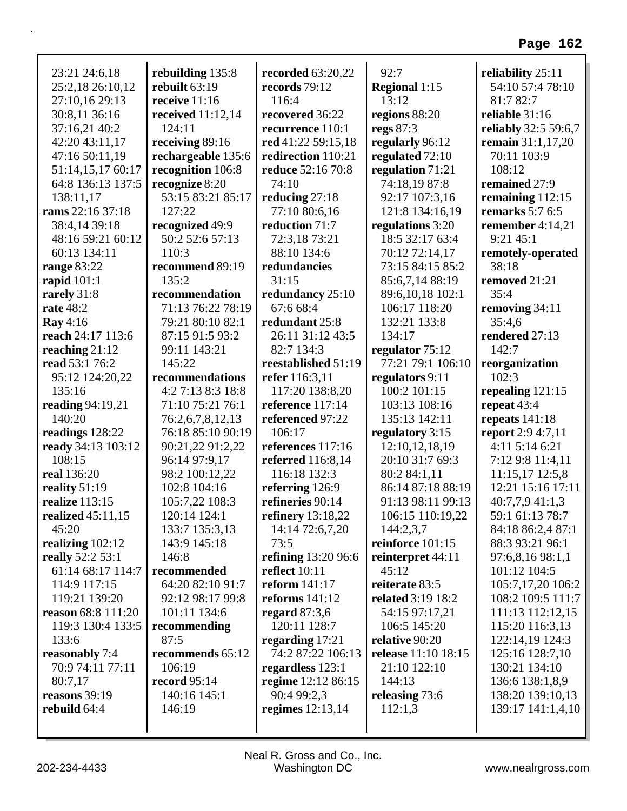| 23:21 24:6,18             | rebuilding 135:8    | recorded 63:20,22    | 92:7                       | reliability 25:11           |
|---------------------------|---------------------|----------------------|----------------------------|-----------------------------|
| 25:2,18 26:10,12          | rebuilt 63:19       | records 79:12        | <b>Regional 1:15</b>       | 54:10 57:4 78:10            |
| 27:10,16 29:13            | receive 11:16       | 116:4                | 13:12                      | 81:7 82:7                   |
| 30:8,11 36:16             | received $11:12,14$ | recovered 36:22      | regions 88:20              | reliable 31:16              |
| 37:16,21 40:2             | 124:11              | recurrence 110:1     | regs 87:3                  | <b>reliably</b> 32:5 59:6,7 |
| 42:20 43:11,17            | receiving 89:16     | red 41:22 59:15,18   | regularly 96:12            | remain $31:1,17,20$         |
| 47:16 50:11,19            | rechargeable 135:6  | redirection 110:21   | regulated 72:10            | 70:11 103:9                 |
| 51:14,15,17 60:17         | recognition 106:8   | reduce 52:16 70:8    | regulation 71:21           | 108:12                      |
| 64:8 136:13 137:5         | recognize 8:20      | 74:10                | 74:18,19 87:8              | remained 27:9               |
| 138:11,17                 | 53:15 83:21 85:17   | reducing 27:18       | 92:17 107:3,16             | remaining $112:15$          |
| rams 22:16 37:18          | 127:22              | 77:10 80:6,16        | 121:8 134:16,19            | remarks 5:7 6:5             |
| 38:4,14 39:18             | recognized 49:9     | reduction 71:7       | regulations 3:20           | remember $4:14,21$          |
| 48:16 59:21 60:12         | 50:2 52:6 57:13     | 72:3,18 73:21        | 18:5 32:17 63:4            | 9:2145:1                    |
| 60:13 134:11              | 110:3               | 88:10 134:6          | 70:12 72:14,17             | remotely-operated           |
| <b>range 83:22</b>        | recommend 89:19     | redundancies         | 73:15 84:15 85:2           | 38:18                       |
| rapid $101:1$             | 135:2               | 31:15                | 85:6,7,14 88:19            | removed 21:21               |
| rarely 31:8               | recommendation      | redundancy 25:10     | 89:6,10,18 102:1           | 35:4                        |
| <b>rate</b> 48:2          | 71:13 76:22 78:19   | 67:6 68:4            | 106:17 118:20              | removing 34:11              |
| <b>Ray</b> 4:16           | 79:21 80:10 82:1    | redundant 25:8       | 132:21 133:8               | 35:4,6                      |
| reach 24:17 113:6         | 87:15 91:5 93:2     | 26:11 31:12 43:5     | 134:17                     | rendered 27:13              |
| reaching 21:12            | 99:11 143:21        | 82:7 134:3           | regulator 75:12            | 142:7                       |
| read 53:1 76:2            | 145:22              | reestablished 51:19  | 77:21 79:1 106:10          | reorganization              |
| 95:12 124:20,22           | recommendations     | refer 116:3,11       | regulators 9:11            | 102:3                       |
| 135:16                    | 4:2 7:13 8:3 18:8   | 117:20 138:8,20      | 100:2 101:15               | repealing $121:15$          |
| reading 94:19,21          | 71:10 75:21 76:1    | reference 117:14     | 103:13 108:16              | repeat $43:4$               |
| 140:20                    | 76:2,6,7,8,12,13    | referenced 97:22     | 135:13 142:11              | repeats $141:18$            |
| readings 128:22           | 76:18 85:10 90:19   | 106:17               | regulatory 3:15            | <b>report</b> 2:9 4:7,11    |
| ready 34:13 103:12        | 90:21,22 91:2,22    | references 117:16    | 12:10,12,18,19             | 4:11 5:14 6:21              |
| 108:15                    | 96:14 97:9,17       | referred 116:8,14    | 20:10 31:7 69:3            | 7:12 9:8 11:4,11            |
| real 136:20               | 98:2 100:12,22      | 116:18 132:3         | 80:2 84:1,11               | 11:15,17 12:5,8             |
| reality 51:19             | 102:8 104:16        | referring 126:9      | 86:14 87:18 88:19          | 12:21 15:16 17:11           |
| realize 113:15            | 105:7,22 108:3      | refineries 90:14     | 91:13 98:11 99:13          | 40:7,7,9 41:1,3             |
| realized 45:11,15         | 120:14 124:1        | refinery 13:18,22    | 106:15 110:19,22           | 59:1 61:13 78:7             |
| 45:20                     | 133:7 135:3,13      | 14:14 72:6,7,20      | 144:2,3,7                  | 84:18 86:2,4 87:1           |
| realizing $102:12$        | 143:9 145:18        | 73:5                 | reinforce 101:15           | 88:3 93:21 96:1             |
| really 52:2 53:1          | 146:8               | refining 13:20 96:6  | reinterpret 44:11          | 97:6,8,16 98:1,1            |
| 61:14 68:17 114:7         | recommended         | <b>reflect</b> 10:11 | 45:12                      | 101:12 104:5                |
| 114:9 117:15              | 64:20 82:10 91:7    | reform $141:17$      | reiterate 83:5             | 105:7,17,20 106:2           |
| 119:21 139:20             | 92:12 98:17 99:8    | reforms $141:12$     | related 3:19 18:2          | 108:2 109:5 111:7           |
| <b>reason</b> 68:8 111:20 | 101:11 134:6        | regard $87:3,6$      | 54:15 97:17,21             | 111:13 112:12,15            |
| 119:3 130:4 133:5         | recommending        | 120:11 128:7         | 106:5 145:20               | 115:20 116:3,13             |
| 133:6                     | 87:5                | regarding $17:21$    | relative 90:20             | 122:14,19 124:3             |
| reasonably 7:4            | recommends 65:12    | 74:2 87:22 106:13    | <b>release</b> 11:10 18:15 | 125:16 128:7,10             |
| 70:9 74:11 77:11          | 106:19              | regardless 123:1     | 21:10 122:10               | 130:21 134:10               |
| 80:7,17                   | record 95:14        | regime 12:12 86:15   | 144:13                     | 136:6 138:1,8,9             |
| reasons 39:19             | 140:16 145:1        | 90:4 99:2,3          | releasing 73:6             | 138:20 139:10,13            |
| rebuild 64:4              | 146:19              | regimes $12:13,14$   | 112:1,3                    | 139:17 141:1,4,10           |
|                           |                     |                      |                            |                             |
|                           |                     |                      |                            |                             |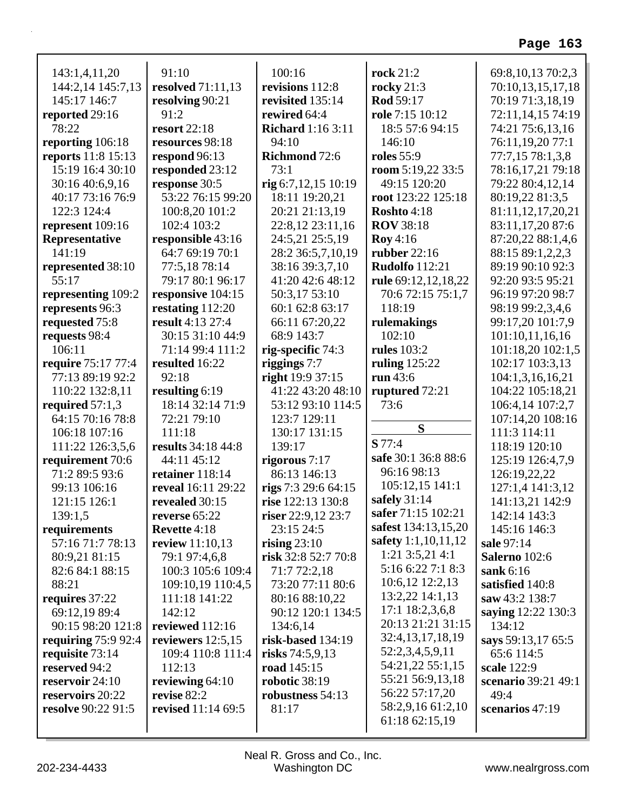| 143:1,4,11,20             | 91:10                     | 100:16                   | <b>rock</b> 21:2      | 69:8, 10, 13 70:2, 3 |
|---------------------------|---------------------------|--------------------------|-----------------------|----------------------|
| 144:2,14 145:7,13         | resolved 71:11,13         | revisions 112:8          | rocky $21:3$          | 70:10,13,15,17,18    |
| 145:17 146:7              | resolving 90:21           | revisited 135:14         | Rod 59:17             | 70:19 71:3,18,19     |
| reported 29:16            | 91:2                      | rewired 64:4             | role 7:15 10:12       | 72:11,14,15 74:19    |
| 78:22                     | <b>resort</b> 22:18       | <b>Richard</b> 1:16 3:11 | 18:5 57:6 94:15       | 74:21 75:6,13,16     |
| reporting 106:18          | resources 98:18           | 94:10                    | 146:10                | 76:11,19,20 77:1     |
| reports 11:8 15:13        | respond 96:13             | Richmond 72:6            | <b>roles</b> 55:9     | 77:7,15 78:1,3,8     |
| 15:19 16:4 30:10          | responded 23:12           | 73:1                     | room 5:19,22 33:5     | 78:16,17,21 79:18    |
| 30:16 40:6,9,16           | response 30:5             | rig $6:7,12,15$ $10:19$  | 49:15 120:20          | 79:22 80:4,12,14     |
| 40:17 73:16 76:9          | 53:22 76:15 99:20         | 18:11 19:20,21           | root 123:22 125:18    | 80:19,22 81:3,5      |
| 122:3 124:4               | 100:8,20 101:2            | 20:21 21:13,19           | Roshto 4:18           | 81:11,12,17,20,21    |
| represent 109:16          | 102:4 103:2               | 22:8,12 23:11,16         | <b>ROV</b> 38:18      | 83:11,17,20 87:6     |
| Representative            | responsible 43:16         | 24:5,21 25:5,19          | Roy $4:16$            | 87:20,22 88:1,4,6    |
| 141:19                    | 64:7 69:19 70:1           | 28:2 36:5,7,10,19        | rubber 22:16          | 88:15 89:1,2,2,3     |
| represented 38:10         | 77:5,18 78:14             | 38:16 39:3,7,10          | <b>Rudolfo</b> 112:21 | 89:19 90:10 92:3     |
| 55:17                     | 79:17 80:1 96:17          | 41:20 42:6 48:12         | rule 69:12,12,18,22   | 92:20 93:5 95:21     |
| representing 109:2        | responsive 104:15         | 50:3,17 53:10            | 70:6 72:15 75:1,7     | 96:19 97:20 98:7     |
| represents 96:3           | restating 112:20          | 60:1 62:8 63:17          | 118:19                | 98:19 99:2,3,4,6     |
| requested 75:8            | result 4:13 27:4          | 66:11 67:20,22           | rulemakings           | 99:17,20 101:7,9     |
| requests 98:4             | 30:15 31:10 44:9          | 68:9 143:7               | 102:10                | 101:10,11,16,16      |
| 106:11                    | 71:14 99:4 111:2          | rig-specific 74:3        | <b>rules</b> 103:2    | 101:18,20 102:1,5    |
| require 75:17 77:4        | resulted 16:22            | riggings $7:7$           | ruling 125:22         | 102:17 103:3,13      |
| 77:13 89:19 92:2          | 92:18                     | right 19:9 37:15         | run 43:6              | 104:1,3,16,16,21     |
| 110:22 132:8,11           | resulting 6:19            | 41:22 43:20 48:10        | ruptured $72:21$      | 104:22 105:18,21     |
| required $57:1,3$         | 18:14 32:14 71:9          | 53:12 93:10 114:5        | 73:6                  | 106:4,14 107:2,7     |
| 64:15 70:16 78:8          | 72:21 79:10               | 123:7 129:11             |                       | 107:14,20 108:16     |
| 106:18 107:16             | 111:18                    | 130:17 131:15            | S                     | 111:3 114:11         |
| 111:22 126:3,5,6          | results 34:18 44:8        | 139:17                   | S 77:4                | 118:19 120:10        |
| requirement 70:6          | 44:11 45:12               | rigorous 7:17            | safe 30:1 36:8 88:6   | 125:19 126:4,7,9     |
| 71:2 89:5 93:6            | retainer 118:14           | 86:13 146:13             | 96:16 98:13           | 126:19,22,22         |
| 99:13 106:16              | reveal 16:11 29:22        | rigs $7:329:664:15$      | 105:12,15 141:1       | 127:1,4 141:3,12     |
| 121:15 126:1              | revealed 30:15            | rise 122:13 130:8        | safely $31:14$        | 141:13,21 142:9      |
| 139:1,5                   | reverse 65:22             | riser 22:9,12 23:7       | safer 71:15 102:21    | 142:14 143:3         |
| requirements              | <b>Revette 4:18</b>       | 23:15 24:5               | safest 134:13,15,20   | 145:16 146:3         |
| 57:16 71:7 78:13          | review 11:10,13           | rising $23:10$           | safety 1:1,10,11,12   | sale 97:14           |
| 80:9,21 81:15             | 79:1 97:4,6,8             | risk 32:8 52:7 70:8      | $1:21$ 3:5,21 4:1     | Salerno 102:6        |
| 82:6 84:1 88:15           | 100:3 105:6 109:4         | 71:7 72:2,18             | 5:16 6:22 7:1 8:3     | sank $6:16$          |
| 88:21                     | 109:10,19 110:4,5         | 73:20 77:11 80:6         | 10:6,12 12:2,13       | satisfied 140:8      |
| requires 37:22            | 111:18 141:22             | 80:16 88:10,22           | 13:2,22 14:1,13       | saw 43:2 138:7       |
| 69:12,19 89:4             | 142:12                    | 90:12 120:1 134:5        | 17:1 18:2,3,6,8       | saying 12:22 130:3   |
| 90:15 98:20 121:8         | reviewed 112:16           | 134:6,14                 | 20:13 21:21 31:15     | 134:12               |
| requiring $75:992:4$      | reviewers $12:5,15$       | risk-based 134:19        | 32:4, 13, 17, 18, 19  | says 59:13,17 65:5   |
| requisite 73:14           | 109:4 110:8 111:4         | risks $74:5,9,13$        | 52:2,3,4,5,9,11       | 65:6 114:5           |
| reserved 94:2             | 112:13                    | road 145:15              | 54:21,22 55:1,15      | scale 122:9          |
| reservoir 24:10           | reviewing $64:10$         | robotic 38:19            | 55:21 56:9,13,18      | scenario 39:21 49:1  |
| reservoirs 20:22          | revise 82:2               | robustness 54:13         | 56:22 57:17,20        | 49:4                 |
| <b>resolve</b> 90:22 91:5 | <b>revised</b> 11:14 69:5 | 81:17                    | 58:2,9,16 61:2,10     | scenarios 47:19      |
|                           |                           |                          | 61:18 62:15,19        |                      |
|                           |                           |                          |                       |                      |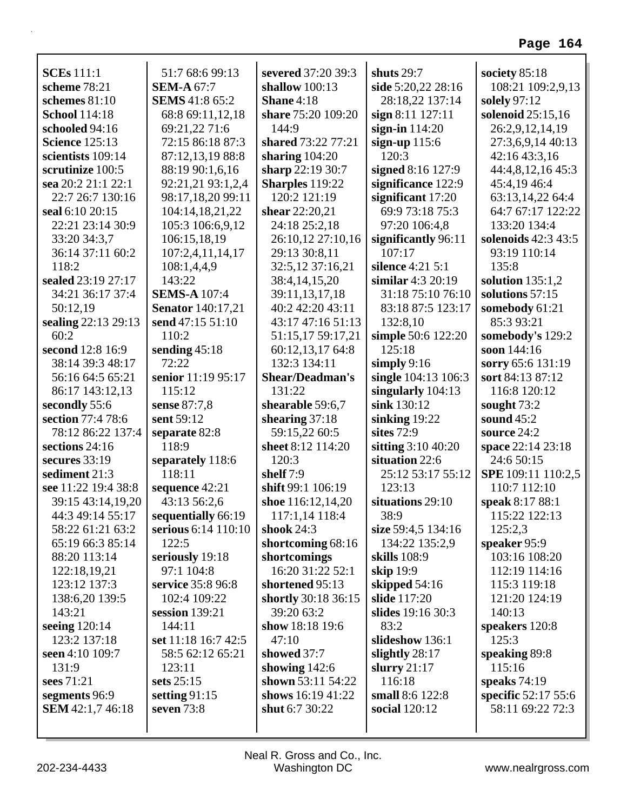| <b>SCEs</b> 111:1           | 51:7 68:6 99:13                              | severed 37:20 39:3                 | shuts 29:7                    | society $85:18$              |
|-----------------------------|----------------------------------------------|------------------------------------|-------------------------------|------------------------------|
| scheme 78:21                | <b>SEM-A 67:7</b>                            | shallow $100:13$                   | side 5:20,22 28:16            | 108:21 109:2,9,13            |
| schemes $81:10$             | <b>SEMS</b> 41:8 65:2                        | Shane 4:18                         | 28:18,22 137:14               | solely 97:12                 |
| <b>School</b> 114:18        | 68:8 69:11,12,18                             | share 75:20 109:20                 | sign 8:11 127:11              | solenoid 25:15,16            |
| schooled 94:16              | 69:21,22 71:6                                | 144:9                              | sign-in $114:20$              | 26:2,9,12,14,19              |
| <b>Science</b> 125:13       | 72:15 86:18 87:3                             | shared 73:22 77:21                 | sign-up $115:6$               | 27:3,6,9,14 40:13            |
| scientists 109:14           | 87:12,13,19 88:8                             | sharing $104:20$                   | 120:3                         | 42:16 43:3,16                |
| scrutinize 100:5            | 88:19 90:1,6,16                              | sharp 22:19 30:7                   | signed 8:16 127:9             | 44:4,8,12,16 45:3            |
| sea 20:2 21:1 22:1          | 92:21,21 93:1,2,4                            | Sharples 119:22                    | significance 122:9            | 45:4,19 46:4                 |
| 22:7 26:7 130:16            | 98:17,18,20 99:11                            | 120:2 121:19                       | significant $17:20$           | 63:13,14,22 64:4             |
| seal 6:10 20:15             | 104:14,18,21,22                              | shear 22:20,21                     | 69:9 73:18 75:3               | 64:7 67:17 122:22            |
| 22:21 23:14 30:9            | 105:3 106:6,9,12                             | 24:18 25:2,18                      | 97:20 106:4,8                 | 133:20 134:4                 |
| 33:20 34:3,7                | 106:15,18,19                                 | 26:10,12 27:10,16                  | significantly 96:11<br>107:17 | solenoids 42:3 43:5          |
| 36:14 37:11 60:2<br>118:2   | 107:2,4,11,14,17                             | 29:13 30:8,11<br>32:5,12 37:16,21  | silence 4:21 5:1              | 93:19 110:14<br>135:8        |
| sealed 23:19 27:17          | 108:1,4,4,9<br>143:22                        |                                    | similar $4:3$ $20:19$         |                              |
|                             | <b>SEMS-A 107:4</b>                          | 38:4,14,15,20                      | 31:18 75:10 76:10             | solution $135:1,2$           |
| 34:21 36:17 37:4            |                                              | 39:11,13,17,18<br>40:2 42:20 43:11 |                               | solutions 57:15              |
| 50:12,19                    | <b>Senator</b> 140:17,21<br>send 47:15 51:10 | 43:17 47:16 51:13                  | 83:18 87:5 123:17<br>132:8,10 | somebody 61:21<br>85:3 93:21 |
| sealing 22:13 29:13<br>60:2 | 110:2                                        | 51:15,17 59:17,21                  | simple 50:6 122:20            | somebody's 129:2             |
| second 12:8 16:9            | sending $45:18$                              | 60:12,13,17 64:8                   | 125:18                        | soon 144:16                  |
| 38:14 39:3 48:17            | 72:22                                        | 132:3 134:11                       | simply $9:16$                 | sorry 65:6 131:19            |
| 56:16 64:5 65:21            | senior 11:19 95:17                           | <b>Shear/Deadman's</b>             | single 104:13 106:3           | sort 84:13 87:12             |
| 86:17 143:12,13             | 115:12                                       | 131:22                             | singularly 104:13             | 116:8 120:12                 |
| secondly 55:6               | sense 87:7,8                                 | shearable 59:6,7                   | sink 130:12                   | sought $73:2$                |
| section 77:4 78:6           | sent 59:12                                   | shearing $37:18$                   | sinking $19:22$               | sound $45:2$                 |
| 78:12 86:22 137:4           | separate 82:8                                | 59:15,22 60:5                      | sites 72:9                    | source 24:2                  |
| sections 24:16              | 118:9                                        | sheet 8:12 114:20                  | sitting 3:10 40:20            | space 22:14 23:18            |
| secures $33:19$             | separately 118:6                             | 120:3                              | situation 22:6                | 24:6 50:15                   |
| sediment 21:3               | 118:11                                       | shelf $7:9$                        | 25:12 53:17 55:12             | SPE 109:11 110:2,5           |
| see 11:22 19:4 38:8         | sequence 42:21                               | shift 99:1 106:19                  | 123:13                        | 110:7 112:10                 |
| 39:15 43:14,19,20           | 43:13 56:2,6                                 | shoe 116:12,14,20                  | situations 29:10              | speak 8:17 88:1              |
| 44:3 49:14 55:17            | sequentially 66:19                           | 117:1,14 118:4                     | 38:9                          | 115:22 122:13                |
| 58:22 61:21 63:2            | serious 6:14 110:10                          | shook $24:3$                       | size 59:4,5 134:16            | 125:2,3                      |
| 65:19 66:3 85:14            | 122:5                                        | shortcoming 68:16                  | 134:22 135:2,9                | speaker 95:9                 |
| 88:20 113:14                | seriously 19:18                              | shortcomings                       | skills 108:9                  | 103:16 108:20                |
| 122:18,19,21                | 97:1 104:8                                   | 16:20 31:22 52:1                   | skip 19:9                     | 112:19 114:16                |
| 123:12 137:3                | service 35:8 96:8                            | shortened 95:13                    | skipped $54:16$               | 115:3 119:18                 |
| 138:6,20 139:5              | 102:4 109:22                                 | shortly 30:18 36:15                | slide 117:20                  | 121:20 124:19                |
| 143:21                      | session $139:21$                             | 39:20 63:2                         | slides 19:16 30:3             | 140:13                       |
| seeing 120:14               | 144:11                                       | show 18:18 19:6                    | 83:2                          | speakers 120:8               |
| 123:2 137:18                | set 11:18 16:7 42:5                          | 47:10                              | slideshow 136:1               | 125:3                        |
| seen 4:10 109:7             | 58:5 62:12 65:21                             | showed 37:7                        | slightly 28:17                | speaking 89:8                |
| 131:9                       | 123:11                                       | showing $142:6$                    | slurry $21:17$                | 115:16                       |
| sees 71:21                  | sets $25:15$                                 | shown 53:11 54:22                  | 116:18                        | speaks $74:19$               |
| segments 96:9               | setting $91:15$                              | shows 16:19 41:22                  | small 8:6 122:8               | specific 52:17 55:6          |
| <b>SEM</b> 42:1,7 46:18     | seven $73:8$                                 | shut 6:7 30:22                     | social 120:12                 | 58:11 69:22 72:3             |
|                             |                                              |                                    |                               |                              |
|                             |                                              |                                    |                               |                              |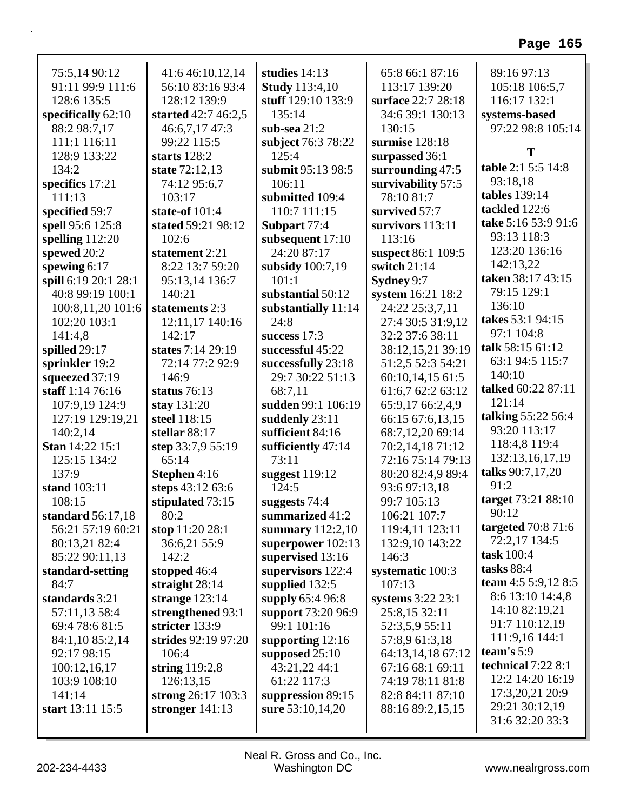| 75:5,14 90:12          | 41:6 46:10,12,14    | studies $14:13$       | 65:8 66:1 87:16    | 89:16 97:13          |
|------------------------|---------------------|-----------------------|--------------------|----------------------|
| 91:11 99:9 111:6       | 56:10 83:16 93:4    | <b>Study</b> 113:4,10 | 113:17 139:20      | 105:18 106:5,7       |
| 128:6 135:5            | 128:12 139:9        | stuff 129:10 133:9    | surface 22:7 28:18 | 116:17 132:1         |
| specifically 62:10     | started 42:7 46:2,5 | 135:14                | 34:6 39:1 130:13   | systems-based        |
| 88:2 98:7,17           | 46:6,7,17 47:3      | sub-sea $21:2$        | 130:15             | 97:22 98:8 105:14    |
| 111:1 116:11           | 99:22 115:5         | subject 76:3 78:22    | surmise 128:18     |                      |
| 128:9 133:22           | starts $128:2$      | 125:4                 | surpassed 36:1     | T                    |
| 134:2                  | state 72:12,13      | submit 95:13 98:5     | surrounding 47:5   | table 2:1 5:5 14:8   |
| specifics 17:21        | 74:12 95:6,7        | 106:11                | survivability 57:5 | 93:18,18             |
| 111:13                 | 103:17              | submitted 109:4       | 78:10 81:7         | <b>tables</b> 139:14 |
| specified 59:7         | state-of 101:4      | 110:7 111:15          | survived 57:7      | tackled 122:6        |
| spell 95:6 125:8       | stated 59:21 98:12  | Subpart 77:4          | survivors 113:11   | take 5:16 53:9 91:6  |
| spelling 112:20        | 102:6               | subsequent 17:10      | 113:16             | 93:13 118:3          |
| spewed 20:2            | statement 2:21      | 24:20 87:17           | suspect 86:1 109:5 | 123:20 136:16        |
| spewing 6:17           | 8:22 13:7 59:20     | subsidy $100:7,19$    | switch 21:14       | 142:13,22            |
| spill 6:19 20:1 28:1   | 95:13,14 136:7      | 101:1                 | Sydney 9:7         | taken 38:17 43:15    |
| 40:8 99:19 100:1       | 140:21              | substantial 50:12     | system 16:21 18:2  | 79:15 129:1          |
| 100:8,11,20 101:6      | statements 2:3      | substantially 11:14   | 24:22 25:3,7,11    | 136:10               |
| 102:20 103:1           | 12:11,17 140:16     | 24:8                  | 27:4 30:5 31:9,12  | takes 53:1 94:15     |
| 141:4,8                | 142:17              | success 17:3          | 32:2 37:6 38:11    | 97:1 104:8           |
| spilled 29:17          | states 7:14 29:19   | successful 45:22      | 38:12,15,21 39:19  | talk 58:15 61:12     |
| sprinkler 19:2         | 72:14 77:2 92:9     | successfully 23:18    | 51:2,5 52:3 54:21  | 63:1 94:5 115:7      |
| squeezed 37:19         | 146:9               | 29:7 30:22 51:13      | 60:10,14,1561:5    | 140:10               |
| staff 1:14 76:16       | status $76:13$      | 68:7,11               | 61:6,7 62:2 63:12  | talked 60:22 87:11   |
| 107:9,19 124:9         | stay 131:20         | sudden 99:1 106:19    | 65:9,17 66:2,4,9   | 121:14               |
| 127:19 129:19,21       | steel 118:15        | suddenly 23:11        | 66:15 67:6,13,15   | talking 55:22 56:4   |
| 140:2,14               | stellar 88:17       | sufficient 84:16      | 68:7,12,20 69:14   | 93:20 113:17         |
| <b>Stan 14:22 15:1</b> | step 33:7,9 55:19   | sufficiently 47:14    | 70:2,14,18 71:12   | 118:4,8 119:4        |
| 125:15 134:2           | 65:14               | 73:11                 | 72:16 75:14 79:13  | 132:13,16,17,19      |
| 137:9                  | Stephen 4:16        | suggest 119:12        | 80:20 82:4,9 89:4  | talks 90:7,17,20     |
| stand 103:11           | steps 43:12 63:6    | 124:5                 | 93:6 97:13,18      | 91:2                 |
| 108:15                 | stipulated 73:15    | suggests 74:4         | 99:7 105:13        | target 73:21 88:10   |
| standard 56:17,18      | 80:2                | summarized 41:2       | 106:21 107:7       | 90:12                |
| 56:21 57:19 60:21      | stop 11:20 28:1     | summary $112:2,10$    | 119:4,11 123:11    | targeted $70:871:6$  |
|                        | 36:6,21 55:9        | superpower 102:13     | 132:9,10 143:22    | 72:2,17 134:5        |
| 80:13,21 82:4          | 142:2               |                       | 146:3              | task 100:4           |
| 85:22 90:11,13         |                     | supervised 13:16      |                    | tasks $88:4$         |
| standard-setting       | stopped 46:4        | supervisors 122:4     | systematic 100:3   | team 4:5 5:9,12 8:5  |
| 84:7                   | straight $28:14$    | supplied 132:5        | 107:13             | 8:6 13:10 14:4,8     |
| standards 3:21         | strange $123:14$    | supply 65:4 96:8      | systems 3:22 23:1  | 14:10 82:19,21       |
| 57:11,13 58:4          | strengthened 93:1   | support 73:20 96:9    | 25:8,15 32:11      | 91:7 110:12,19       |
| 69:4 78:6 81:5         | stricter 133:9      | 99:1 101:16           | 52:3,5,9 55:11     | 111:9,16 144:1       |
| 84:1,10 85:2,14        | strides 92:19 97:20 | supporting 12:16      | 57:8,9 61:3,18     | team's 5:9           |
| 92:17 98:15            | 106:4               | supposed 25:10        | 64:13,14,18 67:12  | technical 7:22 8:1   |
| 100:12,16,17           | string $119:2,8$    | 43:21,22 44:1         | 67:16 68:1 69:11   | 12:2 14:20 16:19     |
| 103:9 108:10           | 126:13,15           | 61:22 117:3           | 74:19 78:11 81:8   |                      |
| 141:14                 | strong 26:17 103:3  | suppression 89:15     | 82:8 84:11 87:10   | 17:3,20,21 20:9      |
| start 13:11 15:5       | stronger $141:13$   | sure 53:10,14,20      | 88:16 89:2,15,15   | 29:21 30:12,19       |
|                        |                     |                       |                    | 31:6 32:20 33:3      |

r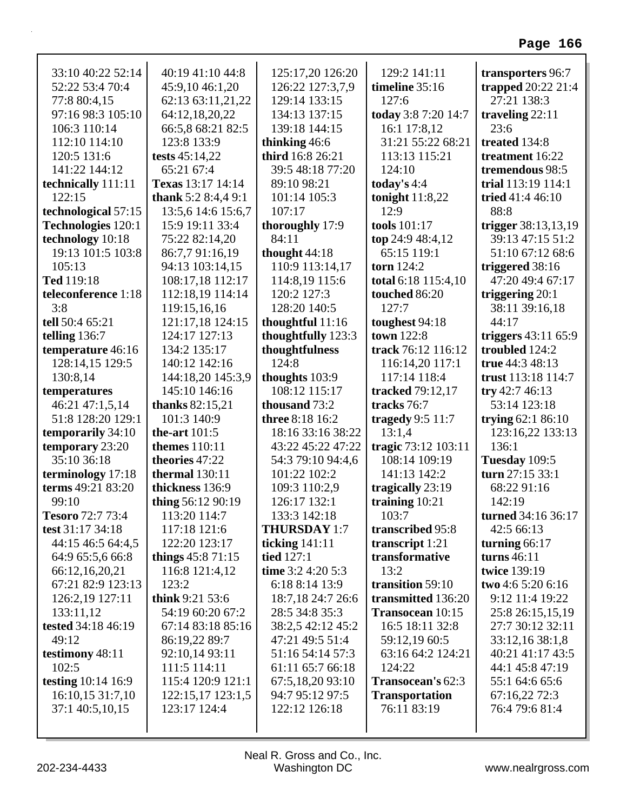| 33:10 40:22 52:14         | 40:19 41:10 44:8    | 125:17,20 126:20       | 129:2 141:11            | transporters 96:7            |
|---------------------------|---------------------|------------------------|-------------------------|------------------------------|
| 52:22 53:4 70:4           | 45:9,10 46:1,20     | 126:22 127:3,7,9       | timeline 35:16          | trapped 20:22 21:4           |
| 77:8 80:4,15              | 62:13 63:11,21,22   | 129:14 133:15          | 127:6                   | 27:21 138:3                  |
| 97:16 98:3 105:10         | 64:12,18,20,22      | 134:13 137:15          | today 3:8 7:20 14:7     | traveling $22:11$            |
| 106:3 110:14              | 66:5,8 68:21 82:5   | 139:18 144:15          | 16:1 17:8,12            | 23:6                         |
| 112:10 114:10             | 123:8 133:9         | thinking 46:6          | 31:21 55:22 68:21       | treated 134:8                |
| 120:5 131:6               | tests $45:14,22$    | third 16:8 26:21       | 113:13 115:21           | treatment 16:22              |
| 141:22 144:12             | 65:21 67:4          | 39:5 48:18 77:20       | 124:10                  | tremendous 98:5              |
| technically 111:11        | Texas 13:17 14:14   | 89:10 98:21            | today's $4:4$           | trial 113:19 114:1           |
| 122:15                    | thank $5:28:4,49:1$ | 101:14 105:3           | tonight $11:8,22$       | tried $41:446:10$            |
| technological 57:15       | 13:5,6 14:6 15:6,7  | 107:17                 | 12:9                    | 88:8                         |
| <b>Technologies 120:1</b> | 15:9 19:11 33:4     | thoroughly 17:9        | tools 101:17            | trigger 38:13,13,19          |
| technology 10:18          | 75:22 82:14,20      | 84:11                  | top 24:9 48:4,12        | 39:13 47:15 51:2             |
| 19:13 101:5 103:8         | 86:7,7 91:16,19     | thought $44:18$        | 65:15 119:1             | 51:10 67:12 68:6             |
| 105:13                    | 94:13 103:14,15     | 110:9 113:14,17        | torn 124:2              | triggered 38:16              |
| Ted 119:18                | 108:17,18 112:17    | 114:8,19 115:6         | total 6:18 115:4,10     | 47:20 49:4 67:17             |
| teleconference 1:18       | 112:18,19 114:14    | 120:2 127:3            | touched 86:20           | triggering $20:1$            |
| 3:8                       | 119:15,16,16        | 128:20 140:5           | 127:7                   | 38:11 39:16,18               |
| tell 50:4 65:21           | 121:17,18 124:15    | thoughtful $11:16$     | toughest 94:18          | 44:17                        |
| telling $136:7$           | 124:17 127:13       | thoughtfully 123:3     | town 122:8              | triggers $43:11\,65:9$       |
| temperature 46:16         | 134:2 135:17        | thoughtfulness         | track 76:12 116:12      | troubled 124:2               |
| 128:14,15 129:5           | 140:12 142:16       | 124:8                  | 116:14,20 117:1         | true 44:3 48:13              |
| 130:8,14                  | 144:18,20 145:3,9   | thoughts 103:9         | 117:14 118:4            | trust 113:18 114:7           |
| temperatures              | 145:10 146:16       | 108:12 115:17          | tracked 79:12,17        | try $42:746:13$              |
| 46:21 47:1,5,14           | thanks $82:15,21$   | thousand 73:2          | tracks 76:7             | 53:14 123:18                 |
| 51:8 128:20 129:1         | 101:3 140:9         | <b>three</b> 8:18 16:2 | tragedy $9:5$ 11:7      | trying $62:186:10$           |
| temporarily 34:10         | the-art $101:5$     | 18:16 33:16 38:22      | 13:1,4                  | 123:16,22 133:13             |
| temporary 23:20           | themes $110:11$     | 43:22 45:22 47:22      | tragic 73:12 103:11     | 136:1                        |
| 35:10 36:18               | theories 47:22      | 54:3 79:10 94:4,6      | 108:14 109:19           | Tuesday 109:5                |
| terminology 17:18         | thermal $130:11$    | 101:22 102:2           | 141:13 142:2            | turn 27:15 33:1              |
| terms 49:21 83:20         | thickness 136:9     | 109:3 110:2,9          | tragically 23:19        | 68:22 91:16                  |
| 99:10                     | thing 56:12 90:19   | 126:17 132:1           | training $10:21$        | 142:19                       |
| <b>Tesoro</b> 72:7 73:4   | 113:20 114:7        | 133:3 142:18           | 103:7                   | <b>turned</b> $34:16\,36:17$ |
| test 31:17 34:18          | 117:18 121:6        | <b>THURSDAY 1:7</b>    | transcribed 95:8        | 42:5 66:13                   |
| 44:15 46:5 64:4,5         | 122:20 123:17       | ticking $141:11$       | transcript 1:21         | turning 66:17                |
| 64:9 65:5,6 66:8          | things $45:871:15$  | <b>tied</b> 127:1      | transformative          | turns $46:11$                |
| 66:12,16,20,21            | 116:8 121:4,12      | time 3:2 4:20 5:3      | 13:2                    | twice 139:19                 |
| 67:21 82:9 123:13         | 123:2               | 6:18 8:14 13:9         | transition 59:10        | two 4:6 5:20 6:16            |
| 126:2,19 127:11           | think $9:21\,53:6$  | 18:7,18 24:7 26:6      | transmitted 136:20      | 9:12 11:4 19:22              |
| 133:11,12                 | 54:19 60:20 67:2    | 28:5 34:8 35:3         | <b>Transocean 10:15</b> | 25:8 26:15,15,19             |
| tested 34:18 46:19        | 67:14 83:18 85:16   | 38:2,5 42:12 45:2      | 16:5 18:11 32:8         | 27:7 30:12 32:11             |
| 49:12                     | 86:19,22 89:7       | 47:21 49:5 51:4        | 59:12,19 60:5           | 33:12,16 38:1,8              |
| testimony 48:11           | 92:10,14 93:11      | 51:16 54:14 57:3       | 63:16 64:2 124:21       | 40:21 41:17 43:5             |
| 102:5                     | 111:5 114:11        | 61:11 65:7 66:18       | 124:22                  | 44:1 45:8 47:19              |
| testing 10:14 16:9        | 115:4 120:9 121:1   | 67:5,18,20 93:10       | Transocean's 62:3       | 55:1 64:6 65:6               |
| 16:10,15 31:7,10          | 122:15,17 123:1,5   | 94:7 95:12 97:5        | <b>Transportation</b>   | 67:16,22 72:3                |
| 37:1 40:5,10,15           | 123:17 124:4        | 122:12 126:18          | 76:11 83:19             | 76:4 79:6 81:4               |
|                           |                     |                        |                         |                              |
|                           |                     |                        |                         |                              |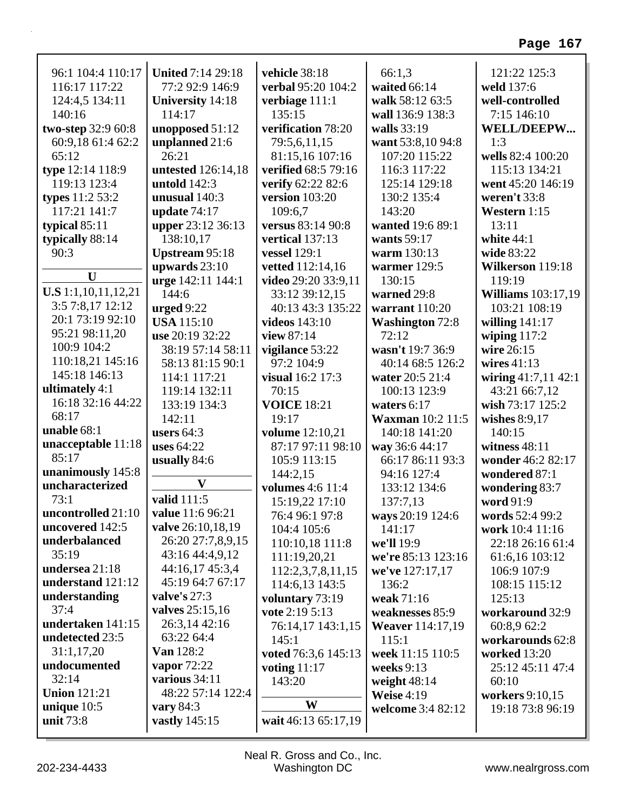| 96:1 104:4 110:17          | <b>United 7:14 29:18</b> | vehicle 38:18           | 66:1,3                  | 121:22 125:3              |
|----------------------------|--------------------------|-------------------------|-------------------------|---------------------------|
| 116:17 117:22              | 77:2 92:9 146:9          | verbal 95:20 104:2      | waited 66:14            | weld 137:6                |
| 124:4,5 134:11             | <b>University 14:18</b>  | verbiage 111:1          | walk 58:12 63:5         | well-controlled           |
| 140:16                     | 114:17                   | 135:15                  | wall 136:9 138:3        | 7:15 146:10               |
| two-step 32:9 60:8         | unopposed 51:12          | verification 78:20      | walls 33:19             | <b>WELL/DEEPW</b>         |
| 60:9,18 61:4 62:2          | unplanned 21:6           | 79:5,6,11,15            | want 53:8,10 94:8       | 1:3                       |
| 65:12                      | 26:21                    | 81:15,16 107:16         | 107:20 115:22           | wells 82:4 100:20         |
| type 12:14 118:9           | untested 126:14,18       | verified 68:5 79:16     | 116:3 117:22            | 115:13 134:21             |
| 119:13 123:4               | untold $142:3$           | verify 62:22 82:6       | 125:14 129:18           | went 45:20 146:19         |
| types 11:2 53:2            | unusual 140:3            | version 103:20          | 130:2 135:4             | weren't 33:8              |
| 117:21 141:7               | update $74:17$           | 109:6,7                 | 143:20                  | Western 1:15              |
| typical $85:11$            | upper 23:12 36:13        | versus 83:14 90:8       | wanted 19:6 89:1        | 13:11                     |
| typically 88:14            | 138:10,17                | vertical 137:13         | wants 59:17             | white $44:1$              |
| 90:3                       | <b>Upstream 95:18</b>    | <b>vessel</b> 129:1     | warm 130:13             | wide 83:22                |
|                            | upwards $23:10$          | vetted 112:14,16        | warmer $129:5$          | Wilkerson 119:18          |
| $\mathbf{U}$               | urge 142:11 144:1        | video 29:20 33:9,11     | 130:15                  | 119:19                    |
| <b>U.S</b> 1:1,10,11,12,21 | 144:6                    | 33:12 39:12,15          | warned 29:8             | <b>Williams</b> 103:17,19 |
| 3:5 7:8,17 12:12           | urged $9:22$             | 40:13 43:3 135:22       | warrant 110:20          | 103:21 108:19             |
| 20:1 73:19 92:10           | <b>USA</b> 115:10        | <b>videos</b> 143:10    | <b>Washington 72:8</b>  | willing $141:17$          |
| 95:21 98:11,20             | use 20:19 32:22          | view 87:14              | 72:12                   | wiping $117:2$            |
| 100:9 104:2                | 38:19 57:14 58:11        | vigilance 53:22         | wasn't 19:7 36:9        | wire 26:15                |
| 110:18,21 145:16           | 58:13 81:15 90:1         | 97:2 104:9              | 40:14 68:5 126:2        | wires $41:13$             |
| 145:18 146:13              | 114:1 117:21             | visual 16:2 17:3        | water 20:5 21:4         | wiring 41:7,11 42:1       |
| ultimately 4:1             | 119:14 132:11            | 70:15                   | 100:13 123:9            | 43:21 66:7,12             |
| 16:18 32:16 44:22          | 133:19 134:3             | <b>VOICE 18:21</b>      | waters $6:17$           | wish 73:17 125:2          |
| 68:17                      | 142:11                   | 19:17                   | <b>Waxman</b> 10:2 11:5 | wishes $8:9,17$           |
| unable 68:1                | users $64:3$             | volume 12:10,21         | 140:18 141:20           | 140:15                    |
| unacceptable 11:18         | <b>uses</b> 64:22        | 87:17 97:11 98:10       | way 36:6 44:17          | witness $48:11$           |
| 85:17                      | usually 84:6             | 105:9 113:15            | 66:17 86:11 93:3        | wonder 46:2 82:17         |
| unanimously 145:8          |                          | 144:2,15                | 94:16 127:4             | wondered 87:1             |
| uncharacterized            | $\mathbf{V}$             | <b>volumes</b> 4:6 11:4 | 133:12 134:6            | wondering 83:7            |
| 73:1                       | valid 111:5              | 15:19,22 17:10          | 137:7,13                | word 91:9                 |
| uncontrolled 21:10         | value 11:6 96:21         | 76:4 96:1 97:8          | ways 20:19 124:6        | words 52:4 99:2           |
| uncovered 142:5            | valve 26:10,18,19        | 104:4 105:6             | 141:17                  | work 10:4 11:16           |
| underbalanced              | 26:20 27:7,8,9,15        | 110:10,18 111:8         | we'll 19:9              | 22:18 26:16 61:4          |
| 35:19                      | 43:16 44:4,9,12          | 111:19,20,21            | we're 85:13 123:16      | 61:6,16 103:12            |
| undersea 21:18             | 44:16,17 45:3,4          | 112:2,3,7,8,11,15       | we've 127:17,17         | 106:9 107:9               |
| understand 121:12          | 45:19 64:7 67:17         | 114:6,13 143:5          | 136:2                   | 108:15 115:12             |
| understanding              | valve's $27:3$           | voluntary 73:19         | weak 71:16              | 125:13                    |
| 37:4                       | valves $25:15,16$        | vote 2:19 5:13          | weaknesses 85:9         | workaround 32:9           |
| undertaken 141:15          | 26:3,14 42:16            | 76:14,17 143:1,15       | <b>Weaver</b> 114:17,19 | 60:8,9 62:2               |
| undetected 23:5            | 63:22 64:4               | 145:1                   | 115:1                   | workarounds 62:8          |
| 31:1,17,20                 | <b>Van</b> 128:2         | voted 76:3,6 145:13     | week 11:15 110:5        | <b>worked</b> 13:20       |
| undocumented               | vapor $72:22$            | voting 11:17            | weeks $9:13$            | 25:12 45:11 47:4          |
| 32:14                      | various 34:11            | 143:20                  | weight $48:14$          | 60:10                     |
| <b>Union 121:21</b>        | 48:22 57:14 122:4        |                         | <b>Weise 4:19</b>       | workers 9:10,15           |
| unique 10:5                | vary $84:3$              | W                       | welcome 3:4 82:12       | 19:18 73:8 96:19          |
| unit 73:8                  | vastly 145:15            | wait 46:13 65:17,19     |                         |                           |
|                            |                          |                         |                         |                           |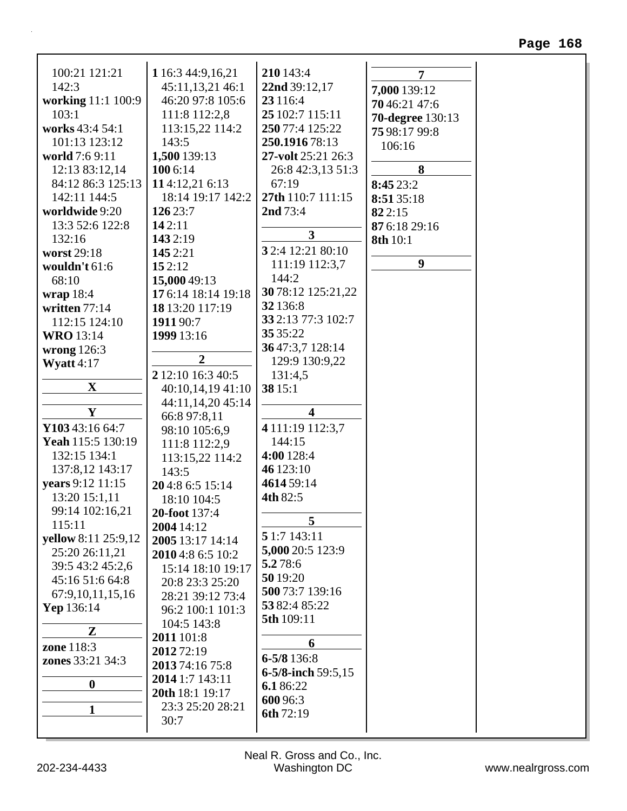| 100:21 121:21           | 1 16:3 44:9,16,21                 | 210 143:4                      | 7                       |
|-------------------------|-----------------------------------|--------------------------------|-------------------------|
| 142:3                   | 45:11,13,21 46:1                  | 22nd 39:12,17                  | 7,000 139:12            |
| working 11:1 100:9      | 46:20 97:8 105:6                  | 23 116:4                       | 70 46:21 47:6           |
| 103:1                   | 111:8 112:2,8                     | 25 102:7 115:11                | <b>70-degree</b> 130:13 |
| works 43:4 54:1         | 113:15,22 114:2                   | 250 77:4 125:22                | 75 98:17 99:8           |
| 101:13 123:12           | 143:5                             | 250.1916 78:13                 | 106:16                  |
| world 7:6 9:11          | 1,500 139:13                      | 27-volt 25:21 26:3             |                         |
| 12:13 83:12,14          | 100 6:14                          | 26:8 42:3,13 51:3              | 8                       |
| 84:12 86:3 125:13       | 114:12,21 6:13                    | 67:19                          | 8:45 23:2               |
| 142:11 144:5            | 18:14 19:17 142:2                 | 27th 110:7 111:15              | 8:51 35:18              |
| worldwide 9:20          | 126 23:7                          | 2nd 73:4                       | 822:15                  |
| 13:3 52:6 122:8         | 142:11                            | $\mathbf{3}$                   | 87 6:18 29:16           |
| 132:16                  | 143 2:19                          |                                | 8th 10:1                |
| worst 29:18             | 145 2:21                          | 3 2:4 12:21 80:10              |                         |
| wouldn't 61:6           | 152:12                            | 111:19 112:3,7                 | $\boldsymbol{9}$        |
| 68:10                   | 15,000 49:13                      | 144:2                          |                         |
| wrap $18:4$             | 17 6:14 18:14 19:18               | 30 78:12 125:21,22             |                         |
| written 77:14           | 18 13:20 117:19                   | 32 136:8                       |                         |
| 112:15 124:10           | 1911 90:7                         | 33 2:13 77:3 102:7<br>35 35:22 |                         |
| <b>WRO</b> 13:14        | 1999 13:16                        | 36 47:3,7 128:14               |                         |
| wrong $126:3$           | $\overline{2}$                    | 129:9 130:9,22                 |                         |
| Wyatt $4:17$            | 2 12:10 16:3 40:5                 | 131:4,5                        |                         |
| $\mathbf X$             | 40:10,14,19 41:10                 | 38 15:1                        |                         |
|                         |                                   |                                |                         |
| $\mathbf Y$             | 44:11,14,20 45:14<br>66:8 97:8,11 | $\overline{\mathbf{4}}$        |                         |
| Y103 43:16 64:7         | 98:10 105:6,9                     | 4 111:19 112:3,7               |                         |
| Yeah 115:5 130:19       | 111:8 112:2,9                     | 144:15                         |                         |
| 132:15 134:1            | 113:15,22 114:2                   | 4:00 128:4                     |                         |
| 137:8,12 143:17         | 143:5                             | 46 123:10                      |                         |
| <b>years</b> 9:12 11:15 | 204:8 6:5 15:14                   | 4614 59:14                     |                         |
| 13:20 15:1,11           | 18:10 104:5                       | 4th 82:5                       |                         |
| 99:14 102:16,21         | 20-foot 137:4                     |                                |                         |
| 115:11                  | 2004 14:12                        | 5                              |                         |
| yellow 8:11 25:9,12     | 2005 13:17 14:14                  | 5 1:7 143:11                   |                         |
| 25:20 26:11,21          | 2010 4:8 6:5 10:2                 | 5,000 20:5 123:9               |                         |
| 39:5 43:2 45:2,6        | 15:14 18:10 19:17                 | 5.278:6                        |                         |
| 45:16 51:6 64:8         | 20:8 23:3 25:20                   | 50 19:20                       |                         |
| 67:9, 10, 11, 15, 16    | 28:21 39:12 73:4                  | 500 73:7 139:16                |                         |
| Yep 136:14              | 96:2 100:1 101:3                  | 53 82:4 85:22                  |                         |
|                         | 104:5 143:8                       | 5th 109:11                     |                         |
| Z                       | 2011 101:8                        |                                |                         |
| zone 118:3              | 2012 72:19                        | 6                              |                         |
| <b>zones</b> 33:21 34:3 | 2013 74:16 75:8                   | 6-5/8 136:8                    |                         |
|                         | 2014 1:7 143:11                   | 6-5/8-inch 59:5,15             |                         |
| $\bf{0}$                | 20th 18:1 19:17                   | 6.186:22                       |                         |
| 1                       | 23:3 25:20 28:21                  | 600 96:3                       |                         |
|                         | 30:7                              | 6th 72:19                      |                         |
|                         |                                   |                                |                         |